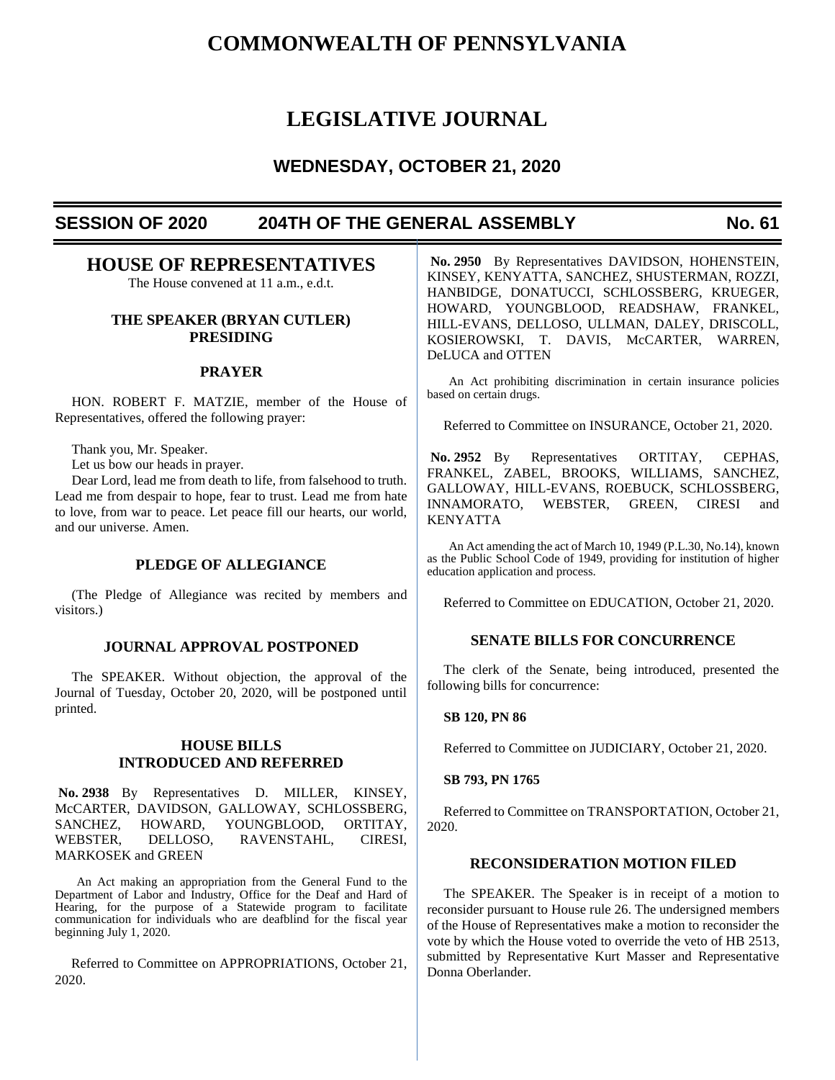# **COMMONWEALTH OF PENNSYLVANIA**

# **LEGISLATIVE JOURNAL**

# **WEDNESDAY, OCTOBER 21, 2020**

# **SESSION OF 2020 204TH OF THE GENERAL ASSEMBLY No. 61**

# **HOUSE OF REPRESENTATIVES**

The House convened at 11 a.m., e.d.t.

## **THE SPEAKER (BRYAN CUTLER) PRESIDING**

## **PRAYER**

HON. ROBERT F. MATZIE, member of the House of Representatives, offered the following prayer:

Thank you, Mr. Speaker.

Let us bow our heads in prayer.

Dear Lord, lead me from death to life, from falsehood to truth. Lead me from despair to hope, fear to trust. Lead me from hate to love, from war to peace. Let peace fill our hearts, our world, and our universe. Amen.

## **PLEDGE OF ALLEGIANCE**

(The Pledge of Allegiance was recited by members and visitors.)

## **JOURNAL APPROVAL POSTPONED**

The SPEAKER. Without objection, the approval of the Journal of Tuesday, October 20, 2020, will be postponed until printed.

## **HOUSE BILLS INTRODUCED AND REFERRED**

**No. 2938** By Representatives D. MILLER, KINSEY, McCARTER, DAVIDSON, GALLOWAY, SCHLOSSBERG, SANCHEZ, HOWARD, YOUNGBLOOD, ORTITAY, WEBSTER, DELLOSO, RAVENSTAHL, CIRESI, MARKOSEK and GREEN

An Act making an appropriation from the General Fund to the Department of Labor and Industry, Office for the Deaf and Hard of Hearing, for the purpose of a Statewide program to facilitate communication for individuals who are deafblind for the fiscal year beginning July 1, 2020.

Referred to Committee on APPROPRIATIONS, October 21, 2020.

**No. 2950** By Representatives DAVIDSON, HOHENSTEIN, KINSEY, KENYATTA, SANCHEZ, SHUSTERMAN, ROZZI, HANBIDGE, DONATUCCI, SCHLOSSBERG, KRUEGER, HOWARD, YOUNGBLOOD, READSHAW, FRANKEL, HILL-EVANS, DELLOSO, ULLMAN, DALEY, DRISCOLL, KOSIEROWSKI, T. DAVIS, McCARTER, WARREN, DeLUCA and OTTEN

An Act prohibiting discrimination in certain insurance policies based on certain drugs.

Referred to Committee on INSURANCE, October 21, 2020.

**No. 2952** By Representatives ORTITAY, CEPHAS, FRANKEL, ZABEL, BROOKS, WILLIAMS, SANCHEZ, GALLOWAY, HILL-EVANS, ROEBUCK, SCHLOSSBERG, INNAMORATO, WEBSTER, GREEN, CIRESI and KENYATTA

An Act amending the act of March 10, 1949 (P.L.30, No.14), known as the Public School Code of 1949, providing for institution of higher education application and process.

Referred to Committee on EDUCATION, October 21, 2020.

## **SENATE BILLS FOR CONCURRENCE**

The clerk of the Senate, being introduced, presented the following bills for concurrence:

## **SB 120, PN 86**

Referred to Committee on JUDICIARY, October 21, 2020.

## **SB 793, PN 1765**

Referred to Committee on TRANSPORTATION, October 21, 2020.

## **RECONSIDERATION MOTION FILED**

The SPEAKER. The Speaker is in receipt of a motion to reconsider pursuant to House rule 26. The undersigned members of the House of Representatives make a motion to reconsider the vote by which the House voted to override the veto of HB 2513, submitted by Representative Kurt Masser and Representative Donna Oberlander.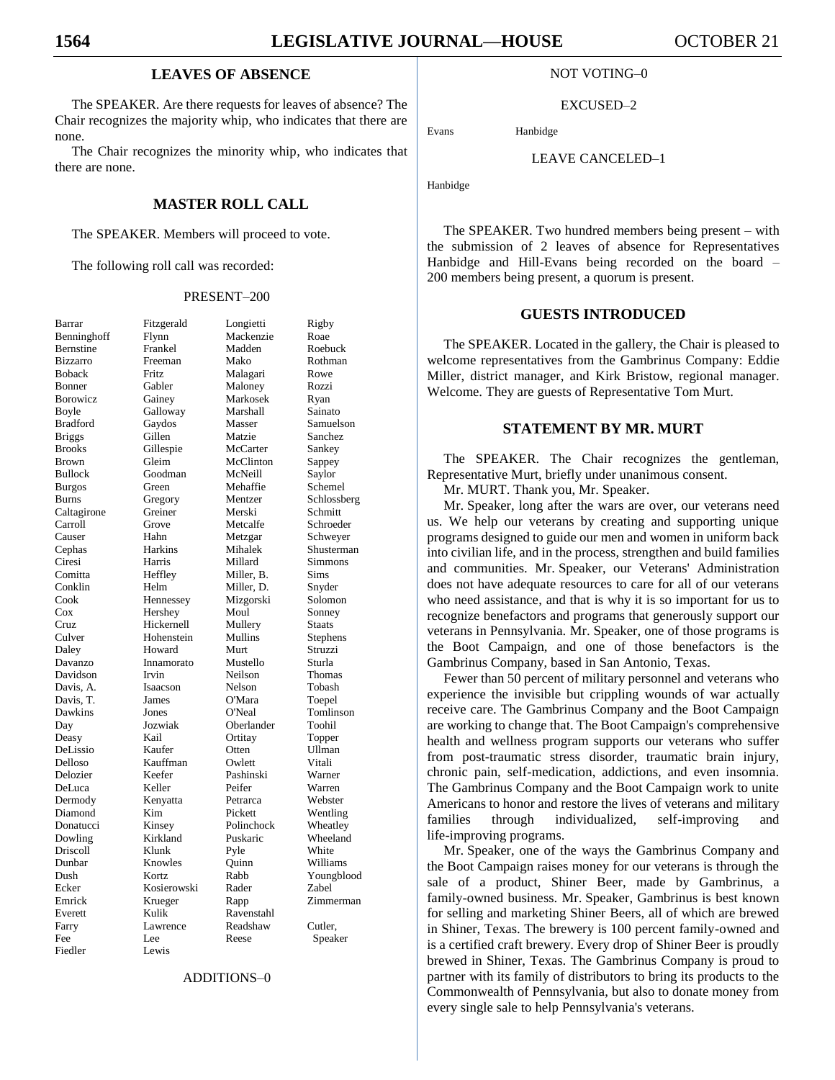## **LEAVES OF ABSENCE**

The SPEAKER. Are there requests for leaves of absence? The Chair recognizes the majority whip, who indicates that there are none.

The Chair recognizes the minority whip, who indicates that there are none.

## **MASTER ROLL CALL**

The SPEAKER. Members will proceed to vote.

The following roll call was recorded:

#### PRESENT–200

| Barrar          | Fitzgerald  | Longietti      | Rigby         |
|-----------------|-------------|----------------|---------------|
| Benninghoff     | Flynn       | Mackenzie      | Roae          |
| Bernstine       | Frankel     | Madden         | Roebuck       |
| <b>Bizzarro</b> | Freeman     | Mako           | Rothman       |
| <b>Boback</b>   | Fritz       | Malagari       | Rowe          |
| Bonner          | Gabler      | Maloney        | Rozzi         |
| Borowicz        | Gainey      | Markosek       | Ryan          |
| Boyle           | Galloway    | Marshall       | Sainato       |
| <b>Bradford</b> | Gaydos      | Masser         | Samuelson     |
| <b>Briggs</b>   | Gillen      | Matzie         | Sanchez       |
| <b>Brooks</b>   | Gillespie   | McCarter       | Sankey        |
| <b>Brown</b>    | Gleim       | McClinton      | Sappey        |
| <b>Bullock</b>  | Goodman     | McNeill        | Saylor        |
| <b>Burgos</b>   | Green       | Mehaffie       | Schemel       |
| <b>Burns</b>    | Gregory     | Mentzer        | Schlossberg   |
| Caltagirone     | Greiner     | Merski         | Schmitt       |
| Carroll         | Grove       | Metcalfe       | Schroeder     |
| Causer          | Hahn        | Metzgar        | Schweyer      |
| Cephas          | Harkins     | Mihalek        | Shusterman    |
| Ciresi          | Harris      | Millard        | Simmons       |
| Comitta         | Heffley     | Miller, B.     | Sims          |
| Conklin         | Helm        | Miller, D.     | Snyder        |
| Cook            | Hennessey   | Mizgorski      | Solomon       |
| $\cos$          | Hershey     | Moul           | Sonney        |
| Cruz            | Hickernell  | Mullery        | <b>Staats</b> |
| Culver          | Hohenstein  | <b>Mullins</b> | Stephens      |
| Daley           | Howard      | Murt           | Struzzi       |
| Davanzo         | Innamorato  | Mustello       | Sturla        |
| Davidson        | Irvin       | Neilson        | Thomas        |
| Davis, A.       | Isaacson    | Nelson         | Tobash        |
| Davis, T.       | James       | O'Mara         | Toepel        |
| Dawkins         | Jones       | O'Neal         | Tomlinson     |
| Day             | Jozwiak     | Oberlander     | Toohil        |
| Deasy           | Kail        | Ortitay        | Topper        |
| DeLissio        | Kaufer      | Otten          | Ullman        |
| Delloso         | Kauffman    | Owlett         | Vitali        |
| Delozier        | Keefer      | Pashinski      | Warner        |
| DeLuca          | Keller      | Peifer         | Warren        |
| Dermody         | Kenyatta    | Petrarca       | Webster       |
| Diamond         | Kim         | Pickett        | Wentling      |
| Donatucci       | Kinsey      | Polinchock     | Wheatley      |
| Dowling         | Kirkland    | Puskaric       | Wheeland      |
| Driscoll        | Klunk       | Pyle           | White         |
| Dunbar          | Knowles     | Quinn          | Williams      |
| Dush            | Kortz       | Rabb           | Youngblood    |
| Ecker           | Kosierowski | Rader          | Zabel         |
| Emrick          | Krueger     | Rapp           | Zimmerman     |
| Everett         | Kulik       | Ravenstahl     |               |
| Farry           | Lawrence    | Readshaw       | Cutler,       |
| Fee             | Lee         | Reese          | Speaker       |
| Fiedler         | Lewis       |                |               |
|                 |             |                |               |

### ADDITIONS–0

NOT VOTING–0

EXCUSED–2

Evans Hanbidge

#### LEAVE CANCELED–1

Hanbidge

The SPEAKER. Two hundred members being present – with the submission of 2 leaves of absence for Representatives Hanbidge and Hill-Evans being recorded on the board – 200 members being present, a quorum is present.

### **GUESTS INTRODUCED**

The SPEAKER. Located in the gallery, the Chair is pleased to welcome representatives from the Gambrinus Company: Eddie Miller, district manager, and Kirk Bristow, regional manager. Welcome. They are guests of Representative Tom Murt.

### **STATEMENT BY MR. MURT**

The SPEAKER. The Chair recognizes the gentleman, Representative Murt, briefly under unanimous consent.

Mr. MURT. Thank you, Mr. Speaker.

Mr. Speaker, long after the wars are over, our veterans need us. We help our veterans by creating and supporting unique programs designed to guide our men and women in uniform back into civilian life, and in the process, strengthen and build families and communities. Mr. Speaker, our Veterans' Administration does not have adequate resources to care for all of our veterans who need assistance, and that is why it is so important for us to recognize benefactors and programs that generously support our veterans in Pennsylvania. Mr. Speaker, one of those programs is the Boot Campaign, and one of those benefactors is the Gambrinus Company, based in San Antonio, Texas.

Fewer than 50 percent of military personnel and veterans who experience the invisible but crippling wounds of war actually receive care. The Gambrinus Company and the Boot Campaign are working to change that. The Boot Campaign's comprehensive health and wellness program supports our veterans who suffer from post-traumatic stress disorder, traumatic brain injury, chronic pain, self-medication, addictions, and even insomnia. The Gambrinus Company and the Boot Campaign work to unite Americans to honor and restore the lives of veterans and military families through individualized, self-improving and life-improving programs.

Mr. Speaker, one of the ways the Gambrinus Company and the Boot Campaign raises money for our veterans is through the sale of a product, Shiner Beer, made by Gambrinus, a family-owned business. Mr. Speaker, Gambrinus is best known for selling and marketing Shiner Beers, all of which are brewed in Shiner, Texas. The brewery is 100 percent family-owned and is a certified craft brewery. Every drop of Shiner Beer is proudly brewed in Shiner, Texas. The Gambrinus Company is proud to partner with its family of distributors to bring its products to the Commonwealth of Pennsylvania, but also to donate money from every single sale to help Pennsylvania's veterans.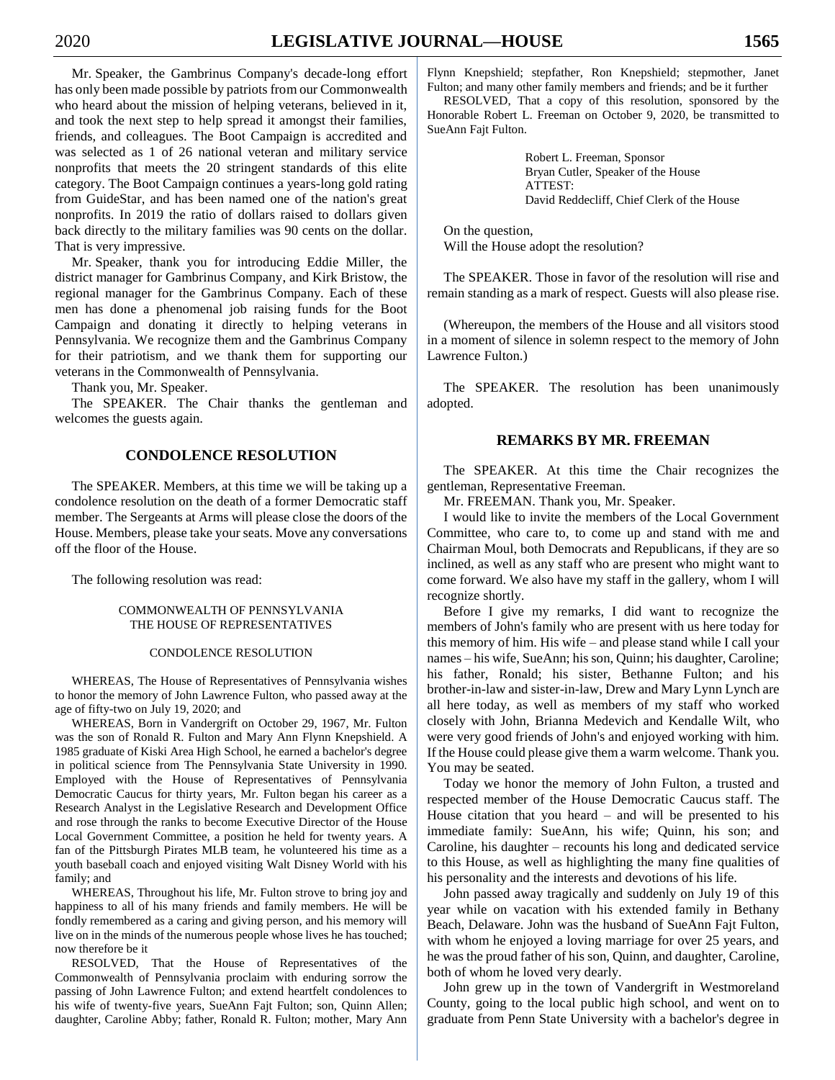Mr. Speaker, the Gambrinus Company's decade-long effort has only been made possible by patriots from our Commonwealth who heard about the mission of helping veterans, believed in it, and took the next step to help spread it amongst their families, friends, and colleagues. The Boot Campaign is accredited and was selected as 1 of 26 national veteran and military service nonprofits that meets the 20 stringent standards of this elite category. The Boot Campaign continues a years-long gold rating from GuideStar, and has been named one of the nation's great nonprofits. In 2019 the ratio of dollars raised to dollars given back directly to the military families was 90 cents on the dollar. That is very impressive.

Mr. Speaker, thank you for introducing Eddie Miller, the district manager for Gambrinus Company, and Kirk Bristow, the regional manager for the Gambrinus Company. Each of these men has done a phenomenal job raising funds for the Boot Campaign and donating it directly to helping veterans in Pennsylvania. We recognize them and the Gambrinus Company for their patriotism, and we thank them for supporting our veterans in the Commonwealth of Pennsylvania.

Thank you, Mr. Speaker.

The SPEAKER. The Chair thanks the gentleman and welcomes the guests again.

#### **CONDOLENCE RESOLUTION**

The SPEAKER. Members, at this time we will be taking up a condolence resolution on the death of a former Democratic staff member. The Sergeants at Arms will please close the doors of the House. Members, please take your seats. Move any conversations off the floor of the House.

The following resolution was read:

#### COMMONWEALTH OF PENNSYLVANIA THE HOUSE OF REPRESENTATIVES

### CONDOLENCE RESOLUTION

WHEREAS, The House of Representatives of Pennsylvania wishes to honor the memory of John Lawrence Fulton, who passed away at the age of fifty-two on July 19, 2020; and

WHEREAS, Born in Vandergrift on October 29, 1967, Mr. Fulton was the son of Ronald R. Fulton and Mary Ann Flynn Knepshield. A 1985 graduate of Kiski Area High School, he earned a bachelor's degree in political science from The Pennsylvania State University in 1990. Employed with the House of Representatives of Pennsylvania Democratic Caucus for thirty years, Mr. Fulton began his career as a Research Analyst in the Legislative Research and Development Office and rose through the ranks to become Executive Director of the House Local Government Committee, a position he held for twenty years. A fan of the Pittsburgh Pirates MLB team, he volunteered his time as a youth baseball coach and enjoyed visiting Walt Disney World with his family; and

WHEREAS, Throughout his life, Mr. Fulton strove to bring joy and happiness to all of his many friends and family members. He will be fondly remembered as a caring and giving person, and his memory will live on in the minds of the numerous people whose lives he has touched; now therefore be it

RESOLVED, That the House of Representatives of the Commonwealth of Pennsylvania proclaim with enduring sorrow the passing of John Lawrence Fulton; and extend heartfelt condolences to his wife of twenty-five years, SueAnn Fajt Fulton; son, Quinn Allen; daughter, Caroline Abby; father, Ronald R. Fulton; mother, Mary Ann

Flynn Knepshield; stepfather, Ron Knepshield; stepmother, Janet Fulton; and many other family members and friends; and be it further

RESOLVED, That a copy of this resolution, sponsored by the Honorable Robert L. Freeman on October 9, 2020, be transmitted to SueAnn Fajt Fulton.

> Robert L. Freeman, Sponsor Bryan Cutler, Speaker of the House ATTEST: David Reddecliff, Chief Clerk of the House

On the question, Will the House adopt the resolution?

The SPEAKER. Those in favor of the resolution will rise and remain standing as a mark of respect. Guests will also please rise.

(Whereupon, the members of the House and all visitors stood in a moment of silence in solemn respect to the memory of John Lawrence Fulton.)

The SPEAKER. The resolution has been unanimously adopted.

#### **REMARKS BY MR. FREEMAN**

The SPEAKER. At this time the Chair recognizes the gentleman, Representative Freeman.

Mr. FREEMAN. Thank you, Mr. Speaker.

I would like to invite the members of the Local Government Committee, who care to, to come up and stand with me and Chairman Moul, both Democrats and Republicans, if they are so inclined, as well as any staff who are present who might want to come forward. We also have my staff in the gallery, whom I will recognize shortly.

Before I give my remarks, I did want to recognize the members of John's family who are present with us here today for this memory of him. His wife – and please stand while I call your names – his wife, SueAnn; his son, Quinn; his daughter, Caroline; his father, Ronald; his sister, Bethanne Fulton; and his brother-in-law and sister-in-law, Drew and Mary Lynn Lynch are all here today, as well as members of my staff who worked closely with John, Brianna Medevich and Kendalle Wilt, who were very good friends of John's and enjoyed working with him. If the House could please give them a warm welcome. Thank you. You may be seated.

Today we honor the memory of John Fulton, a trusted and respected member of the House Democratic Caucus staff. The House citation that you heard  $-$  and will be presented to his immediate family: SueAnn, his wife; Quinn, his son; and Caroline, his daughter – recounts his long and dedicated service to this House, as well as highlighting the many fine qualities of his personality and the interests and devotions of his life.

John passed away tragically and suddenly on July 19 of this year while on vacation with his extended family in Bethany Beach, Delaware. John was the husband of SueAnn Fajt Fulton, with whom he enjoyed a loving marriage for over 25 years, and he was the proud father of his son, Quinn, and daughter, Caroline, both of whom he loved very dearly.

John grew up in the town of Vandergrift in Westmoreland County, going to the local public high school, and went on to graduate from Penn State University with a bachelor's degree in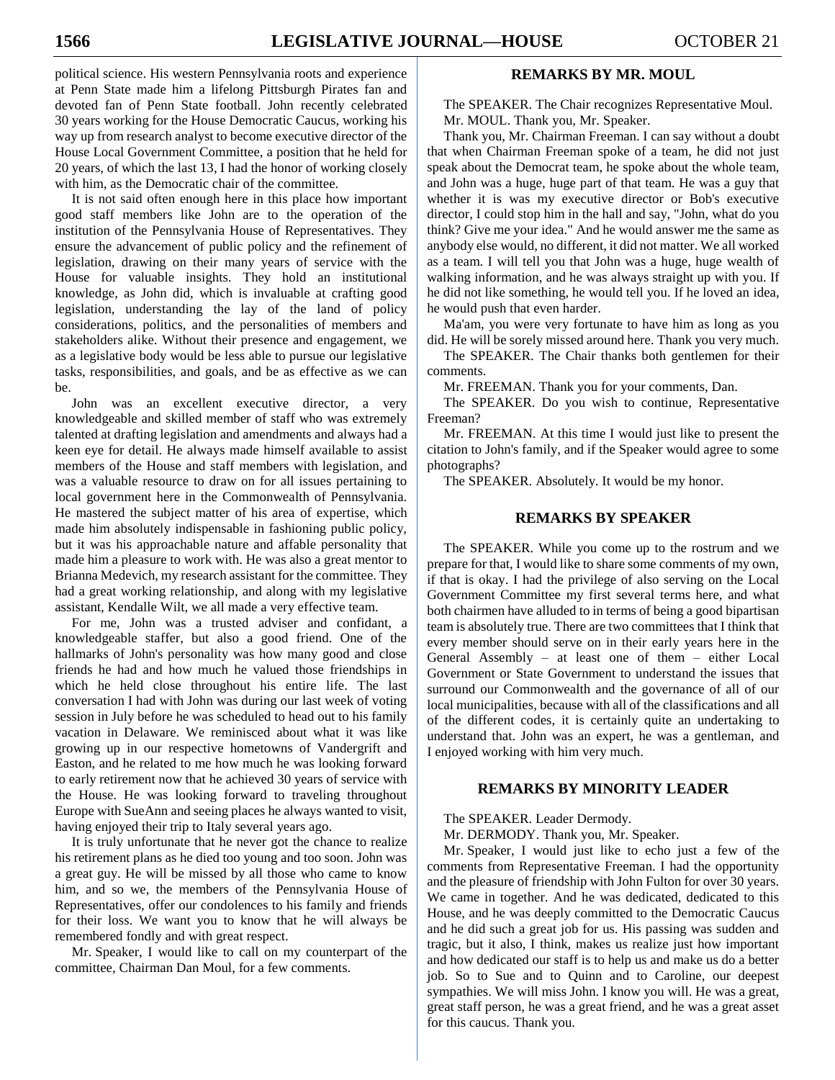political science. His western Pennsylvania roots and experience at Penn State made him a lifelong Pittsburgh Pirates fan and devoted fan of Penn State football. John recently celebrated 30 years working for the House Democratic Caucus, working his way up from research analyst to become executive director of the House Local Government Committee, a position that he held for 20 years, of which the last 13, I had the honor of working closely with him, as the Democratic chair of the committee.

It is not said often enough here in this place how important good staff members like John are to the operation of the institution of the Pennsylvania House of Representatives. They ensure the advancement of public policy and the refinement of legislation, drawing on their many years of service with the House for valuable insights. They hold an institutional knowledge, as John did, which is invaluable at crafting good legislation, understanding the lay of the land of policy considerations, politics, and the personalities of members and stakeholders alike. Without their presence and engagement, we as a legislative body would be less able to pursue our legislative tasks, responsibilities, and goals, and be as effective as we can be.

John was an excellent executive director, a very knowledgeable and skilled member of staff who was extremely talented at drafting legislation and amendments and always had a keen eye for detail. He always made himself available to assist members of the House and staff members with legislation, and was a valuable resource to draw on for all issues pertaining to local government here in the Commonwealth of Pennsylvania. He mastered the subject matter of his area of expertise, which made him absolutely indispensable in fashioning public policy, but it was his approachable nature and affable personality that made him a pleasure to work with. He was also a great mentor to Brianna Medevich, my research assistant for the committee. They had a great working relationship, and along with my legislative assistant, Kendalle Wilt, we all made a very effective team.

For me, John was a trusted adviser and confidant, a knowledgeable staffer, but also a good friend. One of the hallmarks of John's personality was how many good and close friends he had and how much he valued those friendships in which he held close throughout his entire life. The last conversation I had with John was during our last week of voting session in July before he was scheduled to head out to his family vacation in Delaware. We reminisced about what it was like growing up in our respective hometowns of Vandergrift and Easton, and he related to me how much he was looking forward to early retirement now that he achieved 30 years of service with the House. He was looking forward to traveling throughout Europe with SueAnn and seeing places he always wanted to visit, having enjoyed their trip to Italy several years ago.

It is truly unfortunate that he never got the chance to realize his retirement plans as he died too young and too soon. John was a great guy. He will be missed by all those who came to know him, and so we, the members of the Pennsylvania House of Representatives, offer our condolences to his family and friends for their loss. We want you to know that he will always be remembered fondly and with great respect.

Mr. Speaker, I would like to call on my counterpart of the committee, Chairman Dan Moul, for a few comments.

## **REMARKS BY MR. MOUL**

The SPEAKER. The Chair recognizes Representative Moul. Mr. MOUL. Thank you, Mr. Speaker.

Thank you, Mr. Chairman Freeman. I can say without a doubt that when Chairman Freeman spoke of a team, he did not just speak about the Democrat team, he spoke about the whole team, and John was a huge, huge part of that team. He was a guy that whether it is was my executive director or Bob's executive director, I could stop him in the hall and say, "John, what do you think? Give me your idea." And he would answer me the same as anybody else would, no different, it did not matter. We all worked as a team. I will tell you that John was a huge, huge wealth of walking information, and he was always straight up with you. If he did not like something, he would tell you. If he loved an idea, he would push that even harder.

Ma'am, you were very fortunate to have him as long as you did. He will be sorely missed around here. Thank you very much.

The SPEAKER. The Chair thanks both gentlemen for their comments.

Mr. FREEMAN. Thank you for your comments, Dan.

The SPEAKER. Do you wish to continue, Representative Freeman?

Mr. FREEMAN. At this time I would just like to present the citation to John's family, and if the Speaker would agree to some photographs?

The SPEAKER. Absolutely. It would be my honor.

## **REMARKS BY SPEAKER**

The SPEAKER. While you come up to the rostrum and we prepare for that, I would like to share some comments of my own, if that is okay. I had the privilege of also serving on the Local Government Committee my first several terms here, and what both chairmen have alluded to in terms of being a good bipartisan team is absolutely true. There are two committees that I think that every member should serve on in their early years here in the General Assembly – at least one of them – either Local Government or State Government to understand the issues that surround our Commonwealth and the governance of all of our local municipalities, because with all of the classifications and all of the different codes, it is certainly quite an undertaking to understand that. John was an expert, he was a gentleman, and I enjoyed working with him very much.

### **REMARKS BY MINORITY LEADER**

The SPEAKER. Leader Dermody.

Mr. DERMODY. Thank you, Mr. Speaker.

Mr. Speaker, I would just like to echo just a few of the comments from Representative Freeman. I had the opportunity and the pleasure of friendship with John Fulton for over 30 years. We came in together. And he was dedicated, dedicated to this House, and he was deeply committed to the Democratic Caucus and he did such a great job for us. His passing was sudden and tragic, but it also, I think, makes us realize just how important and how dedicated our staff is to help us and make us do a better job. So to Sue and to Quinn and to Caroline, our deepest sympathies. We will miss John. I know you will. He was a great, great staff person, he was a great friend, and he was a great asset for this caucus. Thank you.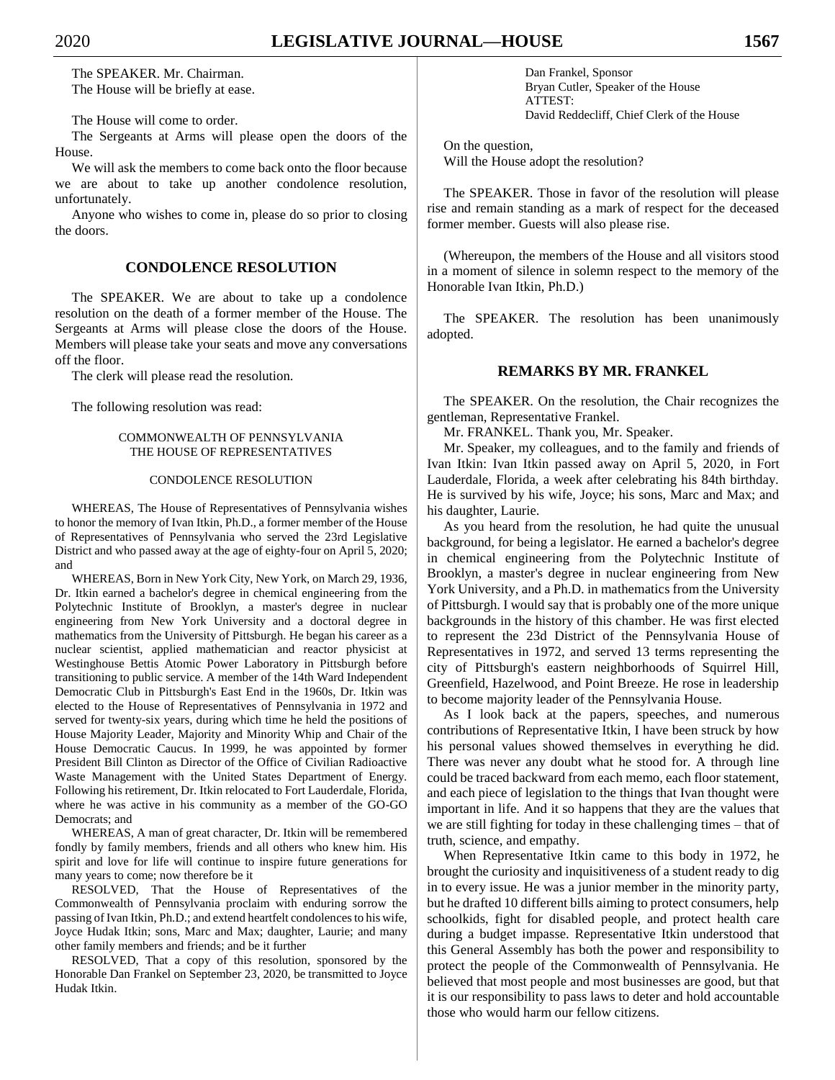The SPEAKER. Mr. Chairman. The House will be briefly at ease.

The House will come to order.

The Sergeants at Arms will please open the doors of the House.

We will ask the members to come back onto the floor because we are about to take up another condolence resolution, unfortunately.

Anyone who wishes to come in, please do so prior to closing the doors.

## **CONDOLENCE RESOLUTION**

The SPEAKER. We are about to take up a condolence resolution on the death of a former member of the House. The Sergeants at Arms will please close the doors of the House. Members will please take your seats and move any conversations off the floor.

The clerk will please read the resolution.

The following resolution was read:

#### COMMONWEALTH OF PENNSYLVANIA THE HOUSE OF REPRESENTATIVES

## CONDOLENCE RESOLUTION

WHEREAS, The House of Representatives of Pennsylvania wishes to honor the memory of Ivan Itkin, Ph.D., a former member of the House of Representatives of Pennsylvania who served the 23rd Legislative District and who passed away at the age of eighty-four on April 5, 2020; and

WHEREAS, Born in New York City, New York, on March 29, 1936, Dr. Itkin earned a bachelor's degree in chemical engineering from the Polytechnic Institute of Brooklyn, a master's degree in nuclear engineering from New York University and a doctoral degree in mathematics from the University of Pittsburgh. He began his career as a nuclear scientist, applied mathematician and reactor physicist at Westinghouse Bettis Atomic Power Laboratory in Pittsburgh before transitioning to public service. A member of the 14th Ward Independent Democratic Club in Pittsburgh's East End in the 1960s, Dr. Itkin was elected to the House of Representatives of Pennsylvania in 1972 and served for twenty-six years, during which time he held the positions of House Majority Leader, Majority and Minority Whip and Chair of the House Democratic Caucus. In 1999, he was appointed by former President Bill Clinton as Director of the Office of Civilian Radioactive Waste Management with the United States Department of Energy. Following his retirement, Dr. Itkin relocated to Fort Lauderdale, Florida, where he was active in his community as a member of the GO-GO Democrats; and

WHEREAS, A man of great character, Dr. Itkin will be remembered fondly by family members, friends and all others who knew him. His spirit and love for life will continue to inspire future generations for many years to come; now therefore be it

RESOLVED, That the House of Representatives of the Commonwealth of Pennsylvania proclaim with enduring sorrow the passing of Ivan Itkin, Ph.D.; and extend heartfelt condolences to his wife, Joyce Hudak Itkin; sons, Marc and Max; daughter, Laurie; and many other family members and friends; and be it further

RESOLVED, That a copy of this resolution, sponsored by the Honorable Dan Frankel on September 23, 2020, be transmitted to Joyce Hudak Itkin.

Dan Frankel, Sponsor Bryan Cutler, Speaker of the House ATTEST: David Reddecliff, Chief Clerk of the House

On the question, Will the House adopt the resolution?

The SPEAKER. Those in favor of the resolution will please rise and remain standing as a mark of respect for the deceased former member. Guests will also please rise.

(Whereupon, the members of the House and all visitors stood in a moment of silence in solemn respect to the memory of the Honorable Ivan Itkin, Ph.D.)

The SPEAKER. The resolution has been unanimously adopted.

## **REMARKS BY MR. FRANKEL**

The SPEAKER. On the resolution, the Chair recognizes the gentleman, Representative Frankel.

Mr. FRANKEL. Thank you, Mr. Speaker.

Mr. Speaker, my colleagues, and to the family and friends of Ivan Itkin: Ivan Itkin passed away on April 5, 2020, in Fort Lauderdale, Florida, a week after celebrating his 84th birthday. He is survived by his wife, Joyce; his sons, Marc and Max; and his daughter, Laurie.

As you heard from the resolution, he had quite the unusual background, for being a legislator. He earned a bachelor's degree in chemical engineering from the Polytechnic Institute of Brooklyn, a master's degree in nuclear engineering from New York University, and a Ph.D. in mathematics from the University of Pittsburgh. I would say that is probably one of the more unique backgrounds in the history of this chamber. He was first elected to represent the 23d District of the Pennsylvania House of Representatives in 1972, and served 13 terms representing the city of Pittsburgh's eastern neighborhoods of Squirrel Hill, Greenfield, Hazelwood, and Point Breeze. He rose in leadership to become majority leader of the Pennsylvania House.

As I look back at the papers, speeches, and numerous contributions of Representative Itkin, I have been struck by how his personal values showed themselves in everything he did. There was never any doubt what he stood for. A through line could be traced backward from each memo, each floor statement, and each piece of legislation to the things that Ivan thought were important in life. And it so happens that they are the values that we are still fighting for today in these challenging times – that of truth, science, and empathy.

When Representative Itkin came to this body in 1972, he brought the curiosity and inquisitiveness of a student ready to dig in to every issue. He was a junior member in the minority party, but he drafted 10 different bills aiming to protect consumers, help schoolkids, fight for disabled people, and protect health care during a budget impasse. Representative Itkin understood that this General Assembly has both the power and responsibility to protect the people of the Commonwealth of Pennsylvania. He believed that most people and most businesses are good, but that it is our responsibility to pass laws to deter and hold accountable those who would harm our fellow citizens.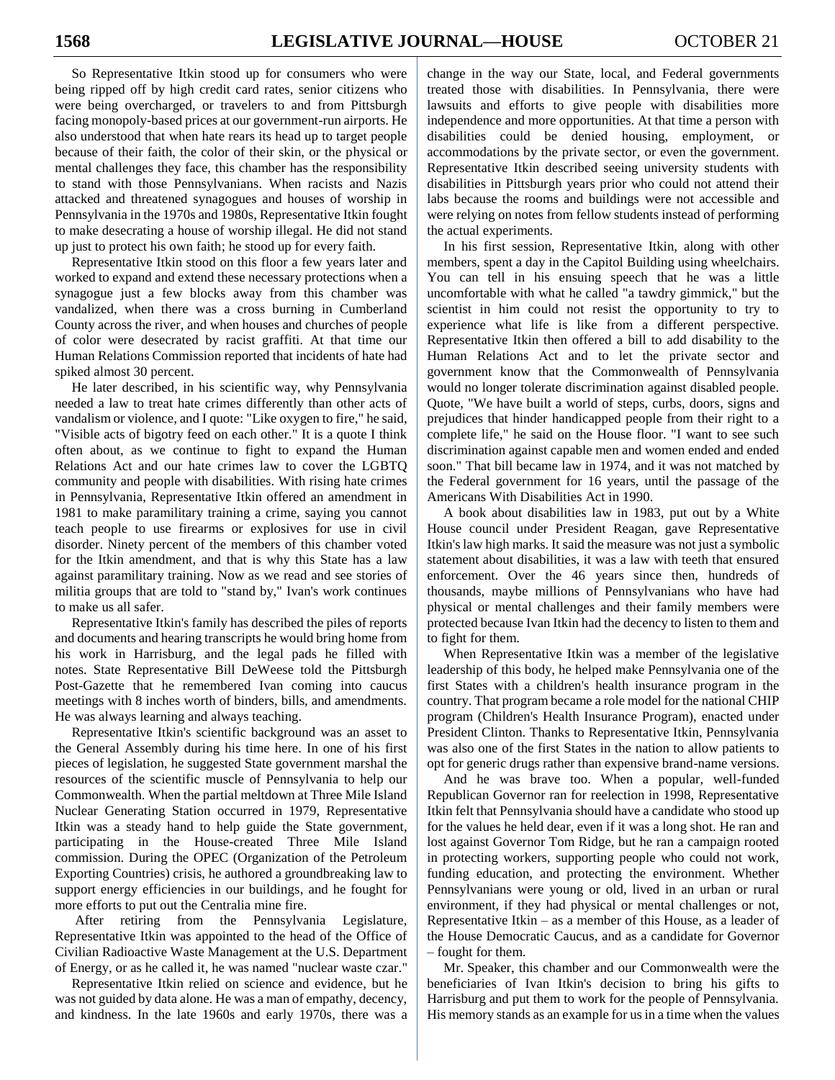So Representative Itkin stood up for consumers who were being ripped off by high credit card rates, senior citizens who were being overcharged, or travelers to and from Pittsburgh facing monopoly-based prices at our government-run airports. He also understood that when hate rears its head up to target people because of their faith, the color of their skin, or the physical or mental challenges they face, this chamber has the responsibility to stand with those Pennsylvanians. When racists and Nazis attacked and threatened synagogues and houses of worship in Pennsylvania in the 1970s and 1980s, Representative Itkin fought to make desecrating a house of worship illegal. He did not stand up just to protect his own faith; he stood up for every faith.

Representative Itkin stood on this floor a few years later and worked to expand and extend these necessary protections when a synagogue just a few blocks away from this chamber was vandalized, when there was a cross burning in Cumberland County across the river, and when houses and churches of people of color were desecrated by racist graffiti. At that time our Human Relations Commission reported that incidents of hate had spiked almost 30 percent.

He later described, in his scientific way, why Pennsylvania needed a law to treat hate crimes differently than other acts of vandalism or violence, and I quote: "Like oxygen to fire," he said, "Visible acts of bigotry feed on each other." It is a quote I think often about, as we continue to fight to expand the Human Relations Act and our hate crimes law to cover the LGBTQ community and people with disabilities. With rising hate crimes in Pennsylvania, Representative Itkin offered an amendment in 1981 to make paramilitary training a crime, saying you cannot teach people to use firearms or explosives for use in civil disorder. Ninety percent of the members of this chamber voted for the Itkin amendment, and that is why this State has a law against paramilitary training. Now as we read and see stories of militia groups that are told to "stand by," Ivan's work continues to make us all safer.

Representative Itkin's family has described the piles of reports and documents and hearing transcripts he would bring home from his work in Harrisburg, and the legal pads he filled with notes. State Representative Bill DeWeese told the Pittsburgh Post-Gazette that he remembered Ivan coming into caucus meetings with 8 inches worth of binders, bills, and amendments. He was always learning and always teaching.

Representative Itkin's scientific background was an asset to the General Assembly during his time here. In one of his first pieces of legislation, he suggested State government marshal the resources of the scientific muscle of Pennsylvania to help our Commonwealth. When the partial meltdown at Three Mile Island Nuclear Generating Station occurred in 1979, Representative Itkin was a steady hand to help guide the State government, participating in the House-created Three Mile Island commission. During the OPEC (Organization of the Petroleum Exporting Countries) crisis, he authored a groundbreaking law to support energy efficiencies in our buildings, and he fought for more efforts to put out the Centralia mine fire.

After retiring from the Pennsylvania Legislature, Representative Itkin was appointed to the head of the Office of Civilian Radioactive Waste Management at the U.S. Department of Energy, or as he called it, he was named "nuclear waste czar."

Representative Itkin relied on science and evidence, but he was not guided by data alone. He was a man of empathy, decency, and kindness. In the late 1960s and early 1970s, there was a change in the way our State, local, and Federal governments treated those with disabilities. In Pennsylvania, there were lawsuits and efforts to give people with disabilities more independence and more opportunities. At that time a person with disabilities could be denied housing, employment, or accommodations by the private sector, or even the government. Representative Itkin described seeing university students with disabilities in Pittsburgh years prior who could not attend their labs because the rooms and buildings were not accessible and were relying on notes from fellow students instead of performing the actual experiments.

In his first session, Representative Itkin, along with other members, spent a day in the Capitol Building using wheelchairs. You can tell in his ensuing speech that he was a little uncomfortable with what he called "a tawdry gimmick," but the scientist in him could not resist the opportunity to try to experience what life is like from a different perspective. Representative Itkin then offered a bill to add disability to the Human Relations Act and to let the private sector and government know that the Commonwealth of Pennsylvania would no longer tolerate discrimination against disabled people. Quote, "We have built a world of steps, curbs, doors, signs and prejudices that hinder handicapped people from their right to a complete life," he said on the House floor. "I want to see such discrimination against capable men and women ended and ended soon." That bill became law in 1974, and it was not matched by the Federal government for 16 years, until the passage of the Americans With Disabilities Act in 1990.

A book about disabilities law in 1983, put out by a White House council under President Reagan, gave Representative Itkin's law high marks. It said the measure was not just a symbolic statement about disabilities, it was a law with teeth that ensured enforcement. Over the 46 years since then, hundreds of thousands, maybe millions of Pennsylvanians who have had physical or mental challenges and their family members were protected because Ivan Itkin had the decency to listen to them and to fight for them.

When Representative Itkin was a member of the legislative leadership of this body, he helped make Pennsylvania one of the first States with a children's health insurance program in the country. That program became a role model for the national CHIP program (Children's Health Insurance Program), enacted under President Clinton. Thanks to Representative Itkin, Pennsylvania was also one of the first States in the nation to allow patients to opt for generic drugs rather than expensive brand-name versions.

And he was brave too. When a popular, well-funded Republican Governor ran for reelection in 1998, Representative Itkin felt that Pennsylvania should have a candidate who stood up for the values he held dear, even if it was a long shot. He ran and lost against Governor Tom Ridge, but he ran a campaign rooted in protecting workers, supporting people who could not work, funding education, and protecting the environment. Whether Pennsylvanians were young or old, lived in an urban or rural environment, if they had physical or mental challenges or not, Representative Itkin – as a member of this House, as a leader of the House Democratic Caucus, and as a candidate for Governor – fought for them.

Mr. Speaker, this chamber and our Commonwealth were the beneficiaries of Ivan Itkin's decision to bring his gifts to Harrisburg and put them to work for the people of Pennsylvania. His memory stands as an example for us in a time when the values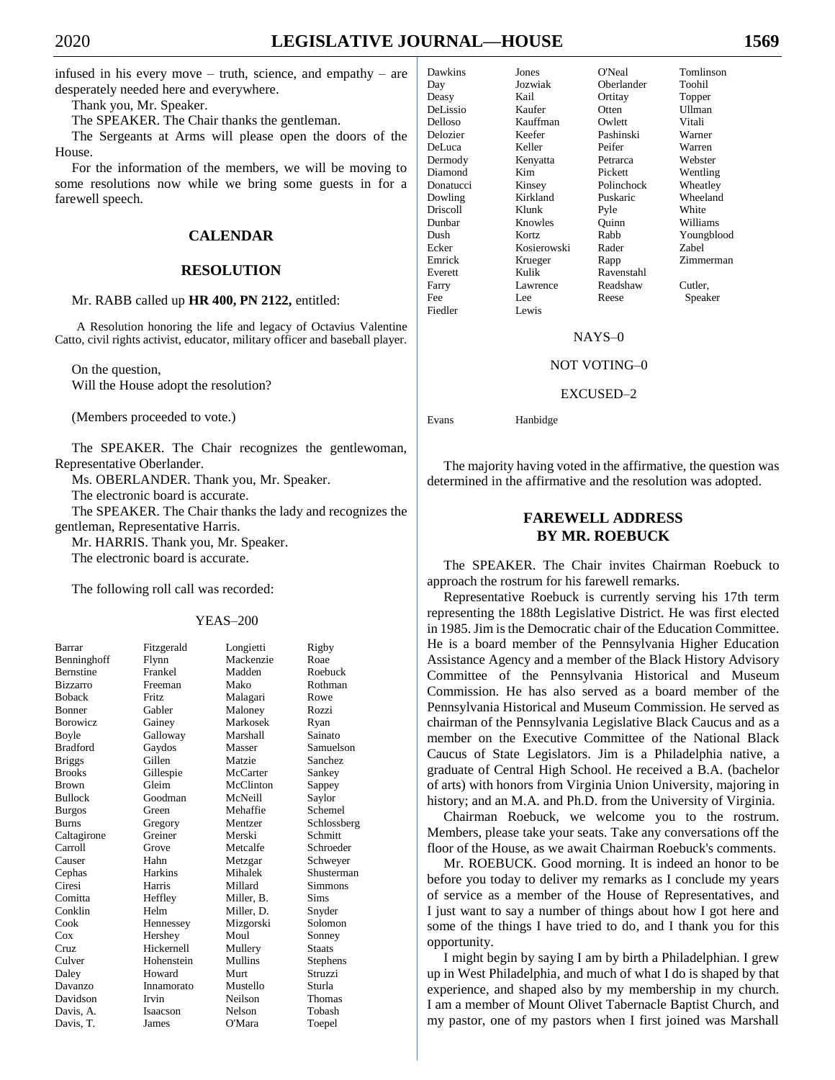# 2020 **LEGISLATIVE JOURNAL—HOUSE 1569**

infused in his every move – truth, science, and empathy – are desperately needed here and everywhere.

Thank you, Mr. Speaker.

The SPEAKER. The Chair thanks the gentleman.

The Sergeants at Arms will please open the doors of the House.

For the information of the members, we will be moving to some resolutions now while we bring some guests in for a farewell speech.

## **CALENDAR**

## **RESOLUTION**

#### Mr. RABB called up **HR 400, PN 2122,** entitled:

A Resolution honoring the life and legacy of Octavius Valentine Catto, civil rights activist, educator, military officer and baseball player.

On the question, Will the House adopt the resolution?

(Members proceeded to vote.)

The SPEAKER. The Chair recognizes the gentlewoman, Representative Oberlander.

Ms. OBERLANDER. Thank you, Mr. Speaker.

The electronic board is accurate.

The SPEAKER. The Chair thanks the lady and recognizes the gentleman, Representative Harris.

Mr. HARRIS. Thank you, Mr. Speaker. The electronic board is accurate.

The following roll call was recorded:

#### YEAS–200

| Barrar          | Fitzgerald     | Longietti  | Rigby         |
|-----------------|----------------|------------|---------------|
| Benninghoff     | Flynn          | Mackenzie  | Roae          |
| Bernstine       | Frankel        | Madden     | Roebuck       |
| <b>Bizzarro</b> | Freeman        | Mako       | Rothman       |
| <b>Boback</b>   | <b>Fritz</b>   | Malagari   | Rowe          |
| Bonner          | Gabler         | Maloney    | Rozzi         |
| <b>Borowicz</b> | Gainey         | Markosek   | Ryan          |
| Boyle           | Galloway       | Marshall   | Sainato       |
| <b>Bradford</b> | Gaydos         | Masser     | Samuelson     |
| <b>Briggs</b>   | Gillen         | Matzie     | Sanchez       |
| <b>Brooks</b>   | Gillespie      | McCarter   | Sankey        |
| <b>Brown</b>    | Gleim          | McClinton  | Sappey        |
| <b>Bullock</b>  | Goodman        | McNeill    | Saylor        |
| <b>Burgos</b>   | Green          | Mehaffie   | Schemel       |
| <b>Burns</b>    | Gregory        | Mentzer    | Schlossberg   |
| Caltagirone     | Greiner        | Merski     | Schmitt       |
| Carroll         | Grove          | Metcalfe   | Schroeder     |
| Causer          | Hahn           | Metzgar    | Schweyer      |
| Cephas          | <b>Harkins</b> | Mihalek    | Shusterman    |
| Ciresi          | Harris         | Millard    | Simmons       |
| Comitta         | Heffley        | Miller. B. | Sims          |
| Conklin         | Helm           | Miller, D. | Snyder        |
| Cook            | Hennessey      | Mizgorski  | Solomon       |
| Cox             | Hershey        | Moul       | Sonney        |
| Cruz            | Hickernell     | Mullery    | <b>Staats</b> |
| Culver          | Hohenstein     | Mullins    | Stephens      |
| Daley           | Howard         | Murt       | Struzzi       |
| Davanzo         | Innamorato     | Mustello   | Sturla        |
| Davidson        | Irvin          | Neilson    | Thomas        |
| Davis, A.       | Isaacson       | Nelson     | Tobash        |
| Davis, T.       | James          | O'Mara     | Toepel        |

| Dawkins         | Jones       | O'Neal     | Tomlinson     |
|-----------------|-------------|------------|---------------|
| Day             | Jozwiak     | Oberlander | Toohil        |
| Deasy           | Kail        | Ortitay    | Topper        |
| DeLissio        | Kaufer      | Otten      | <b>Ullman</b> |
| Delloso         | Kauffman    | Owlett     | Vitali        |
| Delozier        | Keefer      | Pashinski  | Warner        |
| DeLuca          | Keller      | Peifer     | Warren        |
| Dermody         | Kenyatta    | Petrarca   | Webster       |
| Diamond         | Kim.        | Pickett    | Wentling      |
| Donatucci       | Kinsey      | Polinchock | Wheatley      |
| Dowling         | Kirkland    | Puskaric   | Wheeland      |
| <b>Driscoll</b> | Klunk       | Pyle       | White         |
| Dunbar          | Knowles     | Ouinn      | Williams      |
| Dush            | Kortz       | Rabb       | Youngblood    |
| Ecker           | Kosierowski | Rader      | Zabel         |
| Emrick          | Krueger     | Rapp       | Zimmerman     |
| Everett         | Kulik       | Ravenstahl |               |
| Farry           | Lawrence    | Readshaw   | Cutler,       |
| Fee             | Lee.        | Reese      | Speaker       |
| Fiedler         | Lewis       |            |               |

## NAYS–0

## NOT VOTING–0

#### EXCUSED-2

Evans Hanbidge

The majority having voted in the affirmative, the question was determined in the affirmative and the resolution was adopted.

## **FAREWELL ADDRESS BY MR. ROEBUCK**

The SPEAKER. The Chair invites Chairman Roebuck to approach the rostrum for his farewell remarks.

Representative Roebuck is currently serving his 17th term representing the 188th Legislative District. He was first elected in 1985. Jim is the Democratic chair of the Education Committee. He is a board member of the Pennsylvania Higher Education Assistance Agency and a member of the Black History Advisory Committee of the Pennsylvania Historical and Museum Commission. He has also served as a board member of the Pennsylvania Historical and Museum Commission. He served as chairman of the Pennsylvania Legislative Black Caucus and as a member on the Executive Committee of the National Black Caucus of State Legislators. Jim is a Philadelphia native, a graduate of Central High School. He received a B.A. (bachelor of arts) with honors from Virginia Union University, majoring in history; and an M.A. and Ph.D. from the University of Virginia.

Chairman Roebuck, we welcome you to the rostrum. Members, please take your seats. Take any conversations off the floor of the House, as we await Chairman Roebuck's comments.

Mr. ROEBUCK. Good morning. It is indeed an honor to be before you today to deliver my remarks as I conclude my years of service as a member of the House of Representatives, and I just want to say a number of things about how I got here and some of the things I have tried to do, and I thank you for this opportunity.

I might begin by saying I am by birth a Philadelphian. I grew up in West Philadelphia, and much of what I do is shaped by that experience, and shaped also by my membership in my church. I am a member of Mount Olivet Tabernacle Baptist Church, and my pastor, one of my pastors when I first joined was Marshall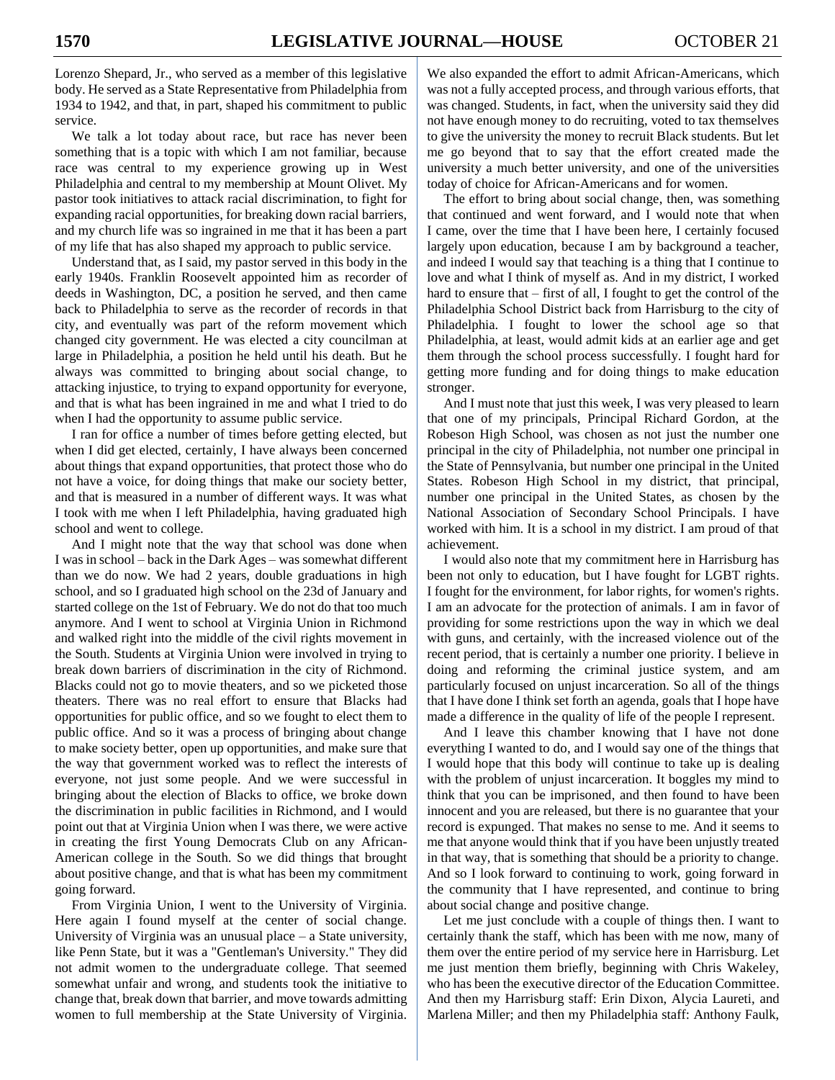Lorenzo Shepard, Jr., who served as a member of this legislative body. He served as a State Representative from Philadelphia from 1934 to 1942, and that, in part, shaped his commitment to public service.

We talk a lot today about race, but race has never been something that is a topic with which I am not familiar, because race was central to my experience growing up in West Philadelphia and central to my membership at Mount Olivet. My pastor took initiatives to attack racial discrimination, to fight for expanding racial opportunities, for breaking down racial barriers, and my church life was so ingrained in me that it has been a part of my life that has also shaped my approach to public service.

Understand that, as I said, my pastor served in this body in the early 1940s. Franklin Roosevelt appointed him as recorder of deeds in Washington, DC, a position he served, and then came back to Philadelphia to serve as the recorder of records in that city, and eventually was part of the reform movement which changed city government. He was elected a city councilman at large in Philadelphia, a position he held until his death. But he always was committed to bringing about social change, to attacking injustice, to trying to expand opportunity for everyone, and that is what has been ingrained in me and what I tried to do when I had the opportunity to assume public service.

I ran for office a number of times before getting elected, but when I did get elected, certainly, I have always been concerned about things that expand opportunities, that protect those who do not have a voice, for doing things that make our society better, and that is measured in a number of different ways. It was what I took with me when I left Philadelphia, having graduated high school and went to college.

And I might note that the way that school was done when I was in school – back in the Dark Ages – was somewhat different than we do now. We had 2 years, double graduations in high school, and so I graduated high school on the 23d of January and started college on the 1st of February. We do not do that too much anymore. And I went to school at Virginia Union in Richmond and walked right into the middle of the civil rights movement in the South. Students at Virginia Union were involved in trying to break down barriers of discrimination in the city of Richmond. Blacks could not go to movie theaters, and so we picketed those theaters. There was no real effort to ensure that Blacks had opportunities for public office, and so we fought to elect them to public office. And so it was a process of bringing about change to make society better, open up opportunities, and make sure that the way that government worked was to reflect the interests of everyone, not just some people. And we were successful in bringing about the election of Blacks to office, we broke down the discrimination in public facilities in Richmond, and I would point out that at Virginia Union when I was there, we were active in creating the first Young Democrats Club on any African-American college in the South. So we did things that brought about positive change, and that is what has been my commitment going forward.

From Virginia Union, I went to the University of Virginia. Here again I found myself at the center of social change. University of Virginia was an unusual place – a State university, like Penn State, but it was a "Gentleman's University." They did not admit women to the undergraduate college. That seemed somewhat unfair and wrong, and students took the initiative to change that, break down that barrier, and move towards admitting women to full membership at the State University of Virginia.

We also expanded the effort to admit African-Americans, which was not a fully accepted process, and through various efforts, that was changed. Students, in fact, when the university said they did not have enough money to do recruiting, voted to tax themselves to give the university the money to recruit Black students. But let me go beyond that to say that the effort created made the university a much better university, and one of the universities today of choice for African-Americans and for women.

The effort to bring about social change, then, was something that continued and went forward, and I would note that when I came, over the time that I have been here, I certainly focused largely upon education, because I am by background a teacher, and indeed I would say that teaching is a thing that I continue to love and what I think of myself as. And in my district, I worked hard to ensure that – first of all, I fought to get the control of the Philadelphia School District back from Harrisburg to the city of Philadelphia. I fought to lower the school age so that Philadelphia, at least, would admit kids at an earlier age and get them through the school process successfully. I fought hard for getting more funding and for doing things to make education stronger.

And I must note that just this week, I was very pleased to learn that one of my principals, Principal Richard Gordon, at the Robeson High School, was chosen as not just the number one principal in the city of Philadelphia, not number one principal in the State of Pennsylvania, but number one principal in the United States. Robeson High School in my district, that principal, number one principal in the United States, as chosen by the National Association of Secondary School Principals. I have worked with him. It is a school in my district. I am proud of that achievement.

I would also note that my commitment here in Harrisburg has been not only to education, but I have fought for LGBT rights. I fought for the environment, for labor rights, for women's rights. I am an advocate for the protection of animals. I am in favor of providing for some restrictions upon the way in which we deal with guns, and certainly, with the increased violence out of the recent period, that is certainly a number one priority. I believe in doing and reforming the criminal justice system, and am particularly focused on unjust incarceration. So all of the things that I have done I think set forth an agenda, goals that I hope have made a difference in the quality of life of the people I represent.

And I leave this chamber knowing that I have not done everything I wanted to do, and I would say one of the things that I would hope that this body will continue to take up is dealing with the problem of unjust incarceration. It boggles my mind to think that you can be imprisoned, and then found to have been innocent and you are released, but there is no guarantee that your record is expunged. That makes no sense to me. And it seems to me that anyone would think that if you have been unjustly treated in that way, that is something that should be a priority to change. And so I look forward to continuing to work, going forward in the community that I have represented, and continue to bring about social change and positive change.

Let me just conclude with a couple of things then. I want to certainly thank the staff, which has been with me now, many of them over the entire period of my service here in Harrisburg. Let me just mention them briefly, beginning with Chris Wakeley, who has been the executive director of the Education Committee. And then my Harrisburg staff: Erin Dixon, Alycia Laureti, and Marlena Miller; and then my Philadelphia staff: Anthony Faulk,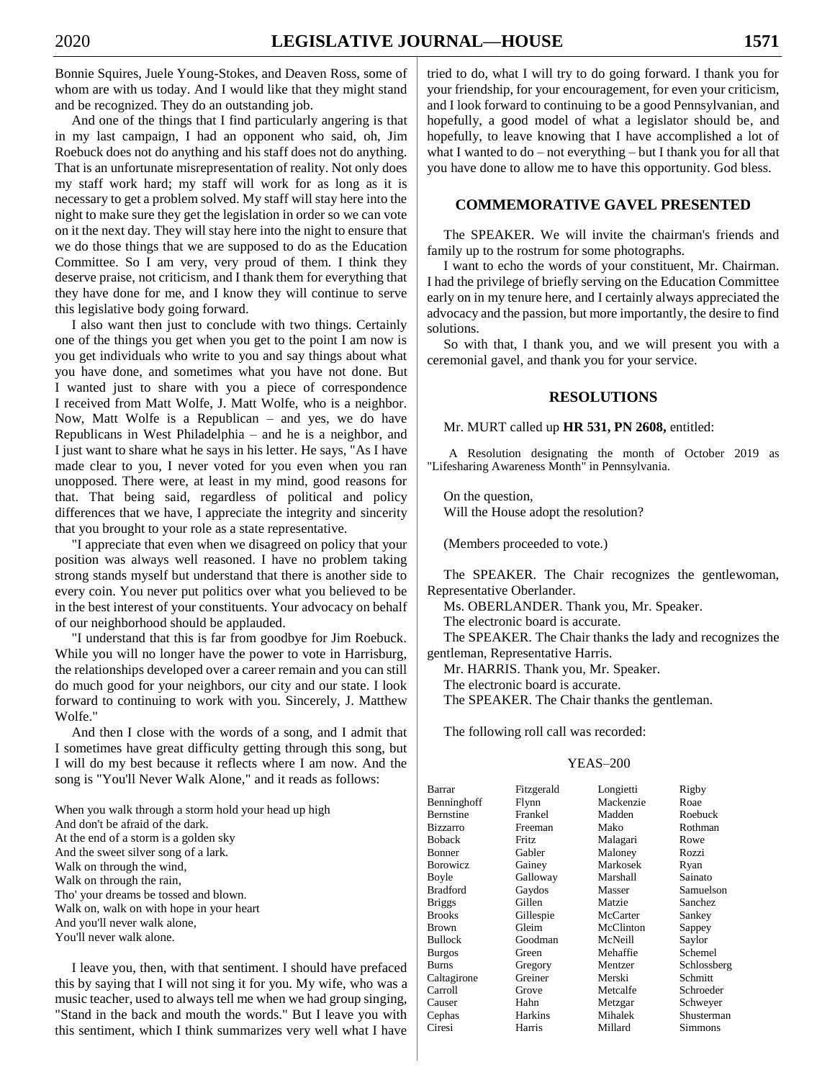Bonnie Squires, Juele Young-Stokes, and Deaven Ross, some of whom are with us today. And I would like that they might stand and be recognized. They do an outstanding job.

And one of the things that I find particularly angering is that in my last campaign, I had an opponent who said, oh, Jim Roebuck does not do anything and his staff does not do anything. That is an unfortunate misrepresentation of reality. Not only does my staff work hard; my staff will work for as long as it is necessary to get a problem solved. My staff will stay here into the night to make sure they get the legislation in order so we can vote on it the next day. They will stay here into the night to ensure that we do those things that we are supposed to do as the Education Committee. So I am very, very proud of them. I think they deserve praise, not criticism, and I thank them for everything that they have done for me, and I know they will continue to serve this legislative body going forward.

I also want then just to conclude with two things. Certainly one of the things you get when you get to the point I am now is you get individuals who write to you and say things about what you have done, and sometimes what you have not done. But I wanted just to share with you a piece of correspondence I received from Matt Wolfe, J. Matt Wolfe, who is a neighbor. Now, Matt Wolfe is a Republican – and yes, we do have Republicans in West Philadelphia – and he is a neighbor, and I just want to share what he says in his letter. He says, "As I have made clear to you, I never voted for you even when you ran unopposed. There were, at least in my mind, good reasons for that. That being said, regardless of political and policy differences that we have, I appreciate the integrity and sincerity that you brought to your role as a state representative.

"I appreciate that even when we disagreed on policy that your position was always well reasoned. I have no problem taking strong stands myself but understand that there is another side to every coin. You never put politics over what you believed to be in the best interest of your constituents. Your advocacy on behalf of our neighborhood should be applauded.

"I understand that this is far from goodbye for Jim Roebuck. While you will no longer have the power to vote in Harrisburg, the relationships developed over a career remain and you can still do much good for your neighbors, our city and our state. I look forward to continuing to work with you. Sincerely, J. Matthew Wolfe."

And then I close with the words of a song, and I admit that I sometimes have great difficulty getting through this song, but I will do my best because it reflects where I am now. And the song is "You'll Never Walk Alone," and it reads as follows:

When you walk through a storm hold your head up high And don't be afraid of the dark. At the end of a storm is a golden sky And the sweet silver song of a lark. Walk on through the wind, Walk on through the rain, Tho' your dreams be tossed and blown. Walk on, walk on with hope in your heart And you'll never walk alone, You'll never walk alone.

I leave you, then, with that sentiment. I should have prefaced this by saying that I will not sing it for you. My wife, who was a music teacher, used to always tell me when we had group singing, "Stand in the back and mouth the words." But I leave you with this sentiment, which I think summarizes very well what I have

tried to do, what I will try to do going forward. I thank you for your friendship, for your encouragement, for even your criticism, and I look forward to continuing to be a good Pennsylvanian, and hopefully, a good model of what a legislator should be, and hopefully, to leave knowing that I have accomplished a lot of what I wanted to do – not everything – but I thank you for all that you have done to allow me to have this opportunity. God bless.

## **COMMEMORATIVE GAVEL PRESENTED**

The SPEAKER. We will invite the chairman's friends and family up to the rostrum for some photographs.

I want to echo the words of your constituent, Mr. Chairman. I had the privilege of briefly serving on the Education Committee early on in my tenure here, and I certainly always appreciated the advocacy and the passion, but more importantly, the desire to find solutions.

So with that, I thank you, and we will present you with a ceremonial gavel, and thank you for your service.

## **RESOLUTIONS**

#### Mr. MURT called up **HR 531, PN 2608,** entitled:

A Resolution designating the month of October 2019 as "Lifesharing Awareness Month" in Pennsylvania.

On the question, Will the House adopt the resolution?

(Members proceeded to vote.)

The SPEAKER. The Chair recognizes the gentlewoman, Representative Oberlander.

Ms. OBERLANDER. Thank you, Mr. Speaker.

The electronic board is accurate.

The SPEAKER. The Chair thanks the lady and recognizes the gentleman, Representative Harris.

Mr. HARRIS. Thank you, Mr. Speaker.

The electronic board is accurate.

The SPEAKER. The Chair thanks the gentleman.

The following roll call was recorded:

#### YEAS–200

| Barrar           | Fitzgerald | Longietti | Rigby       |
|------------------|------------|-----------|-------------|
| Benninghoff      | Flynn      | Mackenzie | Roae        |
| <b>Bernstine</b> | Frankel    | Madden    | Roebuck     |
| <b>Bizzarro</b>  | Freeman    | Mako      | Rothman     |
| <b>Boback</b>    | Fritz.     | Malagari  | Rowe        |
| Bonner           | Gabler     | Maloney   | Rozzi       |
| <b>B</b> orowicz | Gainey     | Markosek  | Ryan        |
| Boyle            | Galloway   | Marshall  | Sainato     |
| <b>Bradford</b>  | Gaydos     | Masser    | Samuelson   |
| <b>Briggs</b>    | Gillen     | Matzie    | Sanchez     |
| <b>Brooks</b>    | Gillespie  | McCarter  | Sankey      |
| <b>Brown</b>     | Gleim      | McClinton | Sappey      |
| <b>Bullock</b>   | Goodman    | McNeill   | Saylor      |
| <b>Burgos</b>    | Green      | Mehaffie  | Schemel     |
| <b>Burns</b>     | Gregory    | Mentzer   | Schlossberg |
| Caltagirone      | Greiner    | Merski    | Schmitt     |
| Carroll          | Grove      | Metcalfe  | Schroeder   |
| Causer           | Hahn       | Metzgar   | Schweyer    |
| Cephas           | Harkins    | Mihalek   | Shusterman  |
| Ciresi           | Harris     | Millard   | Simmons     |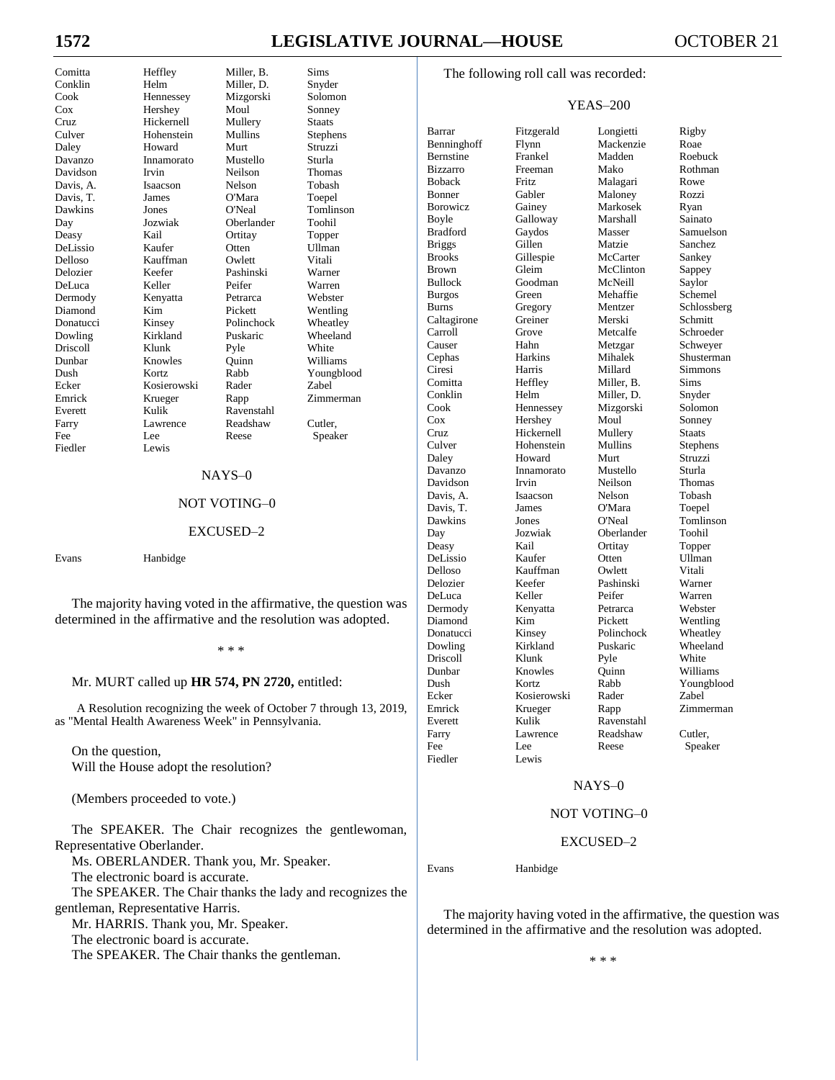# **1572 LEGISLATIVE JOURNAL—HOUSE** OCTOBER 21

Fiedler Lewis

Comitta Heffley Miller, B. Sims Conklin Helm Miller, D. Snyder Cook Hennessey Mizgorski Solomon Cox Hershey Moul Sonney Cruz Hickernell Mullery Staats Culver Hohenstein Mullins Stephens Daley Howard Murt Struzzi Davanzo Innamorato Mustello Sturla Davidson Irvin Neilson Thomas Davis, A. Isaacson Nelson Tobash Davis, T. James O'Mara Toepel Dawkins Jones O'Neal Tomlinson Jozwiak Oberlander<br>Kail Ortitay Deasy Kail Ortitay Topper DeLissio Kaufer Otten Ullman Delloso Kauffman Owlett Vitali Delozier Keefer Pashinski Warner DeLuca Keller Peifer Warren Dermody Kenyatta Petrarca Webster Diamond Kim Pickett Wentling Donatucci Kinsey Polinchock Wheatley<br>
Dowling Kirkland Puskaric Wheeland Dowling Kirkland Puskaric Wheeland Driscoll Klunk Pyle White Dunbar Knowles Quinn Williams Dush Kortz Rabb Youngblood Ecker Kosierowski Rader Zabel Emrick Krueger Rapp Zimmerman<br>Everett Kulik Ravenstahl Ravenstahl Farry Lawrence Readshaw Cutler, Fee Lee Reese Speaker

#### NAYS–0

#### NOT VOTING–0

#### EXCUSED–2

Evans Hanbidge

The majority having voted in the affirmative, the question was determined in the affirmative and the resolution was adopted.

\* \* \*

#### Mr. MURT called up **HR 574, PN 2720,** entitled:

A Resolution recognizing the week of October 7 through 13, 2019, as "Mental Health Awareness Week" in Pennsylvania.

On the question, Will the House adopt the resolution?

(Members proceeded to vote.)

The SPEAKER. The Chair recognizes the gentlewoman, Representative Oberlander.

Ms. OBERLANDER. Thank you, Mr. Speaker.

The electronic board is accurate.

The SPEAKER. The Chair thanks the lady and recognizes the gentleman, Representative Harris.

Mr. HARRIS. Thank you, Mr. Speaker.

The electronic board is accurate.

The SPEAKER. The Chair thanks the gentleman.

The following roll call was recorded:

## YEAS–200

| Barrar              | Fitzgerald         | Longietti              | Rigby               |
|---------------------|--------------------|------------------------|---------------------|
| Benninghoff         | Flynn              | Mackenzie              | Roae                |
| <b>Bernstine</b>    | Frankel            | Madden                 | Roebuck             |
| Bizzarro            | Freeman            | Mako                   | Rothman             |
| <b>Boback</b>       | Fritz              | Malagari               | Rowe                |
| Bonner              | Gabler             | Maloney                | Rozzi               |
| Borowicz            | Gainey             | Markosek               | Ryan                |
| Boyle               | Galloway           | Marshall               | Sainato             |
| <b>Bradford</b>     | Gaydos             | Masser                 | Samuelson           |
| <b>Briggs</b>       | Gillen             | Matzie                 | Sanchez             |
| <b>Brooks</b>       | Gillespie          | McCarter               | Sankey              |
| <b>Brown</b>        | Gleim              | McClinton              | Sappey              |
| <b>Bullock</b>      | Goodman            | McNeill                | Saylor              |
| <b>Burgos</b>       | Green              | Mehaffie               | Schemel             |
| Burns               | Gregory            | Mentzer                | Schlossberg         |
| Caltagirone         | Greiner            | Merski                 | Schmitt             |
| Carroll             | Grove              | Metcalfe               | Schroeder           |
| Causer              | Hahn               | Metzgar                | Schweyer            |
| Cephas              | Harkins            | Mihalek                | Shusterman          |
| Ciresi              | Harris             | Millard                | Simmons             |
| Comitta             | Heffley            | Miller, B.             | Sims                |
| Conklin             | Helm               | Miller, D.             | Snyder              |
| Cook                | Hennessey          | Mizgorski              | Solomon             |
| Cox                 | Hershey            | Moul                   | Sonney              |
| Cruz                | Hickernell         | Mullery                | Staats              |
| Culver              | Hohenstein         | Mullins                | Stephens            |
| Daley               | Howard             | Murt                   | Struzzi             |
| Davanzo             | Innamorato         | Mustello               | Sturla              |
| Davidson            | Irvin              | Neilson                | Thomas              |
| Davis, A.           | Isaacson           | Nelson                 | Tobash              |
| Davis, T.           | James              | O'Mara                 | Toepel              |
| Dawkins             | Jones              | O'Neal                 | Tomlinson           |
| Day                 | Jozwiak            | Oberlander             | Toohil              |
| Deasy               | Kail               | Ortitay                | Topper              |
| DeLissio            | Kaufer             | Otten                  | Ullman              |
| Delloso             | Kauffman           | Owlett                 | Vitali              |
| Delozier            | Keefer             | Pashinski              | Warner              |
| DeLuca              | Keller             | Peifer                 | Warren              |
| Dermody             | Kenyatta           | Petrarca               | Webster             |
| Diamond             | Kim                | Pickett                | Wentling            |
| Donatucci           |                    | Polinchock             | Wheatley            |
|                     | Kinsey<br>Kirkland | Puskaric               | Wheeland            |
| Dowling<br>Driscoll | Klunk              | Pyle                   | White               |
| Dunbar              | Knowles            |                        | Williams            |
| Dush                | Kortz              | Quinn<br>Rabb          |                     |
|                     |                    |                        | Youngblood<br>Zabel |
| Ecker               | Kosierowski        | Rader                  |                     |
| Emrick              | Krueger            | Rapp                   | Zimmerman           |
| Everett             | Kulik              | Ravenstahl<br>Readshaw |                     |
| Farry               | Lawrence           | Reese                  | Cutler,             |
| Fee<br>Fiedler      | I ee               |                        | Speaker             |
|                     | Lewis              |                        |                     |

## NAYS–0

#### NOT VOTING–0

#### EXCUSED–2

Evans Hanbidge

The majority having voted in the affirmative, the question was determined in the affirmative and the resolution was adopted.

\* \* \*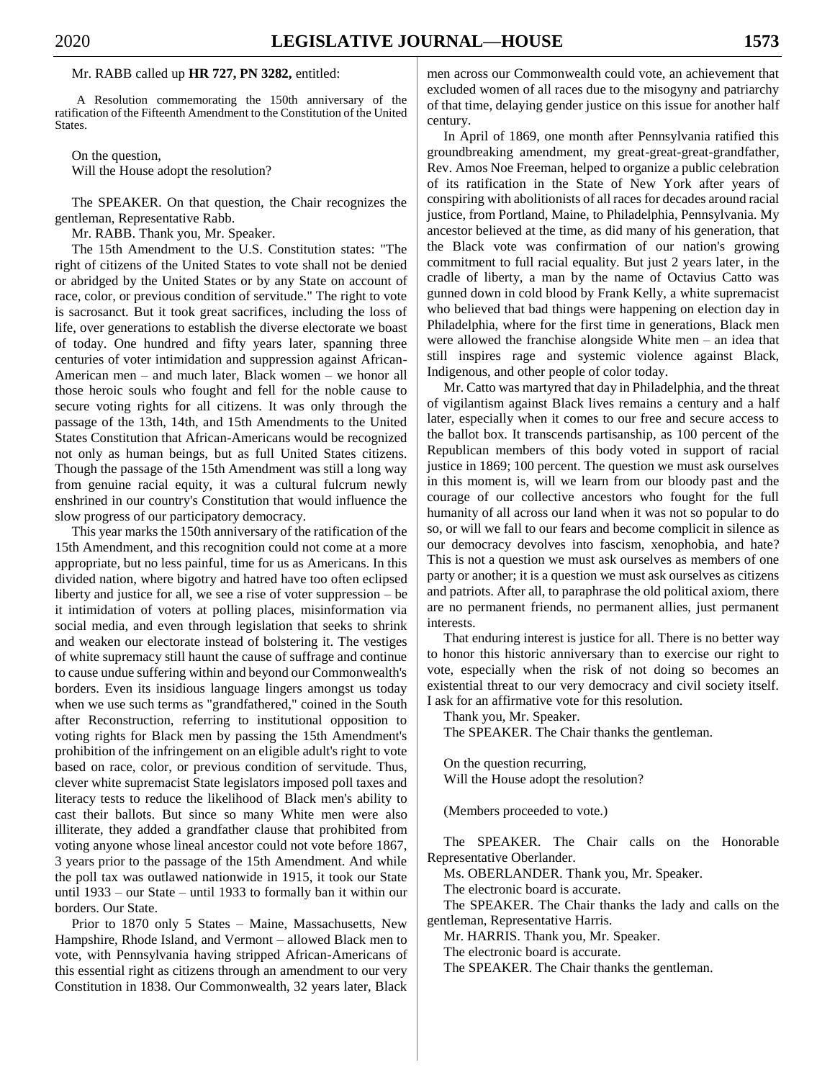### Mr. RABB called up **HR 727, PN 3282,** entitled:

A Resolution commemorating the 150th anniversary of the ratification of the Fifteenth Amendment to the Constitution of the United States.

On the question, Will the House adopt the resolution?

The SPEAKER. On that question, the Chair recognizes the gentleman, Representative Rabb.

Mr. RABB. Thank you, Mr. Speaker.

The 15th Amendment to the U.S. Constitution states: "The right of citizens of the United States to vote shall not be denied or abridged by the United States or by any State on account of race, color, or previous condition of servitude." The right to vote is sacrosanct. But it took great sacrifices, including the loss of life, over generations to establish the diverse electorate we boast of today. One hundred and fifty years later, spanning three centuries of voter intimidation and suppression against African-American men – and much later, Black women – we honor all those heroic souls who fought and fell for the noble cause to secure voting rights for all citizens. It was only through the passage of the 13th, 14th, and 15th Amendments to the United States Constitution that African-Americans would be recognized not only as human beings, but as full United States citizens. Though the passage of the 15th Amendment was still a long way from genuine racial equity, it was a cultural fulcrum newly enshrined in our country's Constitution that would influence the slow progress of our participatory democracy.

This year marks the 150th anniversary of the ratification of the 15th Amendment, and this recognition could not come at a more appropriate, but no less painful, time for us as Americans. In this divided nation, where bigotry and hatred have too often eclipsed liberty and justice for all, we see a rise of voter suppression – be it intimidation of voters at polling places, misinformation via social media, and even through legislation that seeks to shrink and weaken our electorate instead of bolstering it. The vestiges of white supremacy still haunt the cause of suffrage and continue to cause undue suffering within and beyond our Commonwealth's borders. Even its insidious language lingers amongst us today when we use such terms as "grandfathered," coined in the South after Reconstruction, referring to institutional opposition to voting rights for Black men by passing the 15th Amendment's prohibition of the infringement on an eligible adult's right to vote based on race, color, or previous condition of servitude. Thus, clever white supremacist State legislators imposed poll taxes and literacy tests to reduce the likelihood of Black men's ability to cast their ballots. But since so many White men were also illiterate, they added a grandfather clause that prohibited from voting anyone whose lineal ancestor could not vote before 1867, 3 years prior to the passage of the 15th Amendment. And while the poll tax was outlawed nationwide in 1915, it took our State until 1933 – our State – until 1933 to formally ban it within our borders. Our State.

Prior to 1870 only 5 States – Maine, Massachusetts, New Hampshire, Rhode Island, and Vermont – allowed Black men to vote, with Pennsylvania having stripped African-Americans of this essential right as citizens through an amendment to our very Constitution in 1838. Our Commonwealth, 32 years later, Black

men across our Commonwealth could vote, an achievement that excluded women of all races due to the misogyny and patriarchy of that time, delaying gender justice on this issue for another half century.

In April of 1869, one month after Pennsylvania ratified this groundbreaking amendment, my great-great-great-grandfather, Rev. Amos Noe Freeman, helped to organize a public celebration of its ratification in the State of New York after years of conspiring with abolitionists of all races for decades around racial justice, from Portland, Maine, to Philadelphia, Pennsylvania. My ancestor believed at the time, as did many of his generation, that the Black vote was confirmation of our nation's growing commitment to full racial equality. But just 2 years later, in the cradle of liberty, a man by the name of Octavius Catto was gunned down in cold blood by Frank Kelly, a white supremacist who believed that bad things were happening on election day in Philadelphia, where for the first time in generations, Black men were allowed the franchise alongside White men – an idea that still inspires rage and systemic violence against Black, Indigenous, and other people of color today.

Mr. Catto was martyred that day in Philadelphia, and the threat of vigilantism against Black lives remains a century and a half later, especially when it comes to our free and secure access to the ballot box. It transcends partisanship, as 100 percent of the Republican members of this body voted in support of racial justice in 1869; 100 percent. The question we must ask ourselves in this moment is, will we learn from our bloody past and the courage of our collective ancestors who fought for the full humanity of all across our land when it was not so popular to do so, or will we fall to our fears and become complicit in silence as our democracy devolves into fascism, xenophobia, and hate? This is not a question we must ask ourselves as members of one party or another; it is a question we must ask ourselves as citizens and patriots. After all, to paraphrase the old political axiom, there are no permanent friends, no permanent allies, just permanent interests.

That enduring interest is justice for all. There is no better way to honor this historic anniversary than to exercise our right to vote, especially when the risk of not doing so becomes an existential threat to our very democracy and civil society itself. I ask for an affirmative vote for this resolution.

Thank you, Mr. Speaker.

The SPEAKER. The Chair thanks the gentleman.

On the question recurring, Will the House adopt the resolution?

(Members proceeded to vote.)

The SPEAKER. The Chair calls on the Honorable Representative Oberlander.

Ms. OBERLANDER. Thank you, Mr. Speaker.

The electronic board is accurate.

The SPEAKER. The Chair thanks the lady and calls on the gentleman, Representative Harris.

Mr. HARRIS. Thank you, Mr. Speaker.

The electronic board is accurate.

The SPEAKER. The Chair thanks the gentleman.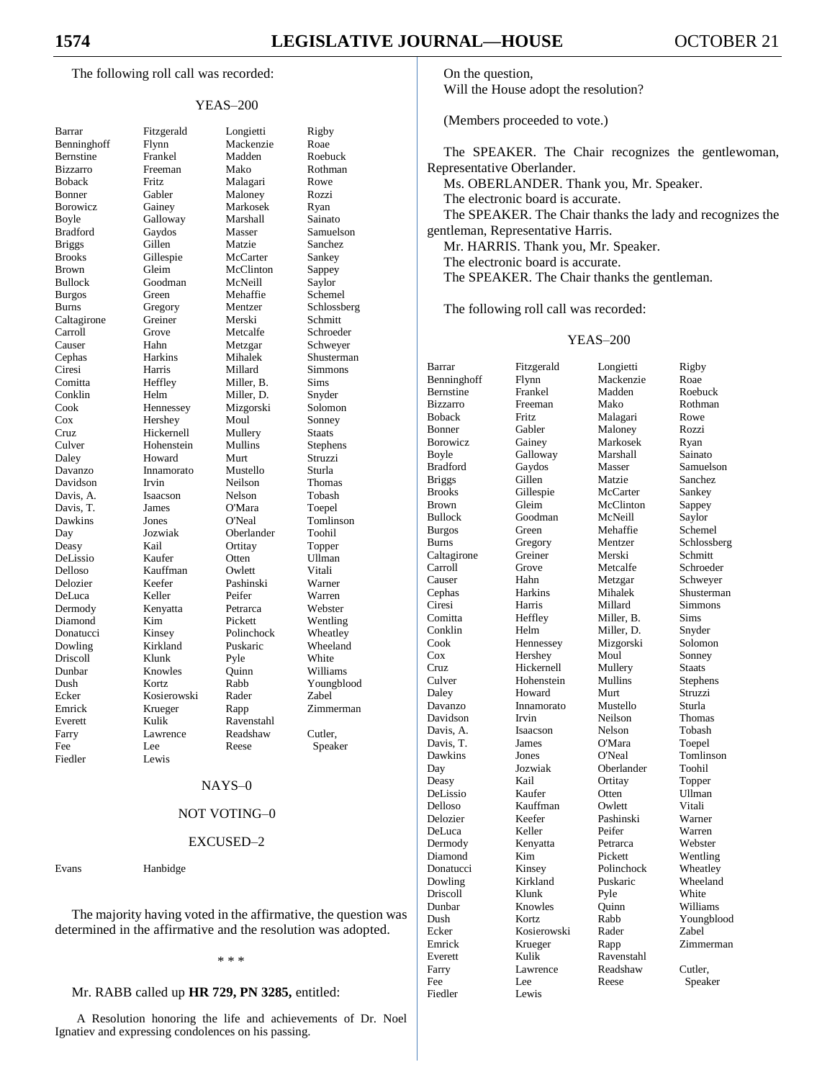The following roll call was recorded:

#### YEAS–200

| Barrar                                                   |
|----------------------------------------------------------|
| Benninghoff                                              |
| Bernstine                                                |
| Bizzarro                                                 |
| <b>Boback</b>                                            |
| Bonner                                                   |
| Borowicz                                                 |
| Boyle                                                    |
| <b>Bradford</b>                                          |
| <b>Briggs</b>                                            |
|                                                          |
| <b>Brooks</b>                                            |
| Brown                                                    |
| <b>Bullock</b>                                           |
| <b>Burgos</b>                                            |
| <b>Burns</b>                                             |
| Caltagirone                                              |
| Carroll                                                  |
| Causer                                                   |
|                                                          |
|                                                          |
|                                                          |
| Caascr<br>Cephas<br>Ciresi<br>Comitta<br>Conklin<br>Cook |
|                                                          |
| Cox                                                      |
| Cruz                                                     |
| Culver                                                   |
| Daley                                                    |
|                                                          |
| Davanzo                                                  |
| Davidson                                                 |
| Davis, A.<br>Davis, T.<br>Dawkins                        |
|                                                          |
|                                                          |
| Day<br>Deasy                                             |
|                                                          |
| DeLissio                                                 |
| Delloso                                                  |
| Delozier                                                 |
| DeLuca                                                   |
| Dermody                                                  |
| Diamond                                                  |
|                                                          |
| Donatucci<br>Dowling<br>Driscoll                         |
|                                                          |
| Dunbar                                                   |
|                                                          |
| Dush                                                     |
| Ecker                                                    |
| Emrick                                                   |
| Everett                                                  |
| Farry                                                    |
| Fee                                                      |
| Fiedler                                                  |
|                                                          |

Fitzgerald Longietti Rigby Flynn Mackenzie Roae Frankel Madden Roebuck Freeman Mako Rothman Fritz Malagari Rowe Gabler Maloney Rozzi Gainey Markosek Ryan<br>Galloway Marshall Saina Galloway Marshall Sainato Gaydos Masser Samuelson Briggs Gillen Matzie Sanchez Gillespie McCarter Sankey Gleim McClinton Sappey Goodman McNeill Saylor Green Mehaffie Schemel Gregory Mentzer Schlossberg Greiner Merski Schmitt Grove Metcalfe Schroeder Hahn Metzgar Schweyer Harkins Mihalek Shusterman Harris Millard Simmons Heffley Miller, B. Sims Helm Miller, D. Snyder Hennessey Mizgorski Solomon Hershey Moul Sonney<br>Hickernell Mullery Staats Hickernell Mullery Staats Hohenstein Mullins Stephens<br>Howard Murt Struzzi Howard Innamorato Mustello Sturla Irvin Neilson Thomas Isaacson Nelson Tobash<br>
James O'Mara Toepel O'Mara Jones O'Neal Tomlinson Day Jozwiak Oberlander Toohil Kail Ortitay Topper<br>
Kaufer Otten Ullman Kauffman Owlett Vitali Delozier Keefer Pashinski Warner DeLuca Keller Peifer Warren Kenyatta Petrarca Webster Kim Pickett Wentling Kinsey Polinchock Wheatley<br>
Kirkland Puskaric Wheeland Driscoll Klunk Pyle White Knowles Ouinn Williams Kortz Rabb Youngblood<br>
Kosierowski Rader Zabel Kosierowski Krueger Rapp Zimmerman Kulik Ravenstahl Lawrence Readshaw Cutler, Fee Lee Reese Speaker Lewis

Otten Ullman Puskaric Wheeland

#### NAYS–0

## NOT VOTING–0

#### EXCUSED–2

Evans Hanbidge

The majority having voted in the affirmative, the question was determined in the affirmative and the resolution was adopted.

#### \* \* \*

## Mr. RABB called up **HR 729, PN 3285,** entitled:

A Resolution honoring the life and achievements of Dr. Noel Ignatiev and expressing condolences on his passing.

On the question, Will the House adopt the resolution?

(Members proceeded to vote.)

The SPEAKER. The Chair recognizes the gentlewoman, Representative Oberlander. Ms. OBERLANDER. Thank you, Mr. Speaker. The electronic board is accurate. The SPEAKER. The Chair thanks the lady and recognizes the gentleman, Representative Harris. Mr. HARRIS. Thank you, Mr. Speaker. The electronic board is accurate. The SPEAKER. The Chair thanks the gentleman.

The following roll call was recorded:

#### YEAS–200

Benninghoff Flynn Mackenzie Roae Bernstine Frankel Madden Roebuck Bizzarro Freeman Mako Rothman Boback Fritz Malagari Rowe Bonner Gabler Maloney Rozzi Borowicz Gainey Markosek Ryan Boyle Galloway Marshall Sainato Bradford Gaydos Masser Samuelson Briggs Gillen Matzie Sanchez Brooks Gillespie McCarter Sankey Brown Gleim McClinton Sappey Bullock Goodman McNeill Saylor Burgos Green Mehaffie Schemel Burns Gregory Mentzer Schlossberg<br>
Caltagirone Greiner Merski Schmitt Caltagirone Carroll Grove Metcalfe Schroeder Causer Hahn Metzgar Schweyer Cephas Harkins Mihalek Shusterman Ciresi Harris Millard Simmons Comitta Heffley Miller, B. Sims Conklin Helm Miller, D. Snyder Cook Hennessey Mizgorski Solomon Cox Hershey Moul Sonney Cruz Hickernell Mullery Staats Culver Hohenstein Mullins Stephens Daley Howard Murt Struzzi Davanzo Innamorato Mustello Sturla Davidson Irvin Neilson Thomas Davis, A. Isaacson Nelson Tobash<br>
Davis T Iames O'Mara Toepel Davis, T. James O'Mara Toepel Dawkins Jones O'Neal Tomlinson Day Jozwiak Oberlander Toohil Deasy Kail Ortitay Topper<br>
DeLissio Kaufer Otten Ullman DeLissio Kaufer Otten Ullman Delloso Kauffman Owlett Vitali Delozier Keefer Pashinski Warner DeLuca Keller Peifer Warren Diamond Kim Pickett Wentling Donatucci Kinsey Polinchock Wheatley Dowling Kirkland Puskaric Wheeland Driscoll Klunk Pyle White Dunbar Knowles Quinn Williams Dush Kortz Rabb Youngblood Ecker Kosierowski Rader Zabel Emrick Krueger Rapp Zimmerman Everett Kulik Ravenstahl Farry Lawrence Readshaw Cutler, Fee Lee Reese Speaker Fiedler Lewis

Barrar Fitzgerald Longietti Rigby Kenyatta Petrarca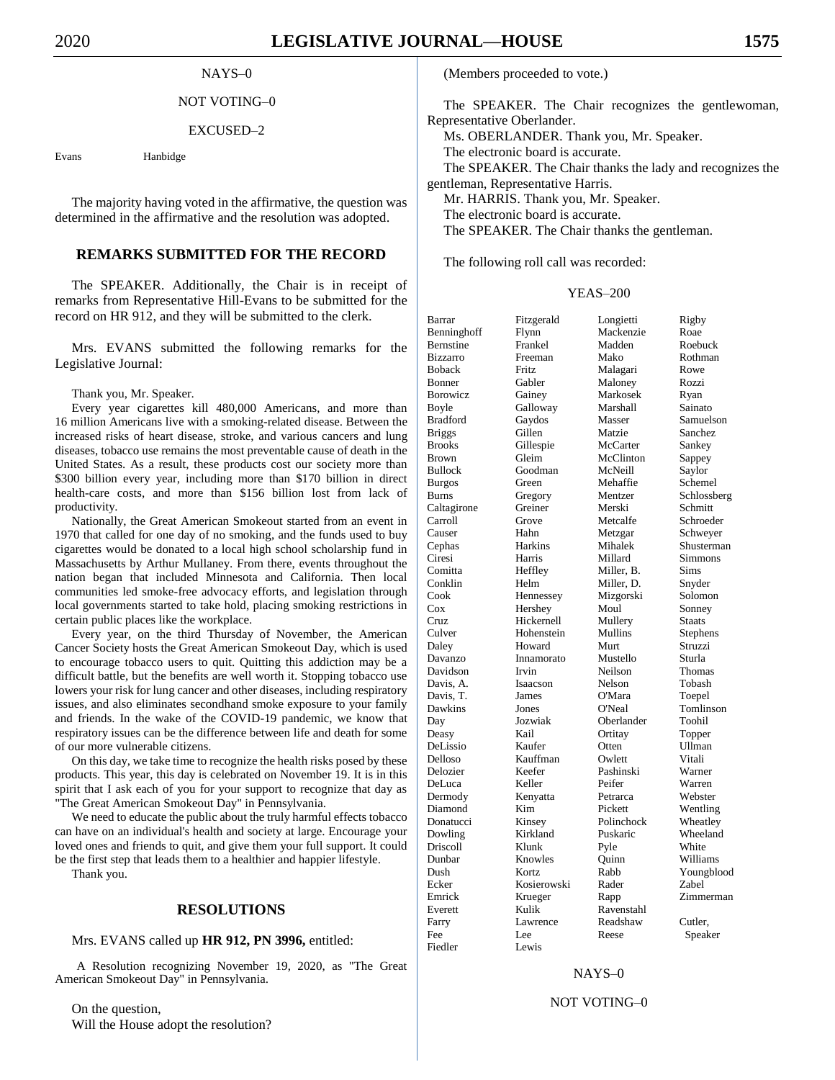#### NAYS–0

NOT VOTING–0

EXCUSED–2

Evans Hanbidge

The majority having voted in the affirmative, the question was determined in the affirmative and the resolution was adopted.

## **REMARKS SUBMITTED FOR THE RECORD**

The SPEAKER. Additionally, the Chair is in receipt of remarks from Representative Hill-Evans to be submitted for the record on HR 912, and they will be submitted to the clerk.

Mrs. EVANS submitted the following remarks for the Legislative Journal:

Thank you, Mr. Speaker.

Every year cigarettes kill 480,000 Americans, and more than 16 million Americans live with a smoking-related disease. Between the increased risks of heart disease, stroke, and various cancers and lung diseases, tobacco use remains the most preventable cause of death in the United States. As a result, these products cost our society more than \$300 billion every year, including more than \$170 billion in direct health-care costs, and more than \$156 billion lost from lack of productivity.

Nationally, the Great American Smokeout started from an event in 1970 that called for one day of no smoking, and the funds used to buy cigarettes would be donated to a local high school scholarship fund in Massachusetts by Arthur Mullaney. From there, events throughout the nation began that included Minnesota and California. Then local communities led smoke-free advocacy efforts, and legislation through local governments started to take hold, placing smoking restrictions in certain public places like the workplace.

Every year, on the third Thursday of November, the American Cancer Society hosts the Great American Smokeout Day, which is used to encourage tobacco users to quit. Quitting this addiction may be a difficult battle, but the benefits are well worth it. Stopping tobacco use lowers your risk for lung cancer and other diseases, including respiratory issues, and also eliminates secondhand smoke exposure to your family and friends. In the wake of the COVID-19 pandemic, we know that respiratory issues can be the difference between life and death for some of our more vulnerable citizens.

On this day, we take time to recognize the health risks posed by these products. This year, this day is celebrated on November 19. It is in this spirit that I ask each of you for your support to recognize that day as "The Great American Smokeout Day" in Pennsylvania.

We need to educate the public about the truly harmful effects tobacco can have on an individual's health and society at large. Encourage your loved ones and friends to quit, and give them your full support. It could be the first step that leads them to a healthier and happier lifestyle.

Thank you.

#### **RESOLUTIONS**

Mrs. EVANS called up **HR 912, PN 3996,** entitled:

A Resolution recognizing November 19, 2020, as "The Great American Smokeout Day" in Pennsylvania.

On the question, Will the House adopt the resolution? (Members proceeded to vote.)

The SPEAKER. The Chair recognizes the gentlewoman, Representative Oberlander. Ms. OBERLANDER. Thank you, Mr. Speaker. The electronic board is accurate. The SPEAKER. The Chair thanks the lady and recognizes the gentleman, Representative Harris. Mr. HARRIS. Thank you, Mr. Speaker. The electronic board is accurate. The SPEAKER. The Chair thanks the gentleman.

The following roll call was recorded:

#### YEAS–200

| Barrar          | Fitzgerald  | Longietti  | Rigby         |
|-----------------|-------------|------------|---------------|
| Benninghoff     | Flynn       | Mackenzie  | Roae          |
| Bernstine       | Frankel     | Madden     | Roebuck       |
| <b>Bizzarro</b> | Freeman     | Mako       | Rothman       |
| Boback          | Fritz.      | Malagari   | Rowe          |
| Bonner          | Gabler      | Maloney    | Rozzi         |
| Borowicz        | Gainey      | Markosek   | Ryan          |
| Boyle           | Galloway    | Marshall   | Sainato       |
| Bradford        | Gaydos      | Masser     | Samuelson     |
| <b>Briggs</b>   | Gillen      | Matzie     | Sanchez       |
| <b>Brooks</b>   | Gillespie   | McCarter   | Sankey        |
| Brown           | Gleim       | McClinton  | Sappey        |
| Bullock         | Goodman     | McNeill    | Saylor        |
| <b>Burgos</b>   | Green       | Mehaffie   | Schemel       |
| Burns           | Gregory     | Mentzer    | Schlossberg   |
| Caltagirone     | Greiner     | Merski     | Schmitt       |
| Carroll         | Grove       | Metcalfe   | Schroeder     |
| Causer          | Hahn        | Metzgar    | Schweyer      |
| Cephas          | Harkins     | Mihalek    | Shusterman    |
| Ciresi          | Harris      | Millard    | Simmons       |
| Comitta         | Heffley     | Miller, B. | Sims          |
| Conklin         | Helm        | Miller, D. | Snyder        |
| Cook            | Hennessey   | Mizgorski  | Solomon       |
| $\cos$          | Hershey     | Moul       | Sonney        |
| Cruz            | Hickernell  | Mullery    | <b>Staats</b> |
| Culver          | Hohenstein  | Mullins    | Stephens      |
| Daley           | Howard      | Murt       | Struzzi       |
| Davanzo         | Innamorato  | Mustello   | Sturla        |
| Davidson        | Irvin       | Neilson    | Thomas        |
| Davis, A.       | Isaacson    | Nelson     | Tobash        |
| Davis, T.       | James       | O'Mara     | Toepel        |
| Dawkins         | Jones       | O'Neal     | Tomlinson     |
| Day             | Jozwiak     | Oberlander | Toohil        |
| Deasy           | Kail        | Ortitay    | Topper        |
| DeLissio        | Kaufer      | Otten      | Ullman        |
| Delloso         | Kauffman    | Owlett     | Vitali        |
| Delozier        | Keefer      | Pashinski  | Warner        |
| DeLuca          | Keller      | Peifer     | Warren        |
| Dermody         | Kenyatta    | Petrarca   | Webster       |
| Diamond         | Kim         | Pickett    | Wentling      |
| Donatucci       | Kinsey      | Polinchock | Wheatley      |
| Dowling         | Kirkland    | Puskaric   | Wheeland      |
| Driscoll        | Klunk       | Pyle       | White         |
| Dunbar          | Knowles     | Ouinn      | Williams      |
| Dush            | Kortz       | Rabb       | Youngblood    |
| Ecker           | Kosierowski | Rader      | Zabel         |
| Emrick          | Krueger     | Rapp       | Zimmerman     |
| Everett         | Kulik       | Ravenstahl |               |
| Farry           | Lawrence    | Readshaw   | Cutler,       |
| Fee             | Lee         | Reese      | Speaker       |
|                 |             |            |               |

### NAYS–0

Fiedler Lewis

#### NOT VOTING–0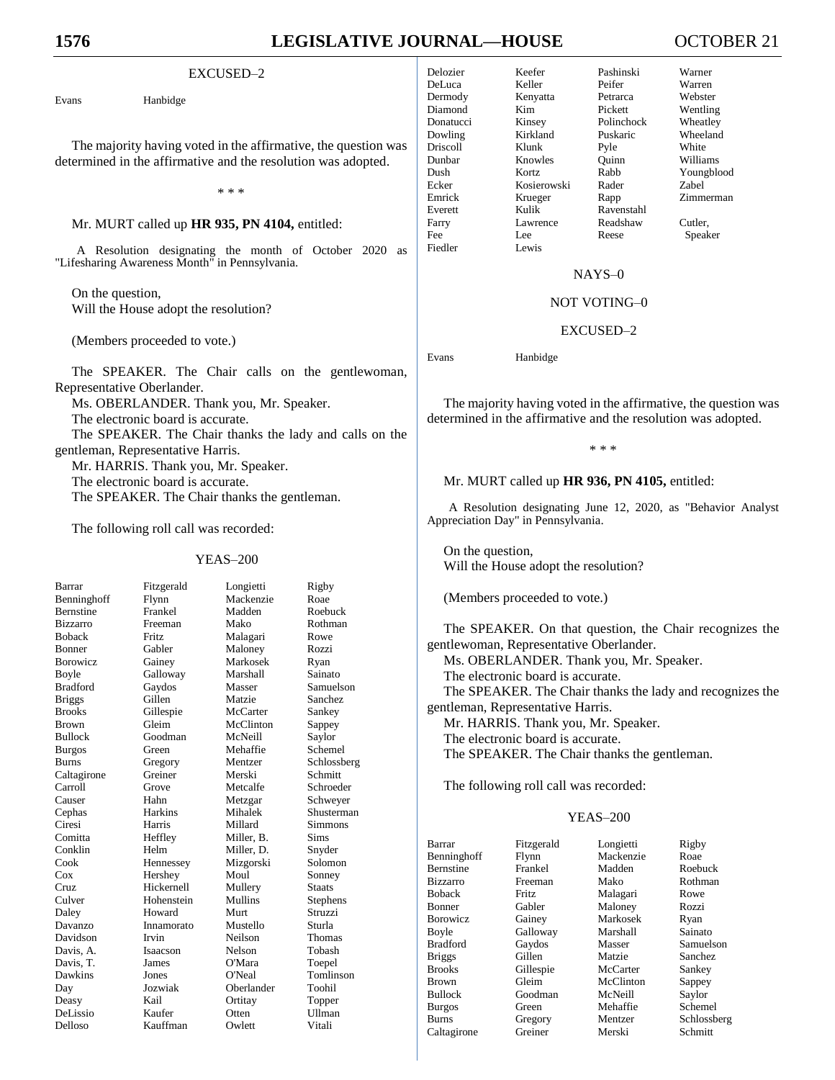# **1576 LEGISLATIVE JOURNAL—HOUSE** OCTOBER 21

#### EXCUSED–2

Evans Hanbidge

The majority having voted in the affirmative, the question was determined in the affirmative and the resolution was adopted.

\* \* \*

## Mr. MURT called up **HR 935, PN 4104,** entitled:

A Resolution designating the month of October 2020 as "Lifesharing Awareness Month" in Pennsylvania.

On the question, Will the House adopt the resolution?

(Members proceeded to vote.)

The SPEAKER. The Chair calls on the gentlewoman, Representative Oberlander.

Ms. OBERLANDER. Thank you, Mr. Speaker.

The electronic board is accurate.

The SPEAKER. The Chair thanks the lady and calls on the gentleman, Representative Harris.

Mr. HARRIS. Thank you, Mr. Speaker. The electronic board is accurate. The SPEAKER. The Chair thanks the gentleman.

The following roll call was recorded:

#### YEAS–200

| Barrar           | Fitzgerald     | Longietti  | Rigby         |
|------------------|----------------|------------|---------------|
| Benninghoff      | Flynn          | Mackenzie  | Roae          |
| <b>Bernstine</b> | Frankel        | Madden     | Roebuck       |
| Bizzarro         | Freeman        | Mako       | Rothman       |
| <b>Boback</b>    | Fritz          | Malagari   | Rowe          |
| Bonner           | Gabler         | Maloney    | Rozzi         |
| Borowicz         | Gainey         | Markosek   | Ryan          |
| Boyle            | Galloway       | Marshall   | Sainato       |
| <b>Bradford</b>  | Gaydos         | Masser     | Samuelson     |
| <b>Briggs</b>    | Gillen         | Matzie     | Sanchez       |
| <b>Brooks</b>    | Gillespie      | McCarter   | Sankev        |
| Brown            | Gleim          | McClinton  | Sappey        |
| <b>Bullock</b>   | Goodman        | McNeill    | Saylor        |
| <b>Burgos</b>    | Green          | Mehaffie   | Schemel       |
| Burns            | Gregory        | Mentzer    | Schlossberg   |
| Caltagirone      | Greiner        | Merski     | Schmitt       |
| Carroll          | Grove          | Metcalfe   | Schroeder     |
| Causer           | Hahn           | Metzgar    | Schweyer      |
| Cephas           | <b>Harkins</b> | Mihalek    | Shusterman    |
| Ciresi           | Harris         | Millard    | Simmons       |
| Comitta          | Heffley        | Miller, B. | Sims          |
| Conklin          | Helm           | Miller, D. | Snyder        |
| Cook             | Hennessey      | Mizgorski  | Solomon       |
| Cox              | Hershey        | Moul       | Sonney        |
| Cruz.            | Hickernell     | Mullery    | <b>Staats</b> |
| Culver           | Hohenstein     | Mullins    | Stephens      |
| Daley            | Howard         | Murt       | Struzzi       |
| Davanzo          | Innamorato     | Mustello   | Sturla        |
| Davidson         | Irvin          | Neilson    | Thomas        |
| Davis, A.        | Isaacson       | Nelson     | Tobash        |
| Davis, T.        | James          | O'Mara     | Toepel        |
| Dawkins          | Jones          | O'Neal     | Tomlinson     |
| Day              | Jozwiak        | Oberlander | Toohil        |
| Deasy            | Kail           | Ortitay    | Topper        |
| DeLissio         | Kaufer         | Otten      | <b>Ullman</b> |

Delloso Kauffman Owlett Vitali

Delozier Keefer Pashinski Warner DeLuca Keller Peifer Warren Dermody Kenyatta Petrarca Webster Diamond Kim Pickett Wentling Donatucci Kinsey Polinchock Wheatley<br>
Dowling Kirkland Puskaric Wheeland Driscoll Klunk Pyle White Dunbar Knowles Quinn Williams Dush Kortz Rabb Youngblood Ecker Kosierowski Rader Zabel Emrick Krueger Rapp Zimmerman Everett Kulik Ravenstahl<br>Farry Lawrence Readshaw Farry Lawrence Readshaw Cutler,<br>Fee Lee Reese Speak Fee Lee Reese Speaker Fiedler Lewis

Kirkland

#### NAYS–0

## NOT VOTING–0

#### EXCUSED–2

Evans Hanbidge

The majority having voted in the affirmative, the question was determined in the affirmative and the resolution was adopted.

\* \* \*

#### Mr. MURT called up **HR 936, PN 4105,** entitled:

A Resolution designating June 12, 2020, as "Behavior Analyst Appreciation Day" in Pennsylvania.

On the question, Will the House adopt the resolution?

(Members proceeded to vote.)

The SPEAKER. On that question, the Chair recognizes the gentlewoman, Representative Oberlander. Ms. OBERLANDER. Thank you, Mr. Speaker. The electronic board is accurate. The SPEAKER. The Chair thanks the lady and recognizes the gentleman, Representative Harris. Mr. HARRIS. Thank you, Mr. Speaker. The electronic board is accurate. The SPEAKER. The Chair thanks the gentleman.

The following roll call was recorded:

#### YEAS–200

| Barrar           | Fitzgerald | Longietti       | Rigby       |
|------------------|------------|-----------------|-------------|
| Benninghoff      | Flynn      | Mackenzie       | Roae        |
| <b>Bernstine</b> | Frankel    | Madden          | Roebuck     |
| <b>Bizzarro</b>  | Freeman    | Mako            | Rothman     |
| <b>Boback</b>    | Fritz      | Malagari        | Rowe        |
| Bonner           | Gabler     | Maloney         | Rozzi       |
| <b>B</b> orowicz | Gainey     | <b>Markosek</b> | Ryan        |
| Boyle            | Galloway   | Marshall        | Sainato     |
| <b>Bradford</b>  | Gaydos     | Masser          | Samuelson   |
| <b>Briggs</b>    | Gillen     | Matzie          | Sanchez     |
| <b>Brooks</b>    | Gillespie  | McCarter        | Sankey      |
| <b>Brown</b>     | Gleim      | McClinton       | Sappey      |
| <b>Bullock</b>   | Goodman    | McNeill         | Saylor      |
| <b>Burgos</b>    | Green      | Mehaffie        | Schemel     |
| Burns            | Gregory    | Mentzer         | Schlossberg |
| Caltagirone      | Greiner    | Merski          | Schmitt     |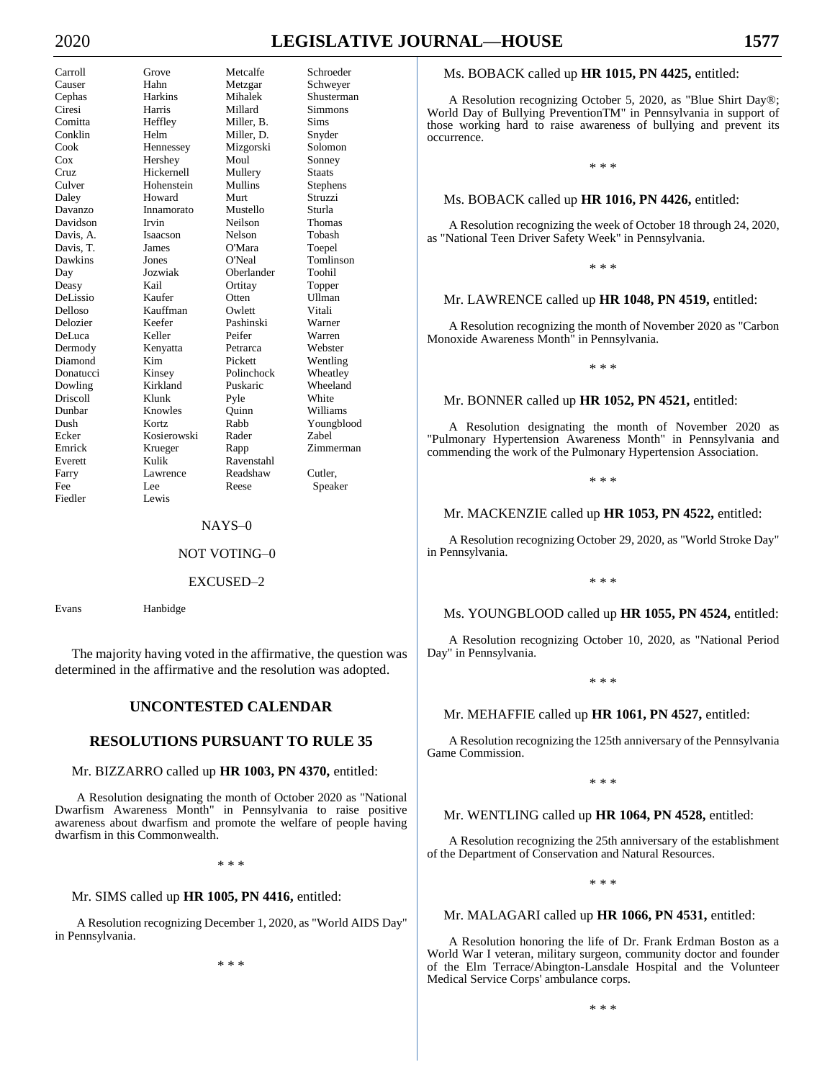# 2020 **LEGISLATIVE JOURNAL—HOUSE 1577**

Davis, A. Isaacson Dunbar Fiedler Lewis

Carroll Grove Metcalfe Schroeder Causer Hahn Metzgar Schweyer Cephas Harkins Mihalek Shusterman Ciresi Harris Millard Simmons Comitta Heffley Miller, B. Sims Helm Miller, D. Cook Hennessey Mizgorski Solomon Cox Hershey Moul Sonney Cruz Hickernell Mullery Staats Culver Hohenstein Mullins Stephens Daley Howard Murt Struzzi Davanzo Innamorato Mustello Sturla Davidson Irvin Neilson Thomas<br>
Davis, A. Isaacson Nelson Tobash Davis, T. James O'Mara Toepel Dawkins Jones O'Neal Tomlinson Day Jozwiak Oberlander Toohil Deasy Kail Ortitay Topper DeLissio Kaufer Otten Ullman Delloso Kauffman Owlett Vitali Delozier Keefer Pashinski Warner DeLuca Keller Peifer Warren Dermody Kenyatta Petrarca Webster Diamond Kim Pickett Wentling Donatucci Kinsey Polinchock Wheatley Dowling Kirkland Puskaric Wheeland Driscoll Klunk Pyle White<br>
Dunbar Knowles Quinn Williams Dush Kortz Rabb Youngblood Ecker Kosierowski Rader Zabel Emrick Krueger Rapp Zimmerman<br>Everett Kulik Ravenstahl Everett Kulik Ravenstahl Farry Lawrence Readshaw Cutler, Fee Lee Reese Speaker

## NAYS–0

#### NOT VOTING–0

#### EXCUSED–2

Evans Hanbidge

The majority having voted in the affirmative, the question was determined in the affirmative and the resolution was adopted.

## **UNCONTESTED CALENDAR**

## **RESOLUTIONS PURSUANT TO RULE 35**

#### Mr. BIZZARRO called up **HR 1003, PN 4370,** entitled:

A Resolution designating the month of October 2020 as "National Dwarfism Awareness Month" in Pennsylvania to raise positive awareness about dwarfism and promote the welfare of people having dwarfism in this Commonwealth.

\* \* \*

## Mr. SIMS called up **HR 1005, PN 4416,** entitled:

A Resolution recognizing December 1, 2020, as "World AIDS Day" in Pennsylvania.

\* \* \*

#### Ms. BOBACK called up **HR 1015, PN 4425,** entitled:

A Resolution recognizing October 5, 2020, as "Blue Shirt Day®; World Day of Bullying PreventionTM" in Pennsylvania in support of those working hard to raise awareness of bullying and prevent its occurrence.

\* \* \*

#### Ms. BOBACK called up **HR 1016, PN 4426,** entitled:

A Resolution recognizing the week of October 18 through 24, 2020, as "National Teen Driver Safety Week" in Pennsylvania.

\* \* \*

#### Mr. LAWRENCE called up **HR 1048, PN 4519,** entitled:

A Resolution recognizing the month of November 2020 as "Carbon Monoxide Awareness Month" in Pennsylvania.

\* \* \*

#### Mr. BONNER called up **HR 1052, PN 4521,** entitled:

A Resolution designating the month of November 2020 as "Pulmonary Hypertension Awareness Month" in Pennsylvania and commending the work of the Pulmonary Hypertension Association.

\* \* \*

#### Mr. MACKENZIE called up **HR 1053, PN 4522,** entitled:

A Resolution recognizing October 29, 2020, as "World Stroke Day" in Pennsylvania.

\* \* \*

#### Ms. YOUNGBLOOD called up **HR 1055, PN 4524,** entitled:

A Resolution recognizing October 10, 2020, as "National Period Day" in Pennsylvania.

\* \* \*

#### Mr. MEHAFFIE called up **HR 1061, PN 4527,** entitled:

A Resolution recognizing the 125th anniversary of the Pennsylvania Game Commission.

\* \* \*

#### Mr. WENTLING called up **HR 1064, PN 4528,** entitled:

A Resolution recognizing the 25th anniversary of the establishment of the Department of Conservation and Natural Resources.

\* \* \*

#### Mr. MALAGARI called up **HR 1066, PN 4531,** entitled:

A Resolution honoring the life of Dr. Frank Erdman Boston as a World War I veteran, military surgeon, community doctor and founder of the Elm Terrace/Abington-Lansdale Hospital and the Volunteer Medical Service Corps' ambulance corps.

\* \* \*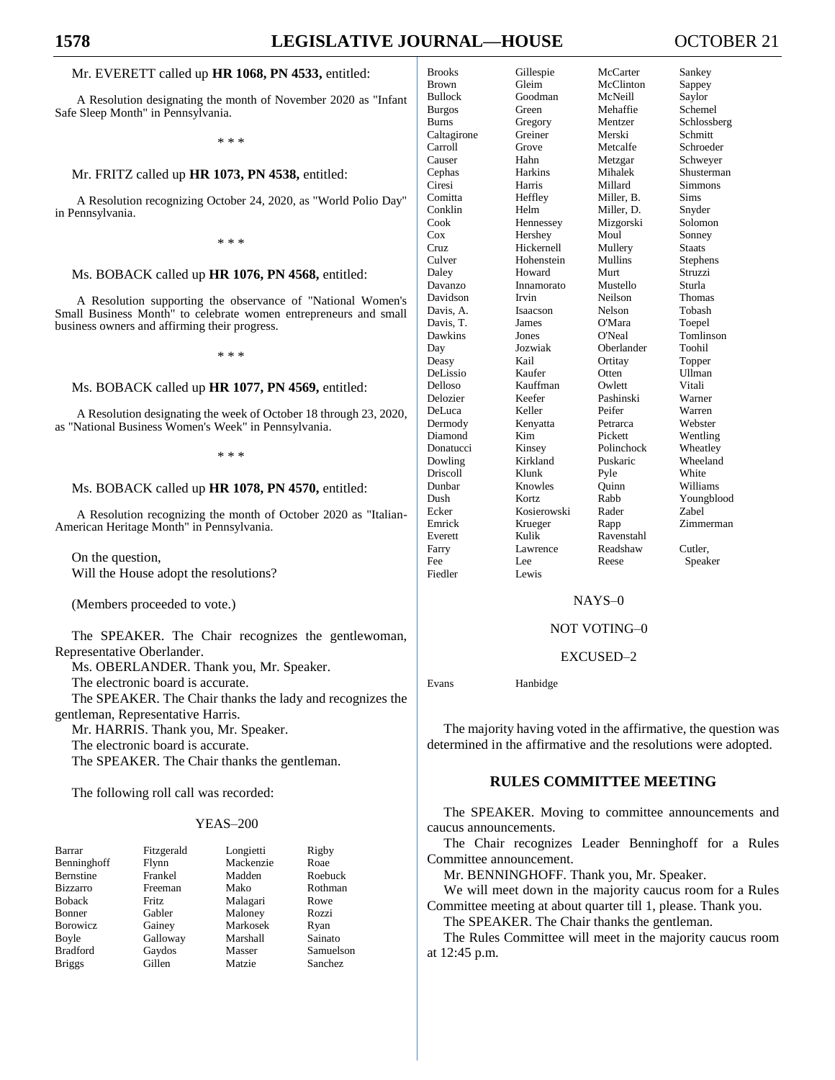# **1578 LEGISLATIVE JOURNAL—HOUSE** OCTOBER 21

#### Mr. EVERETT called up **HR 1068, PN 4533,** entitled:

A Resolution designating the month of November 2020 as "Infant Safe Sleep Month" in Pennsylvania.

\* \* \*

#### Mr. FRITZ called up **HR 1073, PN 4538,** entitled:

A Resolution recognizing October 24, 2020, as "World Polio Day" in Pennsylvania.

\* \* \*

#### Ms. BOBACK called up **HR 1076, PN 4568,** entitled:

A Resolution supporting the observance of "National Women's Small Business Month" to celebrate women entrepreneurs and small business owners and affirming their progress.

\* \* \*

#### Ms. BOBACK called up **HR 1077, PN 4569,** entitled:

A Resolution designating the week of October 18 through 23, 2020, as "National Business Women's Week" in Pennsylvania.

\* \* \*

#### Ms. BOBACK called up **HR 1078, PN 4570,** entitled:

A Resolution recognizing the month of October 2020 as "Italian-American Heritage Month" in Pennsylvania.

On the question, Will the House adopt the resolutions?

(Members proceeded to vote.)

The SPEAKER. The Chair recognizes the gentlewoman, Representative Oberlander.

Ms. OBERLANDER. Thank you, Mr. Speaker.

The electronic board is accurate.

The SPEAKER. The Chair thanks the lady and recognizes the gentleman, Representative Harris.

Mr. HARRIS. Thank you, Mr. Speaker.

The electronic board is accurate.

The SPEAKER. The Chair thanks the gentleman.

The following roll call was recorded:

#### YEAS–200

| Barrar           | Fitzgerald | Longietti | Rigby     |
|------------------|------------|-----------|-----------|
| Benninghoff      | Flynn      | Mackenzie | Roae      |
| <b>Bernstine</b> | Frankel    | Madden    | Roebuck   |
| <b>Bizzarro</b>  | Freeman    | Mako      | Rothman   |
| <b>Boback</b>    | Fritz      | Malagari  | Rowe      |
| <b>Bonner</b>    | Gabler     | Maloney   | Rozzi     |
| <b>Borowicz</b>  | Gainey     | Markosek  | Ryan      |
| Boyle            | Galloway   | Marshall  | Sainato   |
| <b>Bradford</b>  | Gaydos     | Masser    | Samuelson |
| <b>Briggs</b>    | Gillen     | Matzie    | Sanchez   |

| <b>Brooks</b>   | Gillespie   | McCarter      | Sankey      |
|-----------------|-------------|---------------|-------------|
| <b>Brown</b>    | Gleim       | McClinton     | Sappey      |
| <b>Bullock</b>  | Goodman     | McNeill       | Saylor      |
| <b>Burgos</b>   | Green       | Mehaffie      | Schemel     |
| Burns           | Gregory     | Mentzer       | Schlossberg |
| Caltagirone     | Greiner     | Merski        | Schmitt     |
| Carroll         | Grove       | Metcalfe      | Schroeder   |
| Causer          | Hahn        | Metzgar       | Schweyer    |
| Cephas          | Harkins     | Mihalek       | Shusterman  |
| Ciresi          | Harris      | Millard       | Simmons     |
| Comitta         | Heffley     | Miller, B.    | Sims        |
| Conklin         | Helm        | Miller, D.    | Snyder      |
| Cook            | Hennessey   | Mizgorski     | Solomon     |
| Cox             | Hershey     | Moul          | Sonney      |
| Cruz            | Hickernell  | Mullery       | Staats      |
| Culver          | Hohenstein  | Mullins       | Stephens    |
| Daley           | Howard      | Murt          | Struzzi     |
| Davanzo         | Innamorato  | Mustello      | Sturla      |
| Davidson        | Irvin       | Neilson       | Thomas      |
| Davis, A.       | Isaacson    | <b>Nelson</b> | Tobash      |
| Davis, T.       | James       | O'Mara        | Toepel      |
| Dawkins         | Jones       | O'Neal        | Tomlinson   |
| Day             | Jozwiak     | Oberlander    | Toohil      |
| Deasy           | Kail        | Ortitay       | Topper      |
| DeLissio        | Kaufer      | Otten         | Ullman      |
| Delloso         | Kauffman    | Owlett        | Vitali      |
| Delozier        | Keefer      | Pashinski     | Warner      |
| DeLuca          | Keller      | Peifer        | Warren      |
| Dermody         | Kenyatta    | Petrarca      | Webster     |
| Diamond         | Kim.        | Pickett       | Wentling    |
| Donatucci       | Kinsey      | Polinchock    | Wheatley    |
| Dowling         | Kirkland    | Puskaric      | Wheeland    |
| <b>Driscoll</b> | Klunk       | Pyle          | White       |
| Dunbar          | Knowles     | Ouinn         | Williams    |
| Dush            | Kortz       | Rabb          | Youngblood  |
| Ecker           | Kosierowski | Rader         | Zabel       |
| Emrick          | Krueger     | Rapp          | Zimmerman   |
| Everett         | Kulik       | Ravenstahl    |             |
| Farry           | Lawrence    | Readshaw      | Cutler,     |
| Fee             | I ee        | Reese         | Speaker     |
| Fiedler         | Lewis       |               |             |

#### NAYS–0

#### NOT VOTING–0

#### EXCUSED–2

Evans Hanbidge

The majority having voted in the affirmative, the question was determined in the affirmative and the resolutions were adopted.

#### **RULES COMMITTEE MEETING**

The SPEAKER. Moving to committee announcements and caucus announcements.

The Chair recognizes Leader Benninghoff for a Rules Committee announcement.

Mr. BENNINGHOFF. Thank you, Mr. Speaker.

We will meet down in the majority caucus room for a Rules Committee meeting at about quarter till 1, please. Thank you.

The SPEAKER. The Chair thanks the gentleman.

The Rules Committee will meet in the majority caucus room at 12:45 p.m.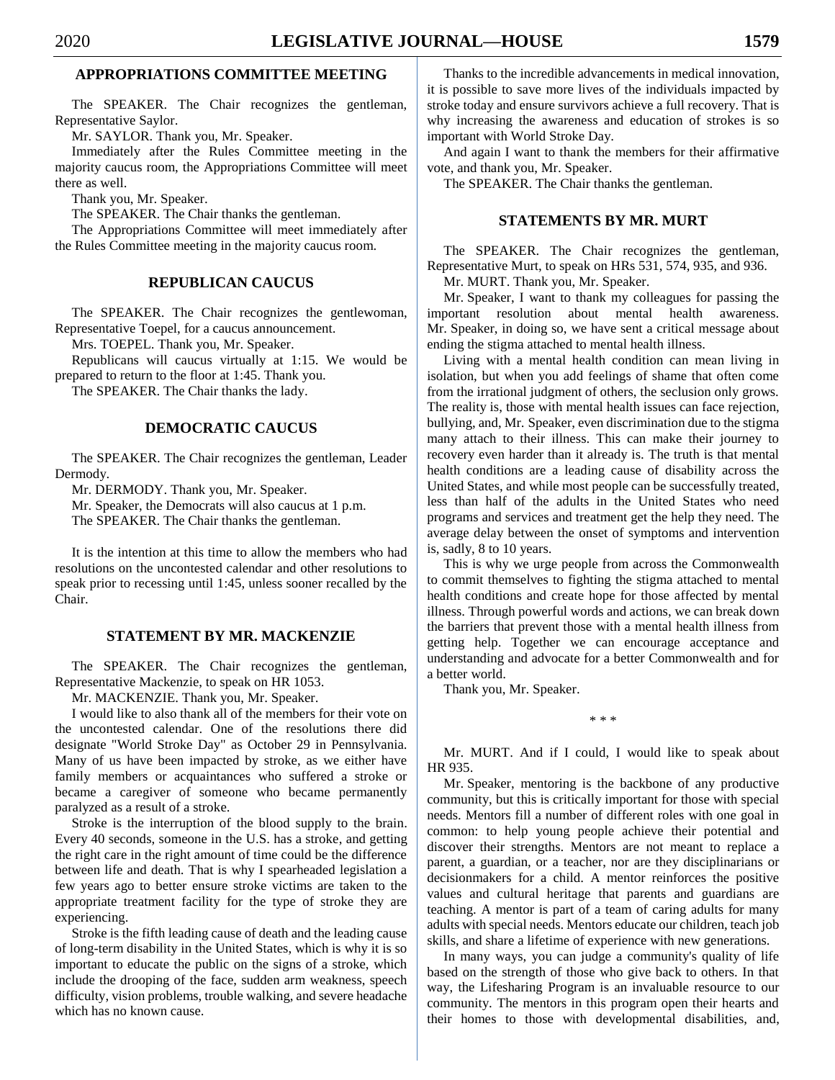## **APPROPRIATIONS COMMITTEE MEETING**

The SPEAKER. The Chair recognizes the gentleman, Representative Saylor.

Mr. SAYLOR. Thank you, Mr. Speaker.

Immediately after the Rules Committee meeting in the majority caucus room, the Appropriations Committee will meet there as well.

Thank you, Mr. Speaker.

The SPEAKER. The Chair thanks the gentleman.

The Appropriations Committee will meet immediately after the Rules Committee meeting in the majority caucus room.

## **REPUBLICAN CAUCUS**

The SPEAKER. The Chair recognizes the gentlewoman, Representative Toepel, for a caucus announcement.

Mrs. TOEPEL. Thank you, Mr. Speaker.

Republicans will caucus virtually at 1:15. We would be prepared to return to the floor at 1:45. Thank you.

The SPEAKER. The Chair thanks the lady.

## **DEMOCRATIC CAUCUS**

The SPEAKER. The Chair recognizes the gentleman, Leader Dermody.

Mr. DERMODY. Thank you, Mr. Speaker.

Mr. Speaker, the Democrats will also caucus at 1 p.m.

The SPEAKER. The Chair thanks the gentleman.

It is the intention at this time to allow the members who had resolutions on the uncontested calendar and other resolutions to speak prior to recessing until 1:45, unless sooner recalled by the Chair.

## **STATEMENT BY MR. MACKENZIE**

The SPEAKER. The Chair recognizes the gentleman, Representative Mackenzie, to speak on HR 1053.

Mr. MACKENZIE. Thank you, Mr. Speaker.

I would like to also thank all of the members for their vote on the uncontested calendar. One of the resolutions there did designate "World Stroke Day" as October 29 in Pennsylvania. Many of us have been impacted by stroke, as we either have family members or acquaintances who suffered a stroke or became a caregiver of someone who became permanently paralyzed as a result of a stroke.

Stroke is the interruption of the blood supply to the brain. Every 40 seconds, someone in the U.S. has a stroke, and getting the right care in the right amount of time could be the difference between life and death. That is why I spearheaded legislation a few years ago to better ensure stroke victims are taken to the appropriate treatment facility for the type of stroke they are experiencing.

Stroke is the fifth leading cause of death and the leading cause of long-term disability in the United States, which is why it is so important to educate the public on the signs of a stroke, which include the drooping of the face, sudden arm weakness, speech difficulty, vision problems, trouble walking, and severe headache which has no known cause.

Thanks to the incredible advancements in medical innovation, it is possible to save more lives of the individuals impacted by stroke today and ensure survivors achieve a full recovery. That is why increasing the awareness and education of strokes is so important with World Stroke Day.

And again I want to thank the members for their affirmative vote, and thank you, Mr. Speaker.

The SPEAKER. The Chair thanks the gentleman.

### **STATEMENTS BY MR. MURT**

The SPEAKER. The Chair recognizes the gentleman, Representative Murt, to speak on HRs 531, 574, 935, and 936. Mr. MURT. Thank you, Mr. Speaker.

Mr. Speaker, I want to thank my colleagues for passing the important resolution about mental health awareness. Mr. Speaker, in doing so, we have sent a critical message about ending the stigma attached to mental health illness.

Living with a mental health condition can mean living in isolation, but when you add feelings of shame that often come from the irrational judgment of others, the seclusion only grows. The reality is, those with mental health issues can face rejection, bullying, and, Mr. Speaker, even discrimination due to the stigma many attach to their illness. This can make their journey to recovery even harder than it already is. The truth is that mental health conditions are a leading cause of disability across the United States, and while most people can be successfully treated, less than half of the adults in the United States who need programs and services and treatment get the help they need. The average delay between the onset of symptoms and intervention is, sadly, 8 to 10 years.

This is why we urge people from across the Commonwealth to commit themselves to fighting the stigma attached to mental health conditions and create hope for those affected by mental illness. Through powerful words and actions, we can break down the barriers that prevent those with a mental health illness from getting help. Together we can encourage acceptance and understanding and advocate for a better Commonwealth and for a better world.

Thank you, Mr. Speaker.

\* \* \*

Mr. MURT. And if I could, I would like to speak about HR 935.

Mr. Speaker, mentoring is the backbone of any productive community, but this is critically important for those with special needs. Mentors fill a number of different roles with one goal in common: to help young people achieve their potential and discover their strengths. Mentors are not meant to replace a parent, a guardian, or a teacher, nor are they disciplinarians or decisionmakers for a child. A mentor reinforces the positive values and cultural heritage that parents and guardians are teaching. A mentor is part of a team of caring adults for many adults with special needs. Mentors educate our children, teach job skills, and share a lifetime of experience with new generations.

In many ways, you can judge a community's quality of life based on the strength of those who give back to others. In that way, the Lifesharing Program is an invaluable resource to our community. The mentors in this program open their hearts and their homes to those with developmental disabilities, and,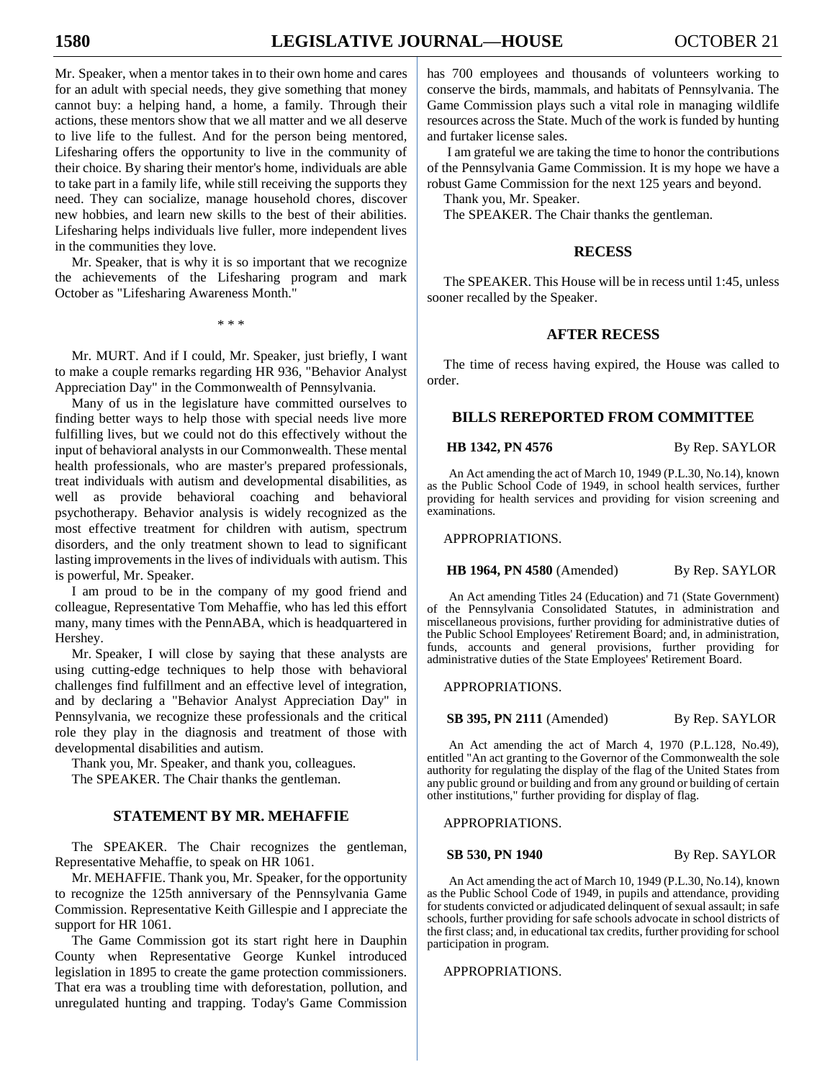Mr. Speaker, when a mentor takes in to their own home and cares for an adult with special needs, they give something that money cannot buy: a helping hand, a home, a family. Through their actions, these mentors show that we all matter and we all deserve to live life to the fullest. And for the person being mentored, Lifesharing offers the opportunity to live in the community of their choice. By sharing their mentor's home, individuals are able to take part in a family life, while still receiving the supports they need. They can socialize, manage household chores, discover new hobbies, and learn new skills to the best of their abilities. Lifesharing helps individuals live fuller, more independent lives in the communities they love.

Mr. Speaker, that is why it is so important that we recognize the achievements of the Lifesharing program and mark October as "Lifesharing Awareness Month."

\* \* \*

Mr. MURT. And if I could, Mr. Speaker, just briefly, I want to make a couple remarks regarding HR 936, "Behavior Analyst Appreciation Day" in the Commonwealth of Pennsylvania.

Many of us in the legislature have committed ourselves to finding better ways to help those with special needs live more fulfilling lives, but we could not do this effectively without the input of behavioral analysts in our Commonwealth. These mental health professionals, who are master's prepared professionals, treat individuals with autism and developmental disabilities, as well as provide behavioral coaching and behavioral psychotherapy. Behavior analysis is widely recognized as the most effective treatment for children with autism, spectrum disorders, and the only treatment shown to lead to significant lasting improvements in the lives of individuals with autism. This is powerful, Mr. Speaker.

I am proud to be in the company of my good friend and colleague, Representative Tom Mehaffie, who has led this effort many, many times with the PennABA, which is headquartered in Hershey.

Mr. Speaker, I will close by saying that these analysts are using cutting-edge techniques to help those with behavioral challenges find fulfillment and an effective level of integration, and by declaring a "Behavior Analyst Appreciation Day" in Pennsylvania, we recognize these professionals and the critical role they play in the diagnosis and treatment of those with developmental disabilities and autism.

Thank you, Mr. Speaker, and thank you, colleagues. The SPEAKER. The Chair thanks the gentleman.

## **STATEMENT BY MR. MEHAFFIE**

The SPEAKER. The Chair recognizes the gentleman, Representative Mehaffie, to speak on HR 1061.

Mr. MEHAFFIE. Thank you, Mr. Speaker, for the opportunity to recognize the 125th anniversary of the Pennsylvania Game Commission. Representative Keith Gillespie and I appreciate the support for HR 1061.

The Game Commission got its start right here in Dauphin County when Representative George Kunkel introduced legislation in 1895 to create the game protection commissioners. That era was a troubling time with deforestation, pollution, and unregulated hunting and trapping. Today's Game Commission

has 700 employees and thousands of volunteers working to conserve the birds, mammals, and habitats of Pennsylvania. The Game Commission plays such a vital role in managing wildlife resources across the State. Much of the work is funded by hunting and furtaker license sales.

I am grateful we are taking the time to honor the contributions of the Pennsylvania Game Commission. It is my hope we have a robust Game Commission for the next 125 years and beyond.

Thank you, Mr. Speaker.

The SPEAKER. The Chair thanks the gentleman.

## **RECESS**

The SPEAKER. This House will be in recess until 1:45, unless sooner recalled by the Speaker.

## **AFTER RECESS**

The time of recess having expired, the House was called to order.

## **BILLS REREPORTED FROM COMMITTEE**

**HB 1342, PN 4576** By Rep. SAYLOR

An Act amending the act of March 10, 1949 (P.L.30, No.14), known as the Public School Code of 1949, in school health services, further providing for health services and providing for vision screening and examinations.

APPROPRIATIONS.

**HB 1964, PN 4580** (Amended) By Rep. SAYLOR

An Act amending Titles 24 (Education) and 71 (State Government) of the Pennsylvania Consolidated Statutes, in administration and miscellaneous provisions, further providing for administrative duties of the Public School Employees' Retirement Board; and, in administration, funds, accounts and general provisions, further providing for administrative duties of the State Employees' Retirement Board.

APPROPRIATIONS.

**SB 395, PN 2111** (Amended) By Rep. SAYLOR

An Act amending the act of March 4, 1970 (P.L.128, No.49), entitled "An act granting to the Governor of the Commonwealth the sole authority for regulating the display of the flag of the United States from any public ground or building and from any ground or building of certain other institutions," further providing for display of flag.

APPROPRIATIONS.

**SB 530, PN 1940** By Rep. SAYLOR

An Act amending the act of March 10, 1949 (P.L.30, No.14), known as the Public School Code of 1949, in pupils and attendance, providing for students convicted or adjudicated delinquent of sexual assault; in safe schools, further providing for safe schools advocate in school districts of the first class; and, in educational tax credits, further providing for school participation in program.

APPROPRIATIONS.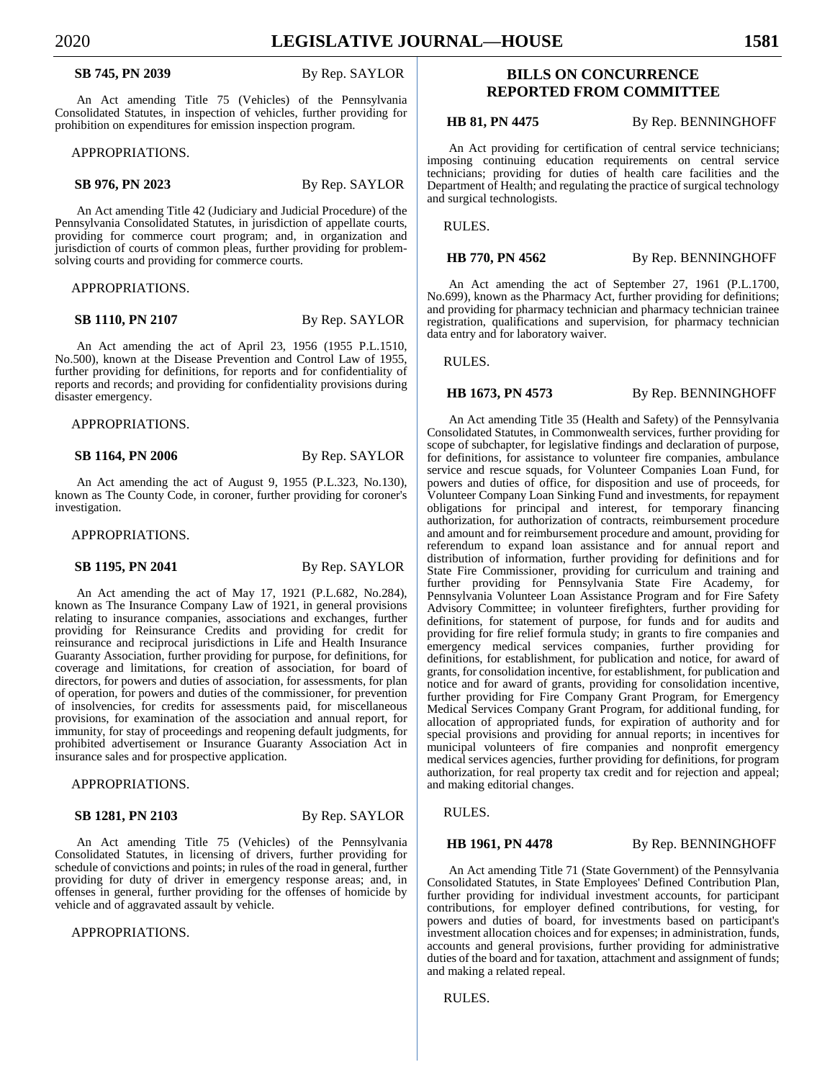**SB 745, PN 2039** By Rep. SAYLOR

An Act amending Title 75 (Vehicles) of the Pennsylvania Consolidated Statutes, in inspection of vehicles, further providing for prohibition on expenditures for emission inspection program.

APPROPRIATIONS.

**SB 976, PN 2023** By Rep. SAYLOR

An Act amending Title 42 (Judiciary and Judicial Procedure) of the Pennsylvania Consolidated Statutes, in jurisdiction of appellate courts, providing for commerce court program; and, in organization and jurisdiction of courts of common pleas, further providing for problemsolving courts and providing for commerce courts.

APPROPRIATIONS.

#### **SB 1110, PN 2107** By Rep. SAYLOR

An Act amending the act of April 23, 1956 (1955 P.L.1510, No.500), known at the Disease Prevention and Control Law of 1955, further providing for definitions, for reports and for confidentiality of reports and records; and providing for confidentiality provisions during disaster emergency.

APPROPRIATIONS.

**SB 1164, PN 2006** By Rep. SAYLOR

An Act amending the act of August 9, 1955 (P.L.323, No.130), known as The County Code, in coroner, further providing for coroner's investigation.

APPROPRIATIONS.

**SB 1195, PN 2041** By Rep. SAYLOR

An Act amending the act of May 17, 1921 (P.L.682, No.284), known as The Insurance Company Law of 1921, in general provisions relating to insurance companies, associations and exchanges, further providing for Reinsurance Credits and providing for credit for reinsurance and reciprocal jurisdictions in Life and Health Insurance Guaranty Association, further providing for purpose, for definitions, for coverage and limitations, for creation of association, for board of directors, for powers and duties of association, for assessments, for plan of operation, for powers and duties of the commissioner, for prevention of insolvencies, for credits for assessments paid, for miscellaneous provisions, for examination of the association and annual report, for immunity, for stay of proceedings and reopening default judgments, for prohibited advertisement or Insurance Guaranty Association Act in insurance sales and for prospective application.

#### APPROPRIATIONS.

**SB 1281, PN 2103** By Rep. SAYLOR

An Act amending Title 75 (Vehicles) of the Pennsylvania Consolidated Statutes, in licensing of drivers, further providing for schedule of convictions and points; in rules of the road in general, further providing for duty of driver in emergency response areas; and, in offenses in general, further providing for the offenses of homicide by vehicle and of aggravated assault by vehicle.

APPROPRIATIONS.

## **BILLS ON CONCURRENCE REPORTED FROM COMMITTEE**

**HB 81, PN 4475** By Rep. BENNINGHOFF

An Act providing for certification of central service technicians; imposing continuing education requirements on central service technicians; providing for duties of health care facilities and the Department of Health; and regulating the practice of surgical technology and surgical technologists.

RULES.

**HB 770, PN 4562** By Rep. BENNINGHOFF

An Act amending the act of September 27, 1961 (P.L.1700, No.699), known as the Pharmacy Act, further providing for definitions; and providing for pharmacy technician and pharmacy technician trainee registration, qualifications and supervision, for pharmacy technician data entry and for laboratory waiver.

RULES.

**HB 1673, PN 4573** By Rep. BENNINGHOFF

An Act amending Title 35 (Health and Safety) of the Pennsylvania Consolidated Statutes, in Commonwealth services, further providing for scope of subchapter, for legislative findings and declaration of purpose, for definitions, for assistance to volunteer fire companies, ambulance service and rescue squads, for Volunteer Companies Loan Fund, for powers and duties of office, for disposition and use of proceeds, for Volunteer Company Loan Sinking Fund and investments, for repayment obligations for principal and interest, for temporary financing authorization, for authorization of contracts, reimbursement procedure and amount and for reimbursement procedure and amount, providing for referendum to expand loan assistance and for annual report and distribution of information, further providing for definitions and for State Fire Commissioner, providing for curriculum and training and further providing for Pennsylvania State Fire Academy, for Pennsylvania Volunteer Loan Assistance Program and for Fire Safety Advisory Committee; in volunteer firefighters, further providing for definitions, for statement of purpose, for funds and for audits and providing for fire relief formula study; in grants to fire companies and emergency medical services companies, further providing for definitions, for establishment, for publication and notice, for award of grants, for consolidation incentive, for establishment, for publication and notice and for award of grants, providing for consolidation incentive, further providing for Fire Company Grant Program, for Emergency Medical Services Company Grant Program, for additional funding, for allocation of appropriated funds, for expiration of authority and for special provisions and providing for annual reports; in incentives for municipal volunteers of fire companies and nonprofit emergency medical services agencies, further providing for definitions, for program authorization, for real property tax credit and for rejection and appeal; and making editorial changes.

RULES.

**HB 1961, PN 4478** By Rep. BENNINGHOFF

An Act amending Title 71 (State Government) of the Pennsylvania Consolidated Statutes, in State Employees' Defined Contribution Plan, further providing for individual investment accounts, for participant contributions, for employer defined contributions, for vesting, for powers and duties of board, for investments based on participant's investment allocation choices and for expenses; in administration, funds, accounts and general provisions, further providing for administrative duties of the board and for taxation, attachment and assignment of funds; and making a related repeal.

RULES.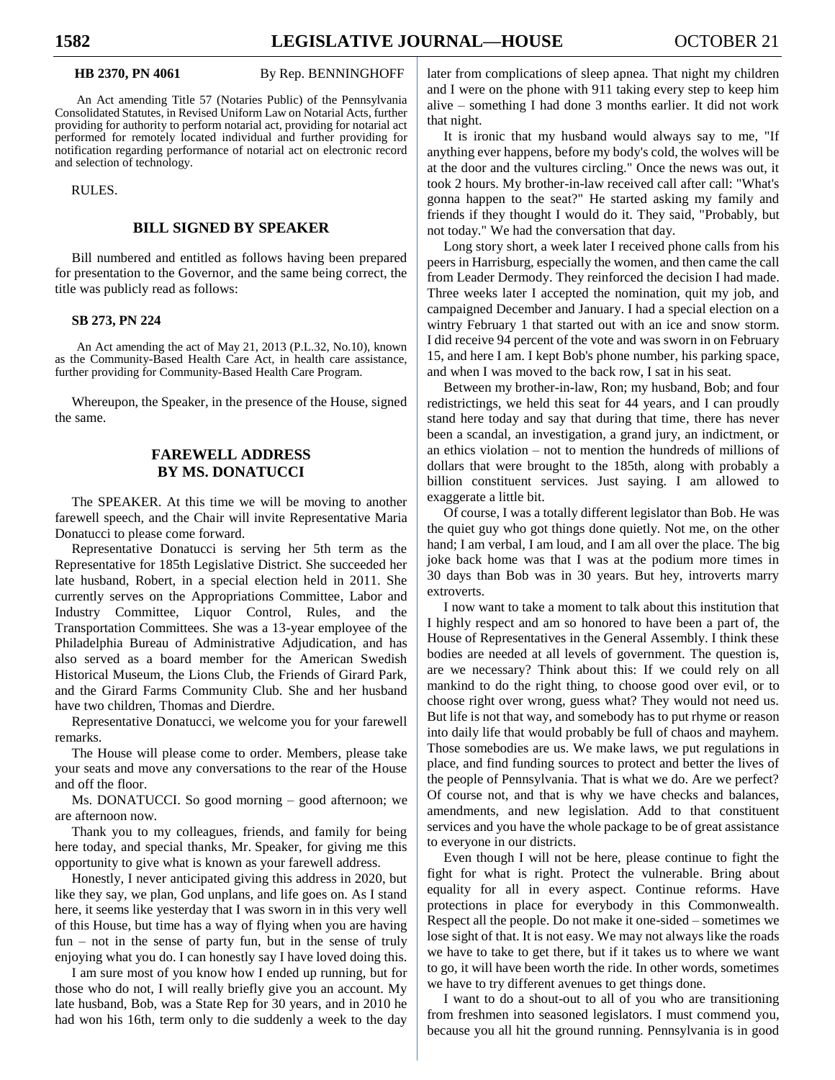# **HB 2370, PN 4061** By Rep. BENNINGHOFF

An Act amending Title 57 (Notaries Public) of the Pennsylvania Consolidated Statutes, in Revised Uniform Law on Notarial Acts, further providing for authority to perform notarial act, providing for notarial act performed for remotely located individual and further providing for notification regarding performance of notarial act on electronic record and selection of technology.

#### RULES.

## **BILL SIGNED BY SPEAKER**

Bill numbered and entitled as follows having been prepared for presentation to the Governor, and the same being correct, the title was publicly read as follows:

#### **SB 273, PN 224**

An Act amending the act of May 21, 2013 (P.L.32, No.10), known as the Community-Based Health Care Act, in health care assistance, further providing for Community-Based Health Care Program.

Whereupon, the Speaker, in the presence of the House, signed the same.

## **FAREWELL ADDRESS BY MS. DONATUCCI**

The SPEAKER. At this time we will be moving to another farewell speech, and the Chair will invite Representative Maria Donatucci to please come forward.

Representative Donatucci is serving her 5th term as the Representative for 185th Legislative District. She succeeded her late husband, Robert, in a special election held in 2011. She currently serves on the Appropriations Committee, Labor and Industry Committee, Liquor Control, Rules, and the Transportation Committees. She was a 13-year employee of the Philadelphia Bureau of Administrative Adjudication, and has also served as a board member for the American Swedish Historical Museum, the Lions Club, the Friends of Girard Park, and the Girard Farms Community Club. She and her husband have two children, Thomas and Dierdre.

Representative Donatucci, we welcome you for your farewell remarks.

The House will please come to order. Members, please take your seats and move any conversations to the rear of the House and off the floor.

Ms. DONATUCCI. So good morning – good afternoon; we are afternoon now.

Thank you to my colleagues, friends, and family for being here today, and special thanks, Mr. Speaker, for giving me this opportunity to give what is known as your farewell address.

Honestly, I never anticipated giving this address in 2020, but like they say, we plan, God unplans, and life goes on. As I stand here, it seems like yesterday that I was sworn in in this very well of this House, but time has a way of flying when you are having fun – not in the sense of party fun, but in the sense of truly enjoying what you do. I can honestly say I have loved doing this.

I am sure most of you know how I ended up running, but for those who do not, I will really briefly give you an account. My late husband, Bob, was a State Rep for 30 years, and in 2010 he had won his 16th, term only to die suddenly a week to the day

later from complications of sleep apnea. That night my children and I were on the phone with 911 taking every step to keep him alive – something I had done 3 months earlier. It did not work that night.

It is ironic that my husband would always say to me, "If anything ever happens, before my body's cold, the wolves will be at the door and the vultures circling." Once the news was out, it took 2 hours. My brother-in-law received call after call: "What's gonna happen to the seat?" He started asking my family and friends if they thought I would do it. They said, "Probably, but not today." We had the conversation that day.

Long story short, a week later I received phone calls from his peers in Harrisburg, especially the women, and then came the call from Leader Dermody. They reinforced the decision I had made. Three weeks later I accepted the nomination, quit my job, and campaigned December and January. I had a special election on a wintry February 1 that started out with an ice and snow storm. I did receive 94 percent of the vote and was sworn in on February 15, and here I am. I kept Bob's phone number, his parking space, and when I was moved to the back row, I sat in his seat.

Between my brother-in-law, Ron; my husband, Bob; and four redistrictings, we held this seat for 44 years, and I can proudly stand here today and say that during that time, there has never been a scandal, an investigation, a grand jury, an indictment, or an ethics violation – not to mention the hundreds of millions of dollars that were brought to the 185th, along with probably a billion constituent services. Just saying. I am allowed to exaggerate a little bit.

Of course, I was a totally different legislator than Bob. He was the quiet guy who got things done quietly. Not me, on the other hand; I am verbal, I am loud, and I am all over the place. The big joke back home was that I was at the podium more times in 30 days than Bob was in 30 years. But hey, introverts marry extroverts.

I now want to take a moment to talk about this institution that I highly respect and am so honored to have been a part of, the House of Representatives in the General Assembly. I think these bodies are needed at all levels of government. The question is, are we necessary? Think about this: If we could rely on all mankind to do the right thing, to choose good over evil, or to choose right over wrong, guess what? They would not need us. But life is not that way, and somebody has to put rhyme or reason into daily life that would probably be full of chaos and mayhem. Those somebodies are us. We make laws, we put regulations in place, and find funding sources to protect and better the lives of the people of Pennsylvania. That is what we do. Are we perfect? Of course not, and that is why we have checks and balances, amendments, and new legislation. Add to that constituent services and you have the whole package to be of great assistance to everyone in our districts.

Even though I will not be here, please continue to fight the fight for what is right. Protect the vulnerable. Bring about equality for all in every aspect. Continue reforms. Have protections in place for everybody in this Commonwealth. Respect all the people. Do not make it one-sided – sometimes we lose sight of that. It is not easy. We may not always like the roads we have to take to get there, but if it takes us to where we want to go, it will have been worth the ride. In other words, sometimes we have to try different avenues to get things done.

I want to do a shout-out to all of you who are transitioning from freshmen into seasoned legislators. I must commend you, because you all hit the ground running. Pennsylvania is in good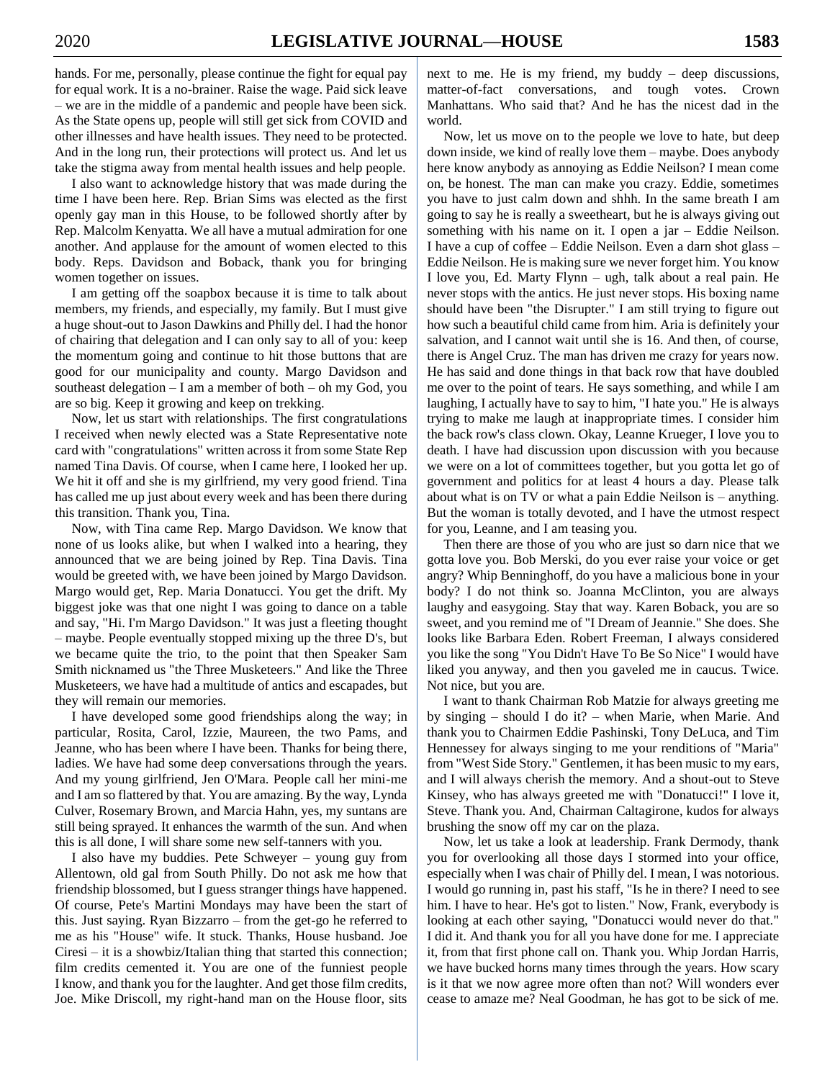hands. For me, personally, please continue the fight for equal pay for equal work. It is a no-brainer. Raise the wage. Paid sick leave – we are in the middle of a pandemic and people have been sick. As the State opens up, people will still get sick from COVID and other illnesses and have health issues. They need to be protected. And in the long run, their protections will protect us. And let us take the stigma away from mental health issues and help people.

I also want to acknowledge history that was made during the time I have been here. Rep. Brian Sims was elected as the first openly gay man in this House, to be followed shortly after by Rep. Malcolm Kenyatta. We all have a mutual admiration for one another. And applause for the amount of women elected to this body. Reps. Davidson and Boback, thank you for bringing women together on issues.

I am getting off the soapbox because it is time to talk about members, my friends, and especially, my family. But I must give a huge shout-out to Jason Dawkins and Philly del. I had the honor of chairing that delegation and I can only say to all of you: keep the momentum going and continue to hit those buttons that are good for our municipality and county. Margo Davidson and southeast delegation – I am a member of both – oh my God, you are so big. Keep it growing and keep on trekking.

Now, let us start with relationships. The first congratulations I received when newly elected was a State Representative note card with "congratulations" written across it from some State Rep named Tina Davis. Of course, when I came here, I looked her up. We hit it off and she is my girlfriend, my very good friend. Tina has called me up just about every week and has been there during this transition. Thank you, Tina.

Now, with Tina came Rep. Margo Davidson. We know that none of us looks alike, but when I walked into a hearing, they announced that we are being joined by Rep. Tina Davis. Tina would be greeted with, we have been joined by Margo Davidson. Margo would get, Rep. Maria Donatucci. You get the drift. My biggest joke was that one night I was going to dance on a table and say, "Hi. I'm Margo Davidson." It was just a fleeting thought – maybe. People eventually stopped mixing up the three D's, but we became quite the trio, to the point that then Speaker Sam Smith nicknamed us "the Three Musketeers." And like the Three Musketeers, we have had a multitude of antics and escapades, but they will remain our memories.

I have developed some good friendships along the way; in particular, Rosita, Carol, Izzie, Maureen, the two Pams, and Jeanne, who has been where I have been. Thanks for being there, ladies. We have had some deep conversations through the years. And my young girlfriend, Jen O'Mara. People call her mini-me and I am so flattered by that. You are amazing. By the way, Lynda Culver, Rosemary Brown, and Marcia Hahn, yes, my suntans are still being sprayed. It enhances the warmth of the sun. And when this is all done, I will share some new self-tanners with you.

I also have my buddies. Pete Schweyer – young guy from Allentown, old gal from South Philly. Do not ask me how that friendship blossomed, but I guess stranger things have happened. Of course, Pete's Martini Mondays may have been the start of this. Just saying. Ryan Bizzarro – from the get-go he referred to me as his "House" wife. It stuck. Thanks, House husband. Joe Ciresi – it is a showbiz/Italian thing that started this connection; film credits cemented it. You are one of the funniest people I know, and thank you for the laughter. And get those film credits, Joe. Mike Driscoll, my right-hand man on the House floor, sits

next to me. He is my friend, my buddy – deep discussions, matter-of-fact conversations, and tough votes. Crown Manhattans. Who said that? And he has the nicest dad in the world.

Now, let us move on to the people we love to hate, but deep down inside, we kind of really love them – maybe. Does anybody here know anybody as annoying as Eddie Neilson? I mean come on, be honest. The man can make you crazy. Eddie, sometimes you have to just calm down and shhh. In the same breath I am going to say he is really a sweetheart, but he is always giving out something with his name on it. I open a jar – Eddie Neilson. I have a cup of coffee – Eddie Neilson. Even a darn shot glass – Eddie Neilson. He is making sure we never forget him. You know I love you, Ed. Marty Flynn – ugh, talk about a real pain. He never stops with the antics. He just never stops. His boxing name should have been "the Disrupter." I am still trying to figure out how such a beautiful child came from him. Aria is definitely your salvation, and I cannot wait until she is 16. And then, of course, there is Angel Cruz. The man has driven me crazy for years now. He has said and done things in that back row that have doubled me over to the point of tears. He says something, and while I am laughing, I actually have to say to him, "I hate you." He is always trying to make me laugh at inappropriate times. I consider him the back row's class clown. Okay, Leanne Krueger, I love you to death. I have had discussion upon discussion with you because we were on a lot of committees together, but you gotta let go of government and politics for at least 4 hours a day. Please talk about what is on TV or what a pain Eddie Neilson is – anything. But the woman is totally devoted, and I have the utmost respect for you, Leanne, and I am teasing you.

Then there are those of you who are just so darn nice that we gotta love you. Bob Merski, do you ever raise your voice or get angry? Whip Benninghoff, do you have a malicious bone in your body? I do not think so. Joanna McClinton, you are always laughy and easygoing. Stay that way. Karen Boback, you are so sweet, and you remind me of "I Dream of Jeannie." She does. She looks like Barbara Eden. Robert Freeman, I always considered you like the song "You Didn't Have To Be So Nice" I would have liked you anyway, and then you gaveled me in caucus. Twice. Not nice, but you are.

I want to thank Chairman Rob Matzie for always greeting me by singing – should I do it? – when Marie, when Marie. And thank you to Chairmen Eddie Pashinski, Tony DeLuca, and Tim Hennessey for always singing to me your renditions of "Maria" from "West Side Story." Gentlemen, it has been music to my ears, and I will always cherish the memory. And a shout-out to Steve Kinsey, who has always greeted me with "Donatucci!" I love it, Steve. Thank you. And, Chairman Caltagirone, kudos for always brushing the snow off my car on the plaza.

Now, let us take a look at leadership. Frank Dermody, thank you for overlooking all those days I stormed into your office, especially when I was chair of Philly del. I mean, I was notorious. I would go running in, past his staff, "Is he in there? I need to see him. I have to hear. He's got to listen." Now, Frank, everybody is looking at each other saying, "Donatucci would never do that." I did it. And thank you for all you have done for me. I appreciate it, from that first phone call on. Thank you. Whip Jordan Harris, we have bucked horns many times through the years. How scary is it that we now agree more often than not? Will wonders ever cease to amaze me? Neal Goodman, he has got to be sick of me.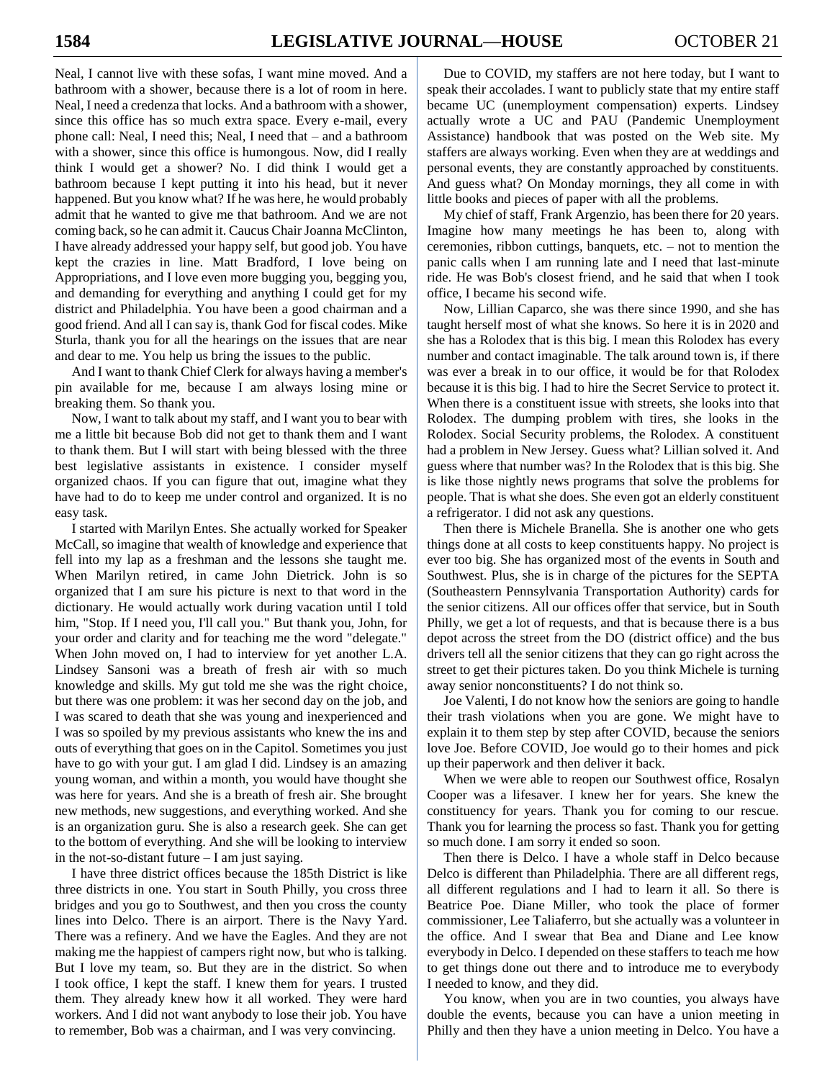Neal, I cannot live with these sofas, I want mine moved. And a bathroom with a shower, because there is a lot of room in here. Neal, I need a credenza that locks. And a bathroom with a shower, since this office has so much extra space. Every e-mail, every phone call: Neal, I need this; Neal, I need that – and a bathroom with a shower, since this office is humongous. Now, did I really think I would get a shower? No. I did think I would get a bathroom because I kept putting it into his head, but it never happened. But you know what? If he was here, he would probably admit that he wanted to give me that bathroom. And we are not coming back, so he can admit it. Caucus Chair Joanna McClinton, I have already addressed your happy self, but good job. You have kept the crazies in line. Matt Bradford, I love being on Appropriations, and I love even more bugging you, begging you, and demanding for everything and anything I could get for my district and Philadelphia. You have been a good chairman and a good friend. And all I can say is, thank God for fiscal codes. Mike Sturla, thank you for all the hearings on the issues that are near and dear to me. You help us bring the issues to the public.

And I want to thank Chief Clerk for always having a member's pin available for me, because I am always losing mine or breaking them. So thank you.

Now, I want to talk about my staff, and I want you to bear with me a little bit because Bob did not get to thank them and I want to thank them. But I will start with being blessed with the three best legislative assistants in existence. I consider myself organized chaos. If you can figure that out, imagine what they have had to do to keep me under control and organized. It is no easy task.

I started with Marilyn Entes. She actually worked for Speaker McCall, so imagine that wealth of knowledge and experience that fell into my lap as a freshman and the lessons she taught me. When Marilyn retired, in came John Dietrick. John is so organized that I am sure his picture is next to that word in the dictionary. He would actually work during vacation until I told him, "Stop. If I need you, I'll call you." But thank you, John, for your order and clarity and for teaching me the word "delegate." When John moved on, I had to interview for yet another L.A. Lindsey Sansoni was a breath of fresh air with so much knowledge and skills. My gut told me she was the right choice, but there was one problem: it was her second day on the job, and I was scared to death that she was young and inexperienced and I was so spoiled by my previous assistants who knew the ins and outs of everything that goes on in the Capitol. Sometimes you just have to go with your gut. I am glad I did. Lindsey is an amazing young woman, and within a month, you would have thought she was here for years. And she is a breath of fresh air. She brought new methods, new suggestions, and everything worked. And she is an organization guru. She is also a research geek. She can get to the bottom of everything. And she will be looking to interview in the not-so-distant future – I am just saying.

I have three district offices because the 185th District is like three districts in one. You start in South Philly, you cross three bridges and you go to Southwest, and then you cross the county lines into Delco. There is an airport. There is the Navy Yard. There was a refinery. And we have the Eagles. And they are not making me the happiest of campers right now, but who is talking. But I love my team, so. But they are in the district. So when I took office, I kept the staff. I knew them for years. I trusted them. They already knew how it all worked. They were hard workers. And I did not want anybody to lose their job. You have to remember, Bob was a chairman, and I was very convincing.

Due to COVID, my staffers are not here today, but I want to speak their accolades. I want to publicly state that my entire staff became UC (unemployment compensation) experts. Lindsey actually wrote a UC and PAU (Pandemic Unemployment Assistance) handbook that was posted on the Web site. My staffers are always working. Even when they are at weddings and personal events, they are constantly approached by constituents. And guess what? On Monday mornings, they all come in with little books and pieces of paper with all the problems.

My chief of staff, Frank Argenzio, has been there for 20 years. Imagine how many meetings he has been to, along with ceremonies, ribbon cuttings, banquets, etc. – not to mention the panic calls when I am running late and I need that last-minute ride. He was Bob's closest friend, and he said that when I took office, I became his second wife.

Now, Lillian Caparco, she was there since 1990, and she has taught herself most of what she knows. So here it is in 2020 and she has a Rolodex that is this big. I mean this Rolodex has every number and contact imaginable. The talk around town is, if there was ever a break in to our office, it would be for that Rolodex because it is this big. I had to hire the Secret Service to protect it. When there is a constituent issue with streets, she looks into that Rolodex. The dumping problem with tires, she looks in the Rolodex. Social Security problems, the Rolodex. A constituent had a problem in New Jersey. Guess what? Lillian solved it. And guess where that number was? In the Rolodex that is this big. She is like those nightly news programs that solve the problems for people. That is what she does. She even got an elderly constituent a refrigerator. I did not ask any questions.

Then there is Michele Branella. She is another one who gets things done at all costs to keep constituents happy. No project is ever too big. She has organized most of the events in South and Southwest. Plus, she is in charge of the pictures for the SEPTA (Southeastern Pennsylvania Transportation Authority) cards for the senior citizens. All our offices offer that service, but in South Philly, we get a lot of requests, and that is because there is a bus depot across the street from the DO (district office) and the bus drivers tell all the senior citizens that they can go right across the street to get their pictures taken. Do you think Michele is turning away senior nonconstituents? I do not think so.

Joe Valenti, I do not know how the seniors are going to handle their trash violations when you are gone. We might have to explain it to them step by step after COVID, because the seniors love Joe. Before COVID, Joe would go to their homes and pick up their paperwork and then deliver it back.

When we were able to reopen our Southwest office, Rosalyn Cooper was a lifesaver. I knew her for years. She knew the constituency for years. Thank you for coming to our rescue. Thank you for learning the process so fast. Thank you for getting so much done. I am sorry it ended so soon.

Then there is Delco. I have a whole staff in Delco because Delco is different than Philadelphia. There are all different regs, all different regulations and I had to learn it all. So there is Beatrice Poe. Diane Miller, who took the place of former commissioner, Lee Taliaferro, but she actually was a volunteer in the office. And I swear that Bea and Diane and Lee know everybody in Delco. I depended on these staffers to teach me how to get things done out there and to introduce me to everybody I needed to know, and they did.

You know, when you are in two counties, you always have double the events, because you can have a union meeting in Philly and then they have a union meeting in Delco. You have a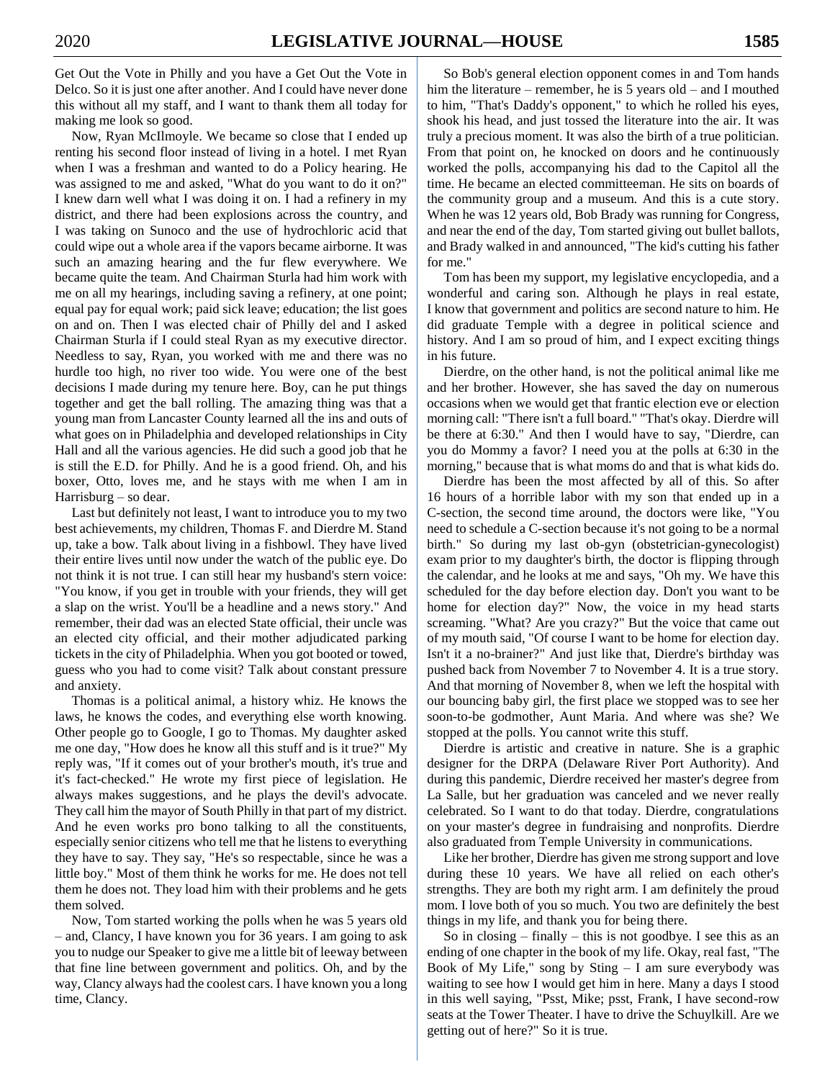Get Out the Vote in Philly and you have a Get Out the Vote in Delco. So it is just one after another. And I could have never done this without all my staff, and I want to thank them all today for making me look so good.

Now, Ryan McIlmoyle. We became so close that I ended up renting his second floor instead of living in a hotel. I met Ryan when I was a freshman and wanted to do a Policy hearing. He was assigned to me and asked, "What do you want to do it on?" I knew darn well what I was doing it on. I had a refinery in my district, and there had been explosions across the country, and I was taking on Sunoco and the use of hydrochloric acid that could wipe out a whole area if the vapors became airborne. It was such an amazing hearing and the fur flew everywhere. We became quite the team. And Chairman Sturla had him work with me on all my hearings, including saving a refinery, at one point; equal pay for equal work; paid sick leave; education; the list goes on and on. Then I was elected chair of Philly del and I asked Chairman Sturla if I could steal Ryan as my executive director. Needless to say, Ryan, you worked with me and there was no hurdle too high, no river too wide. You were one of the best decisions I made during my tenure here. Boy, can he put things together and get the ball rolling. The amazing thing was that a young man from Lancaster County learned all the ins and outs of what goes on in Philadelphia and developed relationships in City Hall and all the various agencies. He did such a good job that he is still the E.D. for Philly. And he is a good friend. Oh, and his boxer, Otto, loves me, and he stays with me when I am in Harrisburg – so dear.

Last but definitely not least, I want to introduce you to my two best achievements, my children, Thomas F. and Dierdre M. Stand up, take a bow. Talk about living in a fishbowl. They have lived their entire lives until now under the watch of the public eye. Do not think it is not true. I can still hear my husband's stern voice: "You know, if you get in trouble with your friends, they will get a slap on the wrist. You'll be a headline and a news story." And remember, their dad was an elected State official, their uncle was an elected city official, and their mother adjudicated parking tickets in the city of Philadelphia. When you got booted or towed, guess who you had to come visit? Talk about constant pressure and anxiety.

Thomas is a political animal, a history whiz. He knows the laws, he knows the codes, and everything else worth knowing. Other people go to Google, I go to Thomas. My daughter asked me one day, "How does he know all this stuff and is it true?" My reply was, "If it comes out of your brother's mouth, it's true and it's fact-checked." He wrote my first piece of legislation. He always makes suggestions, and he plays the devil's advocate. They call him the mayor of South Philly in that part of my district. And he even works pro bono talking to all the constituents, especially senior citizens who tell me that he listens to everything they have to say. They say, "He's so respectable, since he was a little boy." Most of them think he works for me. He does not tell them he does not. They load him with their problems and he gets them solved.

Now, Tom started working the polls when he was 5 years old – and, Clancy, I have known you for 36 years. I am going to ask you to nudge our Speaker to give me a little bit of leeway between that fine line between government and politics. Oh, and by the way, Clancy always had the coolest cars. I have known you a long time, Clancy.

So Bob's general election opponent comes in and Tom hands him the literature – remember, he is 5 years old – and I mouthed to him, "That's Daddy's opponent," to which he rolled his eyes, shook his head, and just tossed the literature into the air. It was truly a precious moment. It was also the birth of a true politician. From that point on, he knocked on doors and he continuously worked the polls, accompanying his dad to the Capitol all the time. He became an elected committeeman. He sits on boards of the community group and a museum. And this is a cute story. When he was 12 years old, Bob Brady was running for Congress, and near the end of the day, Tom started giving out bullet ballots, and Brady walked in and announced, "The kid's cutting his father for me."

Tom has been my support, my legislative encyclopedia, and a wonderful and caring son. Although he plays in real estate, I know that government and politics are second nature to him. He did graduate Temple with a degree in political science and history. And I am so proud of him, and I expect exciting things in his future.

Dierdre, on the other hand, is not the political animal like me and her brother. However, she has saved the day on numerous occasions when we would get that frantic election eve or election morning call: "There isn't a full board." "That's okay. Dierdre will be there at 6:30." And then I would have to say, "Dierdre, can you do Mommy a favor? I need you at the polls at 6:30 in the morning," because that is what moms do and that is what kids do.

Dierdre has been the most affected by all of this. So after 16 hours of a horrible labor with my son that ended up in a C-section, the second time around, the doctors were like, "You need to schedule a C-section because it's not going to be a normal birth." So during my last ob-gyn (obstetrician-gynecologist) exam prior to my daughter's birth, the doctor is flipping through the calendar, and he looks at me and says, "Oh my. We have this scheduled for the day before election day. Don't you want to be home for election day?" Now, the voice in my head starts screaming. "What? Are you crazy?" But the voice that came out of my mouth said, "Of course I want to be home for election day. Isn't it a no-brainer?" And just like that, Dierdre's birthday was pushed back from November 7 to November 4. It is a true story. And that morning of November 8, when we left the hospital with our bouncing baby girl, the first place we stopped was to see her soon-to-be godmother, Aunt Maria. And where was she? We stopped at the polls. You cannot write this stuff.

Dierdre is artistic and creative in nature. She is a graphic designer for the DRPA (Delaware River Port Authority). And during this pandemic, Dierdre received her master's degree from La Salle, but her graduation was canceled and we never really celebrated. So I want to do that today. Dierdre, congratulations on your master's degree in fundraising and nonprofits. Dierdre also graduated from Temple University in communications.

Like her brother, Dierdre has given me strong support and love during these 10 years. We have all relied on each other's strengths. They are both my right arm. I am definitely the proud mom. I love both of you so much. You two are definitely the best things in my life, and thank you for being there.

So in closing – finally – this is not goodbye. I see this as an ending of one chapter in the book of my life. Okay, real fast, "The Book of My Life," song by Sting  $- I$  am sure everybody was waiting to see how I would get him in here. Many a days I stood in this well saying, "Psst, Mike; psst, Frank, I have second-row seats at the Tower Theater. I have to drive the Schuylkill. Are we getting out of here?" So it is true.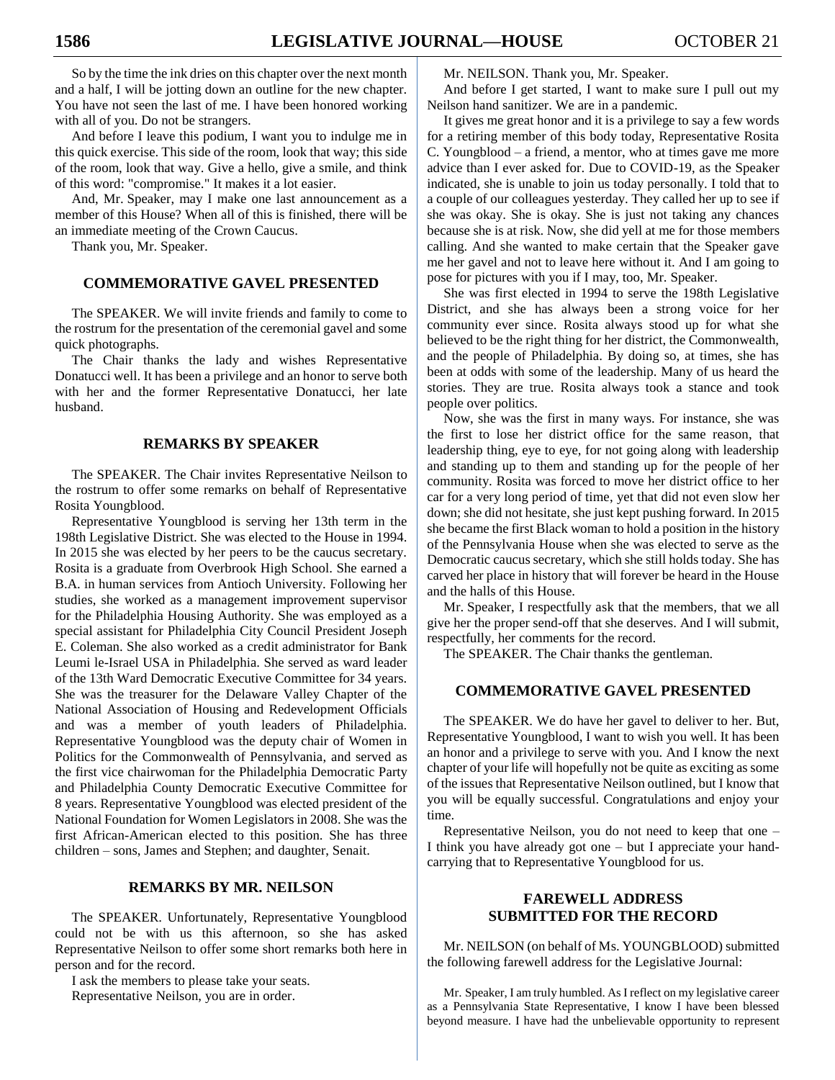So by the time the ink dries on this chapter over the next month and a half, I will be jotting down an outline for the new chapter. You have not seen the last of me. I have been honored working with all of you. Do not be strangers.

And before I leave this podium, I want you to indulge me in this quick exercise. This side of the room, look that way; this side of the room, look that way. Give a hello, give a smile, and think of this word: "compromise." It makes it a lot easier.

And, Mr. Speaker, may I make one last announcement as a member of this House? When all of this is finished, there will be an immediate meeting of the Crown Caucus.

Thank you, Mr. Speaker.

## **COMMEMORATIVE GAVEL PRESENTED**

The SPEAKER. We will invite friends and family to come to the rostrum for the presentation of the ceremonial gavel and some quick photographs.

The Chair thanks the lady and wishes Representative Donatucci well. It has been a privilege and an honor to serve both with her and the former Representative Donatucci, her late husband.

## **REMARKS BY SPEAKER**

The SPEAKER. The Chair invites Representative Neilson to the rostrum to offer some remarks on behalf of Representative Rosita Youngblood.

Representative Youngblood is serving her 13th term in the 198th Legislative District. She was elected to the House in 1994. In 2015 she was elected by her peers to be the caucus secretary. Rosita is a graduate from Overbrook High School. She earned a B.A. in human services from Antioch University. Following her studies, she worked as a management improvement supervisor for the Philadelphia Housing Authority. She was employed as a special assistant for Philadelphia City Council President Joseph E. Coleman. She also worked as a credit administrator for Bank Leumi le-Israel USA in Philadelphia. She served as ward leader of the 13th Ward Democratic Executive Committee for 34 years. She was the treasurer for the Delaware Valley Chapter of the National Association of Housing and Redevelopment Officials and was a member of youth leaders of Philadelphia. Representative Youngblood was the deputy chair of Women in Politics for the Commonwealth of Pennsylvania, and served as the first vice chairwoman for the Philadelphia Democratic Party and Philadelphia County Democratic Executive Committee for 8 years. Representative Youngblood was elected president of the National Foundation for Women Legislators in 2008. She was the first African-American elected to this position. She has three children – sons, James and Stephen; and daughter, Senait.

## **REMARKS BY MR. NEILSON**

The SPEAKER. Unfortunately, Representative Youngblood could not be with us this afternoon, so she has asked Representative Neilson to offer some short remarks both here in person and for the record.

I ask the members to please take your seats. Representative Neilson, you are in order.

Mr. NEILSON. Thank you, Mr. Speaker.

And before I get started, I want to make sure I pull out my Neilson hand sanitizer. We are in a pandemic.

It gives me great honor and it is a privilege to say a few words for a retiring member of this body today, Representative Rosita C. Youngblood – a friend, a mentor, who at times gave me more advice than I ever asked for. Due to COVID-19, as the Speaker indicated, she is unable to join us today personally. I told that to a couple of our colleagues yesterday. They called her up to see if she was okay. She is okay. She is just not taking any chances because she is at risk. Now, she did yell at me for those members calling. And she wanted to make certain that the Speaker gave me her gavel and not to leave here without it. And I am going to pose for pictures with you if I may, too, Mr. Speaker.

She was first elected in 1994 to serve the 198th Legislative District, and she has always been a strong voice for her community ever since. Rosita always stood up for what she believed to be the right thing for her district, the Commonwealth, and the people of Philadelphia. By doing so, at times, she has been at odds with some of the leadership. Many of us heard the stories. They are true. Rosita always took a stance and took people over politics.

Now, she was the first in many ways. For instance, she was the first to lose her district office for the same reason, that leadership thing, eye to eye, for not going along with leadership and standing up to them and standing up for the people of her community. Rosita was forced to move her district office to her car for a very long period of time, yet that did not even slow her down; she did not hesitate, she just kept pushing forward. In 2015 she became the first Black woman to hold a position in the history of the Pennsylvania House when she was elected to serve as the Democratic caucus secretary, which she still holds today. She has carved her place in history that will forever be heard in the House and the halls of this House.

Mr. Speaker, I respectfully ask that the members, that we all give her the proper send-off that she deserves. And I will submit, respectfully, her comments for the record.

The SPEAKER. The Chair thanks the gentleman.

## **COMMEMORATIVE GAVEL PRESENTED**

The SPEAKER. We do have her gavel to deliver to her. But, Representative Youngblood, I want to wish you well. It has been an honor and a privilege to serve with you. And I know the next chapter of your life will hopefully not be quite as exciting as some of the issues that Representative Neilson outlined, but I know that you will be equally successful. Congratulations and enjoy your time.

Representative Neilson, you do not need to keep that one – I think you have already got one – but I appreciate your handcarrying that to Representative Youngblood for us.

## **FAREWELL ADDRESS SUBMITTED FOR THE RECORD**

Mr. NEILSON (on behalf of Ms. YOUNGBLOOD) submitted the following farewell address for the Legislative Journal:

Mr. Speaker, I am truly humbled. As I reflect on my legislative career as a Pennsylvania State Representative, I know I have been blessed beyond measure. I have had the unbelievable opportunity to represent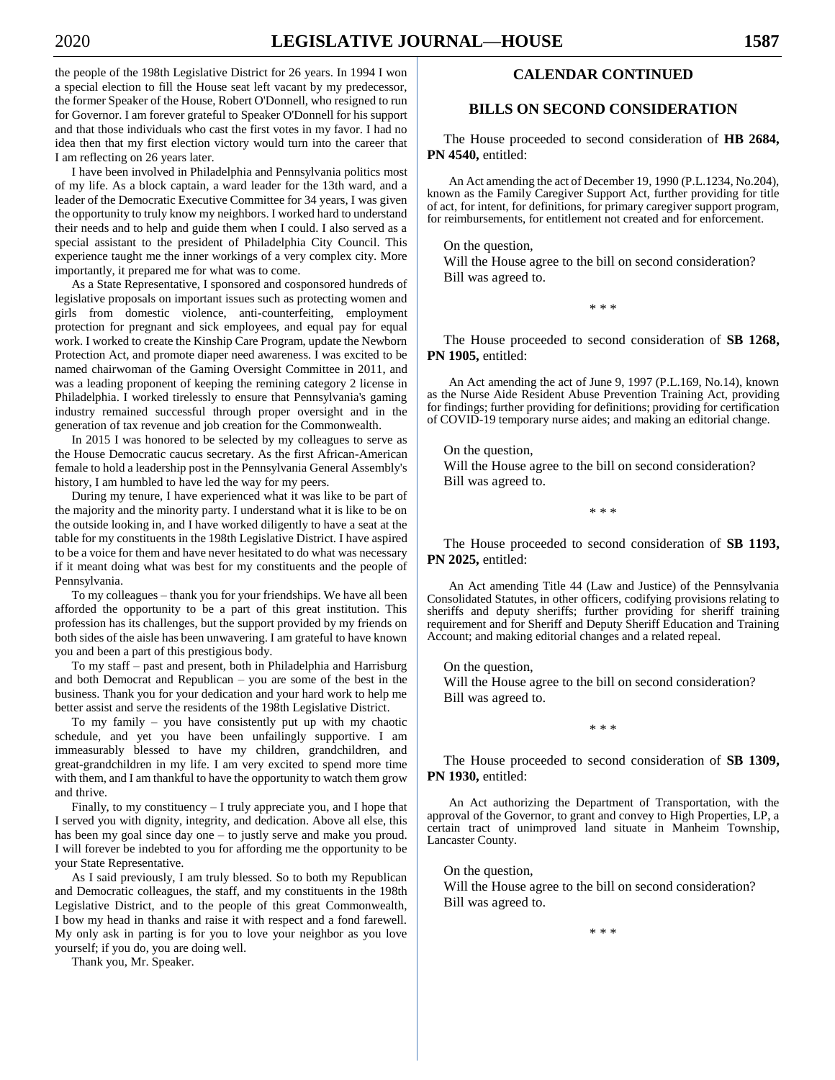the people of the 198th Legislative District for 26 years. In 1994 I won a special election to fill the House seat left vacant by my predecessor, the former Speaker of the House, Robert O'Donnell, who resigned to run for Governor. I am forever grateful to Speaker O'Donnell for his support and that those individuals who cast the first votes in my favor. I had no idea then that my first election victory would turn into the career that I am reflecting on 26 years later.

I have been involved in Philadelphia and Pennsylvania politics most of my life. As a block captain, a ward leader for the 13th ward, and a leader of the Democratic Executive Committee for 34 years, I was given the opportunity to truly know my neighbors. I worked hard to understand their needs and to help and guide them when I could. I also served as a special assistant to the president of Philadelphia City Council. This experience taught me the inner workings of a very complex city. More importantly, it prepared me for what was to come.

As a State Representative, I sponsored and cosponsored hundreds of legislative proposals on important issues such as protecting women and girls from domestic violence, anti-counterfeiting, employment protection for pregnant and sick employees, and equal pay for equal work. I worked to create the Kinship Care Program, update the Newborn Protection Act, and promote diaper need awareness. I was excited to be named chairwoman of the Gaming Oversight Committee in 2011, and was a leading proponent of keeping the remining category 2 license in Philadelphia. I worked tirelessly to ensure that Pennsylvania's gaming industry remained successful through proper oversight and in the generation of tax revenue and job creation for the Commonwealth.

In 2015 I was honored to be selected by my colleagues to serve as the House Democratic caucus secretary. As the first African-American female to hold a leadership post in the Pennsylvania General Assembly's history, I am humbled to have led the way for my peers.

During my tenure, I have experienced what it was like to be part of the majority and the minority party. I understand what it is like to be on the outside looking in, and I have worked diligently to have a seat at the table for my constituents in the 198th Legislative District. I have aspired to be a voice for them and have never hesitated to do what was necessary if it meant doing what was best for my constituents and the people of Pennsylvania.

To my colleagues – thank you for your friendships. We have all been afforded the opportunity to be a part of this great institution. This profession has its challenges, but the support provided by my friends on both sides of the aisle has been unwavering. I am grateful to have known you and been a part of this prestigious body.

To my staff – past and present, both in Philadelphia and Harrisburg and both Democrat and Republican – you are some of the best in the business. Thank you for your dedication and your hard work to help me better assist and serve the residents of the 198th Legislative District.

To my family – you have consistently put up with my chaotic schedule, and yet you have been unfailingly supportive. I am immeasurably blessed to have my children, grandchildren, and great-grandchildren in my life. I am very excited to spend more time with them, and I am thankful to have the opportunity to watch them grow and thrive.

Finally, to my constituency – I truly appreciate you, and I hope that I served you with dignity, integrity, and dedication. Above all else, this has been my goal since day one – to justly serve and make you proud. I will forever be indebted to you for affording me the opportunity to be your State Representative.

As I said previously, I am truly blessed. So to both my Republican and Democratic colleagues, the staff, and my constituents in the 198th Legislative District, and to the people of this great Commonwealth, I bow my head in thanks and raise it with respect and a fond farewell. My only ask in parting is for you to love your neighbor as you love yourself; if you do, you are doing well.

Thank you, Mr. Speaker.

## **CALENDAR CONTINUED**

## **BILLS ON SECOND CONSIDERATION**

The House proceeded to second consideration of **HB 2684, PN 4540,** entitled:

An Act amending the act of December 19, 1990 (P.L.1234, No.204), known as the Family Caregiver Support Act, further providing for title of act, for intent, for definitions, for primary caregiver support program, for reimbursements, for entitlement not created and for enforcement.

On the question,

Will the House agree to the bill on second consideration? Bill was agreed to.

\* \* \*

The House proceeded to second consideration of **SB 1268, PN 1905,** entitled:

An Act amending the act of June 9, 1997 (P.L.169, No.14), known as the Nurse Aide Resident Abuse Prevention Training Act, providing for findings; further providing for definitions; providing for certification of COVID-19 temporary nurse aides; and making an editorial change.

On the question, Will the House agree to the bill on second consideration? Bill was agreed to.

\* \* \*

The House proceeded to second consideration of **SB 1193, PN 2025,** entitled:

An Act amending Title 44 (Law and Justice) of the Pennsylvania Consolidated Statutes, in other officers, codifying provisions relating to sheriffs and deputy sheriffs; further providing for sheriff training requirement and for Sheriff and Deputy Sheriff Education and Training Account; and making editorial changes and a related repeal.

On the question,

Will the House agree to the bill on second consideration? Bill was agreed to.

\* \* \*

The House proceeded to second consideration of **SB 1309, PN 1930,** entitled:

An Act authorizing the Department of Transportation, with the approval of the Governor, to grant and convey to High Properties, LP, a certain tract of unimproved land situate in Manheim Township, Lancaster County.

On the question,

Will the House agree to the bill on second consideration? Bill was agreed to.

\* \* \*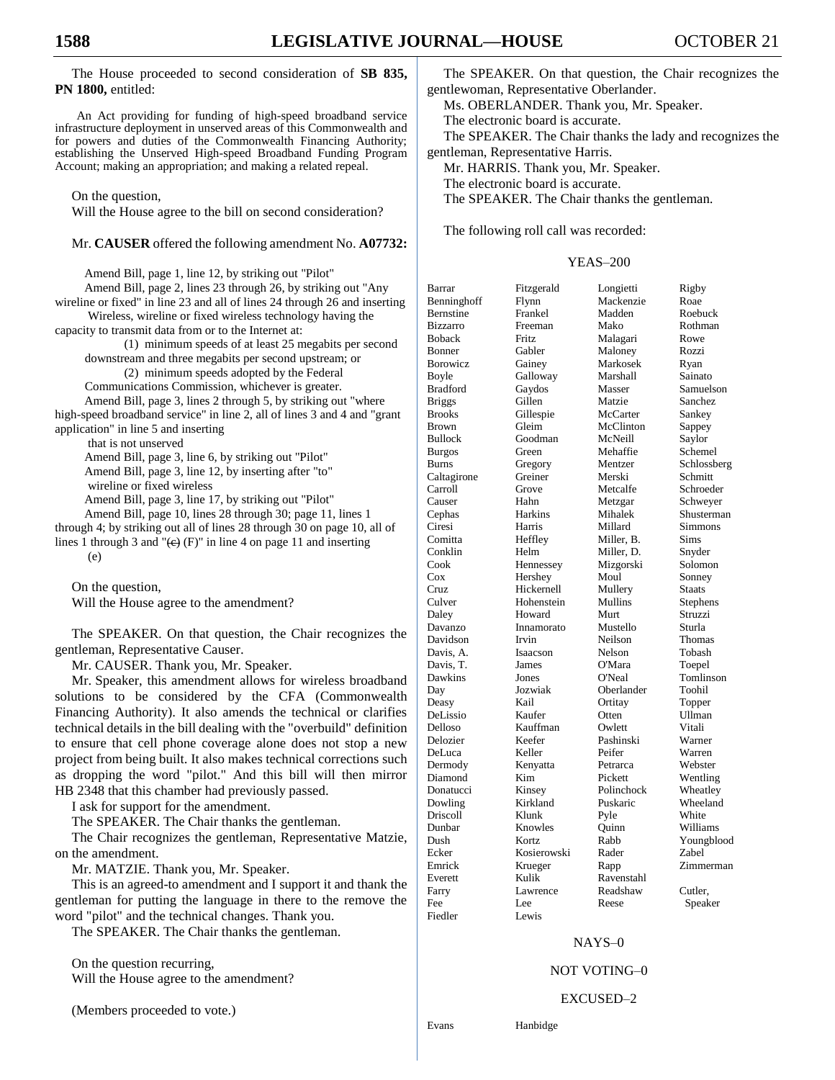The House proceeded to second consideration of **SB 835, PN 1800,** entitled:

An Act providing for funding of high-speed broadband service infrastructure deployment in unserved areas of this Commonwealth and for powers and duties of the Commonwealth Financing Authority; establishing the Unserved High-speed Broadband Funding Program Account; making an appropriation; and making a related repeal.

On the question,

Will the House agree to the bill on second consideration?

#### Mr. **CAUSER** offered the following amendment No. **A07732:**

Amend Bill, page 1, line 12, by striking out "Pilot" Amend Bill, page 2, lines 23 through 26, by striking out "Any wireline or fixed" in line 23 and all of lines 24 through 26 and inserting Wireless, wireline or fixed wireless technology having the

capacity to transmit data from or to the Internet at:

(1) minimum speeds of at least 25 megabits per second downstream and three megabits per second upstream; or (2) minimum speeds adopted by the Federal Communications Commission, whichever is greater. Amend Bill, page 3, lines 2 through 5, by striking out "where high-speed broadband service" in line 2, all of lines 3 and 4 and "grant application" in line 5 and inserting that is not unserved Amend Bill, page 3, line 6, by striking out "Pilot"

Amend Bill, page 3, line 12, by inserting after "to"

wireline or fixed wireless

Amend Bill, page 3, line 17, by striking out "Pilot"

Amend Bill, page 10, lines 28 through 30; page 11, lines 1

through 4; by striking out all of lines 28 through 30 on page 10, all of lines 1 through 3 and " $\left(\frac{c}{c}\right)$  (F)" in line 4 on page 11 and inserting

(e)

On the question, Will the House agree to the amendment?

The SPEAKER. On that question, the Chair recognizes the gentleman, Representative Causer.

Mr. CAUSER. Thank you, Mr. Speaker.

Mr. Speaker, this amendment allows for wireless broadband solutions to be considered by the CFA (Commonwealth Financing Authority). It also amends the technical or clarifies technical details in the bill dealing with the "overbuild" definition to ensure that cell phone coverage alone does not stop a new project from being built. It also makes technical corrections such as dropping the word "pilot." And this bill will then mirror HB 2348 that this chamber had previously passed.

I ask for support for the amendment.

The SPEAKER. The Chair thanks the gentleman.

The Chair recognizes the gentleman, Representative Matzie, on the amendment.

Mr. MATZIE. Thank you, Mr. Speaker.

This is an agreed-to amendment and I support it and thank the gentleman for putting the language in there to the remove the word "pilot" and the technical changes. Thank you.

The SPEAKER. The Chair thanks the gentleman.

On the question recurring, Will the House agree to the amendment?

(Members proceeded to vote.)

The SPEAKER. On that question, the Chair recognizes the gentlewoman, Representative Oberlander.

Ms. OBERLANDER. Thank you, Mr. Speaker.

The electronic board is accurate.

The SPEAKER. The Chair thanks the lady and recognizes the gentleman, Representative Harris.

Mr. HARRIS. Thank you, Mr. Speaker.

The electronic board is accurate.

The SPEAKER. The Chair thanks the gentleman.

The following roll call was recorded:

#### YEAS–200

| Barrar          | Fitzgerald  | Longietti  | Rigby            |
|-----------------|-------------|------------|------------------|
| Benninghoff     | Flynn       | Mackenzie  | Roae             |
| Bernstine       | Frankel     | Madden     | Roebuck          |
| <b>Bizzarro</b> | Freeman     | Mako       | Rothman          |
| <b>Boback</b>   | Fritz       | Malagari   | Rowe             |
| Bonner          | Gabler      | Maloney    | Rozzi            |
| <b>Borowicz</b> | Gainey      | Markosek   | Ryan             |
| Boyle           | Galloway    | Marshall   | Sainato          |
| <b>Bradford</b> | Gaydos      | Masser     | Samuelson        |
| <b>Briggs</b>   | Gillen      | Matzie     | Sanchez          |
| <b>Brooks</b>   | Gillespie   | McCarter   | Sankey           |
| <b>Brown</b>    | Gleim       | McClinton  | Sappey           |
| <b>Bullock</b>  | Goodman     | McNeill    | Saylor           |
| <b>Burgos</b>   | Green       | Mehaffie   | Schemel          |
| <b>Burns</b>    | Gregory     | Mentzer    | Schlossberg      |
| Caltagirone     | Greiner     | Merski     | Schmitt          |
| Carroll         | Grove       | Metcalfe   | Schroeder        |
| Causer          | Hahn        | Metzgar    | Schweyer         |
| Cephas          | Harkins     | Mihalek    | Shusterman       |
| Ciresi          | Harris      | Millard    | Simmons          |
| Comitta         | Heffley     | Miller, B. | Sims             |
| Conklin         | Helm        | Miller, D. | Snyder           |
| Cook            | Hennessey   | Mizgorski  | Solomon          |
| $\cos$          | Hershey     | Moul       | Sonney           |
| Cruz            | Hickernell  | Mullery    | Staats           |
| Culver          | Hohenstein  | Mullins    | Stephens         |
| Daley           | Howard      | Murt       | Struzzi          |
| Davanzo         | Innamorato  | Mustello   | Sturla           |
| Davidson        | Irvin       | Neilson    | Thomas           |
| Davis, A.       | Isaacson    | Nelson     | Tobash           |
| Davis, T.       | James       | O'Mara     | Toepel           |
| Dawkins         | Jones       | O'Neal     | Tomlinson        |
|                 | Jozwiak     | Oberlander | Toohil           |
| Day<br>Deasy    | Kail        | Ortitay    |                  |
| DeLissio        | Kaufer      | Otten      | Topper<br>Ullman |
| Delloso         | Kauffman    | Owlett     | Vitali           |
|                 | Keefer      | Pashinski  |                  |
| Delozier        |             | Peifer     | Warner           |
| DeLuca          | Keller      |            | Warren           |
| Dermody         | Kenyatta    | Petrarca   | Webster          |
| Diamond         | Kim         | Pickett    | Wentling         |
| Donatucci       | Kinsey      | Polinchock | Wheatley         |
| Dowling         | Kirkland    | Puskaric   | Wheeland         |
| Driscoll        | Klunk       | Pyle       | White            |
| Dunbar          | Knowles     | Quinn      | Williams         |
| Dush            | Kortz       | Rabb       | Youngblood       |
| Ecker           | Kosierowski | Rader      | Zabel            |
| Emrick          | Krueger     | Rapp       | Zimmerman        |
| Everett         | Kulik       | Ravenstahl |                  |
| Farry           | Lawrence    | Readshaw   | Cutler,          |
| Fee             | Lee         | Reese      | Speaker          |
| Fiedler         | Lewis       |            |                  |

## NAYS–0

#### NOT VOTING–0

## EXCUSED–2

Evans Hanbidge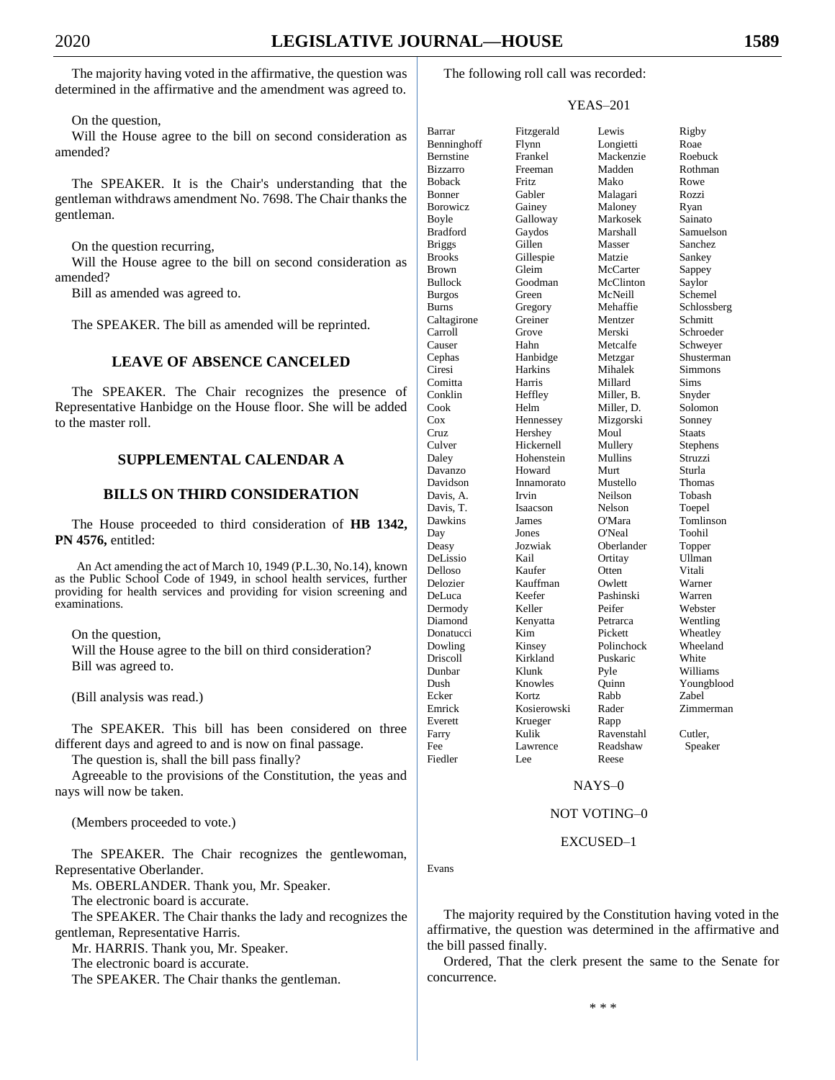The majority having voted in the affirmative, the question was determined in the affirmative and the amendment was agreed to.

On the question,

Will the House agree to the bill on second consideration as amended?

The SPEAKER. It is the Chair's understanding that the gentleman withdraws amendment No. 7698. The Chair thanks the gentleman.

On the question recurring,

Will the House agree to the bill on second consideration as amended?

Bill as amended was agreed to.

The SPEAKER. The bill as amended will be reprinted.

## **LEAVE OF ABSENCE CANCELED**

The SPEAKER. The Chair recognizes the presence of Representative Hanbidge on the House floor. She will be added to the master roll.

## **SUPPLEMENTAL CALENDAR A**

## **BILLS ON THIRD CONSIDERATION**

The House proceeded to third consideration of **HB 1342, PN 4576,** entitled:

An Act amending the act of March 10, 1949 (P.L.30, No.14), known as the Public School Code of 1949, in school health services, further providing for health services and providing for vision screening and examinations.

On the question, Will the House agree to the bill on third consideration? Bill was agreed to.

(Bill analysis was read.)

The SPEAKER. This bill has been considered on three different days and agreed to and is now on final passage.

The question is, shall the bill pass finally?

Agreeable to the provisions of the Constitution, the yeas and nays will now be taken.

(Members proceeded to vote.)

The SPEAKER. The Chair recognizes the gentlewoman, Representative Oberlander.

Ms. OBERLANDER. Thank you, Mr. Speaker.

The electronic board is accurate.

The SPEAKER. The Chair thanks the lady and recognizes the gentleman, Representative Harris.

Mr. HARRIS. Thank you, Mr. Speaker.

The electronic board is accurate.

The SPEAKER. The Chair thanks the gentleman.

The following roll call was recorded:

## YEAS–201

| Barrar            | Fitzgerald       | Lewis              | Rigby          |
|-------------------|------------------|--------------------|----------------|
| Benninghoff       | Flynn            | Longietti          | Roae           |
| Bernstine         | Frankel          | Mackenzie          | Roebuck        |
| Bizzarro          | Freeman          | Madden             | Rothman        |
| <b>Boback</b>     | Fritz            | Mako               | Rowe           |
| Bonner            | Gabler           | Malagari           | Rozzi          |
| Borowicz          | Gainey           | Maloney            | Ryan           |
| Boyle             | Galloway         | Markosek           | Sainato        |
| <b>Bradford</b>   | Gaydos           | Marshall           | Samuelson      |
| <b>Briggs</b>     | Gillen           | Masser             | Sanchez        |
| <b>Brooks</b>     | Gillespie        | Matzie             | Sankey         |
| <b>Brown</b>      | Gleim            | McCarter           | Sappey         |
| <b>Bullock</b>    | Goodman          | McClinton          | Saylor         |
| <b>Burgos</b>     | Green            | McNeill            | Schemel        |
| Burns             | Gregory          | Mehaffie           | Schlossberg    |
| Caltagirone       | Greiner          | Mentzer            | Schmitt        |
| Carroll           | Grove            | Merski             | Schroeder      |
| Causer            | Hahn             | Metcalfe           | Schweyer       |
| Cephas            | Hanbidge         | Metzgar            | Shusterman     |
| Ciresi            | Harkins          | Mihalek            | <b>Simmons</b> |
| Comitta           | Harris           | Millard            | Sims           |
| Conklin           | Heffley          | Miller, B.         | Snyder         |
| Cook              | Helm             | Miller, D.         | Solomon        |
| $\cos$            | Hennessey        | Mizgorski          | Sonney         |
| Cruz              | Hershey          | Moul               | Staats         |
| Culver            | Hickernell       | Mullery            | Stephens       |
| Daley             | Hohenstein       | Mullins            | Struzzi        |
| Davanzo           | Howard           | Murt               | Sturla         |
| Davidson          | Innamorato       | Mustello           | Thomas         |
| Davis, A.         | Irvin            | Neilson            | Tobash         |
| Davis, T.         | Isaacson         | Nelson             | Toepel         |
| Dawkins           | James            | O'Mara             | Tomlinson      |
| Day               | Jones            | O'Neal             | Toohil         |
| Deasy             | Jozwiak          | Oberlander         | Topper         |
| DeLissio          | Kail             | Ortitay            | <b>Ullman</b>  |
| Delloso           | Kaufer           | Otten              | Vitali         |
| Delozier          | Kauffman         | Owlett             | Warner         |
| DeLuca            | Keefer           | Pashinski          | Warren         |
| Dermody           | Keller           | Peifer             | Webster        |
| Diamond           | Kenyatta         | Petrarca           | Wentling       |
| Donatucci         | Kim              | Pickett            | Wheatley       |
| Dowling           | Kinsey           | Polinchock         | Wheeland       |
| Driscoll          | Kirkland         | Puskaric           | White          |
| Dunbar            | Klunk            | Pyle               | Williams       |
| Dush              | Knowles          | Quinn              | Youngblood     |
| Ecker             | Kortz            | Rabb               | Zabel          |
|                   |                  |                    | Zimmerman      |
| Emrick<br>Everett | Kosierowski      | Rader              |                |
| Farry             | Krueger<br>Kulik | Rapp<br>Ravenstahl | Cutler,        |
| Fee               | Lawrence         | Readshaw           |                |
| Fiedler           | Lee              | Reese              | Speaker        |
|                   |                  |                    |                |
|                   |                  |                    |                |

### NAYS–0

#### NOT VOTING–0

#### EXCUSED–1

Evans

The majority required by the Constitution having voted in the affirmative, the question was determined in the affirmative and the bill passed finally.

Ordered, That the clerk present the same to the Senate for concurrence.

\* \* \*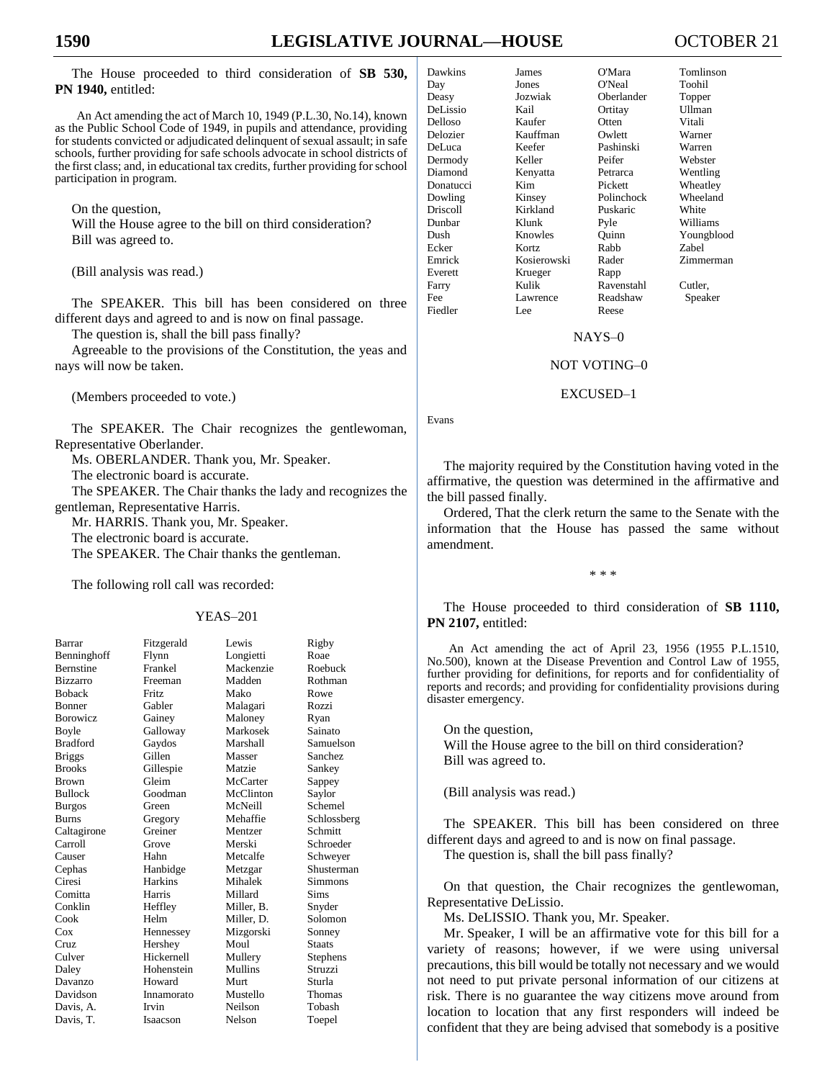# **1590 LEGISLATIVE JOURNAL—HOUSE** OCTOBER 21

The House proceeded to third consideration of **SB 530, PN 1940,** entitled:

An Act amending the act of March 10, 1949 (P.L.30, No.14), known as the Public School Code of 1949, in pupils and attendance, providing for students convicted or adjudicated delinquent of sexual assault; in safe schools, further providing for safe schools advocate in school districts of the first class; and, in educational tax credits, further providing for school participation in program.

On the question,

Will the House agree to the bill on third consideration? Bill was agreed to.

(Bill analysis was read.)

The SPEAKER. This bill has been considered on three different days and agreed to and is now on final passage.

The question is, shall the bill pass finally?

Agreeable to the provisions of the Constitution, the yeas and nays will now be taken.

(Members proceeded to vote.)

The SPEAKER. The Chair recognizes the gentlewoman, Representative Oberlander.

Ms. OBERLANDER. Thank you, Mr. Speaker.

The electronic board is accurate.

The SPEAKER. The Chair thanks the lady and recognizes the gentleman, Representative Harris.

Mr. HARRIS. Thank you, Mr. Speaker.

The electronic board is accurate.

The SPEAKER. The Chair thanks the gentleman.

The following roll call was recorded:

## YEAS–201

| Barrar        | Fitzgerald     | Lewis      | Rigby         |
|---------------|----------------|------------|---------------|
| Benninghoff   | Flynn          | Longietti  | Roae          |
| Bernstine     | Frankel        | Mackenzie  | Roebuck       |
| Bizzarro      | Freeman        | Madden     | Rothman       |
| Boback        | Fritz.         | Mako       | Rowe          |
| Bonner        | Gabler         | Malagari   | Rozzi         |
| Borowicz      | Gainey         | Maloney    | Ryan          |
| Boyle         | Galloway       | Markosek   | Sainato       |
| Bradford      | Gaydos         | Marshall   | Samuelson     |
| <b>Briggs</b> | Gillen         | Masser     | Sanchez       |
| Brooks        | Gillespie      | Matzie     | Sankey        |
| <b>Brown</b>  | Gleim          | McCarter   | Sappey        |
| Bullock       | Goodman        | McClinton  | Saylor        |
| Burgos        | Green          | McNeill    | Schemel       |
| Burns         | Gregory        | Mehaffie   | Schlossberg   |
| Caltagirone   | Greiner        | Mentzer    | Schmitt       |
| Carroll       | Grove          | Merski     | Schroeder     |
| Causer        | Hahn           | Metcalfe   | Schweyer      |
| Cephas        | Hanbidge       | Metzgar    | Shusterman    |
| Ciresi        | <b>Harkins</b> | Mihalek    | Simmons       |
| Comitta       | Harris         | Millard    | Sims          |
| Conklin       | Heffley        | Miller, B. | Snyder        |
| Cook          | Helm           | Miller, D. | Solomon       |
| Cox           | Hennessey      | Mizgorski  | Sonney        |
| Cruz          | Hershey        | Moul       | <b>Staats</b> |
| Culver        | Hickernell     | Mullery    | Stephens      |
| Daley         | Hohenstein     | Mullins    | Struzzi       |
| Davanzo       | Howard         | Murt       | Sturla        |
| Davidson      | Innamorato     | Mustello   | Thomas        |
| Davis, A.     | Irvin          | Neilson    | Tobash        |
| Davis, T.     | Isaacson       | Nelson     | Toepel        |

| Dawkins   | James       | O'Mara     | Tomlinson  |
|-----------|-------------|------------|------------|
| Day       | Jones       | O'Neal     | Toohil     |
| Deasy     | Jozwiak     | Oberlander | Topper     |
| DeLissio  | Kail        | Ortitay    | Ullman     |
| Delloso   | Kaufer      | Otten      | Vitali     |
| Delozier  | Kauffman    | Owlett     | Warner     |
| DeLuca    | Keefer      | Pashinski  | Warren     |
| Dermody   | Keller      | Peifer     | Webster    |
| Diamond   | Kenyatta    | Petrarca   | Wentling   |
| Donatucci | Kim         | Pickett    | Wheatley   |
| Dowling   | Kinsey      | Polinchock | Wheeland   |
| Driscoll  | Kirkland    | Puskaric   | White      |
| Dunbar    | Klunk       | Pyle       | Williams   |
| Dush      | Knowles     | Ouinn      | Youngblood |
| Ecker     | Kortz       | Rabb       | Zabel      |
| Emrick    | Kosierowski | Rader      | Zimmerman  |
| Everett   | Krueger     | Rapp       |            |
| Farry     | Kulik       | Ravenstahl | Cutler,    |
| Fee       | Lawrence    | Readshaw   | Speaker    |
| Fiedler   | Lee         | Reese      |            |
|           |             |            |            |

## NAYS–0

## NOT VOTING–0

#### EXCUSED–1

Evans

The majority required by the Constitution having voted in the affirmative, the question was determined in the affirmative and the bill passed finally.

Ordered, That the clerk return the same to the Senate with the information that the House has passed the same without amendment.

\* \* \*

The House proceeded to third consideration of **SB 1110, PN 2107,** entitled:

An Act amending the act of April 23, 1956 (1955 P.L.1510, No.500), known at the Disease Prevention and Control Law of 1955, further providing for definitions, for reports and for confidentiality of reports and records; and providing for confidentiality provisions during disaster emergency.

On the question, Will the House agree to the bill on third consideration? Bill was agreed to.

(Bill analysis was read.)

The SPEAKER. This bill has been considered on three different days and agreed to and is now on final passage.

The question is, shall the bill pass finally?

On that question, the Chair recognizes the gentlewoman, Representative DeLissio.

Ms. DeLISSIO. Thank you, Mr. Speaker.

Mr. Speaker, I will be an affirmative vote for this bill for a variety of reasons; however, if we were using universal precautions, this bill would be totally not necessary and we would not need to put private personal information of our citizens at risk. There is no guarantee the way citizens move around from location to location that any first responders will indeed be confident that they are being advised that somebody is a positive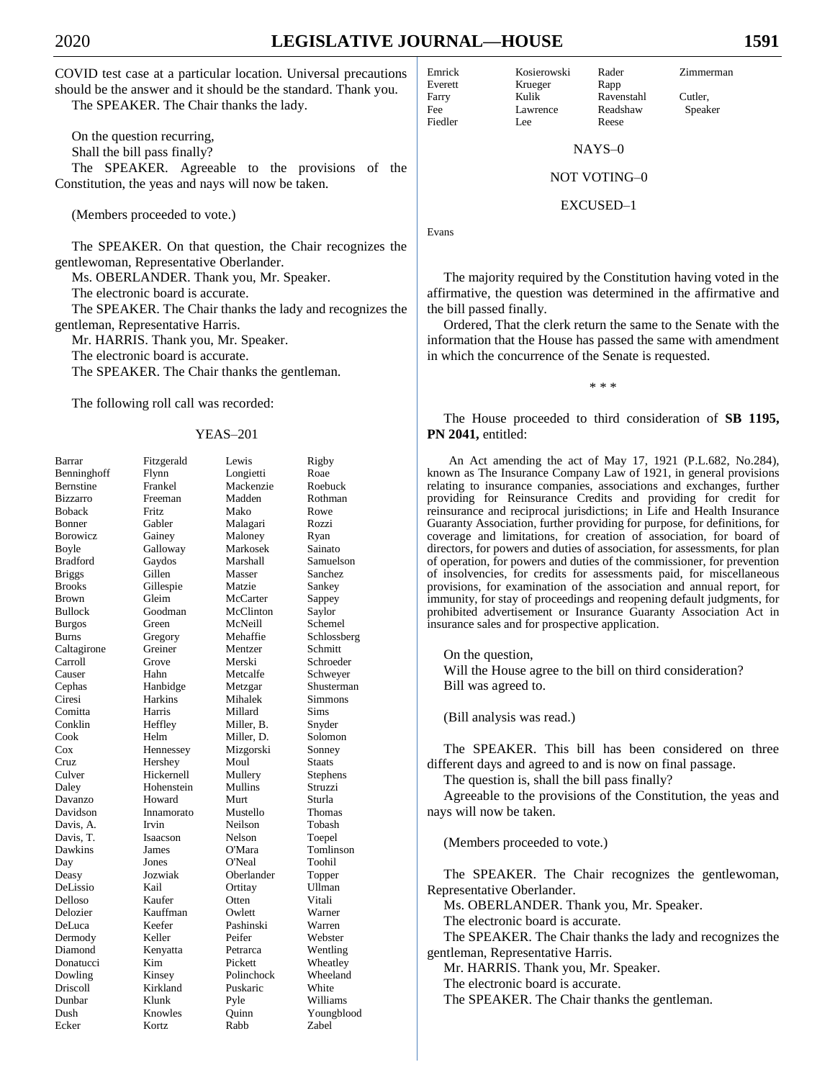COVID test case at a particular location. Universal precautions should be the answer and it should be the standard. Thank you. The SPEAKER. The Chair thanks the lady.

On the question recurring,

Shall the bill pass finally?

The SPEAKER. Agreeable to the provisions of the Constitution, the yeas and nays will now be taken.

(Members proceeded to vote.)

The SPEAKER. On that question, the Chair recognizes the gentlewoman, Representative Oberlander.

Ms. OBERLANDER. Thank you, Mr. Speaker.

The electronic board is accurate.

The SPEAKER. The Chair thanks the lady and recognizes the gentleman, Representative Harris.

Mr. HARRIS. Thank you, Mr. Speaker.

The electronic board is accurate.

The SPEAKER. The Chair thanks the gentleman.

The following roll call was recorded:

#### YEAS–201

| Barrar           | Fitzgerald | Lewis      | Rigby         |
|------------------|------------|------------|---------------|
| Benninghoff      | Flynn      | Longietti  | Roae          |
| <b>Bernstine</b> | Frankel    | Mackenzie  | Roebuck       |
| <b>Bizzarro</b>  | Freeman    | Madden     | Rothman       |
| <b>Boback</b>    | Fritz      | Mako       | Rowe          |
| Bonner           | Gabler     | Malagari   | Rozzi         |
| <b>Borowicz</b>  | Gainey     | Maloney    | Ryan          |
| Boyle            | Galloway   | Markosek   | Sainato       |
| <b>Bradford</b>  | Gaydos     | Marshall   | Samuelson     |
| <b>Briggs</b>    | Gillen     | Masser     | Sanchez       |
| <b>Brooks</b>    | Gillespie  | Matzie     | Sankey        |
| <b>Brown</b>     | Gleim      | McCarter   | Sappey        |
| <b>Bullock</b>   | Goodman    | McClinton  | Saylor        |
| <b>Burgos</b>    | Green      | McNeill    | Schemel       |
| Burns            | Gregory    | Mehaffie   | Schlossberg   |
| Caltagirone      | Greiner    | Mentzer    | Schmitt       |
| Carroll          | Grove      | Merski     | Schroeder     |
| Causer           | Hahn       | Metcalfe   | Schweyer      |
| Cephas           | Hanbidge   | Metzgar    | Shusterman    |
| Ciresi           | Harkins    | Mihalek    | Simmons       |
| Comitta          | Harris     | Millard    | Sims          |
| Conklin          | Heffley    | Miller, B. | Snyder        |
| Cook             | Helm       |            | Solomon       |
|                  |            | Miller, D. |               |
| $\cos$<br>Cruz   | Hennessey  | Mizgorski  | Sonney        |
|                  | Hershey    | Moul       | <b>Staats</b> |
| Culver           | Hickernell | Mullery    | Stephens      |
| Daley            | Hohenstein | Mullins    | Struzzi       |
| Davanzo          | Howard     | Murt       | Sturla        |
| Davidson         | Innamorato | Mustello   | Thomas        |
| Davis, A.        | Irvin      | Neilson    | Tobash        |
| Davis. T.        | Isaacson   | Nelson     | Toepel        |
| Dawkins          | James      | O'Mara     | Tomlinson     |
| Day              | Jones      | O'Neal     | Toohil        |
| Deasy            | Jozwiak    | Oberlander | Topper        |
| DeLissio         | Kail       | Ortitay    | <b>Ullman</b> |
| Delloso          | Kaufer     | Otten      | Vitali        |
| Delozier         | Kauffman   | Owlett     | Warner        |
| DeLuca           | Keefer     | Pashinski  | Warren        |
| Dermody          | Keller     | Peifer     | Webster       |
| Diamond          | Kenyatta   | Petrarca   | Wentling      |
| Donatucci        | Kim        | Pickett    | Wheatley      |
| Dowling          | Kinsey     | Polinchock | Wheeland      |
| Driscoll         | Kirkland   | Puskaric   | White         |
| Dunbar           | Klunk      | Pyle       | Williams      |
| Dush             | Knowles    | Ouinn      | Youngblood    |
| Ecker            | Kortz      | Rabb       | Zabel         |
|                  |            |            |               |
|                  |            |            |               |

Emrick Kosierowski Rader Zimmerman Everett Krueger Rapp

Fiedler Lee Reese

Farry Kulik Ravenstahl Cutler, Fee Lawrence Readshaw Speaker

NAYS–0

#### NOT VOTING–0

#### EXCUSED–1

Evans

The majority required by the Constitution having voted in the affirmative, the question was determined in the affirmative and the bill passed finally.

Ordered, That the clerk return the same to the Senate with the information that the House has passed the same with amendment in which the concurrence of the Senate is requested.

\* \* \*

The House proceeded to third consideration of **SB 1195, PN 2041,** entitled:

An Act amending the act of May 17, 1921 (P.L.682, No.284), known as The Insurance Company Law of 1921, in general provisions relating to insurance companies, associations and exchanges, further providing for Reinsurance Credits and providing for credit for reinsurance and reciprocal jurisdictions; in Life and Health Insurance Guaranty Association, further providing for purpose, for definitions, for coverage and limitations, for creation of association, for board of directors, for powers and duties of association, for assessments, for plan of operation, for powers and duties of the commissioner, for prevention of insolvencies, for credits for assessments paid, for miscellaneous provisions, for examination of the association and annual report, for immunity, for stay of proceedings and reopening default judgments, for prohibited advertisement or Insurance Guaranty Association Act in insurance sales and for prospective application.

On the question, Will the House agree to the bill on third consideration? Bill was agreed to.

(Bill analysis was read.)

The SPEAKER. This bill has been considered on three different days and agreed to and is now on final passage.

The question is, shall the bill pass finally?

Agreeable to the provisions of the Constitution, the yeas and nays will now be taken.

(Members proceeded to vote.)

The SPEAKER. The Chair recognizes the gentlewoman, Representative Oberlander.

Ms. OBERLANDER. Thank you, Mr. Speaker.

The electronic board is accurate.

The SPEAKER. The Chair thanks the lady and recognizes the gentleman, Representative Harris.

Mr. HARRIS. Thank you, Mr. Speaker.

The electronic board is accurate.

The SPEAKER. The Chair thanks the gentleman.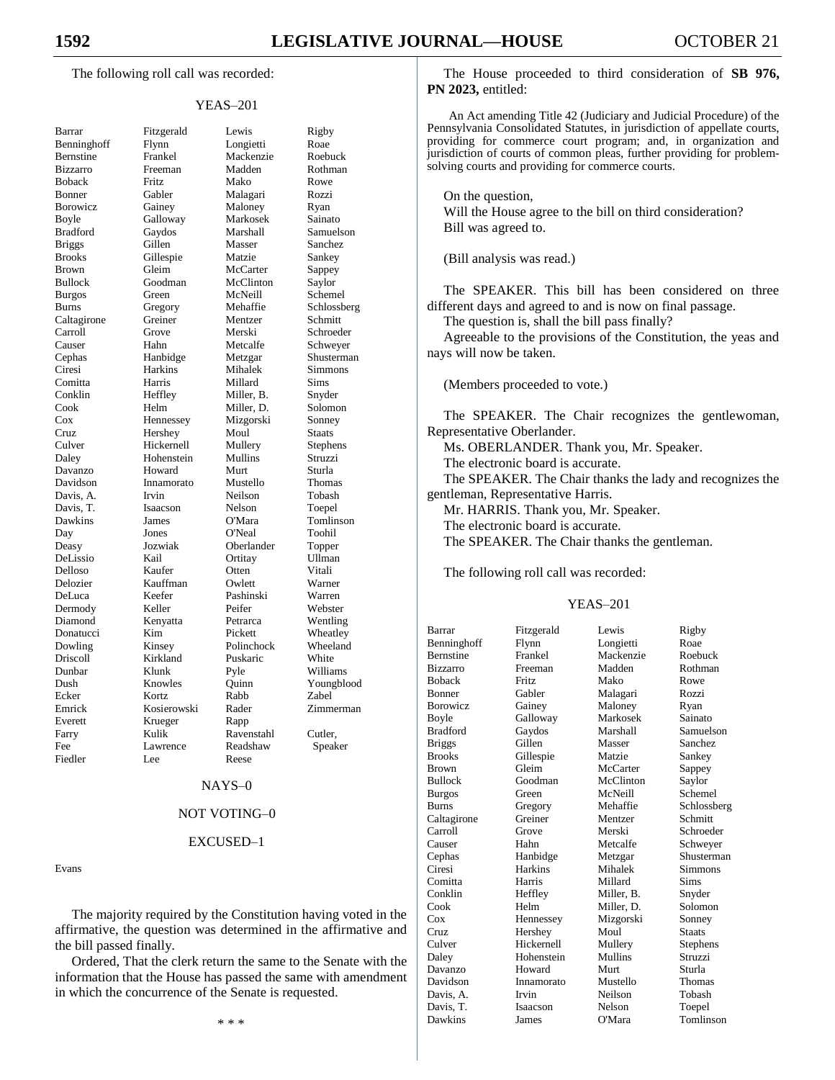The following roll call was recorded:

#### YEAS–201

| Barrar                                |
|---------------------------------------|
| Benninghoff                           |
| Bernstine                             |
| Bizzarro                              |
| Boback                                |
| Bonner                                |
| Borowicz                              |
| Boyle                                 |
| <b>Bradford</b>                       |
| <b>Briggs</b>                         |
| <b>Brooks</b>                         |
| Brown                                 |
|                                       |
| Bullock                               |
| <b>Burgos</b>                         |
| <b>Burns</b>                          |
| Caltagirone                           |
| Carroll                               |
|                                       |
|                                       |
| Causer<br>Cephas<br>Ciresi<br>Comitta |
|                                       |
| Conklin                               |
| Cook                                  |
| $\cos$                                |
| Cruz                                  |
| Culver                                |
| Daley                                 |
| Davanzo                               |
| Davidson                              |
| Davis, A.                             |
| Davis, T.                             |
| Dawkins                               |
| Day                                   |
| Deasy                                 |
| DeLissio                              |
| Delloso                               |
| Delozier                              |
| DeLuca                                |
|                                       |
| Dermody                               |
| Diamond                               |
| Donatucci                             |
| Dowling                               |
| Driscoll                              |
| Dunbar                                |
| Dush                                  |
| Ecker                                 |
| Emrick                                |
| Everett                               |
| Farry                                 |
| Fee                                   |
| Fiedler                               |
|                                       |

Fitzgerald Lewis Rigby Flynn Longietti Roae Frankel Mackenzie Roebuck Freeman Madden Rothman Boback Fritz Mako Rowe Gabler Malagari Rozzi Gainey Maloney Ryan Galloway Markosek Sainato<br>Gaydos Marshall Samuel Gillen Masser Sanchez Gillespie Matzie Sankey Gleim McCarter Sappey Goodman McClinton Saylor Green McNeill Schemel Gregory Mehaffie Schlossberg Greiner Mentzer Schmitt Grove Merski Schroeder Hahn Metcalfe Schweyer Hanbidge Metzgar Shusterman Harkins Mihalek Simmons Harris Millard Sims Heffley Miller, B. Snyder Helm Miller, D. Solomon Hennessey Mizgorski Sonney Hershey Moul Staats Hickernell Mullery Stephens<br>
Hohenstein Mullins Struzzi Hohenstein Howard Murt Sturla Innamorato Mustello Thomas Irvin Neilson Tobash<br>
Isaacson Nelson Toepel Isaacson James O'Mara Tomlinson Jones O'Neal Toohil Jozwiak Oberlander Topper Kail Ortitay Ullman Delloso Kaufer Otten Vitali Kauffman Owlett Warner Keefer Pashinski Warren<br>
Reller Peifer Webster Dermody Keller Peifer Webster Kenyatta Petrarca Wentling Kim Pickett Wheatley Kinsey Polinchock Wheeland Kirkland Puskaric White Klunk Pyle Williams Knowles Quinn Youngblood<br>
Rabb Zabel<br>
Rabb Zabel Ecker Kortz Rabb Zabel Kosierowski Rader Zimmerman Krueger Rapp Kulik Ravenstahl Cutler, Lawrence Readshaw Speaker Lee Reese

Samuelson

### NAYS–0

## NOT VOTING–0

#### EXCUSED–1

Evans

The majority required by the Constitution having voted in the affirmative, the question was determined in the affirmative and the bill passed finally.

Ordered, That the clerk return the same to the Senate with the information that the House has passed the same with amendment in which the concurrence of the Senate is requested.

\* \* \*

The House proceeded to third consideration of **SB 976, PN 2023,** entitled:

An Act amending Title 42 (Judiciary and Judicial Procedure) of the Pennsylvania Consolidated Statutes, in jurisdiction of appellate courts, providing for commerce court program; and, in organization and jurisdiction of courts of common pleas, further providing for problemsolving courts and providing for commerce courts.

On the question, Will the House agree to the bill on third consideration? Bill was agreed to.

(Bill analysis was read.)

The SPEAKER. This bill has been considered on three different days and agreed to and is now on final passage.

The question is, shall the bill pass finally?

Agreeable to the provisions of the Constitution, the yeas and nays will now be taken.

(Members proceeded to vote.)

The SPEAKER. The Chair recognizes the gentlewoman, Representative Oberlander.

Ms. OBERLANDER. Thank you, Mr. Speaker.

The electronic board is accurate.

The SPEAKER. The Chair thanks the lady and recognizes the gentleman, Representative Harris.

Mr. HARRIS. Thank you, Mr. Speaker. The electronic board is accurate.

The SPEAKER. The Chair thanks the gentleman.

The following roll call was recorded:

#### YEAS–201

| Barrar           | Fitzgerald     | Lewis      | Rigby       |
|------------------|----------------|------------|-------------|
| Benninghoff      | Flynn          | Longietti  | Roae        |
| <b>Bernstine</b> | Frankel        | Mackenzie  | Roebuck     |
| <b>Bizzarro</b>  | Freeman        | Madden     | Rothman     |
| <b>Boback</b>    | Fritz.         | Mako       | Rowe        |
| Bonner           | Gabler         | Malagari   | Rozzi       |
| <b>Borowicz</b>  | Gainey         | Maloney    | Ryan        |
| Boyle            | Galloway       | Markosek   | Sainato     |
| <b>Bradford</b>  | Gaydos         | Marshall   | Samuelson   |
| <b>Briggs</b>    | Gillen         | Masser     | Sanchez     |
| <b>Brooks</b>    | Gillespie      | Matzie     | Sankey      |
| <b>Brown</b>     | Gleim          | McCarter   | Sappey      |
| <b>Bullock</b>   | Goodman        | McClinton  | Saylor      |
| <b>Burgos</b>    | Green          | McNeill    | Schemel     |
| <b>Burns</b>     | Gregory        | Mehaffie   | Schlossberg |
| Caltagirone      | Greiner        | Mentzer    | Schmitt     |
| Carroll          | Grove          | Merski     | Schroeder   |
| Causer           | Hahn           | Metcalfe   | Schweyer    |
| Cephas           | Hanbidge       | Metzgar    | Shusterman  |
| Ciresi           | <b>Harkins</b> | Mihalek    | Simmons     |
| Comitta          | Harris         | Millard    | Sims        |
| Conklin          | Heffley        | Miller, B. | Snyder      |
| Cook             | Helm           | Miller, D. | Solomon     |
| Cox              | Hennessey      | Mizgorski  | Sonney      |
| Cruz             | Hershey        | Moul       | Staats      |
| Culver           | Hickernell     | Mullery    | Stephens    |
| Daley            | Hohenstein     | Mullins    | Struzzi     |
| Davanzo          | Howard         | Murt       | Sturla      |
| Davidson         | Innamorato     | Mustello   | Thomas      |
| Davis, A.        | Irvin          | Neilson    | Tobash      |
| Davis, T.        | Isaacson       | Nelson     | Toepel      |
| Dawkins          | James          | O'Mara     | Tomlinson   |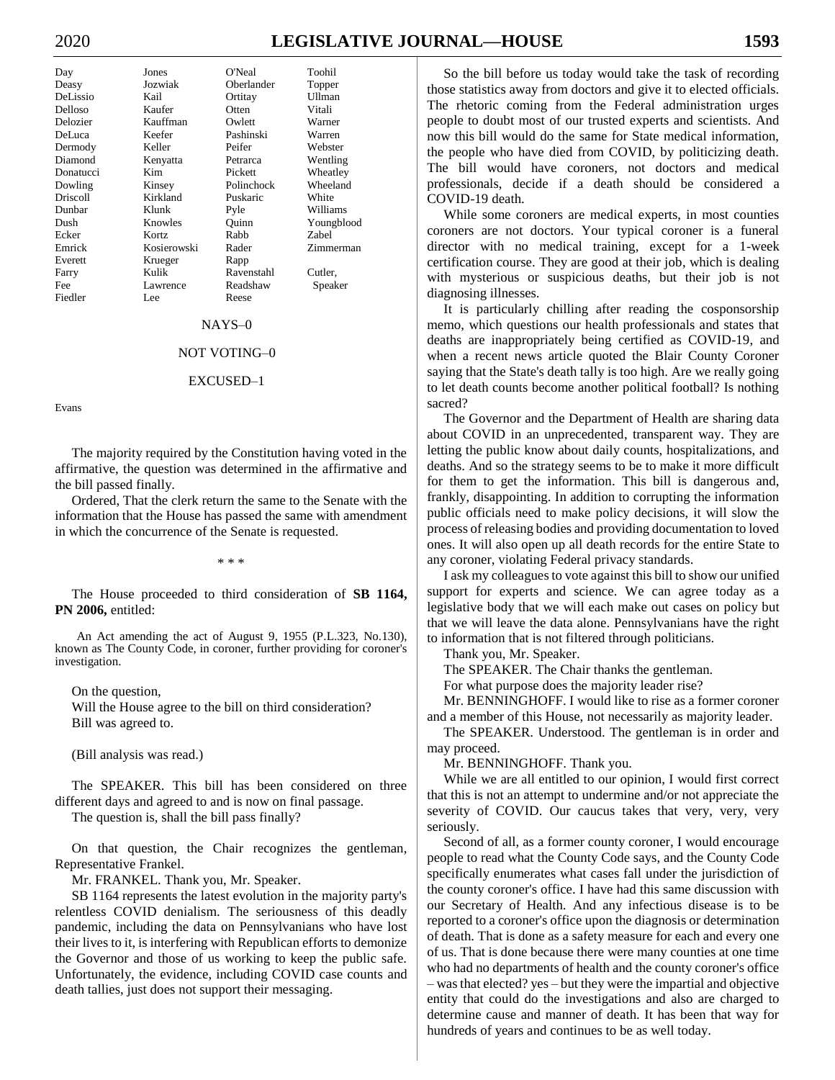# 2020 **LEGISLATIVE JOURNAL—HOUSE 1593**

| Day       | Jones       | O'Neal     | Toohil     |
|-----------|-------------|------------|------------|
| Deasy     | Jozwiak     | Oberlander | Topper     |
| DeLissio  | Kail        | Ortitay    | Ullman     |
| Delloso   | Kaufer      | Otten      | Vitali     |
| Delozier  | Kauffman    | Owlett     | Warner     |
| DeLuca    | Keefer      | Pashinski  | Warren     |
| Dermody   | Keller      | Peifer     | Webster    |
| Diamond   | Kenyatta    | Petrarca   | Wentling   |
| Donatucci | Kim         | Pickett    | Wheatley   |
| Dowling   | Kinsey      | Polinchock | Wheeland   |
| Driscoll  | Kirkland    | Puskaric   | White      |
| Dunbar    | Klunk       | Pyle       | Williams   |
| Dush      | Knowles     | Ouinn      | Youngblood |
| Ecker     | Kortz       | Rabb       | Zabel      |
| Emrick    | Kosierowski | Rader      | Zimmerman  |
| Everett   | Krueger     | Rapp       |            |
| Farry     | Kulik       | Ravenstahl | Cutler,    |
| Fee       | Lawrence    | Readshaw   | Speaker    |
| Fiedler   | Lee         | Reese      |            |

#### NAYS–0

#### NOT VOTING–0

#### EXCUSED–1

Evans

The majority required by the Constitution having voted in the affirmative, the question was determined in the affirmative and the bill passed finally.

Ordered, That the clerk return the same to the Senate with the information that the House has passed the same with amendment in which the concurrence of the Senate is requested.

\* \* \*

The House proceeded to third consideration of **SB 1164, PN 2006,** entitled:

An Act amending the act of August 9, 1955 (P.L.323, No.130), known as The County Code, in coroner, further providing for coroner's investigation.

On the question, Will the House agree to the bill on third consideration? Bill was agreed to.

(Bill analysis was read.)

The SPEAKER. This bill has been considered on three different days and agreed to and is now on final passage.

The question is, shall the bill pass finally?

On that question, the Chair recognizes the gentleman, Representative Frankel.

Mr. FRANKEL. Thank you, Mr. Speaker.

SB 1164 represents the latest evolution in the majority party's relentless COVID denialism. The seriousness of this deadly pandemic, including the data on Pennsylvanians who have lost their lives to it, is interfering with Republican efforts to demonize the Governor and those of us working to keep the public safe. Unfortunately, the evidence, including COVID case counts and death tallies, just does not support their messaging.

So the bill before us today would take the task of recording those statistics away from doctors and give it to elected officials. The rhetoric coming from the Federal administration urges people to doubt most of our trusted experts and scientists. And now this bill would do the same for State medical information, the people who have died from COVID, by politicizing death. The bill would have coroners, not doctors and medical professionals, decide if a death should be considered a COVID-19 death.

While some coroners are medical experts, in most counties coroners are not doctors. Your typical coroner is a funeral director with no medical training, except for a 1-week certification course. They are good at their job, which is dealing with mysterious or suspicious deaths, but their job is not diagnosing illnesses.

It is particularly chilling after reading the cosponsorship memo, which questions our health professionals and states that deaths are inappropriately being certified as COVID-19, and when a recent news article quoted the Blair County Coroner saying that the State's death tally is too high. Are we really going to let death counts become another political football? Is nothing sacred?

The Governor and the Department of Health are sharing data about COVID in an unprecedented, transparent way. They are letting the public know about daily counts, hospitalizations, and deaths. And so the strategy seems to be to make it more difficult for them to get the information. This bill is dangerous and, frankly, disappointing. In addition to corrupting the information public officials need to make policy decisions, it will slow the process of releasing bodies and providing documentation to loved ones. It will also open up all death records for the entire State to any coroner, violating Federal privacy standards.

I ask my colleagues to vote against this bill to show our unified support for experts and science. We can agree today as a legislative body that we will each make out cases on policy but that we will leave the data alone. Pennsylvanians have the right to information that is not filtered through politicians.

Thank you, Mr. Speaker.

The SPEAKER. The Chair thanks the gentleman.

For what purpose does the majority leader rise?

Mr. BENNINGHOFF. I would like to rise as a former coroner and a member of this House, not necessarily as majority leader.

The SPEAKER. Understood. The gentleman is in order and may proceed.

Mr. BENNINGHOFF. Thank you.

While we are all entitled to our opinion, I would first correct that this is not an attempt to undermine and/or not appreciate the severity of COVID. Our caucus takes that very, very, very seriously.

Second of all, as a former county coroner, I would encourage people to read what the County Code says, and the County Code specifically enumerates what cases fall under the jurisdiction of the county coroner's office. I have had this same discussion with our Secretary of Health. And any infectious disease is to be reported to a coroner's office upon the diagnosis or determination of death. That is done as a safety measure for each and every one of us. That is done because there were many counties at one time who had no departments of health and the county coroner's office – was that elected? yes – but they were the impartial and objective entity that could do the investigations and also are charged to determine cause and manner of death. It has been that way for hundreds of years and continues to be as well today.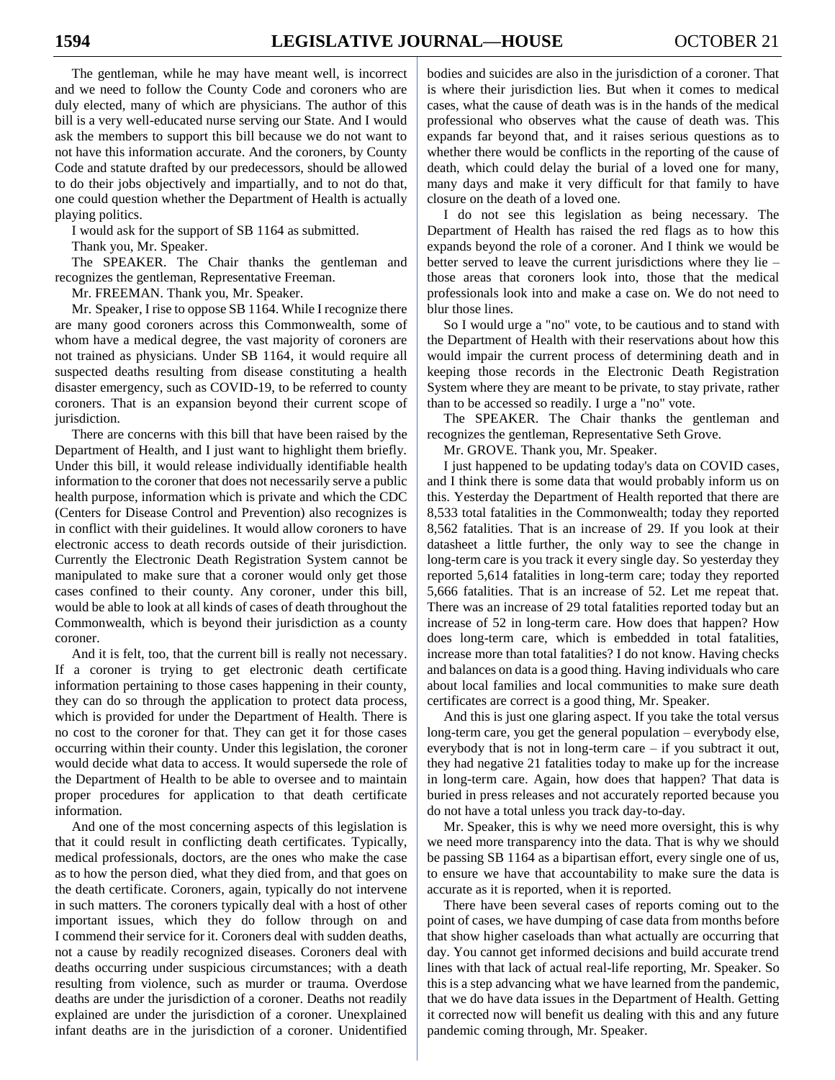The gentleman, while he may have meant well, is incorrect and we need to follow the County Code and coroners who are duly elected, many of which are physicians. The author of this bill is a very well-educated nurse serving our State. And I would ask the members to support this bill because we do not want to not have this information accurate. And the coroners, by County Code and statute drafted by our predecessors, should be allowed to do their jobs objectively and impartially, and to not do that, one could question whether the Department of Health is actually playing politics.

I would ask for the support of SB 1164 as submitted.

Thank you, Mr. Speaker.

The SPEAKER. The Chair thanks the gentleman and recognizes the gentleman, Representative Freeman.

Mr. FREEMAN. Thank you, Mr. Speaker.

Mr. Speaker, I rise to oppose SB 1164. While I recognize there are many good coroners across this Commonwealth, some of whom have a medical degree, the vast majority of coroners are not trained as physicians. Under SB 1164, it would require all suspected deaths resulting from disease constituting a health disaster emergency, such as COVID-19, to be referred to county coroners. That is an expansion beyond their current scope of jurisdiction.

There are concerns with this bill that have been raised by the Department of Health, and I just want to highlight them briefly. Under this bill, it would release individually identifiable health information to the coroner that does not necessarily serve a public health purpose, information which is private and which the CDC (Centers for Disease Control and Prevention) also recognizes is in conflict with their guidelines. It would allow coroners to have electronic access to death records outside of their jurisdiction. Currently the Electronic Death Registration System cannot be manipulated to make sure that a coroner would only get those cases confined to their county. Any coroner, under this bill, would be able to look at all kinds of cases of death throughout the Commonwealth, which is beyond their jurisdiction as a county coroner.

And it is felt, too, that the current bill is really not necessary. If a coroner is trying to get electronic death certificate information pertaining to those cases happening in their county, they can do so through the application to protect data process, which is provided for under the Department of Health. There is no cost to the coroner for that. They can get it for those cases occurring within their county. Under this legislation, the coroner would decide what data to access. It would supersede the role of the Department of Health to be able to oversee and to maintain proper procedures for application to that death certificate information.

And one of the most concerning aspects of this legislation is that it could result in conflicting death certificates. Typically, medical professionals, doctors, are the ones who make the case as to how the person died, what they died from, and that goes on the death certificate. Coroners, again, typically do not intervene in such matters. The coroners typically deal with a host of other important issues, which they do follow through on and I commend their service for it. Coroners deal with sudden deaths, not a cause by readily recognized diseases. Coroners deal with deaths occurring under suspicious circumstances; with a death resulting from violence, such as murder or trauma. Overdose deaths are under the jurisdiction of a coroner. Deaths not readily explained are under the jurisdiction of a coroner. Unexplained infant deaths are in the jurisdiction of a coroner. Unidentified

bodies and suicides are also in the jurisdiction of a coroner. That is where their jurisdiction lies. But when it comes to medical cases, what the cause of death was is in the hands of the medical professional who observes what the cause of death was. This expands far beyond that, and it raises serious questions as to whether there would be conflicts in the reporting of the cause of death, which could delay the burial of a loved one for many, many days and make it very difficult for that family to have closure on the death of a loved one.

I do not see this legislation as being necessary. The Department of Health has raised the red flags as to how this expands beyond the role of a coroner. And I think we would be better served to leave the current jurisdictions where they lie – those areas that coroners look into, those that the medical professionals look into and make a case on. We do not need to blur those lines.

So I would urge a "no" vote, to be cautious and to stand with the Department of Health with their reservations about how this would impair the current process of determining death and in keeping those records in the Electronic Death Registration System where they are meant to be private, to stay private, rather than to be accessed so readily. I urge a "no" vote.

The SPEAKER. The Chair thanks the gentleman and recognizes the gentleman, Representative Seth Grove.

Mr. GROVE. Thank you, Mr. Speaker.

I just happened to be updating today's data on COVID cases, and I think there is some data that would probably inform us on this. Yesterday the Department of Health reported that there are 8,533 total fatalities in the Commonwealth; today they reported 8,562 fatalities. That is an increase of 29. If you look at their datasheet a little further, the only way to see the change in long-term care is you track it every single day. So yesterday they reported 5,614 fatalities in long-term care; today they reported 5,666 fatalities. That is an increase of 52. Let me repeat that. There was an increase of 29 total fatalities reported today but an increase of 52 in long-term care. How does that happen? How does long-term care, which is embedded in total fatalities, increase more than total fatalities? I do not know. Having checks and balances on data is a good thing. Having individuals who care about local families and local communities to make sure death certificates are correct is a good thing, Mr. Speaker.

And this is just one glaring aspect. If you take the total versus long-term care, you get the general population – everybody else, everybody that is not in long-term care – if you subtract it out, they had negative 21 fatalities today to make up for the increase in long-term care. Again, how does that happen? That data is buried in press releases and not accurately reported because you do not have a total unless you track day-to-day.

Mr. Speaker, this is why we need more oversight, this is why we need more transparency into the data. That is why we should be passing SB 1164 as a bipartisan effort, every single one of us, to ensure we have that accountability to make sure the data is accurate as it is reported, when it is reported.

There have been several cases of reports coming out to the point of cases, we have dumping of case data from months before that show higher caseloads than what actually are occurring that day. You cannot get informed decisions and build accurate trend lines with that lack of actual real-life reporting, Mr. Speaker. So this is a step advancing what we have learned from the pandemic, that we do have data issues in the Department of Health. Getting it corrected now will benefit us dealing with this and any future pandemic coming through, Mr. Speaker.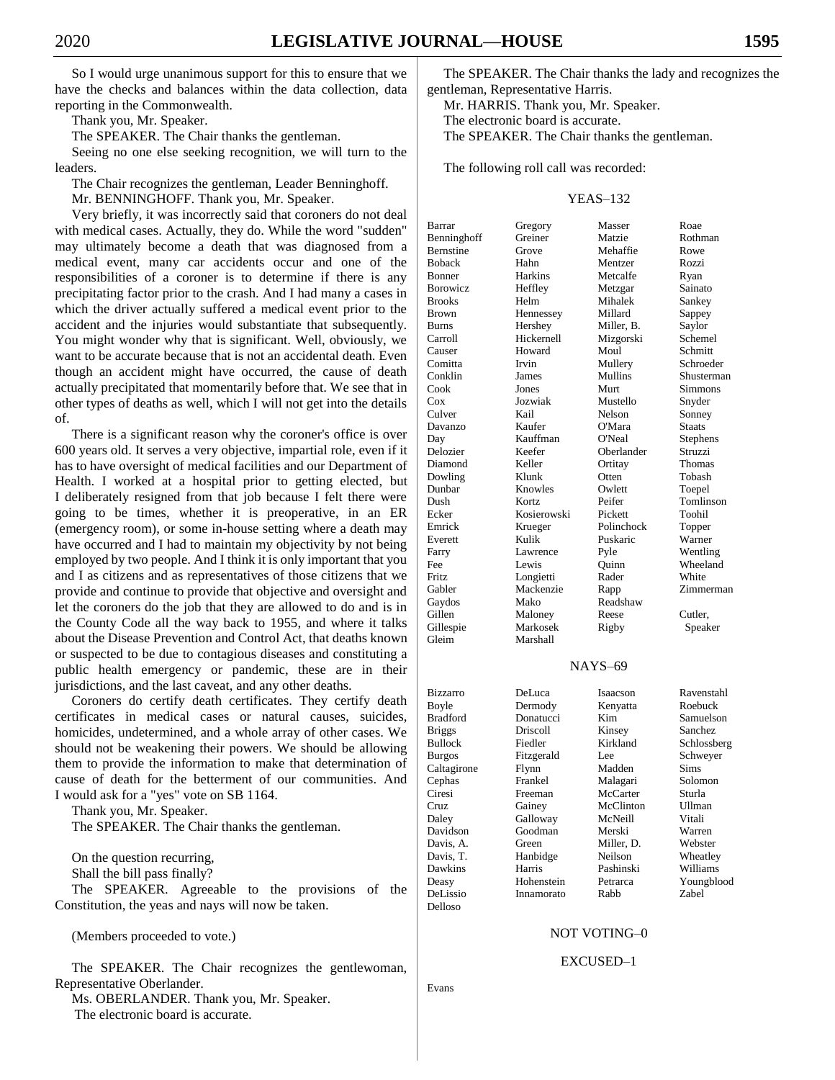So I would urge unanimous support for this to ensure that we have the checks and balances within the data collection, data reporting in the Commonwealth.

Thank you, Mr. Speaker.

The SPEAKER. The Chair thanks the gentleman.

Seeing no one else seeking recognition, we will turn to the leaders.

The Chair recognizes the gentleman, Leader Benninghoff.

Mr. BENNINGHOFF. Thank you, Mr. Speaker.

Very briefly, it was incorrectly said that coroners do not deal with medical cases. Actually, they do. While the word "sudden" may ultimately become a death that was diagnosed from a medical event, many car accidents occur and one of the responsibilities of a coroner is to determine if there is any precipitating factor prior to the crash. And I had many a cases in which the driver actually suffered a medical event prior to the accident and the injuries would substantiate that subsequently. You might wonder why that is significant. Well, obviously, we want to be accurate because that is not an accidental death. Even though an accident might have occurred, the cause of death actually precipitated that momentarily before that. We see that in other types of deaths as well, which I will not get into the details of.

There is a significant reason why the coroner's office is over 600 years old. It serves a very objective, impartial role, even if it has to have oversight of medical facilities and our Department of Health. I worked at a hospital prior to getting elected, but I deliberately resigned from that job because I felt there were going to be times, whether it is preoperative, in an ER (emergency room), or some in-house setting where a death may have occurred and I had to maintain my objectivity by not being employed by two people. And I think it is only important that you and I as citizens and as representatives of those citizens that we provide and continue to provide that objective and oversight and let the coroners do the job that they are allowed to do and is in the County Code all the way back to 1955, and where it talks about the Disease Prevention and Control Act, that deaths known or suspected to be due to contagious diseases and constituting a public health emergency or pandemic, these are in their jurisdictions, and the last caveat, and any other deaths.

Coroners do certify death certificates. They certify death certificates in medical cases or natural causes, suicides, homicides, undetermined, and a whole array of other cases. We should not be weakening their powers. We should be allowing them to provide the information to make that determination of cause of death for the betterment of our communities. And I would ask for a "yes" vote on SB 1164.

Thank you, Mr. Speaker.

The SPEAKER. The Chair thanks the gentleman.

On the question recurring,

Shall the bill pass finally?

The SPEAKER. Agreeable to the provisions of the Constitution, the yeas and nays will now be taken.

(Members proceeded to vote.)

The SPEAKER. The Chair recognizes the gentlewoman, Representative Oberlander.

Ms. OBERLANDER. Thank you, Mr. Speaker. The electronic board is accurate.

The SPEAKER. The Chair thanks the lady and recognizes the gentleman, Representative Harris.

Mr. HARRIS. Thank you, Mr. Speaker.

The electronic board is accurate.

The SPEAKER. The Chair thanks the gentleman.

The following roll call was recorded:

## YEAS–132

| Barrar        | Gregory     | Masser     | Roae          |
|---------------|-------------|------------|---------------|
| Benninghoff   | Greiner     | Matzie     | Rothman       |
| Bernstine     | Grove       | Mehaffie   | Rowe          |
| Boback        | Hahn        | Mentzer    | Rozzi         |
| Bonner        | Harkins     | Metcalfe   | Ryan          |
| Borowicz      | Heffley     | Metzgar    | Sainato       |
| <b>Brooks</b> | Helm        | Mihalek    | Sankey        |
| Brown         | Hennessey   | Millard    | Sappey        |
| Burns         | Hershey     | Miller, B. | Saylor        |
| Carroll       | Hickernell  | Mizgorski  | Schemel       |
| Causer        | Howard      | Moul       | Schmitt       |
| Comitta       | Irvin       | Mullery    | Schroeder     |
| Conklin       | James       | Mullins    | Shusterman    |
| Cook          | Jones       | Murt       | Simmons       |
| Cox           | Jozwiak     | Mustello   | Snyder        |
| Culver        | Kail        | Nelson     | Sonney        |
| Davanzo       | Kaufer      | O'Mara     | <b>Staats</b> |
| Day           | Kauffman    | O'Neal     | Stephens      |
| Delozier      | Keefer      | Oberlander | Struzzi       |
| Diamond       | Keller      | Ortitay    | Thomas        |
| Dowling       | Klunk       | Otten      | Tobash        |
| Dunbar        | Knowles     | Owlett     | Toepel        |
| Dush          | Kortz       | Peifer     | Tomlinson     |
| Ecker         | Kosierowski | Pickett    | Toohil        |
| Emrick        | Krueger     | Polinchock | Topper        |
| Everett       | Kulik       | Puskaric   | Warner        |
| Farry         | Lawrence    | Pyle       | Wentling      |
| Fee           | Lewis       | Ouinn      | Wheeland      |
| Fritz         | Longietti   | Rader      | White         |
| Gabler        | Mackenzie   | Rapp       | Zimmerman     |
| Gaydos        | Mako        | Readshaw   |               |
| Gillen        | Maloney     | Reese      | Cutler,       |
| Gillespie     | Markosek    | Rigby      | Speaker       |
| Gleim         | Marshall    |            |               |
|               |             | NAYS-69    |               |
| Bizzarro      | DeLuca      | Isaacson   | Ravenstahl    |
| Boyle         | Dermody     | Kenyatta   | Roebuck       |
| Bradford      | Donatucci   | Kim        | Samuelson     |
| <b>Briggs</b> | Driscoll    | Kinsey     | Sanchez       |
| Bullock       | Fiedler     | Kirkland   | Schlossberg   |
| Burgos        | Fitzgerald  | Lee        | Schweyer      |
| Caltagirone   | Flynn       | Madden     | Sims          |
| Cephas        | Frankel     | Malagari   | Solomon       |
| Ciresi        | Freeman     | McCarter   | Sturla        |
| Cruz          | Gainey      | McClinton  | Ullman        |

Daley Galloway McNeill Vitali Goodman Davis, A. Green Miller, D. Webster Davis, T. Hanbidge Neilson Wheatley Dawkins Harris Pashinski Williams Deasy Hohenstein Petrarca Youngblood DeLissio Innamorato Rabb Zabel

## NOT VOTING–0

## EXCUSED–1

Evans

Delloso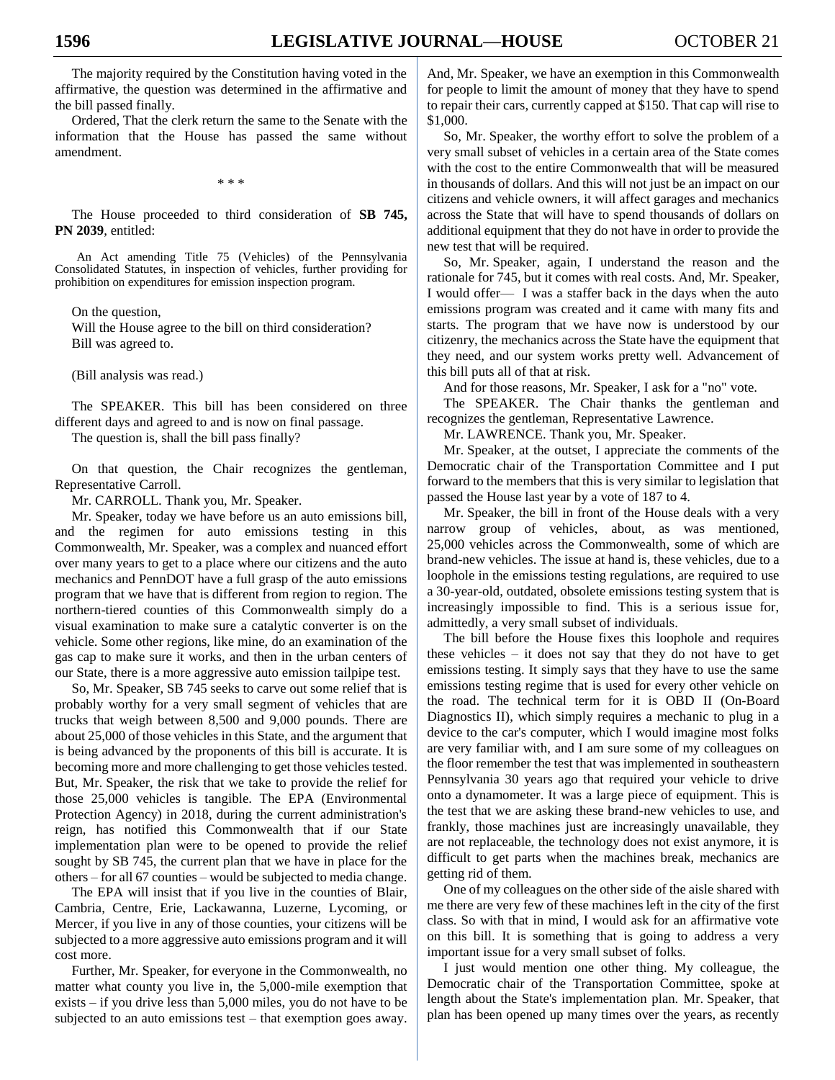The majority required by the Constitution having voted in the affirmative, the question was determined in the affirmative and the bill passed finally.

Ordered, That the clerk return the same to the Senate with the information that the House has passed the same without amendment.

\* \* \*

The House proceeded to third consideration of **SB 745, PN 2039**, entitled:

An Act amending Title 75 (Vehicles) of the Pennsylvania Consolidated Statutes, in inspection of vehicles, further providing for prohibition on expenditures for emission inspection program.

On the question,

Will the House agree to the bill on third consideration? Bill was agreed to.

(Bill analysis was read.)

The SPEAKER. This bill has been considered on three different days and agreed to and is now on final passage.

The question is, shall the bill pass finally?

On that question, the Chair recognizes the gentleman, Representative Carroll.

Mr. CARROLL. Thank you, Mr. Speaker.

Mr. Speaker, today we have before us an auto emissions bill, and the regimen for auto emissions testing in this Commonwealth, Mr. Speaker, was a complex and nuanced effort over many years to get to a place where our citizens and the auto mechanics and PennDOT have a full grasp of the auto emissions program that we have that is different from region to region. The northern-tiered counties of this Commonwealth simply do a visual examination to make sure a catalytic converter is on the vehicle. Some other regions, like mine, do an examination of the gas cap to make sure it works, and then in the urban centers of our State, there is a more aggressive auto emission tailpipe test.

So, Mr. Speaker, SB 745 seeks to carve out some relief that is probably worthy for a very small segment of vehicles that are trucks that weigh between 8,500 and 9,000 pounds. There are about 25,000 of those vehicles in this State, and the argument that is being advanced by the proponents of this bill is accurate. It is becoming more and more challenging to get those vehicles tested. But, Mr. Speaker, the risk that we take to provide the relief for those 25,000 vehicles is tangible. The EPA (Environmental Protection Agency) in 2018, during the current administration's reign, has notified this Commonwealth that if our State implementation plan were to be opened to provide the relief sought by SB 745, the current plan that we have in place for the others – for all 67 counties – would be subjected to media change.

The EPA will insist that if you live in the counties of Blair, Cambria, Centre, Erie, Lackawanna, Luzerne, Lycoming, or Mercer, if you live in any of those counties, your citizens will be subjected to a more aggressive auto emissions program and it will cost more.

Further, Mr. Speaker, for everyone in the Commonwealth, no matter what county you live in, the 5,000-mile exemption that exists – if you drive less than 5,000 miles, you do not have to be subjected to an auto emissions test – that exemption goes away.

And, Mr. Speaker, we have an exemption in this Commonwealth for people to limit the amount of money that they have to spend to repair their cars, currently capped at \$150. That cap will rise to \$1,000.

So, Mr. Speaker, the worthy effort to solve the problem of a very small subset of vehicles in a certain area of the State comes with the cost to the entire Commonwealth that will be measured in thousands of dollars. And this will not just be an impact on our citizens and vehicle owners, it will affect garages and mechanics across the State that will have to spend thousands of dollars on additional equipment that they do not have in order to provide the new test that will be required.

So, Mr. Speaker, again, I understand the reason and the rationale for 745, but it comes with real costs. And, Mr. Speaker, I would offer— I was a staffer back in the days when the auto emissions program was created and it came with many fits and starts. The program that we have now is understood by our citizenry, the mechanics across the State have the equipment that they need, and our system works pretty well. Advancement of this bill puts all of that at risk.

And for those reasons, Mr. Speaker, I ask for a "no" vote.

The SPEAKER. The Chair thanks the gentleman and recognizes the gentleman, Representative Lawrence.

Mr. LAWRENCE. Thank you, Mr. Speaker.

Mr. Speaker, at the outset, I appreciate the comments of the Democratic chair of the Transportation Committee and I put forward to the members that this is very similar to legislation that passed the House last year by a vote of 187 to 4.

Mr. Speaker, the bill in front of the House deals with a very narrow group of vehicles, about, as was mentioned, 25,000 vehicles across the Commonwealth, some of which are brand-new vehicles. The issue at hand is, these vehicles, due to a loophole in the emissions testing regulations, are required to use a 30-year-old, outdated, obsolete emissions testing system that is increasingly impossible to find. This is a serious issue for, admittedly, a very small subset of individuals.

The bill before the House fixes this loophole and requires these vehicles – it does not say that they do not have to get emissions testing. It simply says that they have to use the same emissions testing regime that is used for every other vehicle on the road. The technical term for it is OBD II (On-Board Diagnostics II), which simply requires a mechanic to plug in a device to the car's computer, which I would imagine most folks are very familiar with, and I am sure some of my colleagues on the floor remember the test that was implemented in southeastern Pennsylvania 30 years ago that required your vehicle to drive onto a dynamometer. It was a large piece of equipment. This is the test that we are asking these brand-new vehicles to use, and frankly, those machines just are increasingly unavailable, they are not replaceable, the technology does not exist anymore, it is difficult to get parts when the machines break, mechanics are getting rid of them.

One of my colleagues on the other side of the aisle shared with me there are very few of these machines left in the city of the first class. So with that in mind, I would ask for an affirmative vote on this bill. It is something that is going to address a very important issue for a very small subset of folks.

I just would mention one other thing. My colleague, the Democratic chair of the Transportation Committee, spoke at length about the State's implementation plan. Mr. Speaker, that plan has been opened up many times over the years, as recently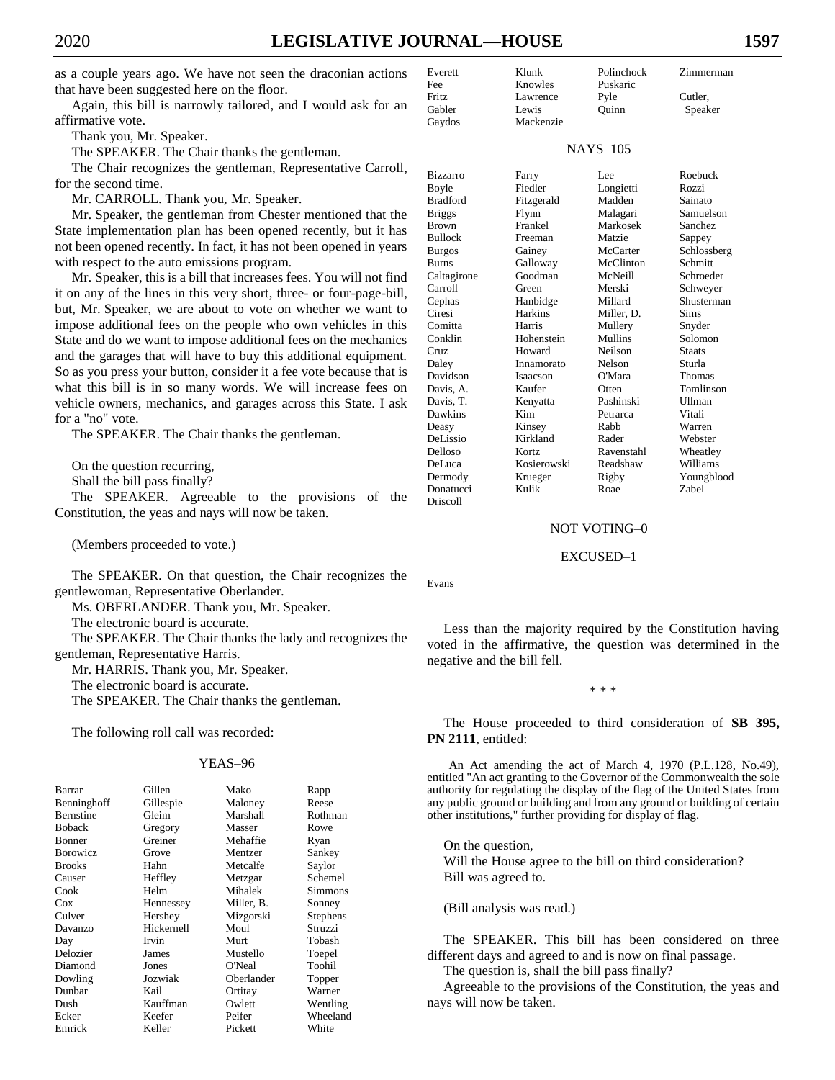# 2020 **LEGISLATIVE JOURNAL—HOUSE 1597**

as a couple years ago. We have not seen the draconian actions that have been suggested here on the floor.

Again, this bill is narrowly tailored, and I would ask for an affirmative vote.

Thank you, Mr. Speaker.

The SPEAKER. The Chair thanks the gentleman.

The Chair recognizes the gentleman, Representative Carroll, for the second time.

Mr. CARROLL. Thank you, Mr. Speaker.

Mr. Speaker, the gentleman from Chester mentioned that the State implementation plan has been opened recently, but it has not been opened recently. In fact, it has not been opened in years with respect to the auto emissions program.

Mr. Speaker, this is a bill that increases fees. You will not find it on any of the lines in this very short, three- or four-page-bill, but, Mr. Speaker, we are about to vote on whether we want to impose additional fees on the people who own vehicles in this State and do we want to impose additional fees on the mechanics and the garages that will have to buy this additional equipment. So as you press your button, consider it a fee vote because that is what this bill is in so many words. We will increase fees on vehicle owners, mechanics, and garages across this State. I ask for a "no" vote.

The SPEAKER. The Chair thanks the gentleman.

On the question recurring,

Shall the bill pass finally?

The SPEAKER. Agreeable to the provisions of the Constitution, the yeas and nays will now be taken.

(Members proceeded to vote.)

The SPEAKER. On that question, the Chair recognizes the gentlewoman, Representative Oberlander.

Ms. OBERLANDER. Thank you, Mr. Speaker.

The electronic board is accurate.

The SPEAKER. The Chair thanks the lady and recognizes the gentleman, Representative Harris.

Mr. HARRIS. Thank you, Mr. Speaker.

The electronic board is accurate.

The SPEAKER. The Chair thanks the gentleman.

The following roll call was recorded:

#### YEAS–96

| Barrar           | Gillen     | Mako       | Rapp            |
|------------------|------------|------------|-----------------|
| Benninghoff      | Gillespie  | Maloney    | Reese           |
| <b>Bernstine</b> | Gleim      | Marshall   | Rothman         |
| <b>Boback</b>    | Gregory    | Masser     | Rowe            |
| Bonner           | Greiner    | Mehaffie   | Ryan            |
| <b>Borowicz</b>  | Grove      | Mentzer    | Sankey          |
| <b>Brooks</b>    | Hahn       | Metcalfe   | Saylor          |
| Causer           | Heffley    | Metzgar    | Schemel         |
| Cook             | Helm       | Mihalek    | Simmons         |
| $\cos$           | Hennessey  | Miller, B. | Sonney          |
| Culver           | Hershey    | Mizgorski  | <b>Stephens</b> |
| Davanzo          | Hickernell | Moul       | Struzzi         |
| Day              | Irvin      | Murt       | Tobash          |
| Delozier         | James      | Mustello   | Toepel          |
| Diamond          | Jones      | O'Neal     | Toohil          |
| Dowling          | Jozwiak    | Oberlander | Topper          |
| Dunbar           | Kail       | Ortitay    | Warner          |
| Dush             | Kauffman   | Owlett     | Wentling        |
| Ecker            | Keefer     | Peifer     | Wheeland        |
| Emrick           | Keller     | Pickett    | White           |

| Everett      | Klunk     | Polinchock | Zimmerman |
|--------------|-----------|------------|-----------|
| Fee          | Knowles   | Puskaric   |           |
| <b>Fritz</b> | Lawrence  | Pyle       | Cutler,   |
| Gabler       | Lewis     | Ouinn      | Speaker   |
| Gaydos       | Mackenzie |            |           |
|              |           |            |           |

## NAYS–105

| <b>Bizzarro</b> | Farry       | Lee        | Roebuck       |
|-----------------|-------------|------------|---------------|
| Boyle           | Fiedler     | Longietti  | Rozzi         |
| <b>Bradford</b> | Fitzgerald  | Madden     | Sainato       |
| Briggs          | Flynn       | Malagari   | Samuelson     |
| <b>Brown</b>    | Frankel     | Markosek   | Sanchez       |
| <b>Bullock</b>  | Freeman     | Matzie     | Sappey        |
| <b>Burgos</b>   | Gainey      | McCarter   | Schlossberg   |
| <b>Burns</b>    | Galloway    | McClinton  | Schmitt       |
| Caltagirone     | Goodman     | McNeill    | Schroeder     |
| Carroll         | Green       | Merski     | Schweyer      |
| Cephas          | Hanbidge    | Millard    | Shusterman    |
| Ciresi          | Harkins     | Miller, D. | Sims          |
| Comitta         | Harris      | Mullery    | Snyder        |
| Conklin         | Hohenstein  | Mullins    | Solomon       |
| Cruz            | Howard      | Neilson    | <b>Staats</b> |
| Daley           | Innamorato  | Nelson     | Sturla        |
| Davidson        | Isaacson    | O'Mara     | Thomas        |
| Davis, A.       | Kaufer      | Otten      | Tomlinson     |
| Davis, T.       | Kenyatta    | Pashinski  | <b>Ullman</b> |
| Dawkins         | Kim         | Petrarca   | Vitali        |
| Deasy           | Kinsey      | Rabb       | Warren        |
| DeLissio        | Kirkland    | Rader      | Webster       |
| Delloso         | Kortz       | Ravenstahl | Wheatley      |
| DeLuca          | Kosierowski | Readshaw   | Williams      |
| Dermody         | Krueger     | Rigby      | Youngblood    |
| Donatucci       | Kulik       | Roae       | Zabel         |

#### NOT VOTING–0

#### EXCUSED–1

Evans

Driscoll

Less than the majority required by the Constitution having voted in the affirmative, the question was determined in the negative and the bill fell.

\* \* \*

The House proceeded to third consideration of **SB 395, PN 2111**, entitled:

An Act amending the act of March 4, 1970 (P.L.128, No.49), entitled "An act granting to the Governor of the Commonwealth the sole authority for regulating the display of the flag of the United States from any public ground or building and from any ground or building of certain other institutions," further providing for display of flag.

On the question, Will the House agree to the bill on third consideration? Bill was agreed to.

(Bill analysis was read.)

The SPEAKER. This bill has been considered on three different days and agreed to and is now on final passage.

The question is, shall the bill pass finally?

Agreeable to the provisions of the Constitution, the yeas and nays will now be taken.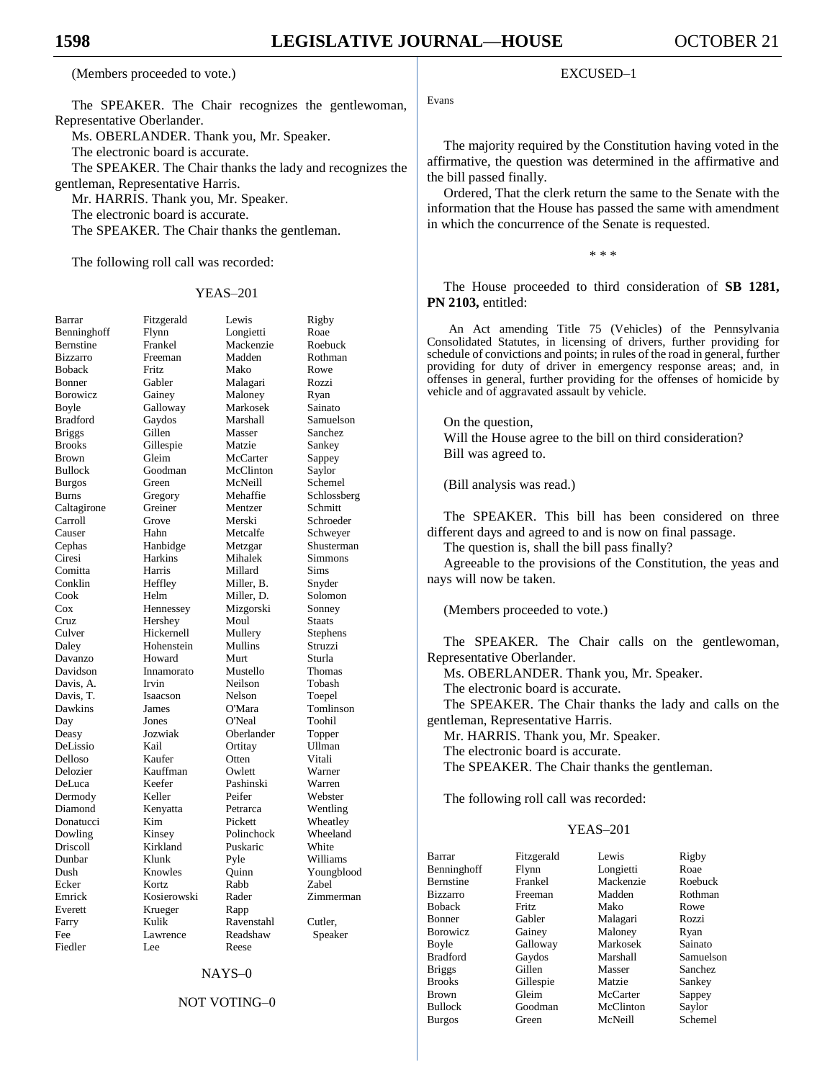(Members proceeded to vote.)

The SPEAKER. The Chair recognizes the gentlewoman, Representative Oberlander. Ms. OBERLANDER. Thank you, Mr. Speaker. The electronic board is accurate.

The SPEAKER. The Chair thanks the lady and recognizes the gentleman, Representative Harris.

Mr. HARRIS. Thank you, Mr. Speaker.

The electronic board is accurate.

The SPEAKER. The Chair thanks the gentleman.

The following roll call was recorded:

### YEAS–201

| Barrar            | ł                        |
|-------------------|--------------------------|
| Benninghoff       | I                        |
| Bernstine         | I                        |
| Bizzarro          | I                        |
| Boback            | I                        |
| Bonner            | $\overline{\phantom{a}}$ |
| Borowicz          | $\overline{\phantom{a}}$ |
| Boyle             | $\overline{\phantom{a}}$ |
| Bradford          | $\overline{\phantom{a}}$ |
|                   | $\overline{\mathbf{C}}$  |
| Briggs            |                          |
| <b>Brooks</b>     | $\overline{\phantom{a}}$ |
| Brown             | $\overline{\phantom{a}}$ |
| Bullock           | $\mathbf$                |
| Burgos            | $\mathbf$                |
| Burns             | $\overline{\mathbf{C}}$  |
| Caltagirone       | $\overline{\mathbf{C}}$  |
|                   | (                        |
| Carroll<br>Causer | I                        |
| Cephas            | I                        |
| Ciresi            | I                        |
| Comitta           | I                        |
| Conklin           | I                        |
| Cook              | I                        |
| Cox               | I                        |
| Cruz              | I                        |
|                   | I                        |
| Culver            |                          |
| Daley             | I                        |
| Davanzo           | I                        |
| Davidson          | I                        |
| Davis, A.         | I                        |
| Davis, T.         | I                        |
| Dawkins           | J                        |
| Day               | J                        |
| Deasy             | J                        |
| DeLissio          | I                        |
| Delloso           | I                        |
| Delozier          | I                        |
| DeLuca            | I                        |
| Dermody           | I                        |
| Diamond           | I                        |
| Donatucci         | I                        |
| Dowling           | I                        |
| Driscoll          | I                        |
| Dunbar            | I                        |
| Dush              | I                        |
| Ecker             | I                        |
|                   |                          |
| Emrick            | I                        |
| Everett           | I                        |
| Farry             | I                        |
| Fee               | I                        |
| Fiedler           | I                        |
|                   |                          |

Fitzgerald Lewis Rigby Flynn Longietti Roae Frankel Mackenzie Roebuck Freeman Madden Rothman Boback Fritz Mako Rowe Gabler Malagari Rozzi Gainey Maloney Ryan Galloway Markosek Sainato Gaydos Marshall Samuelson Briggs Gillen Masser Sanchez Gillespie Matzie Sankey<br>Gleim McCarter Sappey McCarter Sappey Goodman McClinton Saylor Green McNeill Schemel Gregory Mehaffie Schlossberg<br>Greiner Mentzer Schmitt Mentzer Grove Merski Schroeder Hahn Metcalfe Schweyer Hanbidge Metzgar Shusterman Harkins Mihalek Simmons Harris Millard Sims Heffley Miller, B. Snyder Cook Helm Miller, D. Solomon Hennessey Mizgorski Sonney Hershey Moul Staats Hickernell Mullery Stephens Hohenstein Mullins Struzzi Howard Murt Sturla Innamorato Mustello Thomas Davis, A. Irvin Neilson Tobash Davis, T. Isaacson Nelson Toepel James O'Mara Tomlinson Day Jones O'Neal Toohil **Jozwiak** Oberlander Topper DeLissio Kail Ortitay Ullman Delloso Kaufer Otten Vitali Delozier Kauffman Owlett Warner Keefer Pashinski Warren Dermody Keller Peifer Webster Kenyatta Petrarca Wentling Kim Pickett Wheatley Dowling Kinsey Polinchock Wheeland Puskaric Klunk Pyle Williams Dush Knowles Quinn Youngblood Ecker Kortz Rabb Zabel Kosierowski Rader Zimmerman Krueger Rapp<br>Kulik Raver Ravenstahl Cutler, Lawrence Readshaw Speaker Lee Reese

#### NAYS–0

#### NOT VOTING–0

## EXCUSED–1

Evans

The majority required by the Constitution having voted in the affirmative, the question was determined in the affirmative and the bill passed finally.

Ordered, That the clerk return the same to the Senate with the information that the House has passed the same with amendment in which the concurrence of the Senate is requested.

\* \* \*

The House proceeded to third consideration of **SB 1281, PN 2103,** entitled:

An Act amending Title 75 (Vehicles) of the Pennsylvania Consolidated Statutes, in licensing of drivers, further providing for schedule of convictions and points; in rules of the road in general, further providing for duty of driver in emergency response areas; and, in offenses in general, further providing for the offenses of homicide by vehicle and of aggravated assault by vehicle.

On the question, Will the House agree to the bill on third consideration? Bill was agreed to.

(Bill analysis was read.)

The SPEAKER. This bill has been considered on three different days and agreed to and is now on final passage.

The question is, shall the bill pass finally?

Agreeable to the provisions of the Constitution, the yeas and nays will now be taken.

(Members proceeded to vote.)

The SPEAKER. The Chair calls on the gentlewoman, Representative Oberlander.

Ms. OBERLANDER. Thank you, Mr. Speaker.

The electronic board is accurate.

The SPEAKER. The Chair thanks the lady and calls on the gentleman, Representative Harris.

Mr. HARRIS. Thank you, Mr. Speaker.

The electronic board is accurate.

The SPEAKER. The Chair thanks the gentleman.

The following roll call was recorded:

## YEAS–201

| Barrar           | Fitzgerald | Lewis     | Rigby          |
|------------------|------------|-----------|----------------|
| Benninghoff      | Flynn      | Longietti | Roae           |
| <b>Bernstine</b> | Frankel    | Mackenzie | Roebuck        |
| Bizzarro         | Freeman    | Madden    | Rothman        |
| <b>Boback</b>    | Fritz      | Mako      | Rowe           |
| Bonner           | Gabler     | Malagari  | Rozzi          |
| <b>Borowicz</b>  | Gainey     | Maloney   | Ryan           |
| Boyle            | Galloway   | Markosek  | Sainato        |
| <b>Bradford</b>  | Gaydos     | Marshall  | Samuelson      |
| <b>Briggs</b>    | Gillen     | Masser    | <b>Sanchez</b> |
| <b>Brooks</b>    | Gillespie  | Matzie    | Sankey         |
| Brown            | Gleim      | McCarter  | Sappey         |
| Bullock          | Goodman    | McClinton | Saylor         |
| <b>Burgos</b>    | Green      | McNeill   | Schemel        |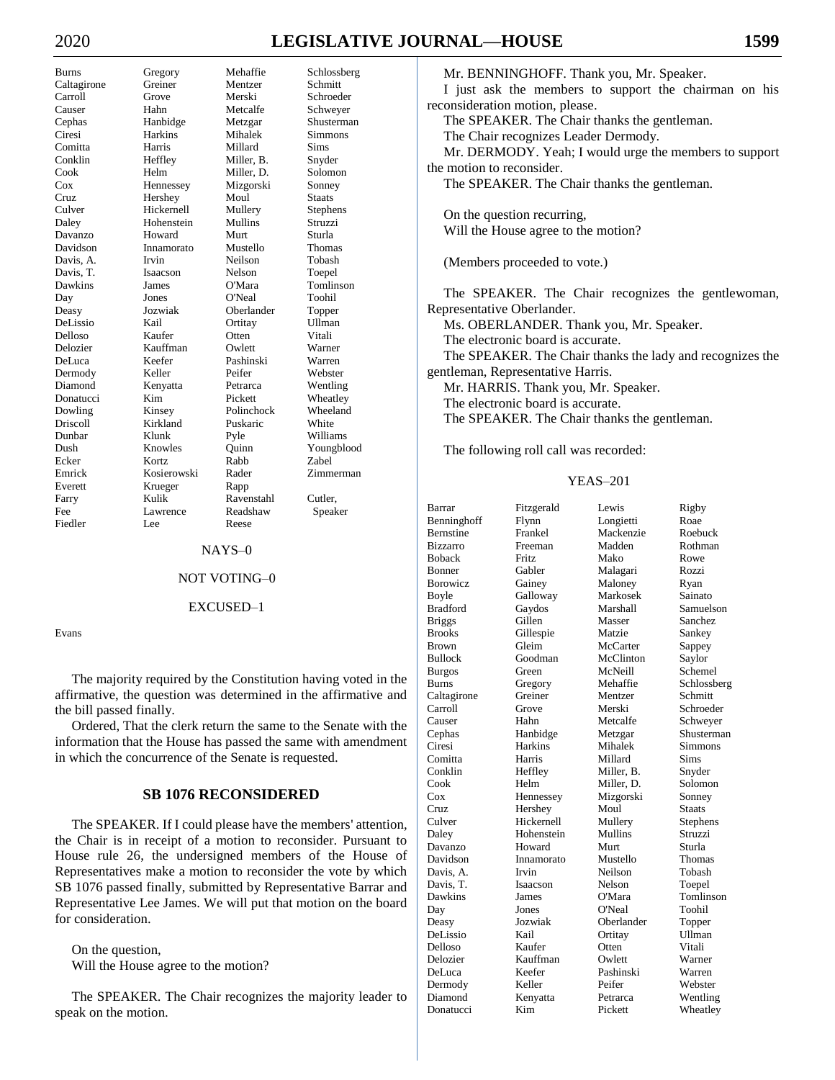# 2020 **LEGISLATIVE JOURNAL—HOUSE 1599**

Daley Hohenstein Fiedler Lee Reese

Burns Gregory Mehaffie Schlossberg Caltagirone Greiner Mentzer Schmitt Carroll Grove Merski Schroeder Causer Hahn Metcalfe Schweyer Cephas Hanbidge Metzgar Shusterman Ciresi Harkins Mihalek Simmons Comitta Harris Millard Sims Conklin Heffley Miller, B. Snyder Cook Helm Miller, D. Solomon Cox Hennessey Mizgorski Sonney Cruz Hershey Moul Staats Culver Hickernell Mullery Stephens Davanzo Howard Murt Sturla Davidson Innamorato Mustello Thomas Davis, A. Irvin Neilson Tobash Davis, T. Isaacson Nelson Toepel Dawkins James O'Mara Tomlinson Day Jones O'Neal Toohil Deasy Jozwiak Oberlander Topper DeLissio Kail Ortitay Ullman Delloso Kaufer Otten Vitali Delozier Kauffman Owlett Warner DeLuca Keefer Pashinski Warren Dermody Keller Peifer Webster Diamond Kenyatta Petrarca Wentling Donatucci Kim Pickett Wheatley<br>
Dowling Kinsey Polinchock Wheeland Polinchock Driscoll Kirkland Puskaric White Dunbar Klunk Pyle Williams Dush Knowles Quinn Youngblood Ecker Kortz Rabb Zabel Emrick Kosierowski Rader Zimmerman Everett Krueger Rapp Farry Kulik Ravenstahl Cutler, Fee Lawrence Readshaw Speaker

#### NAYS–0

## NOT VOTING–0

#### EXCUSED–1

Evans

The majority required by the Constitution having voted in the affirmative, the question was determined in the affirmative and the bill passed finally.

Ordered, That the clerk return the same to the Senate with the information that the House has passed the same with amendment in which the concurrence of the Senate is requested.

## **SB 1076 RECONSIDERED**

The SPEAKER. If I could please have the members' attention, the Chair is in receipt of a motion to reconsider. Pursuant to House rule 26, the undersigned members of the House of Representatives make a motion to reconsider the vote by which SB 1076 passed finally, submitted by Representative Barrar and Representative Lee James. We will put that motion on the board for consideration.

On the question, Will the House agree to the motion?

The SPEAKER. The Chair recognizes the majority leader to speak on the motion.

Mr. BENNINGHOFF. Thank you, Mr. Speaker. I just ask the members to support the chairman on his reconsideration motion, please. The SPEAKER. The Chair thanks the gentleman. The Chair recognizes Leader Dermody. Mr. DERMODY. Yeah; I would urge the members to support the motion to reconsider. The SPEAKER. The Chair thanks the gentleman. On the question recurring, Will the House agree to the motion? (Members proceeded to vote.) The SPEAKER. The Chair recognizes the gentlewoman, Representative Oberlander. Ms. OBERLANDER. Thank you, Mr. Speaker.

The electronic board is accurate. The SPEAKER. The Chair thanks the lady and recognizes the

gentleman, Representative Harris.

Mr. HARRIS. Thank you, Mr. Speaker.

The electronic board is accurate.

The SPEAKER. The Chair thanks the gentleman.

The following roll call was recorded:

#### YEAS–201

| Fitzgerald<br>Lewis<br>Rigby<br>Barrar                            |  |
|-------------------------------------------------------------------|--|
|                                                                   |  |
| Benninghoff<br>Flynn<br>Longietti<br>Roae<br>Frankel<br>Mackenzie |  |
| <b>Bernstine</b><br>Roebuck                                       |  |
| Madden<br><b>Bizzarro</b><br>Freeman<br>Rothman                   |  |
| <b>Boback</b><br>Fritz.<br>Mako<br>Rowe                           |  |
| Gabler<br>Rozzi<br>Bonner<br>Malagari                             |  |
| Borowicz<br>Maloney<br>Gainey<br>Ryan                             |  |
| Galloway<br>Markosek<br>Sainato<br>Boyle                          |  |
| <b>Bradford</b><br>Gaydos<br>Marshall<br>Samuelson                |  |
| <b>Briggs</b><br>Gillen<br>Sanchez<br>Masser                      |  |
| <b>Brooks</b><br>Gillespie<br>Matzie<br>Sankey                    |  |
| Gleim<br>McCarter<br><b>Brown</b><br>Sappey                       |  |
| McClinton<br>Bullock<br>Goodman<br>Saylor                         |  |
| McNeill<br>Schemel<br>Green<br><b>Burgos</b>                      |  |
| Mehaffie<br>Schlossberg<br>Burns<br>Gregory                       |  |
| Greiner<br>Caltagirone<br>Mentzer<br>Schmitt                      |  |
| Carroll<br>Grove<br>Merski<br>Schroeder                           |  |
| Causer<br>Metcalfe<br>Hahn<br>Schweyer                            |  |
| Cephas<br>Hanbidge<br>Metzgar<br>Shusterman                       |  |
| Ciresi<br>Harkins<br>Mihalek<br>Simmons                           |  |
| Sims<br>Comitta<br>Harris<br>Millard                              |  |
| Conklin<br>Heffley<br>Miller. B.<br>Snyder                        |  |
| Cook<br>Helm<br>Miller, D.<br>Solomon                             |  |
| $\cos$<br>Mizgorski<br>Sonney<br>Hennessey                        |  |
| Moul<br>Cruz<br>Hershey<br>Staats                                 |  |
| Hickernell<br>Culver<br>Mullery<br>Stephens                       |  |
| Struzzi<br>Hohenstein<br>Mullins<br>Daley                         |  |
| Sturla<br>Murt<br>Davanzo<br>Howard                               |  |
| Davidson<br>Mustello<br>Thomas<br>Innamorato                      |  |
| Neilson<br>Davis, A.<br>Irvin<br>Tobash                           |  |
| <b>Nelson</b><br>Davis, T.<br>Toepel<br>Isaacson                  |  |
| O'Mara<br>Tomlinson<br>Dawkins<br>James                           |  |
| O'Neal<br>Toohil<br>Day<br>Jones                                  |  |
| Jozwiak<br>Oberlander<br>Deasy<br>Topper                          |  |
| DeLissio<br>Kail<br>Ullman<br>Ortitay                             |  |
| Delloso<br>Kaufer<br>Vitali<br>Otten                              |  |
| Kauffman<br>Owlett<br>Warner<br>Delozier                          |  |
| DeLuca<br>Keefer<br>Pashinski<br>Warren                           |  |
| Keller<br>Peifer<br>Webster<br>Dermody                            |  |
| Diamond<br>Petrarca<br>Wentling<br>Kenyatta                       |  |
| Wheatley<br>Kim<br>Pickett<br>Donatucci                           |  |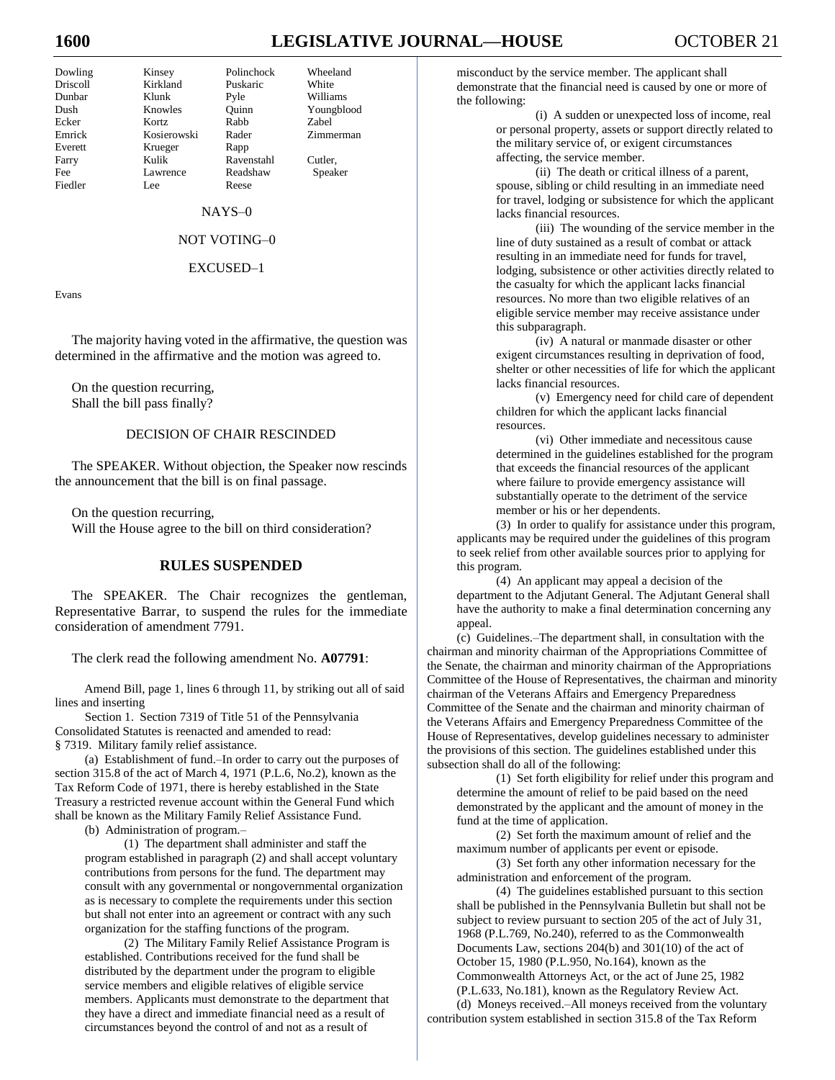# **1600 LEGISLATIVE JOURNAL—HOUSE** OCTOBER 21

Fiedler Lee Reese

Dowling Kinsey Polinchock Wheeland<br>
Driscoll Kirkland Puskaric White Driscoll Kirkland Puskaric Dunbar Klunk Pyle Williams Ecker Kortz Rabb Zabel Everett Krueger Rapp Farry Kulik Ravenstahl Cutler,

Dush Knowles Quinn Youngblood Emrick Kosierowski Rader Zimmerman Fee Lawrence Readshaw Speaker

NAYS–0

## NOT VOTING–0

## EXCUSED–1

Evans

The majority having voted in the affirmative, the question was determined in the affirmative and the motion was agreed to.

On the question recurring, Shall the bill pass finally?

## DECISION OF CHAIR RESCINDED

The SPEAKER. Without objection, the Speaker now rescinds the announcement that the bill is on final passage.

On the question recurring,

Will the House agree to the bill on third consideration?

## **RULES SUSPENDED**

The SPEAKER. The Chair recognizes the gentleman, Representative Barrar, to suspend the rules for the immediate consideration of amendment 7791.

The clerk read the following amendment No. **A07791**:

Amend Bill, page 1, lines 6 through 11, by striking out all of said lines and inserting

Section 1. Section 7319 of Title 51 of the Pennsylvania Consolidated Statutes is reenacted and amended to read: § 7319. Military family relief assistance.

(a) Establishment of fund.–In order to carry out the purposes of section 315.8 of the act of March 4, 1971 (P.L.6, No.2), known as the Tax Reform Code of 1971, there is hereby established in the State Treasury a restricted revenue account within the General Fund which shall be known as the Military Family Relief Assistance Fund.

(b) Administration of program.–

(1) The department shall administer and staff the program established in paragraph (2) and shall accept voluntary contributions from persons for the fund. The department may consult with any governmental or nongovernmental organization as is necessary to complete the requirements under this section but shall not enter into an agreement or contract with any such organization for the staffing functions of the program.

(2) The Military Family Relief Assistance Program is established. Contributions received for the fund shall be distributed by the department under the program to eligible service members and eligible relatives of eligible service members. Applicants must demonstrate to the department that they have a direct and immediate financial need as a result of circumstances beyond the control of and not as a result of

misconduct by the service member. The applicant shall demonstrate that the financial need is caused by one or more of the following:

> (i) A sudden or unexpected loss of income, real or personal property, assets or support directly related to the military service of, or exigent circumstances affecting, the service member.

> (ii) The death or critical illness of a parent, spouse, sibling or child resulting in an immediate need for travel, lodging or subsistence for which the applicant lacks financial resources.

> (iii) The wounding of the service member in the line of duty sustained as a result of combat or attack resulting in an immediate need for funds for travel, lodging, subsistence or other activities directly related to the casualty for which the applicant lacks financial resources. No more than two eligible relatives of an eligible service member may receive assistance under this subparagraph.

> (iv) A natural or manmade disaster or other exigent circumstances resulting in deprivation of food, shelter or other necessities of life for which the applicant lacks financial resources.

> (v) Emergency need for child care of dependent children for which the applicant lacks financial resources.

> (vi) Other immediate and necessitous cause determined in the guidelines established for the program that exceeds the financial resources of the applicant where failure to provide emergency assistance will substantially operate to the detriment of the service member or his or her dependents.

(3) In order to qualify for assistance under this program, applicants may be required under the guidelines of this program to seek relief from other available sources prior to applying for this program.

(4) An applicant may appeal a decision of the department to the Adjutant General. The Adjutant General shall have the authority to make a final determination concerning any appeal.

(c) Guidelines.–The department shall, in consultation with the chairman and minority chairman of the Appropriations Committee of the Senate, the chairman and minority chairman of the Appropriations Committee of the House of Representatives, the chairman and minority chairman of the Veterans Affairs and Emergency Preparedness Committee of the Senate and the chairman and minority chairman of the Veterans Affairs and Emergency Preparedness Committee of the House of Representatives, develop guidelines necessary to administer the provisions of this section. The guidelines established under this subsection shall do all of the following:

(1) Set forth eligibility for relief under this program and determine the amount of relief to be paid based on the need demonstrated by the applicant and the amount of money in the fund at the time of application.

(2) Set forth the maximum amount of relief and the maximum number of applicants per event or episode.

(3) Set forth any other information necessary for the administration and enforcement of the program.

(4) The guidelines established pursuant to this section shall be published in the Pennsylvania Bulletin but shall not be subject to review pursuant to section 205 of the act of July 31, 1968 (P.L.769, No.240), referred to as the Commonwealth Documents Law, sections 204(b) and 301(10) of the act of October 15, 1980 (P.L.950, No.164), known as the Commonwealth Attorneys Act, or the act of June 25, 1982 (P.L.633, No.181), known as the Regulatory Review Act.

(d) Moneys received.–All moneys received from the voluntary contribution system established in section 315.8 of the Tax Reform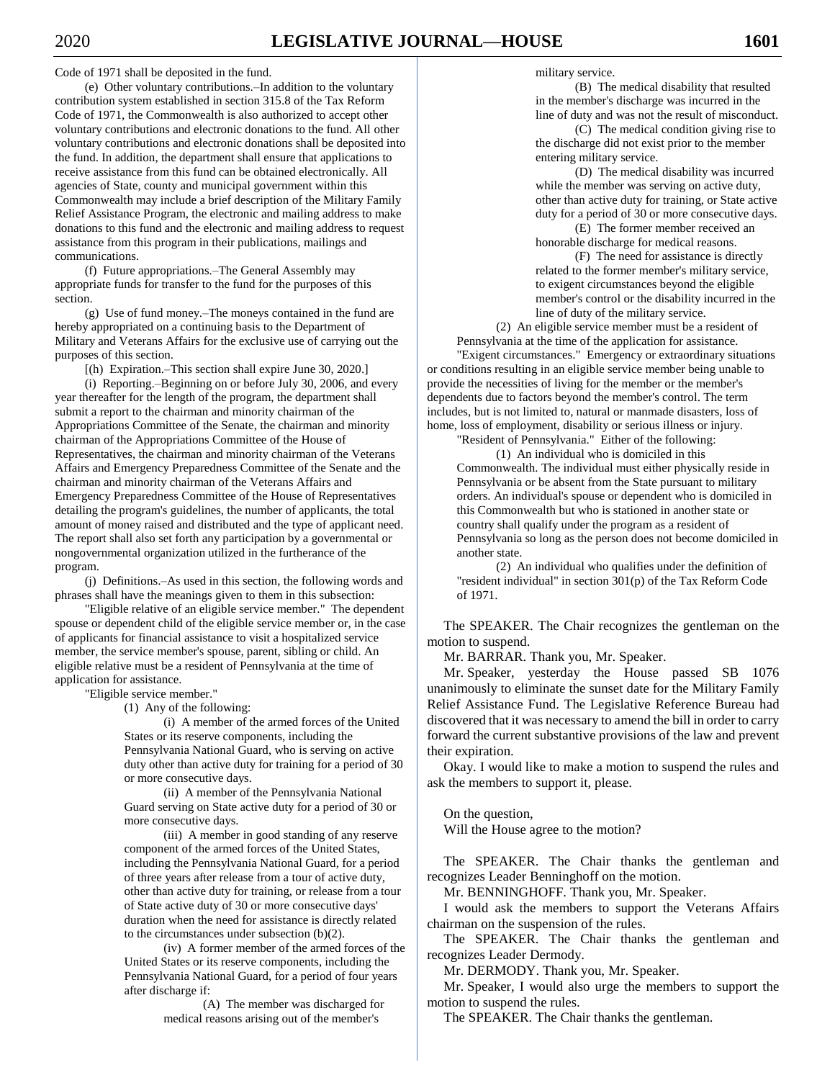Code of 1971 shall be deposited in the fund.

(e) Other voluntary contributions.–In addition to the voluntary contribution system established in section 315.8 of the Tax Reform Code of 1971, the Commonwealth is also authorized to accept other voluntary contributions and electronic donations to the fund. All other voluntary contributions and electronic donations shall be deposited into the fund. In addition, the department shall ensure that applications to receive assistance from this fund can be obtained electronically. All agencies of State, county and municipal government within this Commonwealth may include a brief description of the Military Family Relief Assistance Program, the electronic and mailing address to make donations to this fund and the electronic and mailing address to request assistance from this program in their publications, mailings and communications.

(f) Future appropriations.–The General Assembly may appropriate funds for transfer to the fund for the purposes of this section.

(g) Use of fund money.–The moneys contained in the fund are hereby appropriated on a continuing basis to the Department of Military and Veterans Affairs for the exclusive use of carrying out the purposes of this section.

[(h) Expiration.–This section shall expire June 30, 2020.]

(i) Reporting.–Beginning on or before July 30, 2006, and every year thereafter for the length of the program, the department shall submit a report to the chairman and minority chairman of the Appropriations Committee of the Senate, the chairman and minority chairman of the Appropriations Committee of the House of Representatives, the chairman and minority chairman of the Veterans Affairs and Emergency Preparedness Committee of the Senate and the chairman and minority chairman of the Veterans Affairs and Emergency Preparedness Committee of the House of Representatives detailing the program's guidelines, the number of applicants, the total amount of money raised and distributed and the type of applicant need. The report shall also set forth any participation by a governmental or nongovernmental organization utilized in the furtherance of the program.

(j) Definitions.–As used in this section, the following words and phrases shall have the meanings given to them in this subsection:

"Eligible relative of an eligible service member." The dependent spouse or dependent child of the eligible service member or, in the case of applicants for financial assistance to visit a hospitalized service member, the service member's spouse, parent, sibling or child. An eligible relative must be a resident of Pennsylvania at the time of application for assistance.

"Eligible service member."

(1) Any of the following:

(i) A member of the armed forces of the United States or its reserve components, including the Pennsylvania National Guard, who is serving on active duty other than active duty for training for a period of 30 or more consecutive days.

(ii) A member of the Pennsylvania National Guard serving on State active duty for a period of 30 or more consecutive days.

(iii) A member in good standing of any reserve component of the armed forces of the United States, including the Pennsylvania National Guard, for a period of three years after release from a tour of active duty, other than active duty for training, or release from a tour of State active duty of 30 or more consecutive days' duration when the need for assistance is directly related to the circumstances under subsection (b)(2).

(iv) A former member of the armed forces of the United States or its reserve components, including the Pennsylvania National Guard, for a period of four years after discharge if:

(A) The member was discharged for medical reasons arising out of the member's

military service.

(B) The medical disability that resulted in the member's discharge was incurred in the line of duty and was not the result of misconduct.

(C) The medical condition giving rise to the discharge did not exist prior to the member entering military service.

(D) The medical disability was incurred while the member was serving on active duty, other than active duty for training, or State active duty for a period of 30 or more consecutive days.

(E) The former member received an honorable discharge for medical reasons.

(F) The need for assistance is directly related to the former member's military service, to exigent circumstances beyond the eligible member's control or the disability incurred in the line of duty of the military service.

(2) An eligible service member must be a resident of Pennsylvania at the time of the application for assistance.

"Exigent circumstances." Emergency or extraordinary situations or conditions resulting in an eligible service member being unable to provide the necessities of living for the member or the member's dependents due to factors beyond the member's control. The term includes, but is not limited to, natural or manmade disasters, loss of home, loss of employment, disability or serious illness or injury.

"Resident of Pennsylvania." Either of the following: (1) An individual who is domiciled in this

Commonwealth. The individual must either physically reside in Pennsylvania or be absent from the State pursuant to military orders. An individual's spouse or dependent who is domiciled in this Commonwealth but who is stationed in another state or country shall qualify under the program as a resident of Pennsylvania so long as the person does not become domiciled in another state.

(2) An individual who qualifies under the definition of "resident individual" in section 301(p) of the Tax Reform Code of 1971.

The SPEAKER. The Chair recognizes the gentleman on the motion to suspend.

Mr. BARRAR. Thank you, Mr. Speaker.

Mr. Speaker, yesterday the House passed SB 1076 unanimously to eliminate the sunset date for the Military Family Relief Assistance Fund. The Legislative Reference Bureau had discovered that it was necessary to amend the bill in order to carry forward the current substantive provisions of the law and prevent their expiration.

Okay. I would like to make a motion to suspend the rules and ask the members to support it, please.

On the question, Will the House agree to the motion?

The SPEAKER. The Chair thanks the gentleman and recognizes Leader Benninghoff on the motion.

Mr. BENNINGHOFF. Thank you, Mr. Speaker.

I would ask the members to support the Veterans Affairs chairman on the suspension of the rules.

The SPEAKER. The Chair thanks the gentleman and recognizes Leader Dermody.

Mr. DERMODY. Thank you, Mr. Speaker.

Mr. Speaker, I would also urge the members to support the motion to suspend the rules.

The SPEAKER. The Chair thanks the gentleman.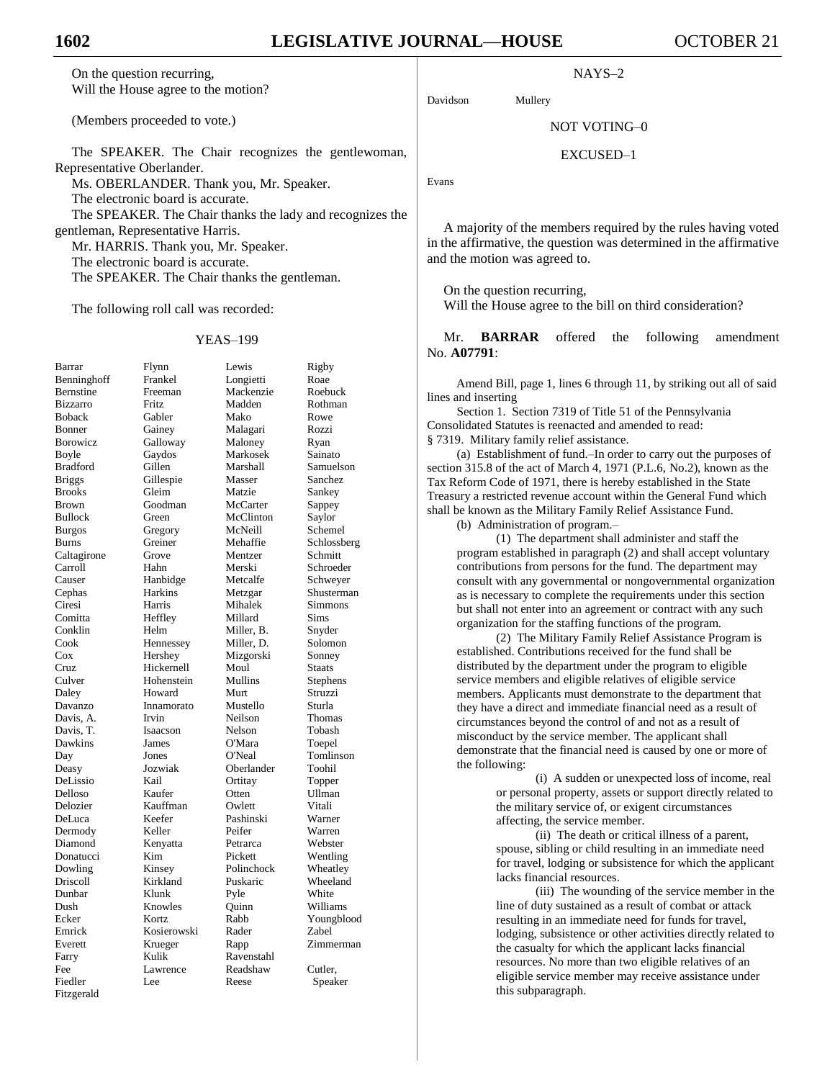On the question recurring, Will the House agree to the motion?

(Members proceeded to vote.)

The SPEAKER. The Chair recognizes the gentlewoman, Representative Oberlander. Ms. OBERLANDER. Thank you, Mr. Speaker. The electronic board is accurate. The SPEAKER. The Chair thanks the lady and recognizes the gentleman, Representative Harris. Mr. HARRIS. Thank you, Mr. Speaker.

The electronic board is accurate. The SPEAKER. The Chair thanks the gentleman.

The following roll call was recorded:

#### YEAS–199

| Barrar                                                                |
|-----------------------------------------------------------------------|
| Benninghoff                                                           |
| Bernstine                                                             |
| Bizzarro                                                              |
| Boback                                                                |
| Bonner                                                                |
| Borowicz                                                              |
| Boyle                                                                 |
| <b>Bradford</b>                                                       |
| <b>Briggs</b>                                                         |
| <b>Brooks</b>                                                         |
| Brown                                                                 |
| Bullock                                                               |
| <b>Burgos</b>                                                         |
| <b>Burns</b>                                                          |
| Caltagirone                                                           |
|                                                                       |
|                                                                       |
|                                                                       |
|                                                                       |
| Canaga<br>Carroll<br>Causer<br>Cephas<br>Ciresi<br>Comitta<br>Conklin |
|                                                                       |
| Cook                                                                  |
| Cox                                                                   |
| Cruz                                                                  |
|                                                                       |
|                                                                       |
| Culver                                                                |
| Daley                                                                 |
| Davanzo                                                               |
| Davis, A.                                                             |
| Davis, T.                                                             |
| Dawkins                                                               |
| Day                                                                   |
| Deasy                                                                 |
| DeLissio                                                              |
| Delloso                                                               |
| Delozier<br>DeLuca                                                    |
| Dermody                                                               |
| Diamond                                                               |
| Donatucci                                                             |
| Dowling                                                               |
|                                                                       |
| Driscoll                                                              |
| Dunbar<br>Dush                                                        |
|                                                                       |
| Ecker<br>Emrick                                                       |
| Everett                                                               |
|                                                                       |
| Farry<br>Fee                                                          |
| Fiedler<br>Fitzgerald                                                 |

Barrar Flynn Lewis Rigby Frankel Longietti Roae Freeman Mackenzie Roebuck Bizzarro Fritz Madden Rothman Boback Gabler Mako Rowe Gainey Malagari Rozzi Galloway Maloney Ryan Gaydos Markosek Sainato Gillen Marshall Samuelson Gillespie Masser Sanchez Gleim Matzie Sankey<br>Goodman McCarter Sappey Goodman McCarter Sappey Green McClinton Saylor Gregory McNeill Schemel Greiner Mehaffie Schlossberg<br>Grove Mentzer Schmitt Hahn Merski Schroeder Hanbidge Metcalfe Schweyer Harkins Metzgar Shusterman<br>
Harris Mihalek Simmons Ciresi Harris Mihalek Simmons Heffley Millard Sims Helm Miller, B. Snyder Hennessey Miller, D. Solomon Hershey Mizgorski Sonney Hickernell Moul Staats Hohenstein Mullins Stephens Daley Howard Murt Struzzi Innamorato Mustello Sturla Davis, A. Irvin Neilson Thomas Isaacson Nelson Tobash<br>
Iames O'Mara Toenel Dawkins James O'Mara Toepel Jones O'Neal Tomlinson Jozwiak Oberlander Toohil Kail Ortitay Topper<br>
Kaufer Otten Ullman Delloso Kaufer Otten Ullman Kauffman Owlett Vitali Keefer Pashinski Warner<br>
Reller Peifer Warren Peifer Warren<br>Petrarca Webster Kenyatta Kim Pickett Wentling Kinsey Polinchock Wheatley Kirkland Puskaric Wheeland Dunbar Klunk Pyle White Knowles Quinn Williams Kortz Rabb Youngblood Kosierowski Rader Zabel Krueger Rapp Zimmerman Kulik Ravenstahl Lawrence Readshaw Cutler, Lee Reese Speaker

Schmitt

NAYS–2

Davidson Mullery

NOT VOTING–0

EXCUSED–1

Evans

A majority of the members required by the rules having voted in the affirmative, the question was determined in the affirmative and the motion was agreed to.

On the question recurring, Will the House agree to the bill on third consideration?

Mr. **BARRAR** offered the following amendment No. **A07791**:

Amend Bill, page 1, lines 6 through 11, by striking out all of said lines and inserting

Section 1. Section 7319 of Title 51 of the Pennsylvania Consolidated Statutes is reenacted and amended to read: § 7319. Military family relief assistance.

(a) Establishment of fund.–In order to carry out the purposes of section 315.8 of the act of March 4, 1971 (P.L.6, No.2), known as the Tax Reform Code of 1971, there is hereby established in the State Treasury a restricted revenue account within the General Fund which shall be known as the Military Family Relief Assistance Fund.

(b) Administration of program.–

(1) The department shall administer and staff the program established in paragraph (2) and shall accept voluntary contributions from persons for the fund. The department may consult with any governmental or nongovernmental organization as is necessary to complete the requirements under this section but shall not enter into an agreement or contract with any such organization for the staffing functions of the program.

(2) The Military Family Relief Assistance Program is established. Contributions received for the fund shall be distributed by the department under the program to eligible service members and eligible relatives of eligible service members. Applicants must demonstrate to the department that they have a direct and immediate financial need as a result of circumstances beyond the control of and not as a result of misconduct by the service member. The applicant shall demonstrate that the financial need is caused by one or more of the following:

(i) A sudden or unexpected loss of income, real or personal property, assets or support directly related to the military service of, or exigent circumstances affecting, the service member.

(ii) The death or critical illness of a parent, spouse, sibling or child resulting in an immediate need for travel, lodging or subsistence for which the applicant lacks financial resources.

(iii) The wounding of the service member in the line of duty sustained as a result of combat or attack resulting in an immediate need for funds for travel, lodging, subsistence or other activities directly related to the casualty for which the applicant lacks financial resources. No more than two eligible relatives of an eligible service member may receive assistance under this subparagraph.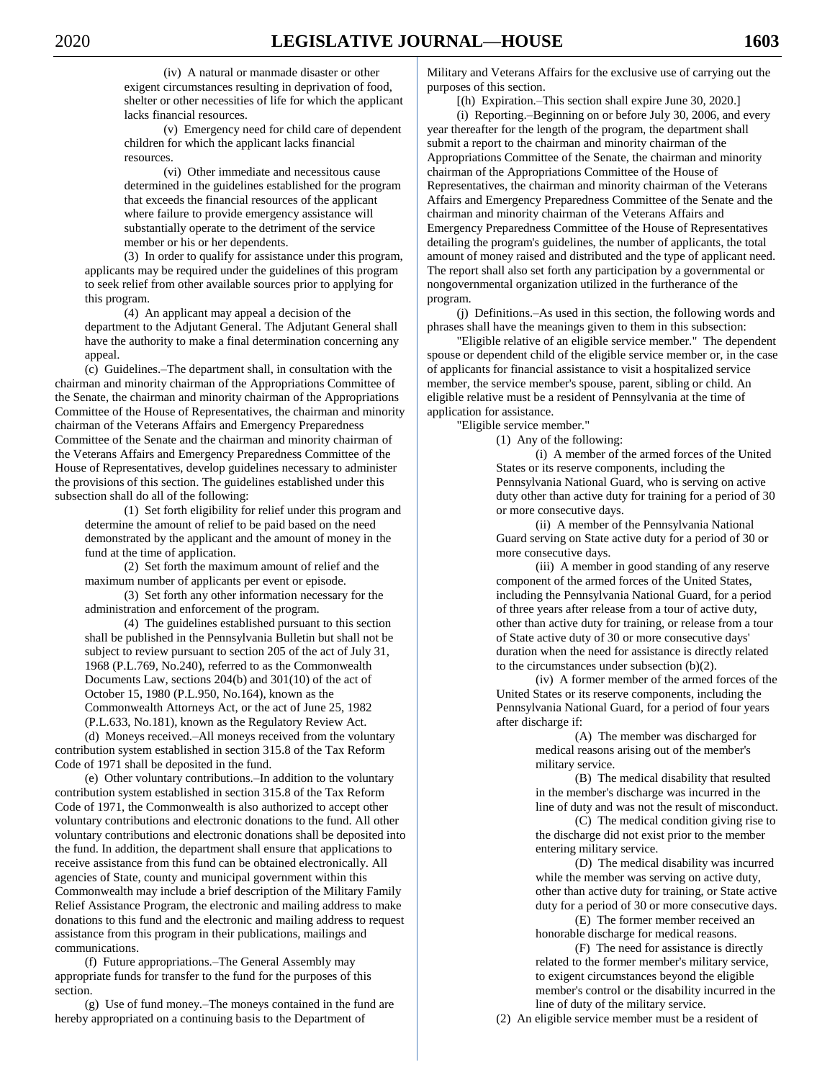(iv) A natural or manmade disaster or other exigent circumstances resulting in deprivation of food, shelter or other necessities of life for which the applicant lacks financial resources.

(v) Emergency need for child care of dependent children for which the applicant lacks financial resources.

(vi) Other immediate and necessitous cause determined in the guidelines established for the program that exceeds the financial resources of the applicant where failure to provide emergency assistance will substantially operate to the detriment of the service member or his or her dependents.

(3) In order to qualify for assistance under this program, applicants may be required under the guidelines of this program to seek relief from other available sources prior to applying for this program.

(4) An applicant may appeal a decision of the department to the Adjutant General. The Adjutant General shall have the authority to make a final determination concerning any appeal.

(c) Guidelines.–The department shall, in consultation with the chairman and minority chairman of the Appropriations Committee of the Senate, the chairman and minority chairman of the Appropriations Committee of the House of Representatives, the chairman and minority chairman of the Veterans Affairs and Emergency Preparedness Committee of the Senate and the chairman and minority chairman of the Veterans Affairs and Emergency Preparedness Committee of the House of Representatives, develop guidelines necessary to administer the provisions of this section. The guidelines established under this subsection shall do all of the following:

(1) Set forth eligibility for relief under this program and determine the amount of relief to be paid based on the need demonstrated by the applicant and the amount of money in the fund at the time of application.

(2) Set forth the maximum amount of relief and the maximum number of applicants per event or episode.

(3) Set forth any other information necessary for the administration and enforcement of the program.

(4) The guidelines established pursuant to this section shall be published in the Pennsylvania Bulletin but shall not be subject to review pursuant to section 205 of the act of July 31, 1968 (P.L.769, No.240), referred to as the Commonwealth Documents Law, sections 204(b) and 301(10) of the act of October 15, 1980 (P.L.950, No.164), known as the Commonwealth Attorneys Act, or the act of June 25, 1982 (P.L.633, No.181), known as the Regulatory Review Act.

(d) Moneys received.–All moneys received from the voluntary contribution system established in section 315.8 of the Tax Reform Code of 1971 shall be deposited in the fund.

(e) Other voluntary contributions.–In addition to the voluntary contribution system established in section 315.8 of the Tax Reform Code of 1971, the Commonwealth is also authorized to accept other voluntary contributions and electronic donations to the fund. All other voluntary contributions and electronic donations shall be deposited into the fund. In addition, the department shall ensure that applications to receive assistance from this fund can be obtained electronically. All agencies of State, county and municipal government within this Commonwealth may include a brief description of the Military Family Relief Assistance Program, the electronic and mailing address to make donations to this fund and the electronic and mailing address to request assistance from this program in their publications, mailings and communications.

(f) Future appropriations.–The General Assembly may appropriate funds for transfer to the fund for the purposes of this section.

(g) Use of fund money.–The moneys contained in the fund are hereby appropriated on a continuing basis to the Department of

Military and Veterans Affairs for the exclusive use of carrying out the purposes of this section.

[(h) Expiration.–This section shall expire June 30, 2020.] (i) Reporting.–Beginning on or before July 30, 2006, and every year thereafter for the length of the program, the department shall submit a report to the chairman and minority chairman of the Appropriations Committee of the Senate, the chairman and minority chairman of the Appropriations Committee of the House of Representatives, the chairman and minority chairman of the Veterans Affairs and Emergency Preparedness Committee of the Senate and the chairman and minority chairman of the Veterans Affairs and Emergency Preparedness Committee of the House of Representatives detailing the program's guidelines, the number of applicants, the total amount of money raised and distributed and the type of applicant need. The report shall also set forth any participation by a governmental or nongovernmental organization utilized in the furtherance of the program.

(j) Definitions.–As used in this section, the following words and phrases shall have the meanings given to them in this subsection:

"Eligible relative of an eligible service member." The dependent spouse or dependent child of the eligible service member or, in the case of applicants for financial assistance to visit a hospitalized service member, the service member's spouse, parent, sibling or child. An eligible relative must be a resident of Pennsylvania at the time of application for assistance.

"Eligible service member."

(1) Any of the following:

(i) A member of the armed forces of the United States or its reserve components, including the Pennsylvania National Guard, who is serving on active duty other than active duty for training for a period of 30 or more consecutive days.

(ii) A member of the Pennsylvania National Guard serving on State active duty for a period of 30 or more consecutive days.

(iii) A member in good standing of any reserve component of the armed forces of the United States, including the Pennsylvania National Guard, for a period of three years after release from a tour of active duty, other than active duty for training, or release from a tour of State active duty of 30 or more consecutive days' duration when the need for assistance is directly related to the circumstances under subsection (b)(2).

(iv) A former member of the armed forces of the United States or its reserve components, including the Pennsylvania National Guard, for a period of four years after discharge if:

> (A) The member was discharged for medical reasons arising out of the member's military service.

(B) The medical disability that resulted in the member's discharge was incurred in the line of duty and was not the result of misconduct.

(C) The medical condition giving rise to the discharge did not exist prior to the member entering military service.

(D) The medical disability was incurred while the member was serving on active duty, other than active duty for training, or State active duty for a period of 30 or more consecutive days.

(E) The former member received an honorable discharge for medical reasons.

(F) The need for assistance is directly related to the former member's military service, to exigent circumstances beyond the eligible member's control or the disability incurred in the line of duty of the military service.

(2) An eligible service member must be a resident of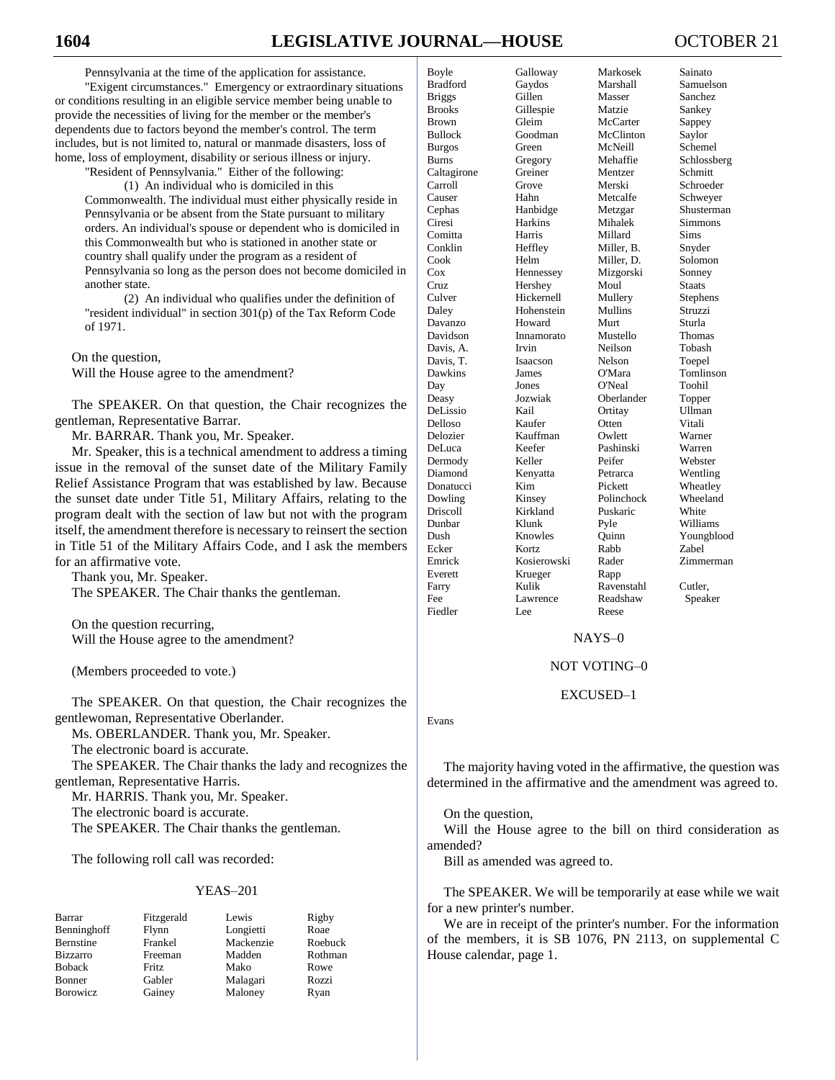Pennsylvania at the time of the application for assistance. "Exigent circumstances." Emergency or extraordinary situations or conditions resulting in an eligible service member being unable to provide the necessities of living for the member or the member's dependents due to factors beyond the member's control. The term includes, but is not limited to, natural or manmade disasters, loss of home, loss of employment, disability or serious illness or injury.

"Resident of Pennsylvania." Either of the following:

(1) An individual who is domiciled in this Commonwealth. The individual must either physically reside in Pennsylvania or be absent from the State pursuant to military orders. An individual's spouse or dependent who is domiciled in this Commonwealth but who is stationed in another state or country shall qualify under the program as a resident of Pennsylvania so long as the person does not become domiciled in another state.

(2) An individual who qualifies under the definition of "resident individual" in section 301(p) of the Tax Reform Code of 1971.

On the question,

Will the House agree to the amendment?

The SPEAKER. On that question, the Chair recognizes the gentleman, Representative Barrar.

Mr. BARRAR. Thank you, Mr. Speaker.

Mr. Speaker, this is a technical amendment to address a timing issue in the removal of the sunset date of the Military Family Relief Assistance Program that was established by law. Because the sunset date under Title 51, Military Affairs, relating to the program dealt with the section of law but not with the program itself, the amendment therefore is necessary to reinsert the section in Title 51 of the Military Affairs Code, and I ask the members for an affirmative vote.

Thank you, Mr. Speaker. The SPEAKER. The Chair thanks the gentleman.

On the question recurring, Will the House agree to the amendment?

(Members proceeded to vote.)

The SPEAKER. On that question, the Chair recognizes the gentlewoman, Representative Oberlander.

Ms. OBERLANDER. Thank you, Mr. Speaker. The electronic board is accurate. The SPEAKER. The Chair thanks the lady and recognizes the gentleman, Representative Harris. Mr. HARRIS. Thank you, Mr. Speaker.

The electronic board is accurate.

The SPEAKER. The Chair thanks the gentleman.

The following roll call was recorded:

#### YEAS–201

| Barrar          | Fitzgerald | Lewis     | Rigby |
|-----------------|------------|-----------|-------|
| Benninghoff     | Flynn      | Longietti | Roae  |
| Bernstine       | Frankel    | Mackenzie | Roebu |
| <b>Bizzarro</b> | Freeman    | Madden    | Rothn |
| <b>Boback</b>   | Fritz      | Mako      | Rowe  |
| Bonner          | Gabler     | Malagari  | Rozzi |
| <b>Borowicz</b> | Gainey     | Maloney   | Ryan  |

Longietti Roae Mackenzie Roebuck<br>Madden Rothman Malagari Rozzi Maloney Ryan

Rothman

| Boyle           | Galloway    | Markosek   | Sainato     |
|-----------------|-------------|------------|-------------|
| <b>Bradford</b> | Gaydos      | Marshall   | Samuelson   |
| <b>Briggs</b>   | Gillen      | Masser     | Sanchez     |
| <b>Brooks</b>   | Gillespie   | Matzie     | Sankey      |
| <b>Brown</b>    | Gleim       | McCarter   | Sappey      |
| <b>Bullock</b>  | Goodman     | McClinton  | Saylor      |
| <b>Burgos</b>   | Green       | McNeill    | Schemel     |
| Burns           | Gregory     | Mehaffie   | Schlossberg |
| Caltagirone     | Greiner     | Mentzer    | Schmitt     |
| Carroll         | Grove       | Merski     | Schroeder   |
| Causer          | Hahn        | Metcalfe   | Schweyer    |
| Cephas          | Hanbidge    | Metzgar    | Shusterman  |
| Ciresi          | Harkins     | Mihalek    | Simmons     |
| Comitta         | Harris      | Millard    | Sims        |
| Conklin         | Hefflev     | Miller, B. | Snyder      |
| Cook            | Helm        | Miller, D. | Solomon     |
| $\cos$          | Hennessey   | Mizgorski  | Sonney      |
| Cruz            | Hershey     | Moul       | Staats      |
| Culver          | Hickernell  | Mullery    | Stephens    |
| Daley           | Hohenstein  | Mullins    | Struzzi     |
| Davanzo         | Howard      | Murt       | Sturla      |
| Davidson        | Innamorato  | Mustello   | Thomas      |
| Davis. A.       | Irvin       | Neilson    | Tobash      |
| Davis, T.       | Isaacson    | Nelson     | Toepel      |
| Dawkins         | James       | O'Mara     | Tomlinson   |
| Day             | Jones       | O'Neal     | Toohil      |
| Deasy           | Jozwiak     | Oberlander | Topper      |
| DeLissio        | Kail        | Ortitay    | Ullman      |
| Delloso         | Kaufer      | Otten      | Vitali      |
| Delozier        | Kauffman    | Owlett     | Warner      |
| DeLuca          | Keefer      | Pashinski  | Warren      |
| Dermody         | Keller      | Peifer     | Webster     |
| Diamond         | Kenyatta    | Petrarca   | Wentling    |
| Donatucci       | Kim         | Pickett    | Wheatley    |
| Dowling         | Kinsey      | Polinchock | Wheeland    |
| Driscoll        | Kirkland    | Puskaric   | White       |
| Dunbar          | Klunk       | Pyle       | Williams    |
| Dush            | Knowles     | Ouinn      | Youngblood  |
| Ecker           | Kortz       | Rabb       | Zabel       |
| Emrick          | Kosierowski | Rader      | Zimmerman   |
| Everett         | Krueger     | Rapp       |             |
| Farry           | Kulik       | Ravenstahl | Cutler,     |
| Fee             | Lawrence    | Readshaw   | Speaker     |
| Fiedler         | Lee         | Reese      |             |
|                 |             |            |             |

#### NAYS–0

#### NOT VOTING–0

#### EXCUSED–1

Evans

The majority having voted in the affirmative, the question was determined in the affirmative and the amendment was agreed to.

On the question,

Will the House agree to the bill on third consideration as amended?

Bill as amended was agreed to.

The SPEAKER. We will be temporarily at ease while we wait for a new printer's number.

We are in receipt of the printer's number. For the information of the members, it is SB 1076, PN 2113, on supplemental C House calendar, page 1.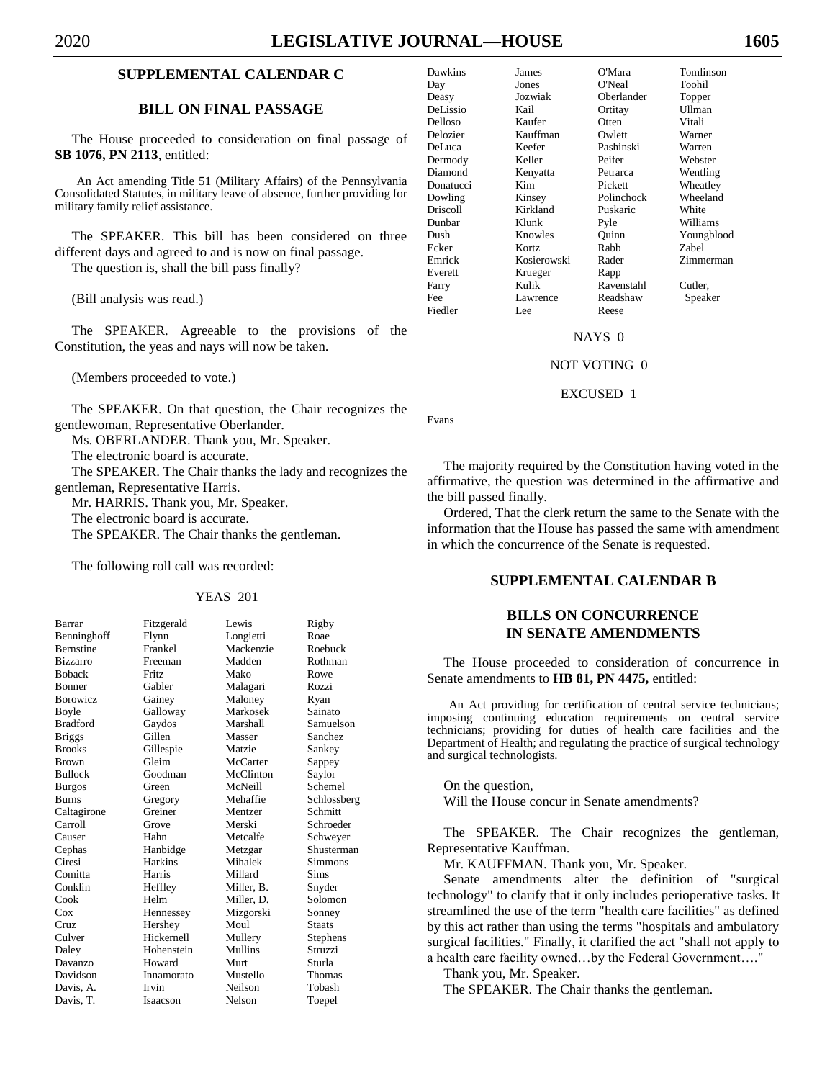## **SUPPLEMENTAL CALENDAR C**

## **BILL ON FINAL PASSAGE**

The House proceeded to consideration on final passage of **SB 1076, PN 2113**, entitled:

An Act amending Title 51 (Military Affairs) of the Pennsylvania Consolidated Statutes, in military leave of absence, further providing for military family relief assistance.

The SPEAKER. This bill has been considered on three different days and agreed to and is now on final passage. The question is, shall the bill pass finally?

(Bill analysis was read.)

The SPEAKER. Agreeable to the provisions of the Constitution, the yeas and nays will now be taken.

(Members proceeded to vote.)

The SPEAKER. On that question, the Chair recognizes the gentlewoman, Representative Oberlander.

Ms. OBERLANDER. Thank you, Mr. Speaker.

The electronic board is accurate.

The SPEAKER. The Chair thanks the lady and recognizes the gentleman, Representative Harris.

Mr. HARRIS. Thank you, Mr. Speaker.

The electronic board is accurate.

The SPEAKER. The Chair thanks the gentleman.

The following roll call was recorded:

#### YEAS–201

| Barrar           | Fitzgerald   | Lewis      | Rigby       |
|------------------|--------------|------------|-------------|
| Benninghoff      | Flynn        | Longietti  | Roae        |
| <b>Bernstine</b> | Frankel      | Mackenzie  | Roebuck     |
| <b>Bizzarro</b>  | Freeman      | Madden     | Rothman     |
| <b>Boback</b>    | <b>Fritz</b> | Mako       | Rowe        |
| Bonner           | Gabler       | Malagari   | Rozzi       |
| <b>Borowicz</b>  | Gainey       | Maloney    | Ryan        |
| Boyle            | Galloway     | Markosek   | Sainato     |
| <b>Bradford</b>  | Gaydos       | Marshall   | Samuelson   |
| <b>Briggs</b>    | Gillen       | Masser     | Sanchez     |
| <b>Brooks</b>    | Gillespie    | Matzie     | Sankey      |
| <b>Brown</b>     | Gleim        | McCarter   | Sappey      |
| <b>Bullock</b>   | Goodman      | McClinton  | Saylor      |
| <b>Burgos</b>    | Green        | McNeill    | Schemel     |
| <b>Burns</b>     | Gregory      | Mehaffie   | Schlossberg |
| Caltagirone      | Greiner      | Mentzer    | Schmitt     |
| Carroll          | Grove        | Merski     | Schroeder   |
| Causer           | Hahn         | Metcalfe   | Schwever    |
| Cephas           | Hanbidge     | Metzgar    | Shusterman  |
| Ciresi           | Harkins      | Mihalek    | Simmons     |
| Comitta          | Harris       | Millard    | Sims        |
| Conklin          | Heffley      | Miller, B. | Snyder      |
| Cook             | Helm         | Miller, D. | Solomon     |
| $\cos$           | Hennessey    | Mizgorski  | Sonney      |
| Cruz             | Hershey      | Moul       | Staats      |
| Culver           | Hickernell   | Mullery    | Stephens    |
| Daley            | Hohenstein   | Mullins    | Struzzi     |
| Davanzo          | Howard       | Murt       | Sturla      |
| Davidson         | Innamorato   | Mustello   | Thomas      |
| Davis, A.        | Irvin        | Neilson    | Tobash      |
| Davis, T.        | Isaacson     | Nelson     | Toepel      |

| Dawkins         | James       | O'Mara     | Tomlinson     |
|-----------------|-------------|------------|---------------|
| Day             | Jones       | O'Neal     | Toohil        |
| Deasy           | Jozwiak     | Oberlander | Topper        |
| DeLissio        | Kail        | Ortitay    | <b>Ullman</b> |
| Delloso         | Kaufer      | Otten      | Vitali        |
| Delozier        | Kauffman    | Owlett     | Warner        |
| DeLuca          | Keefer      | Pashinski  | Warren        |
| Dermody         | Keller      | Peifer     | Webster       |
| Diamond         | Kenyatta    | Petrarca   | Wentling      |
| Donatucci       | Kim.        | Pickett    | Wheatley      |
| Dowling         | Kinsey      | Polinchock | Wheeland      |
| <b>Driscoll</b> | Kirkland    | Puskaric   | White         |
| Dunbar          | Klunk       | Pyle       | Williams      |
| Dush            | Knowles     | Ouinn      | Youngblood    |
| Ecker           | Kortz       | Rabb       | Zabel         |
| Emrick          | Kosierowski | Rader      | Zimmerman     |
| Everett         | Krueger     | Rapp       |               |
| Farry           | Kulik       | Ravenstahl | Cutler,       |
| Fee             | Lawrence    | Readshaw   | Speaker       |
| Fiedler         | I ee        | Reese      |               |
|                 |             |            |               |

## NAYS–0

## NOT VOTING–0

#### EXCUSED–1

Evans

The majority required by the Constitution having voted in the affirmative, the question was determined in the affirmative and the bill passed finally.

Ordered, That the clerk return the same to the Senate with the information that the House has passed the same with amendment in which the concurrence of the Senate is requested.

## **SUPPLEMENTAL CALENDAR B**

## **BILLS ON CONCURRENCE IN SENATE AMENDMENTS**

The House proceeded to consideration of concurrence in Senate amendments to **HB 81, PN 4475,** entitled:

An Act providing for certification of central service technicians; imposing continuing education requirements on central service technicians; providing for duties of health care facilities and the Department of Health; and regulating the practice of surgical technology and surgical technologists.

On the question,

Will the House concur in Senate amendments?

The SPEAKER. The Chair recognizes the gentleman, Representative Kauffman.

Mr. KAUFFMAN. Thank you, Mr. Speaker.

Senate amendments alter the definition of "surgical technology" to clarify that it only includes perioperative tasks. It streamlined the use of the term "health care facilities" as defined by this act rather than using the terms "hospitals and ambulatory surgical facilities." Finally, it clarified the act "shall not apply to a health care facility owned…by the Federal Government…."

Thank you, Mr. Speaker.

The SPEAKER. The Chair thanks the gentleman.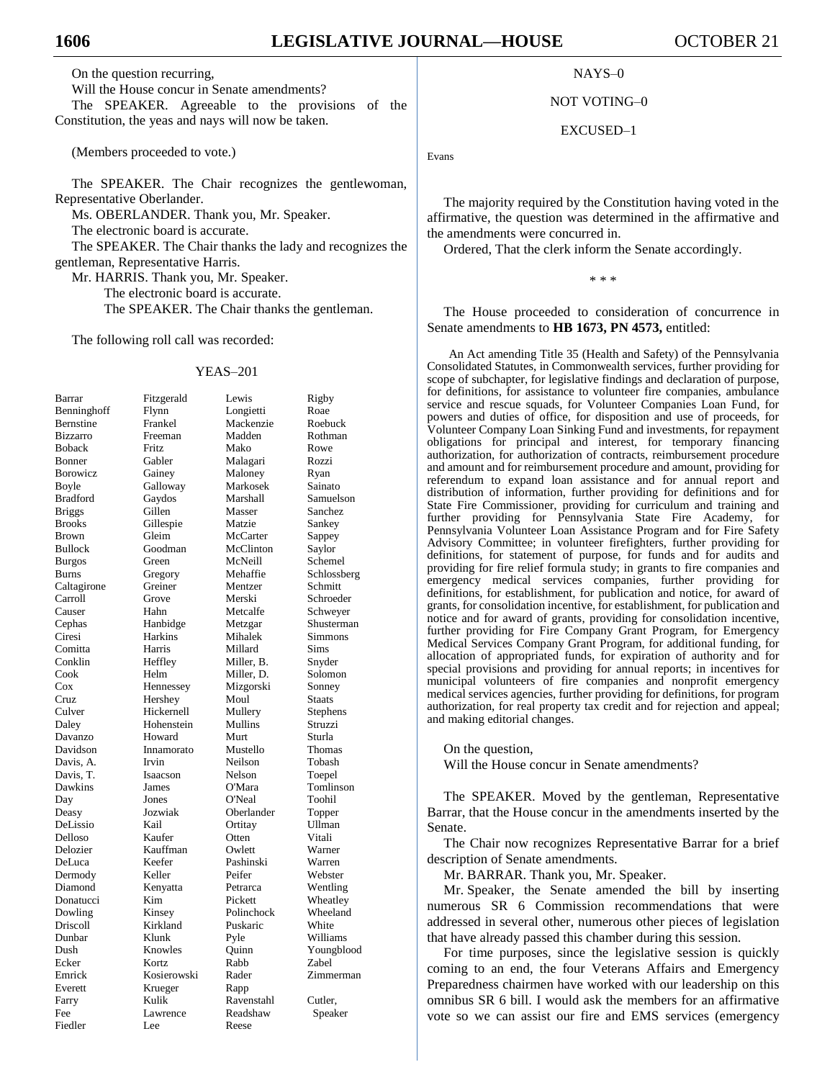On the question recurring, Will the House concur in Senate amendments? The SPEAKER. Agreeable to the provisions of the Constitution, the yeas and nays will now be taken.

(Members proceeded to vote.)

The SPEAKER. The Chair recognizes the gentlewoman, Representative Oberlander. Ms. OBERLANDER. Thank you, Mr. Speaker. The electronic board is accurate.

The SPEAKER. The Chair thanks the lady and recognizes the gentleman, Representative Harris.

Mr. HARRIS. Thank you, Mr. Speaker. The electronic board is accurate. The SPEAKER. The Chair thanks the gentleman.

The following roll call was recorded:

#### YEAS–201

| Barrar             | Fitzgerald      | Lewis           | Rigby               |
|--------------------|-----------------|-----------------|---------------------|
| Benninghoff        | Flynn           | Longietti       | Roae                |
| Bernstine          | Frankel         | Mackenzie       | Roebuck             |
| Bizzarro           | Freeman         | Madden          | Rothman             |
| Boback             | <b>Fritz</b>    | Mako            | Rowe                |
| Bonner             | Gabler          | Malagari        | Rozzi               |
| Borowicz           | Gainey          | Maloney         | Ryan                |
| Boyle              | Galloway        | Markosek        | Sainato             |
| Bradford           | Gaydos          | Marshall        | Samuelson           |
| <b>Briggs</b>      | Gillen          | Masser          | Sanchez             |
| Brooks             | Gillespie       | Matzie          | Sankey              |
| Brown              | Gleim           | McCarter        | Sappey              |
| Bullock            | Goodman         | McClinton       | Saylor              |
| <b>Burgos</b>      | Green           | McNeill         | Schemel             |
| Burns              | Gregory         | Mehaffie        | Schlossberg         |
| Caltagirone        | Greiner         | Mentzer         | Schmitt             |
| Carroll            | Grove           | Merski          | Schroeder           |
| Causer             | Hahn            | Metcalfe        | Schweyer            |
| Cephas             | Hanbidge        | Metzgar         | Shusterman          |
| Ciresi             | Harkins         | Mihalek         | Simmons             |
| Comitta            | Harris          | Millard         | Sims                |
| Conklin            | Heffley         | Miller, B.      | Snyder              |
| Cook               | Helm            | Miller, D.      | Solomon             |
| Cox                | Hennessey       | Mizgorski       | Sonney              |
| Cruz               | Hershey         | Moul            | <b>Staats</b>       |
| Culver             | Hickernell      | Mullery         | Stephens            |
| Daley              | Hohenstein      | Mullins         | Struzzi             |
| Davanzo            | Howard          | Murt            | Sturla              |
| Davidson           | Innamorato      | Mustello        | Thomas              |
| Davis, A.          | Irvin           | Neilson         | Tobash              |
| Davis, T.          |                 | Nelson          |                     |
| Dawkins            | Isaacson        | O'Mara          | Toepel<br>Tomlinson |
|                    | James<br>Jones  | O'Neal          |                     |
| Day                |                 |                 | Toohil              |
| Deasy<br>DeLissio  | Jozwiak<br>Kail | Oberlander      | Topper              |
|                    | Kaufer          | Ortitay         | Ullman<br>Vitali    |
| Delloso            | Kauffman        | Otten<br>Owlett |                     |
| Delozier           | Keefer          | Pashinski       | Warner              |
| DeLuca             | Keller          | Peifer          | Warren              |
| Dermody<br>Diamond |                 |                 | Webster             |
|                    | Kenyatta<br>Kim | Petrarca        | Wentling            |
| Donatucci          |                 | Pickett         | Wheatley            |
| Dowling            | Kinsey          | Polinchock      | Wheeland            |
| Driscoll           | Kirkland        | Puskaric        | White               |
| Dunbar             | Klunk           | Pyle            | Williams            |
| Dush               | Knowles         | Quinn           | Youngblood          |
| Ecker              | Kortz           | Rabb            | Zabel               |
| Emrick             | Kosierowski     | Rader           | Zimmerman           |
| Everett            | Krueger         | Rapp            |                     |
| Farry              | Kulik           | Ravenstahl      | Cutler,             |
| Fee                | Lawrence        | Readshaw        | Speaker             |
| Fiedler            | Lee             | Reese           |                     |

#### Evans

The majority required by the Constitution having voted in the affirmative, the question was determined in the affirmative and the amendments were concurred in.

NAYS–0

NOT VOTING–0

EXCUSED–1

Ordered, That the clerk inform the Senate accordingly.

\* \* \*

The House proceeded to consideration of concurrence in Senate amendments to **HB 1673, PN 4573,** entitled:

An Act amending Title 35 (Health and Safety) of the Pennsylvania Consolidated Statutes, in Commonwealth services, further providing for scope of subchapter, for legislative findings and declaration of purpose, for definitions, for assistance to volunteer fire companies, ambulance service and rescue squads, for Volunteer Companies Loan Fund, for powers and duties of office, for disposition and use of proceeds, for Volunteer Company Loan Sinking Fund and investments, for repayment obligations for principal and interest, for temporary financing authorization, for authorization of contracts, reimbursement procedure and amount and for reimbursement procedure and amount, providing for referendum to expand loan assistance and for annual report and distribution of information, further providing for definitions and for State Fire Commissioner, providing for curriculum and training and further providing for Pennsylvania State Fire Academy, for Pennsylvania Volunteer Loan Assistance Program and for Fire Safety Advisory Committee; in volunteer firefighters, further providing for definitions, for statement of purpose, for funds and for audits and providing for fire relief formula study; in grants to fire companies and emergency medical services companies, further providing for definitions, for establishment, for publication and notice, for award of grants, for consolidation incentive, for establishment, for publication and notice and for award of grants, providing for consolidation incentive, further providing for Fire Company Grant Program, for Emergency Medical Services Company Grant Program, for additional funding, for allocation of appropriated funds, for expiration of authority and for special provisions and providing for annual reports; in incentives for municipal volunteers of fire companies and nonprofit emergency medical services agencies, further providing for definitions, for program authorization, for real property tax credit and for rejection and appeal; and making editorial changes.

On the question, Will the House concur in Senate amendments?

The SPEAKER. Moved by the gentleman, Representative Barrar, that the House concur in the amendments inserted by the Senate.

The Chair now recognizes Representative Barrar for a brief description of Senate amendments.

Mr. BARRAR. Thank you, Mr. Speaker.

Mr. Speaker, the Senate amended the bill by inserting numerous SR 6 Commission recommendations that were addressed in several other, numerous other pieces of legislation that have already passed this chamber during this session.

For time purposes, since the legislative session is quickly coming to an end, the four Veterans Affairs and Emergency Preparedness chairmen have worked with our leadership on this omnibus SR 6 bill. I would ask the members for an affirmative vote so we can assist our fire and EMS services (emergency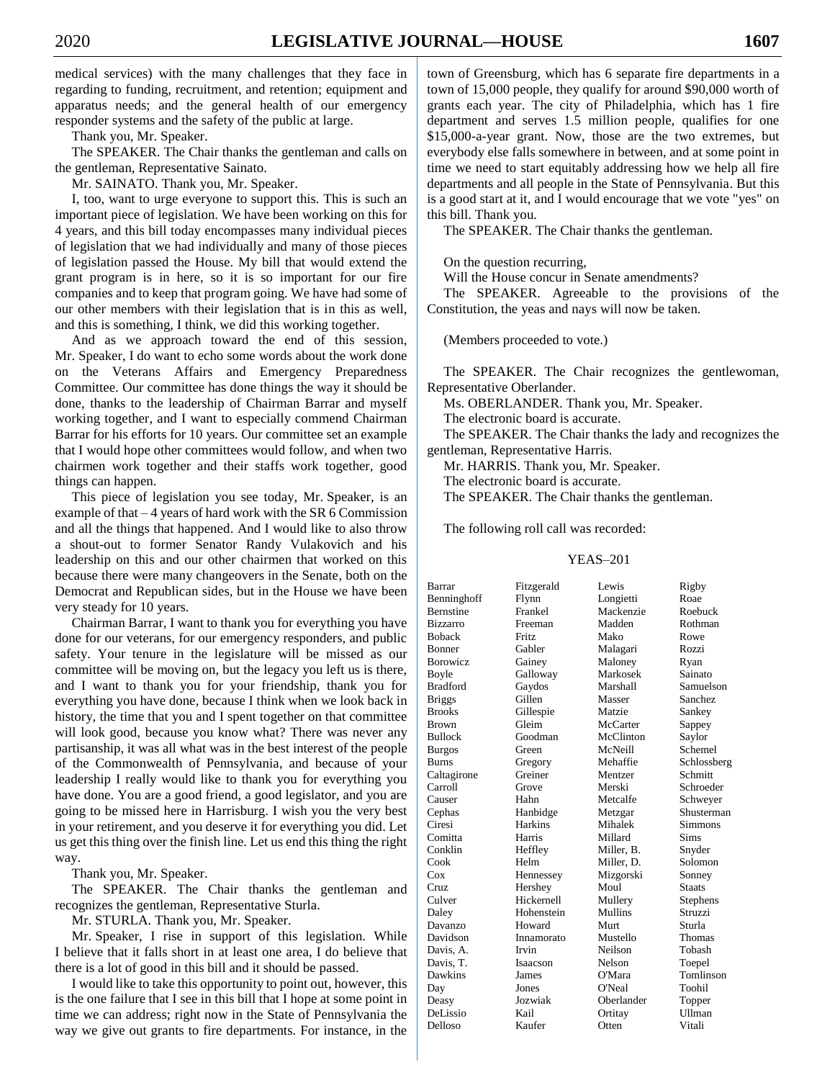medical services) with the many challenges that they face in regarding to funding, recruitment, and retention; equipment and apparatus needs; and the general health of our emergency responder systems and the safety of the public at large.

Thank you, Mr. Speaker.

The SPEAKER. The Chair thanks the gentleman and calls on the gentleman, Representative Sainato.

Mr. SAINATO. Thank you, Mr. Speaker.

I, too, want to urge everyone to support this. This is such an important piece of legislation. We have been working on this for 4 years, and this bill today encompasses many individual pieces of legislation that we had individually and many of those pieces of legislation passed the House. My bill that would extend the grant program is in here, so it is so important for our fire companies and to keep that program going. We have had some of our other members with their legislation that is in this as well, and this is something, I think, we did this working together.

And as we approach toward the end of this session, Mr. Speaker, I do want to echo some words about the work done on the Veterans Affairs and Emergency Preparedness Committee. Our committee has done things the way it should be done, thanks to the leadership of Chairman Barrar and myself working together, and I want to especially commend Chairman Barrar for his efforts for 10 years. Our committee set an example that I would hope other committees would follow, and when two chairmen work together and their staffs work together, good things can happen.

This piece of legislation you see today, Mr. Speaker, is an example of that – 4 years of hard work with the SR 6 Commission and all the things that happened. And I would like to also throw a shout-out to former Senator Randy Vulakovich and his leadership on this and our other chairmen that worked on this because there were many changeovers in the Senate, both on the Democrat and Republican sides, but in the House we have been very steady for 10 years.

Chairman Barrar, I want to thank you for everything you have done for our veterans, for our emergency responders, and public safety. Your tenure in the legislature will be missed as our committee will be moving on, but the legacy you left us is there, and I want to thank you for your friendship, thank you for everything you have done, because I think when we look back in history, the time that you and I spent together on that committee will look good, because you know what? There was never any partisanship, it was all what was in the best interest of the people of the Commonwealth of Pennsylvania, and because of your leadership I really would like to thank you for everything you have done. You are a good friend, a good legislator, and you are going to be missed here in Harrisburg. I wish you the very best in your retirement, and you deserve it for everything you did. Let us get this thing over the finish line. Let us end this thing the right way.

Thank you, Mr. Speaker.

The SPEAKER. The Chair thanks the gentleman and recognizes the gentleman, Representative Sturla.

Mr. STURLA. Thank you, Mr. Speaker.

Mr. Speaker, I rise in support of this legislation. While I believe that it falls short in at least one area, I do believe that there is a lot of good in this bill and it should be passed.

I would like to take this opportunity to point out, however, this is the one failure that I see in this bill that I hope at some point in time we can address; right now in the State of Pennsylvania the way we give out grants to fire departments. For instance, in the town of Greensburg, which has 6 separate fire departments in a town of 15,000 people, they qualify for around \$90,000 worth of grants each year. The city of Philadelphia, which has 1 fire department and serves 1.5 million people, qualifies for one \$15,000-a-year grant. Now, those are the two extremes, but everybody else falls somewhere in between, and at some point in time we need to start equitably addressing how we help all fire departments and all people in the State of Pennsylvania. But this is a good start at it, and I would encourage that we vote "yes" on this bill. Thank you.

The SPEAKER. The Chair thanks the gentleman.

On the question recurring,

Will the House concur in Senate amendments?

The SPEAKER. Agreeable to the provisions of the Constitution, the yeas and nays will now be taken.

(Members proceeded to vote.)

The SPEAKER. The Chair recognizes the gentlewoman, Representative Oberlander.

Ms. OBERLANDER. Thank you, Mr. Speaker.

The electronic board is accurate.

The SPEAKER. The Chair thanks the lady and recognizes the gentleman, Representative Harris.

Mr. HARRIS. Thank you, Mr. Speaker.

The electronic board is accurate.

The SPEAKER. The Chair thanks the gentleman.

The following roll call was recorded:

## YEAS–201

| Barrar           | Fitzgerald     | Lewis         | Rigby         |
|------------------|----------------|---------------|---------------|
| Benninghoff      | Flynn          | Longietti     | Roae          |
| <b>Bernstine</b> | Frankel        | Mackenzie     | Roebuck       |
| <b>Bizzarro</b>  | Freeman        | Madden        | Rothman       |
| <b>Boback</b>    | Fritz.         | Mako          | Rowe          |
| Bonner           | Gabler         | Malagari      | Rozzi         |
| Borowicz         | Gainey         | Maloney       | Ryan          |
| Boyle            | Galloway       | Markosek      | Sainato       |
| <b>Bradford</b>  | Gaydos         | Marshall      | Samuelson     |
| <b>Briggs</b>    | Gillen         | Masser        | Sanchez       |
| <b>Brooks</b>    | Gillespie      | Matzie        | Sankey        |
| <b>Brown</b>     | Gleim          | McCarter      | Sappey        |
| <b>Bullock</b>   | Goodman        | McClinton     | Saylor        |
| <b>Burgos</b>    | Green          | McNeill       | Schemel       |
| <b>Burns</b>     | Gregory        | Mehaffie      | Schlossberg   |
| Caltagirone      | Greiner        | Mentzer       | Schmitt       |
| Carroll          | Grove          | Merski        | Schroeder     |
| Causer           | Hahn           | Metcalfe      | Schweyer      |
| Cephas           | Hanbidge       | Metzgar       | Shusterman    |
| Ciresi           | <b>Harkins</b> | Mihalek       | Simmons       |
| Comitta          | Harris         | Millard       | Sims          |
| Conklin          | Heffley        | Miller, B.    | Snyder        |
| Cook             | Helm           | Miller, D.    | Solomon       |
| Cox              | Hennessey      | Mizgorski     | Sonney        |
| Cruz             | Hershey        | Moul          | Staats        |
| Culver           | Hickernell     | Mullery       | Stephens      |
| Daley            | Hohenstein     | Mullins       | Struzzi       |
| Davanzo          | Howard         | Murt          | Sturla        |
| Davidson         | Innamorato     | Mustello      | Thomas        |
| Davis, A.        | Irvin          | Neilson       | Tobash        |
| Davis, T.        | Isaacson       | <b>Nelson</b> | Toepel        |
| Dawkins          | James          | O'Mara        | Tomlinson     |
| Day              | Jones          | O'Neal        | Toohil        |
| Deasy            | Jozwiak        | Oberlander    | Topper        |
| DeLissio         | Kail           | Ortitay       | <b>Ullman</b> |
| Delloso          | Kaufer         | Otten         | Vitali        |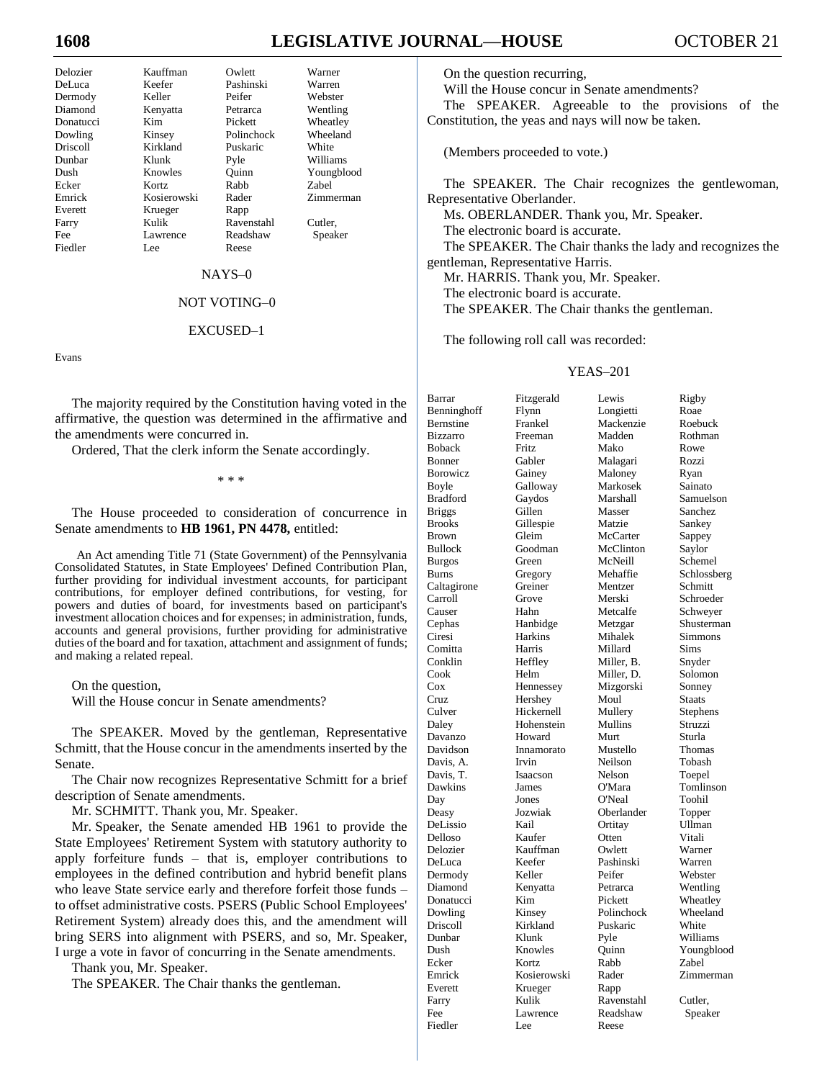# **1608 LEGISLATIVE JOURNAL—HOUSE OCTOBER 21**

| Delozier  | Kauffman    | Owlet  |
|-----------|-------------|--------|
| DeLuca    | Keefer      | Pashi  |
| Dermody   | Keller      | Peifer |
| Diamond   | Kenyatta    | Petrar |
| Donatucci | Kim         | Picket |
| Dowling   | Kinsey      | Polino |
| Driscoll  | Kirkland    | Puska  |
| Dunbar    | Klunk       | Pyle   |
| Dush      | Knowles     | Ouinr  |
| Ecker     | Kortz       | Rabb   |
| Emrick    | Kosierowski | Rader  |
| Everett   | Krueger     | Rapp   |
| Farry     | Kulik       | Raver  |
| Fee       | Lawrence    | Reads  |
| Fiedler   | I ee        | Reese  |

Delozier Kauffman Owlett Warner DeLuca Keefer Pashinski Warren Dermody Keller Peifer Webster Diamond Kenyatta Petrarca Wentling Donatucci Kim Pickett Wheatley Dowling Kinsey Polinchock Wheeland Driscoll Kirkland Puskaric White Dunbar Klunk Pyle Williams Dush Knowles Quinn Youngblood Ecker Kortz Rabb Zabel Emrick Kosierowski Rader Zimmerman Farry Kulik Ravenstahl Cutler, Fee Lawrence Readshaw Speaker

#### NAYS–0

## NOT VOTING–0

### EXCUSED–1

Evans

The majority required by the Constitution having voted in the affirmative, the question was determined in the affirmative and the amendments were concurred in.

Ordered, That the clerk inform the Senate accordingly.

\* \* \*

The House proceeded to consideration of concurrence in Senate amendments to **HB 1961, PN 4478,** entitled:

An Act amending Title 71 (State Government) of the Pennsylvania Consolidated Statutes, in State Employees' Defined Contribution Plan, further providing for individual investment accounts, for participant contributions, for employer defined contributions, for vesting, for powers and duties of board, for investments based on participant's investment allocation choices and for expenses; in administration, funds, accounts and general provisions, further providing for administrative duties of the board and for taxation, attachment and assignment of funds; and making a related repeal.

On the question,

Will the House concur in Senate amendments?

The SPEAKER. Moved by the gentleman, Representative Schmitt, that the House concur in the amendments inserted by the Senate.

The Chair now recognizes Representative Schmitt for a brief description of Senate amendments.

Mr. SCHMITT. Thank you, Mr. Speaker.

Mr. Speaker, the Senate amended HB 1961 to provide the State Employees' Retirement System with statutory authority to apply forfeiture funds – that is, employer contributions to employees in the defined contribution and hybrid benefit plans who leave State service early and therefore forfeit those funds – to offset administrative costs. PSERS (Public School Employees' Retirement System) already does this, and the amendment will bring SERS into alignment with PSERS, and so, Mr. Speaker, I urge a vote in favor of concurring in the Senate amendments.

Thank you, Mr. Speaker.

The SPEAKER. The Chair thanks the gentleman.

On the question recurring,

Will the House concur in Senate amendments? The SPEAKER. Agreeable to the provisions of the Constitution, the yeas and nays will now be taken.

(Members proceeded to vote.)

The SPEAKER. The Chair recognizes the gentlewoman, Representative Oberlander. Ms. OBERLANDER. Thank you, Mr. Speaker. The electronic board is accurate. The SPEAKER. The Chair thanks the lady and recognizes the gentleman, Representative Harris. Mr. HARRIS. Thank you, Mr. Speaker. The electronic board is accurate. The SPEAKER. The Chair thanks the gentleman.

The following roll call was recorded:

#### YEAS–201

| Barrar          | Fitzgerald  | Lewis      | Rigby         |
|-----------------|-------------|------------|---------------|
| Benninghoff     | Flynn       | Longietti  | Roae          |
| Bernstine       | Frankel     | Mackenzie  | Roebuck       |
| <b>Bizzarro</b> | Freeman     | Madden     | Rothman       |
| <b>Boback</b>   | Fritz       | Mako       | Rowe          |
| Bonner          | Gabler      | Malagari   | Rozzi         |
| <b>Borowicz</b> | Gainey      | Maloney    | Ryan          |
| Boyle           | Galloway    | Markosek   | Sainato       |
| <b>Bradford</b> | Gaydos      | Marshall   | Samuelson     |
| <b>Briggs</b>   | Gillen      | Masser     | Sanchez       |
| <b>Brooks</b>   | Gillespie   | Matzie     | Sankey        |
| <b>Brown</b>    | Gleim       | McCarter   | Sappey        |
| <b>Bullock</b>  | Goodman     | McClinton  | Saylor        |
| <b>Burgos</b>   | Green       | McNeill    | Schemel       |
| <b>Burns</b>    | Gregory     | Mehaffie   | Schlossberg   |
| Caltagirone     | Greiner     | Mentzer    | Schmitt       |
| Carroll         | Grove       | Merski     | Schroeder     |
| Causer          | Hahn        | Metcalfe   |               |
|                 |             |            | Schweyer      |
| Cephas          | Hanbidge    | Metzgar    | Shusterman    |
| Ciresi          | Harkins     | Mihalek    | Simmons       |
| Comitta         | Harris      | Millard    | Sims          |
| Conklin         | Heffley     | Miller, B. | Snyder        |
| Cook            | Helm        | Miller, D. | Solomon       |
| $\cos$          | Hennessey   | Mizgorski  | Sonney        |
| Cruz            | Hershey     | Moul       | <b>Staats</b> |
| Culver          | Hickernell  | Mullery    | Stephens      |
| Daley           | Hohenstein  | Mullins    | Struzzi       |
| Davanzo         | Howard      | Murt       | Sturla        |
| Davidson        | Innamorato  | Mustello   | Thomas        |
| Davis, A.       | Irvin       | Neilson    | Tobash        |
| Davis, T.       | Isaacson    | Nelson     | Toepel        |
| Dawkins         | James       | O'Mara     | Tomlinson     |
| Day             | Jones       | O'Neal     | Toohil        |
| Deasy           | Jozwiak     | Oberlander | Topper        |
| DeLissio        | Kail        | Ortitay    | Ullman        |
| Delloso         | Kaufer      | Otten      | Vitali        |
| Delozier        | Kauffman    | Owlett     | Warner        |
| DeLuca          | Keefer      | Pashinski  | Warren        |
| Dermody         | Keller      | Peifer     | Webster       |
| Diamond         | Kenyatta    | Petrarca   | Wentling      |
| Donatucci       | Kim         | Pickett    | Wheatley      |
| Dowling         | Kinsey      | Polinchock | Wheeland      |
| Driscoll        | Kirkland    | Puskaric   | White         |
| Dunbar          | Klunk       | Pyle       | Williams      |
| Dush            | Knowles     | Quinn      | Youngblood    |
| Ecker           | Kortz       | Rabb       | Zabel         |
| Emrick          | Kosierowski | Rader      | Zimmerman     |
| Everett         | Krueger     | Rapp       |               |
| Farry           | Kulik       | Ravenstahl | Cutler,       |
| Fee             | Lawrence    | Readshaw   | Speaker       |
| Fiedler         | Lee         | Reese      |               |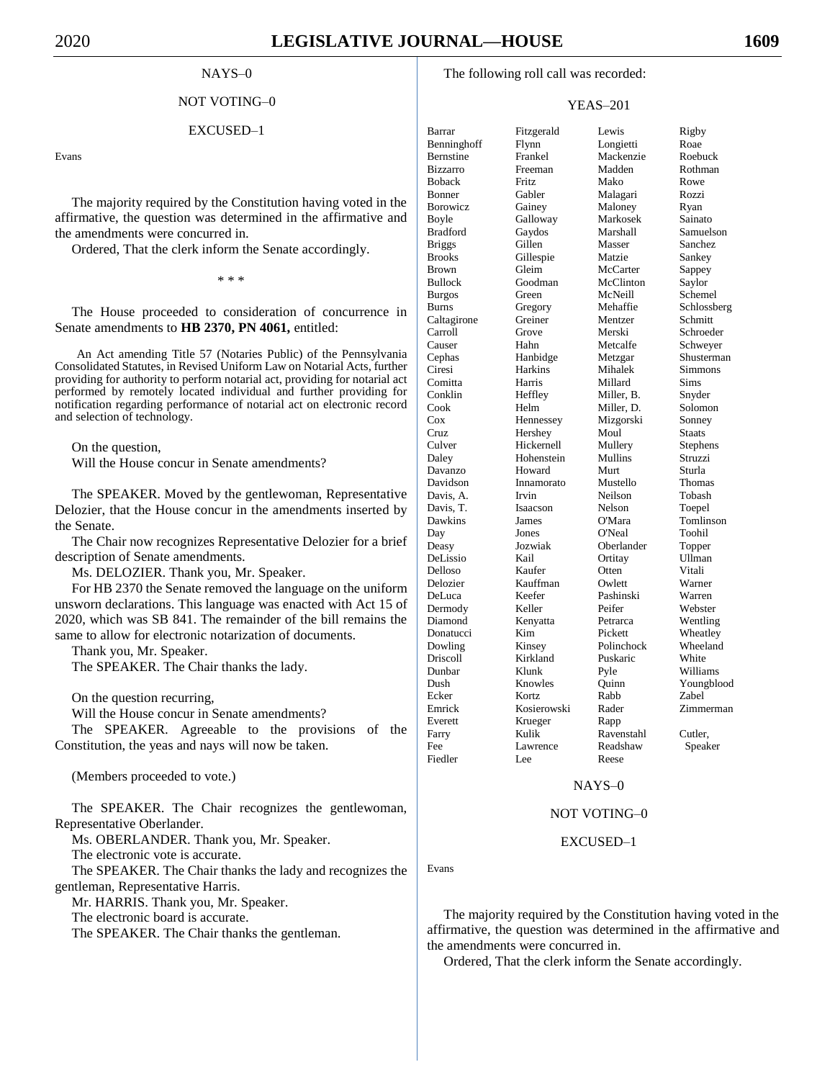## NAYS–0

## NOT VOTING–0

EXCUSED–1

Evans

The majority required by the Constitution having voted in the affirmative, the question was determined in the affirmative and the amendments were concurred in.

Ordered, That the clerk inform the Senate accordingly.

\* \* \*

The House proceeded to consideration of concurrence in Senate amendments to **HB 2370, PN 4061,** entitled:

An Act amending Title 57 (Notaries Public) of the Pennsylvania Consolidated Statutes, in Revised Uniform Law on Notarial Acts, further providing for authority to perform notarial act, providing for notarial act performed by remotely located individual and further providing for notification regarding performance of notarial act on electronic record and selection of technology.

On the question, Will the House concur in Senate amendments?

The SPEAKER. Moved by the gentlewoman, Representative Delozier, that the House concur in the amendments inserted by the Senate.

The Chair now recognizes Representative Delozier for a brief description of Senate amendments.

Ms. DELOZIER. Thank you, Mr. Speaker.

For HB 2370 the Senate removed the language on the uniform unsworn declarations. This language was enacted with Act 15 of 2020, which was SB 841. The remainder of the bill remains the same to allow for electronic notarization of documents.

Thank you, Mr. Speaker.

The SPEAKER. The Chair thanks the lady.

On the question recurring,

Will the House concur in Senate amendments?

The SPEAKER. Agreeable to the provisions of the Constitution, the yeas and nays will now be taken.

(Members proceeded to vote.)

The SPEAKER. The Chair recognizes the gentlewoman, Representative Oberlander.

Ms. OBERLANDER. Thank you, Mr. Speaker.

The electronic vote is accurate.

The SPEAKER. The Chair thanks the lady and recognizes the gentleman, Representative Harris.

Mr. HARRIS. Thank you, Mr. Speaker.

The electronic board is accurate.

The SPEAKER. The Chair thanks the gentleman.

The following roll call was recorded:

### YEAS–201

| Barrar          | Fitzgerald  | Lewis      | Rigby           |
|-----------------|-------------|------------|-----------------|
| Benninghoff     | Flynn       | Longietti  | Roae            |
| Bernstine       | Frankel     | Mackenzie  | Roebuck         |
| <b>Bizzarro</b> | Freeman     | Madden     | Rothman         |
| <b>Boback</b>   | Fritz.      | Mako       | Rowe            |
| Bonner          | Gabler      | Malagari   | Rozzi           |
| Borowicz        | Gainey      | Maloney    | Ryan            |
| Boyle           | Galloway    | Markosek   | Sainato         |
| <b>Bradford</b> | Gaydos      | Marshall   | Samuelson       |
| <b>Briggs</b>   | Gillen      | Masser     | Sanchez         |
| <b>Brooks</b>   | Gillespie   | Matzie     | Sankey          |
| <b>Brown</b>    | Gleim       | McCarter   | Sappey          |
| <b>Bullock</b>  | Goodman     | McClinton  | Saylor          |
| <b>Burgos</b>   | Green       | McNeill    | Schemel         |
| Burns           | Gregory     | Mehaffie   | Schlossberg     |
| Caltagirone     | Greiner     | Mentzer    | Schmitt         |
| Carroll         | Grove       | Merski     | Schroeder       |
| Causer          | Hahn        | Metcalfe   | Schwever        |
| Cephas          | Hanbidge    | Metzgar    | Shusterman      |
| Ciresi          | Harkins     | Mihalek    | Simmons         |
| Comitta         | Harris      | Millard    | Sims            |
| Conklin         | Heffley     | Miller, B. | Snyder          |
| Cook            | Helm        | Miller, D. |                 |
|                 |             |            | Solomon         |
| Cox             | Hennessey   | Mizgorski  | Sonney          |
| Cruz            | Hershey     | Moul       | <b>Staats</b>   |
| Culver          | Hickernell  | Mullery    | <b>Stephens</b> |
| Daley           | Hohenstein  | Mullins    | Struzzi         |
| Davanzo         | Howard      | Murt       | Sturla          |
| Davidson        | Innamorato  | Mustello   | Thomas          |
| Davis, A.       | Irvin       | Neilson    | Tobash          |
| Davis, T.       | Isaacson    | Nelson     | Toepel          |
| Dawkins         | James       | O'Mara     | Tomlinson       |
| Day             | Jones       | O'Neal     | Toohil          |
| Deasy           | Jozwiak     | Oberlander | Topper          |
| DeLissio        | Kail        | Ortitay    | Ullman          |
| Delloso         | Kaufer      | Otten      | Vitali          |
| Delozier        | Kauffman    | Owlett     | Warner          |
| DeLuca          | Keefer      | Pashinski  | Warren          |
| Dermody         | Keller      | Peifer     | Webster         |
| Diamond         | Kenyatta    | Petrarca   | Wentling        |
| Donatucci       | Kim         | Pickett    | Wheatley        |
| Dowling         | Kinsey      | Polinchock | Wheeland        |
| Driscoll        | Kirkland    | Puskaric   | White           |
| Dunbar          | Klunk       | Pyle       | Williams        |
| Dush            | Knowles     | Quinn      | Youngblood      |
| Ecker           | Kortz       | Rabb       | Zabel           |
| Emrick          | Kosierowski | Rader      | Zimmerman       |
| Everett         | Krueger     | Rapp       |                 |
| Farry           | Kulik       | Ravenstahl | Cutler,         |
| Fee             | Lawrence    | Readshaw   | Speaker         |
| Fiedler         | Lee         | Reese      |                 |
|                 |             |            |                 |

#### NAYS–0

#### NOT VOTING–0

#### EXCUSED–1

Evans

The majority required by the Constitution having voted in the affirmative, the question was determined in the affirmative and the amendments were concurred in.

Ordered, That the clerk inform the Senate accordingly.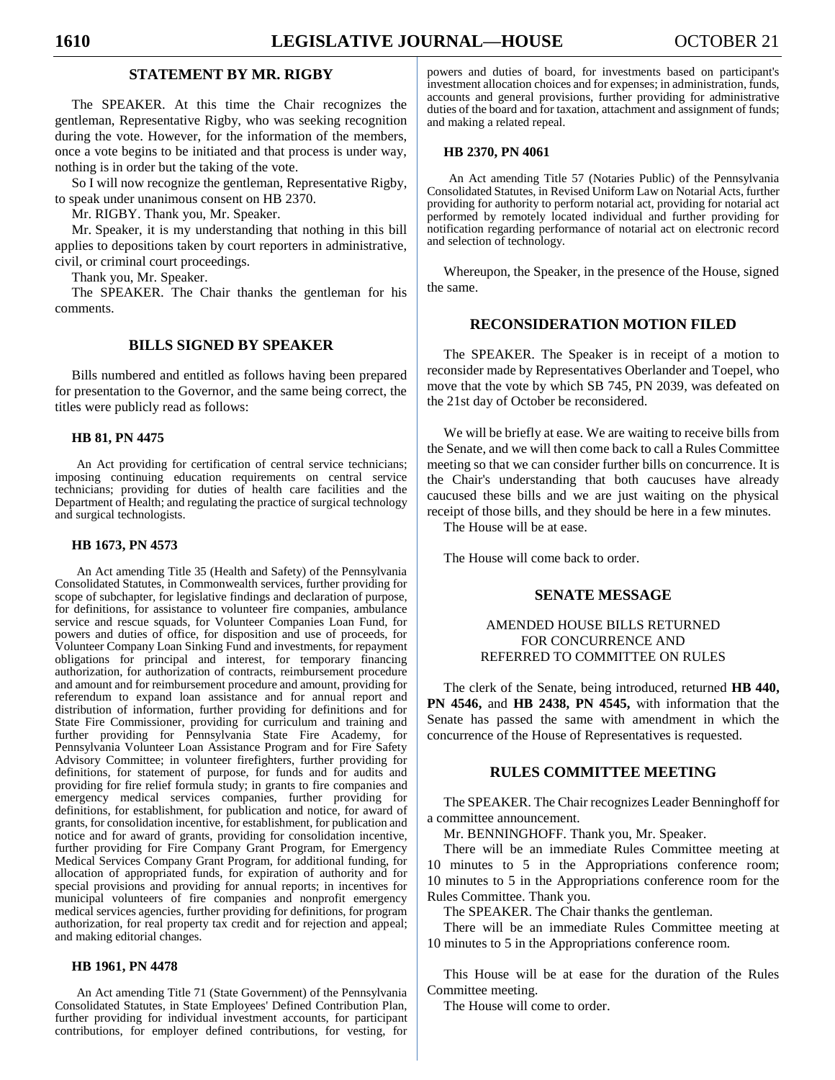## **STATEMENT BY MR. RIGBY**

The SPEAKER. At this time the Chair recognizes the gentleman, Representative Rigby, who was seeking recognition during the vote. However, for the information of the members, once a vote begins to be initiated and that process is under way, nothing is in order but the taking of the vote.

So I will now recognize the gentleman, Representative Rigby, to speak under unanimous consent on HB 2370.

Mr. RIGBY. Thank you, Mr. Speaker.

Mr. Speaker, it is my understanding that nothing in this bill applies to depositions taken by court reporters in administrative, civil, or criminal court proceedings.

Thank you, Mr. Speaker.

The SPEAKER. The Chair thanks the gentleman for his comments.

## **BILLS SIGNED BY SPEAKER**

Bills numbered and entitled as follows having been prepared for presentation to the Governor, and the same being correct, the titles were publicly read as follows:

#### **HB 81, PN 4475**

An Act providing for certification of central service technicians; imposing continuing education requirements on central service technicians; providing for duties of health care facilities and the Department of Health; and regulating the practice of surgical technology and surgical technologists.

#### **HB 1673, PN 4573**

An Act amending Title 35 (Health and Safety) of the Pennsylvania Consolidated Statutes, in Commonwealth services, further providing for scope of subchapter, for legislative findings and declaration of purpose, for definitions, for assistance to volunteer fire companies, ambulance service and rescue squads, for Volunteer Companies Loan Fund, for powers and duties of office, for disposition and use of proceeds, for Volunteer Company Loan Sinking Fund and investments, for repayment obligations for principal and interest, for temporary financing authorization, for authorization of contracts, reimbursement procedure and amount and for reimbursement procedure and amount, providing for referendum to expand loan assistance and for annual report and distribution of information, further providing for definitions and for State Fire Commissioner, providing for curriculum and training and further providing for Pennsylvania State Fire Academy, for Pennsylvania Volunteer Loan Assistance Program and for Fire Safety Advisory Committee; in volunteer firefighters, further providing for definitions, for statement of purpose, for funds and for audits and providing for fire relief formula study; in grants to fire companies and emergency medical services companies, further providing for definitions, for establishment, for publication and notice, for award of grants, for consolidation incentive, for establishment, for publication and notice and for award of grants, providing for consolidation incentive, further providing for Fire Company Grant Program, for Emergency Medical Services Company Grant Program, for additional funding, for allocation of appropriated funds, for expiration of authority and for special provisions and providing for annual reports; in incentives for municipal volunteers of fire companies and nonprofit emergency medical services agencies, further providing for definitions, for program authorization, for real property tax credit and for rejection and appeal; and making editorial changes.

#### **HB 1961, PN 4478**

An Act amending Title 71 (State Government) of the Pennsylvania Consolidated Statutes, in State Employees' Defined Contribution Plan, further providing for individual investment accounts, for participant contributions, for employer defined contributions, for vesting, for powers and duties of board, for investments based on participant's investment allocation choices and for expenses; in administration, funds, accounts and general provisions, further providing for administrative duties of the board and for taxation, attachment and assignment of funds; and making a related repeal.

#### **HB 2370, PN 4061**

An Act amending Title 57 (Notaries Public) of the Pennsylvania Consolidated Statutes, in Revised Uniform Law on Notarial Acts, further providing for authority to perform notarial act, providing for notarial act performed by remotely located individual and further providing for notification regarding performance of notarial act on electronic record and selection of technology.

Whereupon, the Speaker, in the presence of the House, signed the same.

## **RECONSIDERATION MOTION FILED**

The SPEAKER. The Speaker is in receipt of a motion to reconsider made by Representatives Oberlander and Toepel, who move that the vote by which SB 745, PN 2039, was defeated on the 21st day of October be reconsidered.

We will be briefly at ease. We are waiting to receive bills from the Senate, and we will then come back to call a Rules Committee meeting so that we can consider further bills on concurrence. It is the Chair's understanding that both caucuses have already caucused these bills and we are just waiting on the physical receipt of those bills, and they should be here in a few minutes.

The House will be at ease.

The House will come back to order.

## **SENATE MESSAGE**

#### AMENDED HOUSE BILLS RETURNED FOR CONCURRENCE AND REFERRED TO COMMITTEE ON RULES

The clerk of the Senate, being introduced, returned **HB 440, PN 4546,** and **HB 2438, PN 4545,** with information that the Senate has passed the same with amendment in which the concurrence of the House of Representatives is requested.

## **RULES COMMITTEE MEETING**

The SPEAKER. The Chair recognizes Leader Benninghoff for a committee announcement.

Mr. BENNINGHOFF. Thank you, Mr. Speaker.

There will be an immediate Rules Committee meeting at 10 minutes to 5 in the Appropriations conference room; 10 minutes to 5 in the Appropriations conference room for the Rules Committee. Thank you.

The SPEAKER. The Chair thanks the gentleman.

There will be an immediate Rules Committee meeting at 10 minutes to 5 in the Appropriations conference room.

This House will be at ease for the duration of the Rules Committee meeting.

The House will come to order.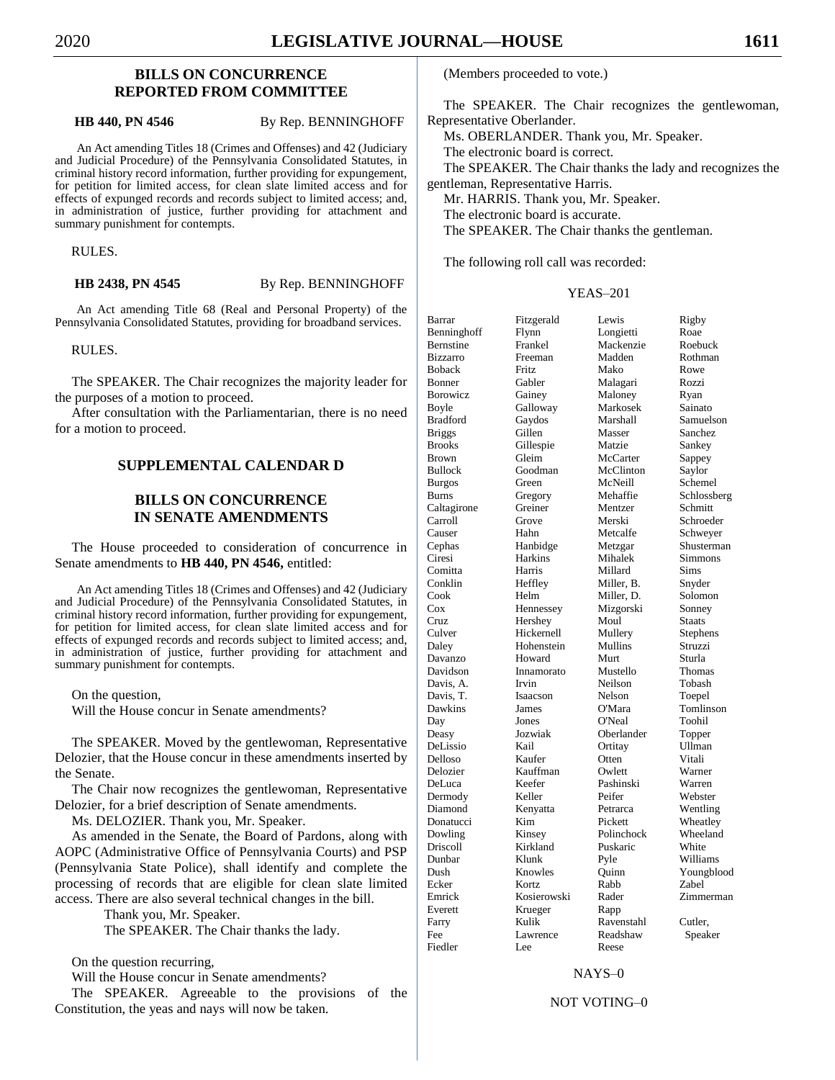# **BILLS ON CONCURRENCE REPORTED FROM COMMITTEE**

#### **HB 440, PN 4546** By Rep. BENNINGHOFF

An Act amending Titles 18 (Crimes and Offenses) and 42 (Judiciary and Judicial Procedure) of the Pennsylvania Consolidated Statutes, in criminal history record information, further providing for expungement, for petition for limited access, for clean slate limited access and for effects of expunged records and records subject to limited access; and, in administration of justice, further providing for attachment and summary punishment for contempts.

RULES.

#### **HB 2438, PN 4545** By Rep. BENNINGHOFF

An Act amending Title 68 (Real and Personal Property) of the Pennsylvania Consolidated Statutes, providing for broadband services.

RULES.

The SPEAKER. The Chair recognizes the majority leader for the purposes of a motion to proceed.

After consultation with the Parliamentarian, there is no need for a motion to proceed.

## **SUPPLEMENTAL CALENDAR D**

## **BILLS ON CONCURRENCE IN SENATE AMENDMENTS**

The House proceeded to consideration of concurrence in Senate amendments to **HB 440, PN 4546,** entitled:

An Act amending Titles 18 (Crimes and Offenses) and 42 (Judiciary and Judicial Procedure) of the Pennsylvania Consolidated Statutes, in criminal history record information, further providing for expungement, for petition for limited access, for clean slate limited access and for effects of expunged records and records subject to limited access; and, in administration of justice, further providing for attachment and summary punishment for contempts.

On the question, Will the House concur in Senate amendments?

The SPEAKER. Moved by the gentlewoman, Representative Delozier, that the House concur in these amendments inserted by the Senate.

The Chair now recognizes the gentlewoman, Representative Delozier, for a brief description of Senate amendments.

Ms. DELOZIER. Thank you, Mr. Speaker.

As amended in the Senate, the Board of Pardons, along with AOPC (Administrative Office of Pennsylvania Courts) and PSP (Pennsylvania State Police), shall identify and complete the processing of records that are eligible for clean slate limited access. There are also several technical changes in the bill.

Thank you, Mr. Speaker.

The SPEAKER. The Chair thanks the lady.

On the question recurring,

Will the House concur in Senate amendments?

The SPEAKER. Agreeable to the provisions of the Constitution, the yeas and nays will now be taken.

(Members proceeded to vote.)

The SPEAKER. The Chair recognizes the gentlewoman, Representative Oberlander. Ms. OBERLANDER. Thank you, Mr. Speaker. The electronic board is correct. The SPEAKER. The Chair thanks the lady and recognizes the gentleman, Representative Harris. Mr. HARRIS. Thank you, Mr. Speaker. The electronic board is accurate. The SPEAKER. The Chair thanks the gentleman.

The following roll call was recorded:

#### YEAS–201

| Barrar          | Fitzgerald     | Lewis      | Rigby       |
|-----------------|----------------|------------|-------------|
| Benninghoff     | Flynn          | Longietti  | Roae        |
| Bernstine       | Frankel        | Mackenzie  | Roebuck     |
| <b>Bizzarro</b> | Freeman        | Madden     | Rothman     |
| <b>Boback</b>   | Fritz          | Mako       | Rowe        |
| Bonner          | Gabler         | Malagari   | Rozzi       |
| <b>Borowicz</b> | Gainey         | Maloney    | Ryan        |
| Boyle           | Galloway       | Markosek   | Sainato     |
| <b>Bradford</b> | Gaydos         | Marshall   | Samuelson   |
| <b>Briggs</b>   | Gillen         | Masser     | Sanchez     |
| <b>Brooks</b>   | Gillespie      | Matzie     | Sankey      |
| <b>Brown</b>    | Gleim          | McCarter   | Sappey      |
| <b>Bullock</b>  | Goodman        | McClinton  | Saylor      |
| <b>Burgos</b>   | Green          | McNeill    | Schemel     |
| Burns           | Gregory        | Mehaffie   | Schlossberg |
| Caltagirone     | Greiner        | Mentzer    | Schmitt     |
| Carroll         | Grove          | Merski     | Schroeder   |
| Causer          | Hahn           | Metcalfe   | Schweyer    |
| Cephas          | Hanbidge       | Metzgar    | Shusterman  |
| Ciresi          | <b>Harkins</b> | Mihalek    | Simmons     |
| Comitta         | Harris         | Millard    | Sims        |
| Conklin         | Heffley        | Miller, B. | Snyder      |
| Cook            | Helm           | Miller, D. | Solomon     |
| $\cos$          | Hennessey      | Mizgorski  | Sonney      |
| Cruz            | Hershey        | Moul       | Staats      |
| Culver          | Hickernell     | Mullery    | Stephens    |
| Daley           | Hohenstein     | Mullins    | Struzzi     |
| Davanzo         | Howard         | Murt       | Sturla      |
| Davidson        | Innamorato     | Mustello   | Thomas      |
| Davis, A.       | Irvin          | Neilson    | Tobash      |
| Davis, T.       | Isaacson       | Nelson     | Toepel      |
| Dawkins         | James          | O'Mara     | Tomlinson   |
| Day             | Jones          | O'Neal     | Toohil      |
| Deasy           | Jozwiak        | Oberlander | Topper      |
| DeLissio        | Kail           | Ortitay    | Ullman      |
| Delloso         | Kaufer         | Otten      | Vitali      |
| Delozier        | Kauffman       | Owlett     | Warner      |
| DeLuca          | Keefer         | Pashinski  | Warren      |
| Dermody         | Keller         | Peifer     | Webster     |
| Diamond         | Kenyatta       | Petrarca   | Wentling    |
| Donatucci       | Kim            | Pickett    | Wheatley    |
| Dowling         | Kinsey         | Polinchock | Wheeland    |
| Driscoll        | Kirkland       | Puskaric   | White       |
| Dunbar          | Klunk          | Pyle       | Williams    |
| Dush            | Knowles        | Quinn      | Youngblood  |
| Ecker           | Kortz          | Rabb       | Zabel       |
| Emrick          | Kosierowski    | Rader      | Zimmerman   |
| Everett         | Krueger        | Rapp       |             |
| Farry           | Kulik          | Ravenstahl | Cutler,     |
| Fee             | Lawrence       | Readshaw   | Speaker     |
| Fiedler         | Lee            | Reese      |             |

#### NAYS–0

#### NOT VOTING–0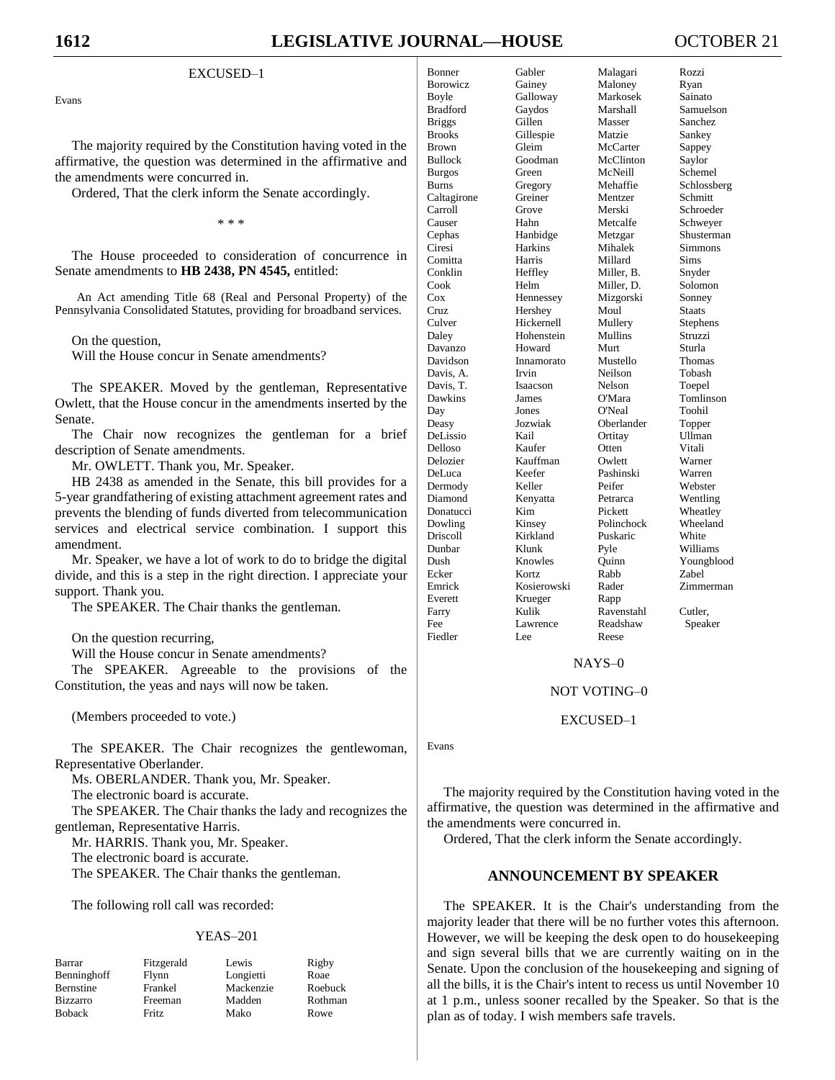#### EXCUSED–1

Evans

The majority required by the Constitution having voted in the affirmative, the question was determined in the affirmative and the amendments were concurred in.

Ordered, That the clerk inform the Senate accordingly.

\* \* \*

The House proceeded to consideration of concurrence in Senate amendments to **HB 2438, PN 4545,** entitled:

An Act amending Title 68 (Real and Personal Property) of the Pennsylvania Consolidated Statutes, providing for broadband services.

On the question,

Will the House concur in Senate amendments?

The SPEAKER. Moved by the gentleman, Representative Owlett, that the House concur in the amendments inserted by the Senate.

The Chair now recognizes the gentleman for a brief description of Senate amendments.

Mr. OWLETT. Thank you, Mr. Speaker.

HB 2438 as amended in the Senate, this bill provides for a 5-year grandfathering of existing attachment agreement rates and prevents the blending of funds diverted from telecommunication services and electrical service combination. I support this amendment.

Mr. Speaker, we have a lot of work to do to bridge the digital divide, and this is a step in the right direction. I appreciate your support. Thank you.

The SPEAKER. The Chair thanks the gentleman.

On the question recurring,

Will the House concur in Senate amendments?

The SPEAKER. Agreeable to the provisions of the Constitution, the yeas and nays will now be taken.

(Members proceeded to vote.)

The SPEAKER. The Chair recognizes the gentlewoman, Representative Oberlander.

Ms. OBERLANDER. Thank you, Mr. Speaker.

The electronic board is accurate.

The SPEAKER. The Chair thanks the lady and recognizes the gentleman, Representative Harris.

Mr. HARRIS. Thank you, Mr. Speaker.

The electronic board is accurate.

The SPEAKER. The Chair thanks the gentleman.

The following roll call was recorded:

## YEAS–201

| Barrar          | Fitzgerald | Lewis     | Rigby   |
|-----------------|------------|-----------|---------|
| Benninghoff     | Flynn      | Longietti | Roae    |
| Bernstine       | Frankel    | Mackenzie | Roebuck |
| <b>Bizzarro</b> | Freeman    | Madden    | Rothman |
| <b>Boback</b>   | Fritz      | Mako      | Rowe    |

| Bonner                        | Gabler             | Malagari   | Rozzi                  |
|-------------------------------|--------------------|------------|------------------------|
| <b>Borowicz</b>               | Gainey             | Maloney    | Ryan                   |
| Boyle                         | Galloway           | Markosek   | Sainato                |
| <b>Bradford</b>               | Gaydos             | Marshall   | Samuelson              |
| <b>Briggs</b>                 | Gillen             | Masser     | Sanchez                |
| <b>Brooks</b>                 | Gillespie          | Matzie     | Sankey                 |
| <b>Brown</b>                  | Gleim              | McCarter   | Sappey                 |
| Bullock                       | Goodman            | McClinton  | Saylor                 |
|                               | Green              | McNeill    | Schemel                |
| <b>Burgos</b><br><b>Burns</b> |                    | Mehaffie   |                        |
|                               | Gregory<br>Greiner | Mentzer    | Schlossberg<br>Schmitt |
| Caltagirone                   |                    |            |                        |
| Carroll                       | Grove              | Merski     | Schroeder              |
| Causer                        | Hahn               | Metcalfe   | Schwever               |
| Cephas                        | Hanbidge           | Metzgar    | Shusterman             |
| Ciresi                        | Harkins            | Mihalek    | Simmons                |
| Comitta                       | Harris             | Millard    | Sims                   |
| Conklin                       | Hefflev            | Miller. B. | Snvder                 |
| Cook                          | Helm               | Miller, D. | Solomon                |
| $\cos$                        | Hennessey          | Mizgorski  | Sonney                 |
| Cruz                          | Hershey            | Moul       | Staats                 |
| Culver                        | Hickernell         | Mullery    | Stephens               |
| Daley                         | Hohenstein         | Mullins    | Struzzi                |
| Davanzo                       | Howard             | Murt       | Sturla                 |
| Davidson                      | Innamorato         | Mustello   | Thomas                 |
| Davis, A.                     | Irvin              | Neilson    | Tobash                 |
| Davis, T.                     | Isaacson           | Nelson     | Toepel                 |
| Dawkins                       | James              | O'Mara     | Tomlinson              |
| Day                           | Jones              | O'Neal     | Toohil                 |
| Deasy                         | Jozwiak            | Oberlander | Topper                 |
| DeLissio                      | Kail               | Ortitay    | Ullman                 |
| Delloso                       | Kaufer             | Otten      | Vitali                 |
| Delozier                      | Kauffman           | Owlett     | Warner                 |
| DeLuca                        | Keefer             | Pashinski  | Warren                 |
| Dermody                       | Keller             | Peifer     | Webster                |
| Diamond                       | Kenyatta           | Petrarca   | Wentling               |
| Donatucci                     | Kim                | Pickett    | Wheatley               |
| Dowling                       | Kinsey             | Polinchock | Wheeland               |
| Driscoll                      | Kirkland           | Puskaric   | White                  |
| Dunbar                        | Klunk              | Pyle       | Williams               |
| Dush                          | Knowles            | Quinn      | Youngblood             |
| Ecker                         | Kortz              | Rabb       | Zabel                  |
| Emrick                        | Kosierowski        | Rader      | Zimmerman              |
| Everett                       | Krueger            | Rapp       |                        |
| Farry                         | Kulik              | Ravenstahl | Cutler,                |
| Fee                           | Lawrence           | Readshaw   |                        |
| Fiedler                       | Lee                | Reese      | Speaker                |
|                               |                    |            |                        |

#### NAYS–0

#### NOT VOTING–0

#### EXCUSED–1

Evans

The majority required by the Constitution having voted in the affirmative, the question was determined in the affirmative and the amendments were concurred in.

Ordered, That the clerk inform the Senate accordingly.

### **ANNOUNCEMENT BY SPEAKER**

The SPEAKER. It is the Chair's understanding from the majority leader that there will be no further votes this afternoon. However, we will be keeping the desk open to do housekeeping and sign several bills that we are currently waiting on in the Senate. Upon the conclusion of the housekeeping and signing of all the bills, it is the Chair's intent to recess us until November 10 at 1 p.m., unless sooner recalled by the Speaker. So that is the plan as of today. I wish members safe travels.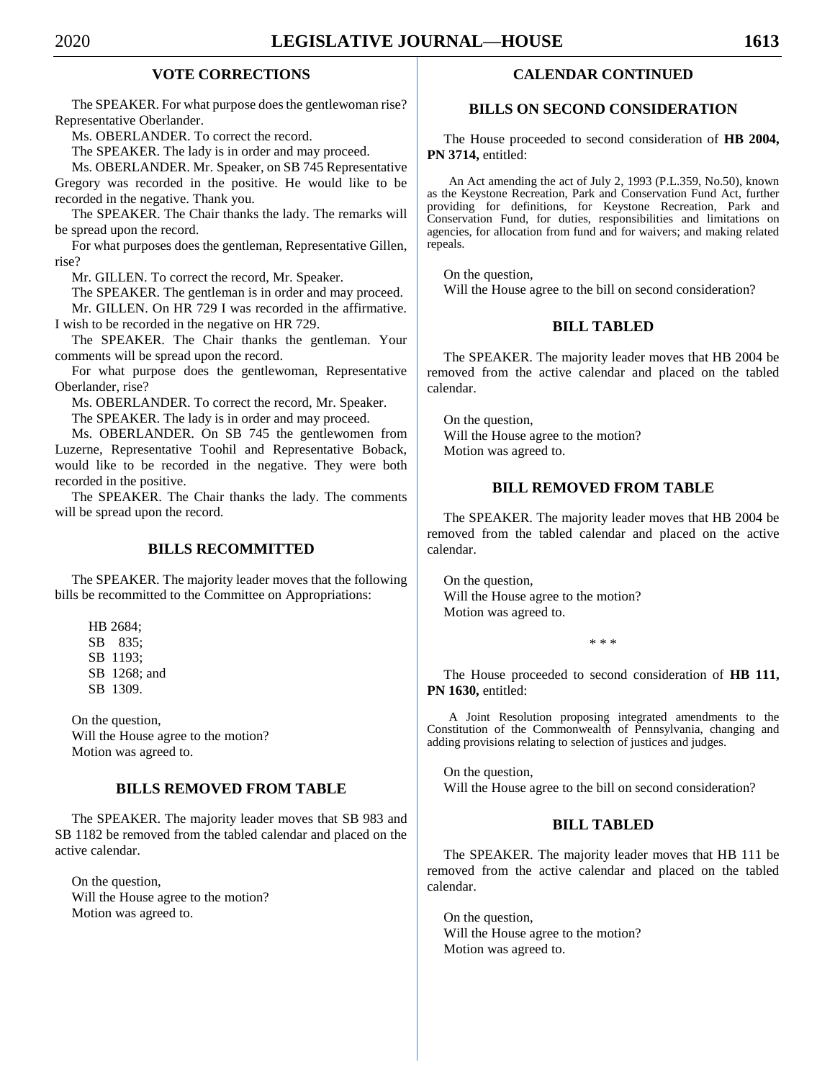## **VOTE CORRECTIONS**

The SPEAKER. For what purpose does the gentlewoman rise? Representative Oberlander.

Ms. OBERLANDER. To correct the record.

The SPEAKER. The lady is in order and may proceed.

Ms. OBERLANDER. Mr. Speaker, on SB 745 Representative Gregory was recorded in the positive. He would like to be recorded in the negative. Thank you.

The SPEAKER. The Chair thanks the lady. The remarks will be spread upon the record.

For what purposes does the gentleman, Representative Gillen, rise?

Mr. GILLEN. To correct the record, Mr. Speaker.

The SPEAKER. The gentleman is in order and may proceed. Mr. GILLEN. On HR 729 I was recorded in the affirmative. I wish to be recorded in the negative on HR 729.

The SPEAKER. The Chair thanks the gentleman. Your comments will be spread upon the record.

For what purpose does the gentlewoman, Representative Oberlander, rise?

Ms. OBERLANDER. To correct the record, Mr. Speaker.

The SPEAKER. The lady is in order and may proceed.

Ms. OBERLANDER. On SB 745 the gentlewomen from Luzerne, Representative Toohil and Representative Boback, would like to be recorded in the negative. They were both recorded in the positive.

The SPEAKER. The Chair thanks the lady. The comments will be spread upon the record.

## **BILLS RECOMMITTED**

The SPEAKER. The majority leader moves that the following bills be recommitted to the Committee on Appropriations:

HB 2684; SB 835; SB 1193; SB 1268; and SB 1309.

On the question, Will the House agree to the motion? Motion was agreed to.

## **BILLS REMOVED FROM TABLE**

The SPEAKER. The majority leader moves that SB 983 and SB 1182 be removed from the tabled calendar and placed on the active calendar.

On the question, Will the House agree to the motion? Motion was agreed to.

## **CALENDAR CONTINUED**

## **BILLS ON SECOND CONSIDERATION**

The House proceeded to second consideration of **HB 2004, PN 3714,** entitled:

An Act amending the act of July 2, 1993 (P.L.359, No.50), known as the Keystone Recreation, Park and Conservation Fund Act, further providing for definitions, for Keystone Recreation, Park and Conservation Fund, for duties, responsibilities and limitations on agencies, for allocation from fund and for waivers; and making related repeals.

On the question, Will the House agree to the bill on second consideration?

## **BILL TABLED**

The SPEAKER. The majority leader moves that HB 2004 be removed from the active calendar and placed on the tabled calendar.

On the question, Will the House agree to the motion? Motion was agreed to.

## **BILL REMOVED FROM TABLE**

The SPEAKER. The majority leader moves that HB 2004 be removed from the tabled calendar and placed on the active calendar.

On the question, Will the House agree to the motion? Motion was agreed to.

\* \* \*

The House proceeded to second consideration of **HB 111, PN 1630,** entitled:

A Joint Resolution proposing integrated amendments to the Constitution of the Commonwealth of Pennsylvania, changing and adding provisions relating to selection of justices and judges.

On the question, Will the House agree to the bill on second consideration?

## **BILL TABLED**

The SPEAKER. The majority leader moves that HB 111 be removed from the active calendar and placed on the tabled calendar.

On the question, Will the House agree to the motion? Motion was agreed to.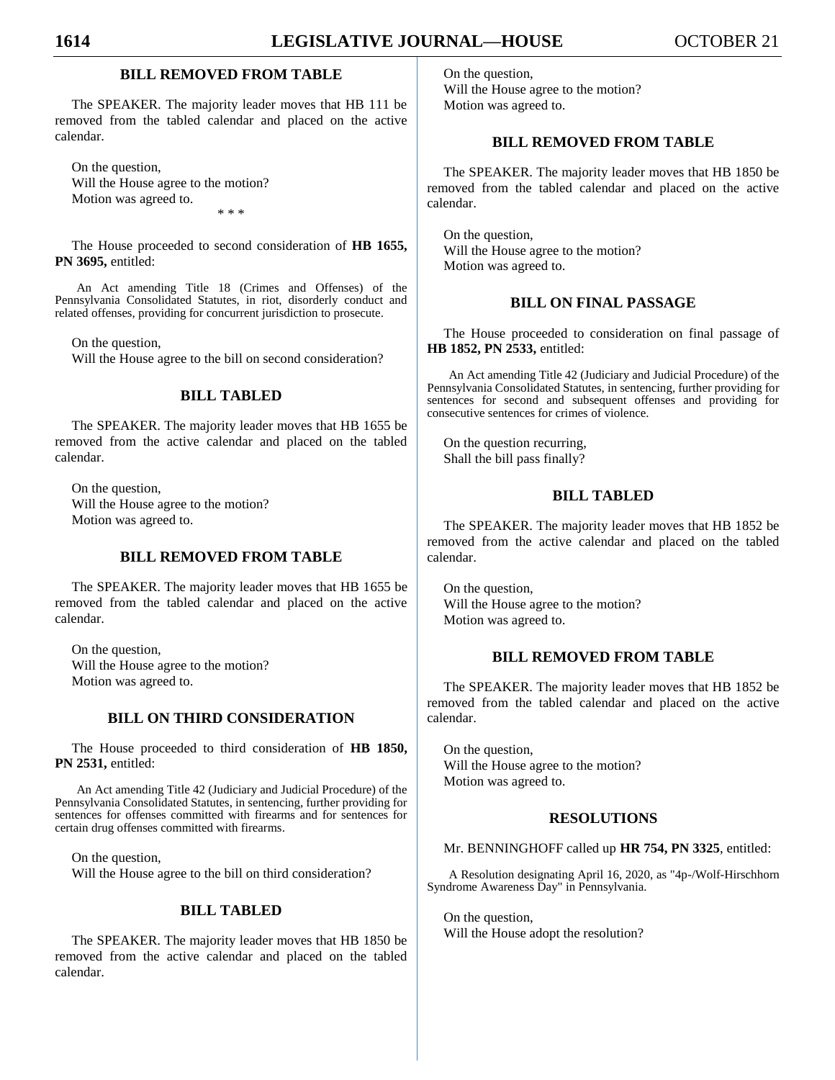## **BILL REMOVED FROM TABLE**

The SPEAKER. The majority leader moves that HB 111 be removed from the tabled calendar and placed on the active calendar.

On the question, Will the House agree to the motion? Motion was agreed to. \* \* \*

The House proceeded to second consideration of **HB 1655, PN 3695,** entitled:

An Act amending Title 18 (Crimes and Offenses) of the Pennsylvania Consolidated Statutes, in riot, disorderly conduct and related offenses, providing for concurrent jurisdiction to prosecute.

On the question, Will the House agree to the bill on second consideration?

### **BILL TABLED**

The SPEAKER. The majority leader moves that HB 1655 be removed from the active calendar and placed on the tabled calendar.

On the question, Will the House agree to the motion? Motion was agreed to.

## **BILL REMOVED FROM TABLE**

The SPEAKER. The majority leader moves that HB 1655 be removed from the tabled calendar and placed on the active calendar.

On the question, Will the House agree to the motion? Motion was agreed to.

## **BILL ON THIRD CONSIDERATION**

The House proceeded to third consideration of **HB 1850, PN 2531,** entitled:

An Act amending Title 42 (Judiciary and Judicial Procedure) of the Pennsylvania Consolidated Statutes, in sentencing, further providing for sentences for offenses committed with firearms and for sentences for certain drug offenses committed with firearms.

On the question, Will the House agree to the bill on third consideration?

## **BILL TABLED**

The SPEAKER. The majority leader moves that HB 1850 be removed from the active calendar and placed on the tabled calendar.

On the question, Will the House agree to the motion? Motion was agreed to.

## **BILL REMOVED FROM TABLE**

The SPEAKER. The majority leader moves that HB 1850 be removed from the tabled calendar and placed on the active calendar.

On the question, Will the House agree to the motion? Motion was agreed to.

## **BILL ON FINAL PASSAGE**

The House proceeded to consideration on final passage of **HB 1852, PN 2533,** entitled:

An Act amending Title 42 (Judiciary and Judicial Procedure) of the Pennsylvania Consolidated Statutes, in sentencing, further providing for sentences for second and subsequent offenses and providing for consecutive sentences for crimes of violence.

On the question recurring, Shall the bill pass finally?

## **BILL TABLED**

The SPEAKER. The majority leader moves that HB 1852 be removed from the active calendar and placed on the tabled calendar.

On the question, Will the House agree to the motion? Motion was agreed to.

## **BILL REMOVED FROM TABLE**

The SPEAKER. The majority leader moves that HB 1852 be removed from the tabled calendar and placed on the active calendar.

On the question, Will the House agree to the motion? Motion was agreed to.

## **RESOLUTIONS**

#### Mr. BENNINGHOFF called up **HR 754, PN 3325**, entitled:

A Resolution designating April 16, 2020, as "4p-/Wolf-Hirschhorn Syndrome Awareness Day" in Pennsylvania.

On the question, Will the House adopt the resolution?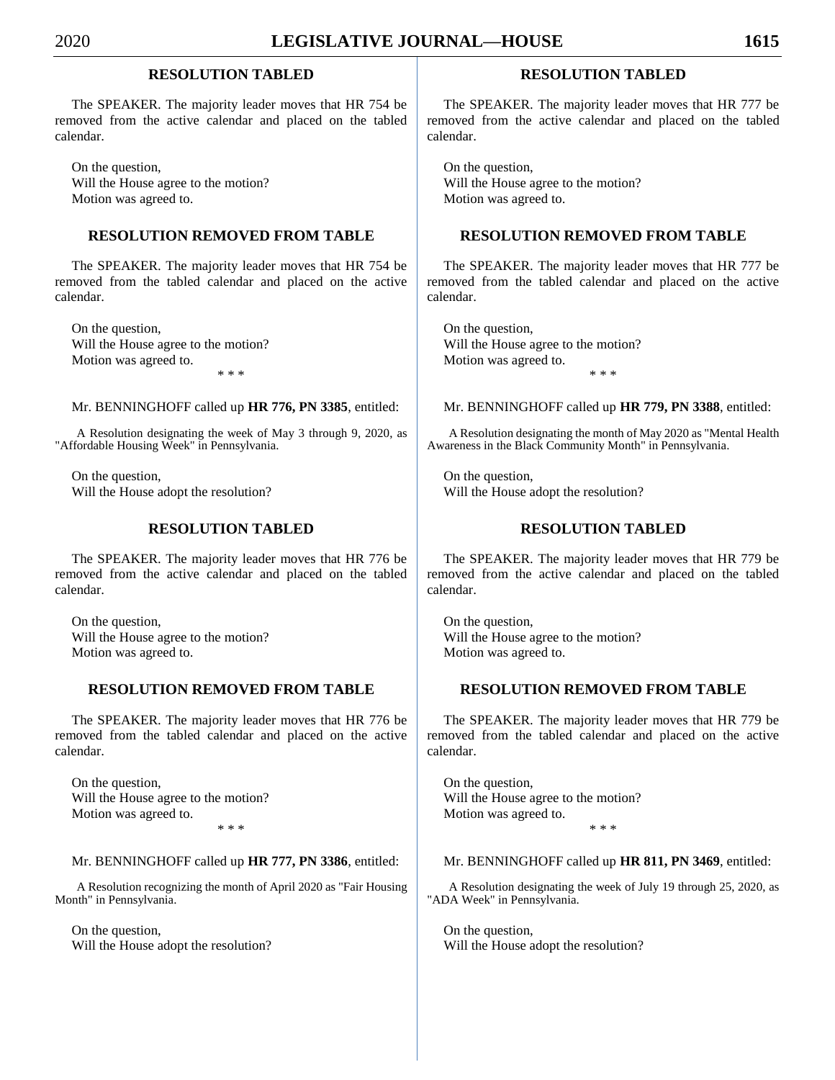# **RESOLUTION TABLED**

The SPEAKER. The majority leader moves that HR 754 be removed from the active calendar and placed on the tabled calendar.

On the question, Will the House agree to the motion? Motion was agreed to.

# **RESOLUTION REMOVED FROM TABLE**

The SPEAKER. The majority leader moves that HR 754 be removed from the tabled calendar and placed on the active calendar.

On the question, Will the House agree to the motion? Motion was agreed to.

\* \* \*

# Mr. BENNINGHOFF called up **HR 776, PN 3385**, entitled:

A Resolution designating the week of May 3 through 9, 2020, as "Affordable Housing Week" in Pennsylvania.

On the question, Will the House adopt the resolution?

# **RESOLUTION TABLED**

The SPEAKER. The majority leader moves that HR 776 be removed from the active calendar and placed on the tabled calendar.

On the question, Will the House agree to the motion? Motion was agreed to.

# **RESOLUTION REMOVED FROM TABLE**

The SPEAKER. The majority leader moves that HR 776 be removed from the tabled calendar and placed on the active calendar.

On the question, Will the House agree to the motion? Motion was agreed to.

\* \* \*

# Mr. BENNINGHOFF called up **HR 777, PN 3386**, entitled:

A Resolution recognizing the month of April 2020 as "Fair Housing Month" in Pennsylvania.

On the question, Will the House adopt the resolution?

# **RESOLUTION TABLED**

The SPEAKER. The majority leader moves that HR 777 be removed from the active calendar and placed on the tabled calendar.

On the question, Will the House agree to the motion? Motion was agreed to.

# **RESOLUTION REMOVED FROM TABLE**

The SPEAKER. The majority leader moves that HR 777 be removed from the tabled calendar and placed on the active calendar.

On the question, Will the House agree to the motion? Motion was agreed to. \* \* \*

## Mr. BENNINGHOFF called up **HR 779, PN 3388**, entitled:

A Resolution designating the month of May 2020 as "Mental Health Awareness in the Black Community Month" in Pennsylvania.

On the question, Will the House adopt the resolution?

# **RESOLUTION TABLED**

The SPEAKER. The majority leader moves that HR 779 be removed from the active calendar and placed on the tabled calendar.

On the question, Will the House agree to the motion? Motion was agreed to.

# **RESOLUTION REMOVED FROM TABLE**

The SPEAKER. The majority leader moves that HR 779 be removed from the tabled calendar and placed on the active calendar.

On the question, Will the House agree to the motion? Motion was agreed to. \* \* \*

## Mr. BENNINGHOFF called up **HR 811, PN 3469**, entitled:

A Resolution designating the week of July 19 through 25, 2020, as "ADA Week" in Pennsylvania.

On the question, Will the House adopt the resolution?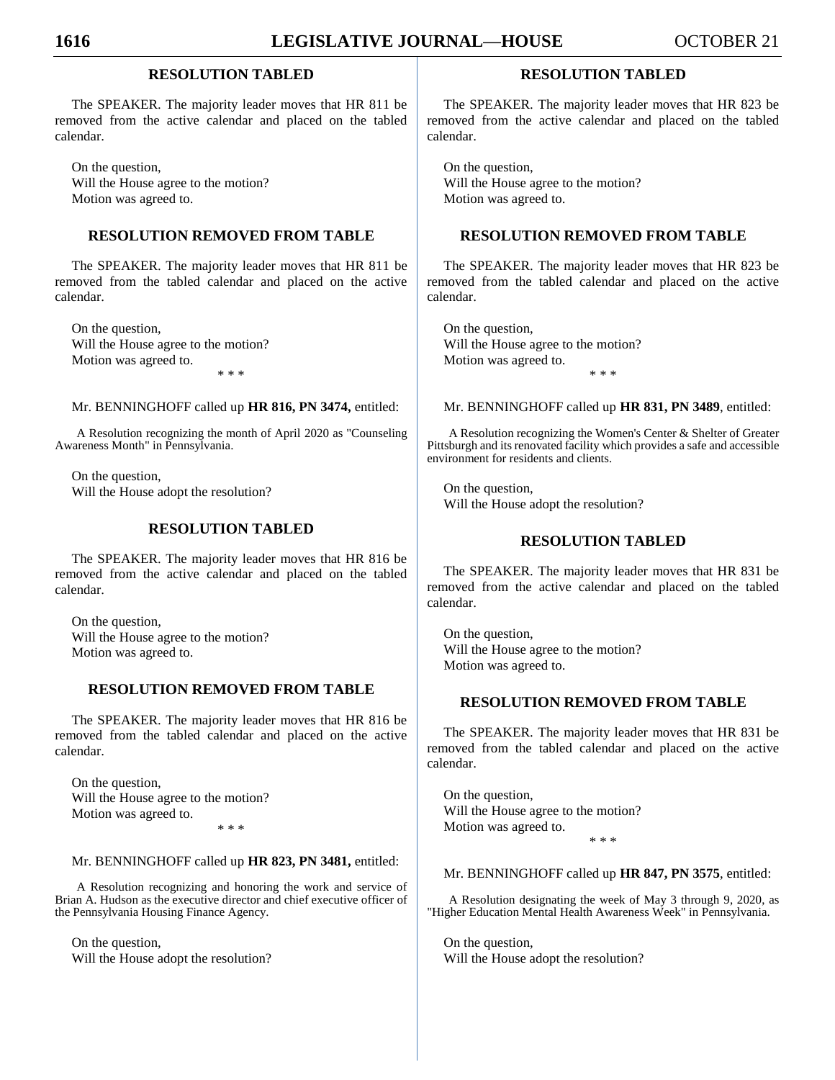## **RESOLUTION TABLED**

The SPEAKER. The majority leader moves that HR 811 be removed from the active calendar and placed on the tabled calendar.

On the question, Will the House agree to the motion? Motion was agreed to.

## **RESOLUTION REMOVED FROM TABLE**

The SPEAKER. The majority leader moves that HR 811 be removed from the tabled calendar and placed on the active calendar.

On the question, Will the House agree to the motion? Motion was agreed to.

\* \* \*

## Mr. BENNINGHOFF called up **HR 816, PN 3474,** entitled:

A Resolution recognizing the month of April 2020 as "Counseling Awareness Month" in Pennsylvania.

On the question, Will the House adopt the resolution?

## **RESOLUTION TABLED**

The SPEAKER. The majority leader moves that HR 816 be removed from the active calendar and placed on the tabled calendar.

On the question, Will the House agree to the motion? Motion was agreed to.

## **RESOLUTION REMOVED FROM TABLE**

The SPEAKER. The majority leader moves that HR 816 be removed from the tabled calendar and placed on the active calendar.

On the question, Will the House agree to the motion? Motion was agreed to.

\* \* \*

## Mr. BENNINGHOFF called up **HR 823, PN 3481,** entitled:

A Resolution recognizing and honoring the work and service of Brian A. Hudson as the executive director and chief executive officer of the Pennsylvania Housing Finance Agency.

On the question, Will the House adopt the resolution?

# **RESOLUTION TABLED**

The SPEAKER. The majority leader moves that HR 823 be removed from the active calendar and placed on the tabled calendar.

On the question, Will the House agree to the motion? Motion was agreed to.

## **RESOLUTION REMOVED FROM TABLE**

The SPEAKER. The majority leader moves that HR 823 be removed from the tabled calendar and placed on the active calendar.

On the question, Will the House agree to the motion? Motion was agreed to. \* \* \*

## Mr. BENNINGHOFF called up **HR 831, PN 3489**, entitled:

A Resolution recognizing the Women's Center & Shelter of Greater Pittsburgh and its renovated facility which provides a safe and accessible environment for residents and clients.

On the question, Will the House adopt the resolution?

## **RESOLUTION TABLED**

The SPEAKER. The majority leader moves that HR 831 be removed from the active calendar and placed on the tabled calendar.

On the question, Will the House agree to the motion? Motion was agreed to.

## **RESOLUTION REMOVED FROM TABLE**

The SPEAKER. The majority leader moves that HR 831 be removed from the tabled calendar and placed on the active calendar.

On the question, Will the House agree to the motion? Motion was agreed to. \* \* \*

## Mr. BENNINGHOFF called up **HR 847, PN 3575**, entitled:

A Resolution designating the week of May 3 through 9, 2020, as "Higher Education Mental Health Awareness Week" in Pennsylvania.

On the question, Will the House adopt the resolution?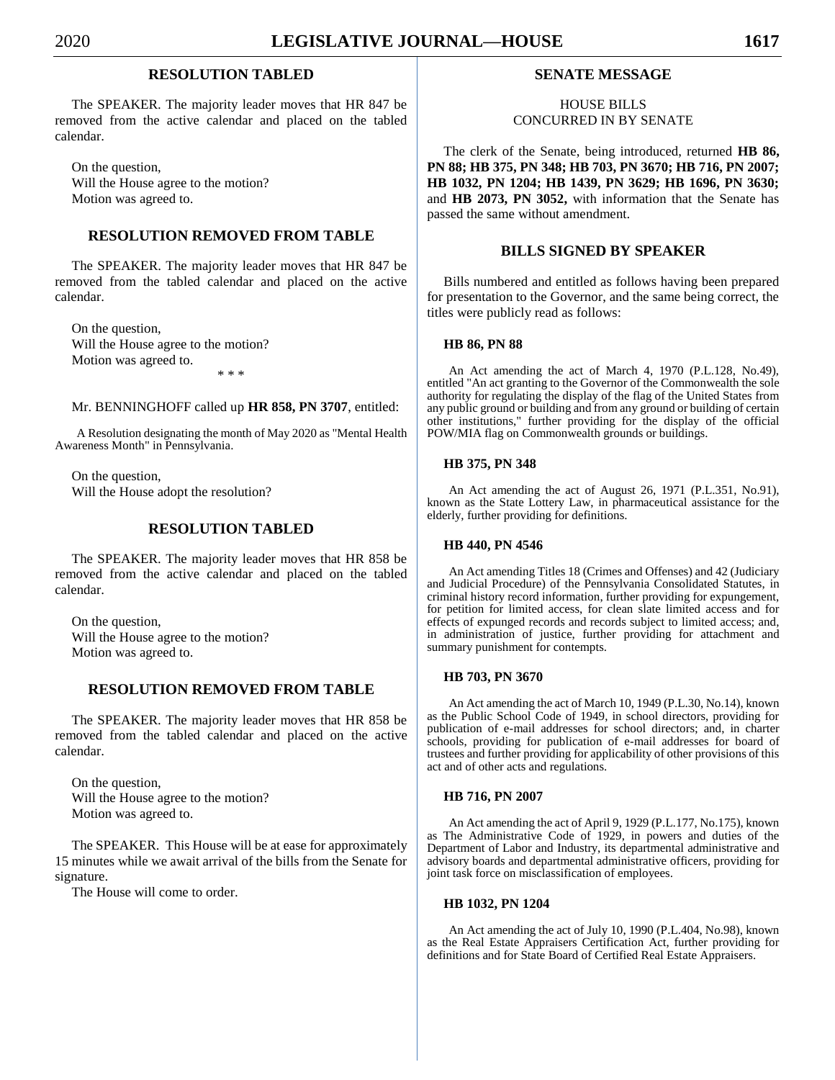## **RESOLUTION TABLED**

The SPEAKER. The majority leader moves that HR 847 be removed from the active calendar and placed on the tabled calendar.

On the question, Will the House agree to the motion? Motion was agreed to.

## **RESOLUTION REMOVED FROM TABLE**

The SPEAKER. The majority leader moves that HR 847 be removed from the tabled calendar and placed on the active calendar.

On the question, Will the House agree to the motion? Motion was agreed to.

\* \* \*

#### Mr. BENNINGHOFF called up **HR 858, PN 3707**, entitled:

A Resolution designating the month of May 2020 as "Mental Health Awareness Month" in Pennsylvania.

On the question, Will the House adopt the resolution?

## **RESOLUTION TABLED**

The SPEAKER. The majority leader moves that HR 858 be removed from the active calendar and placed on the tabled calendar.

On the question, Will the House agree to the motion? Motion was agreed to.

## **RESOLUTION REMOVED FROM TABLE**

The SPEAKER. The majority leader moves that HR 858 be removed from the tabled calendar and placed on the active calendar.

On the question, Will the House agree to the motion? Motion was agreed to.

The SPEAKER. This House will be at ease for approximately 15 minutes while we await arrival of the bills from the Senate for signature.

The House will come to order.

## **SENATE MESSAGE**

## HOUSE BILLS CONCURRED IN BY SENATE

The clerk of the Senate, being introduced, returned **HB 86, PN 88; HB 375, PN 348; HB 703, PN 3670; HB 716, PN 2007; HB 1032, PN 1204; HB 1439, PN 3629; HB 1696, PN 3630;**  and **HB 2073, PN 3052,** with information that the Senate has passed the same without amendment.

## **BILLS SIGNED BY SPEAKER**

Bills numbered and entitled as follows having been prepared for presentation to the Governor, and the same being correct, the titles were publicly read as follows:

## **HB 86, PN 88**

An Act amending the act of March 4, 1970 (P.L.128, No.49), entitled "An act granting to the Governor of the Commonwealth the sole authority for regulating the display of the flag of the United States from any public ground or building and from any ground or building of certain other institutions," further providing for the display of the official POW/MIA flag on Commonwealth grounds or buildings.

#### **HB 375, PN 348**

An Act amending the act of August 26, 1971 (P.L.351, No.91), known as the State Lottery Law, in pharmaceutical assistance for the elderly, further providing for definitions.

#### **HB 440, PN 4546**

An Act amending Titles 18 (Crimes and Offenses) and 42 (Judiciary and Judicial Procedure) of the Pennsylvania Consolidated Statutes, in criminal history record information, further providing for expungement, for petition for limited access, for clean slate limited access and for effects of expunged records and records subject to limited access; and, in administration of justice, further providing for attachment and summary punishment for contempts.

#### **HB 703, PN 3670**

An Act amending the act of March 10, 1949 (P.L.30, No.14), known as the Public School Code of 1949, in school directors, providing for publication of e-mail addresses for school directors; and, in charter schools, providing for publication of e-mail addresses for board of trustees and further providing for applicability of other provisions of this act and of other acts and regulations.

#### **HB 716, PN 2007**

An Act amending the act of April 9, 1929 (P.L.177, No.175), known as The Administrative Code of 1929, in powers and duties of the Department of Labor and Industry, its departmental administrative and advisory boards and departmental administrative officers, providing for joint task force on misclassification of employees.

#### **HB 1032, PN 1204**

An Act amending the act of July 10, 1990 (P.L.404, No.98), known as the Real Estate Appraisers Certification Act, further providing for definitions and for State Board of Certified Real Estate Appraisers.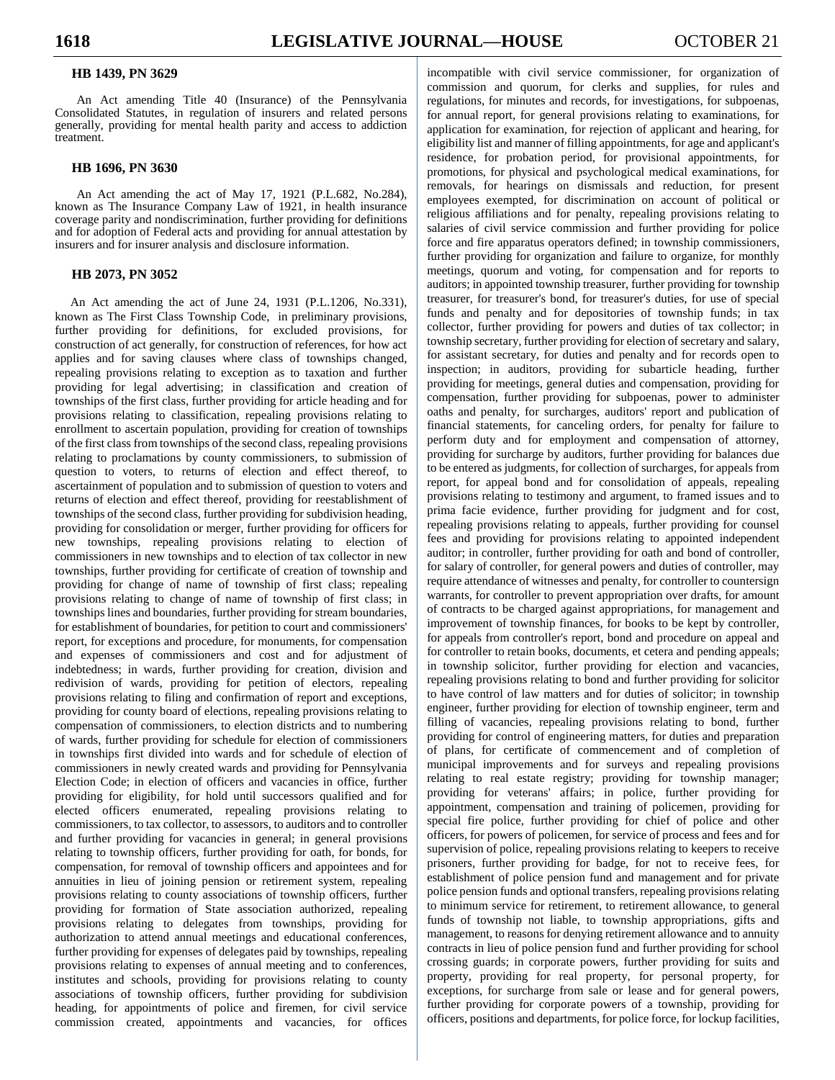## **HB 1439, PN 3629**

An Act amending Title 40 (Insurance) of the Pennsylvania Consolidated Statutes, in regulation of insurers and related persons generally, providing for mental health parity and access to addiction treatment.

#### **HB 1696, PN 3630**

An Act amending the act of May 17, 1921 (P.L.682, No.284), known as The Insurance Company Law of 1921, in health insurance coverage parity and nondiscrimination, further providing for definitions and for adoption of Federal acts and providing for annual attestation by insurers and for insurer analysis and disclosure information.

#### **HB 2073, PN 3052**

 An Act amending the act of June 24, 1931 (P.L.1206, No.331), known as The First Class Township Code, in preliminary provisions, further providing for definitions, for excluded provisions, for construction of act generally, for construction of references, for how act applies and for saving clauses where class of townships changed, repealing provisions relating to exception as to taxation and further providing for legal advertising; in classification and creation of townships of the first class, further providing for article heading and for provisions relating to classification, repealing provisions relating to enrollment to ascertain population, providing for creation of townships of the first class from townships of the second class, repealing provisions relating to proclamations by county commissioners, to submission of question to voters, to returns of election and effect thereof, to ascertainment of population and to submission of question to voters and returns of election and effect thereof, providing for reestablishment of townships of the second class, further providing for subdivision heading, providing for consolidation or merger, further providing for officers for new townships, repealing provisions relating to election of commissioners in new townships and to election of tax collector in new townships, further providing for certificate of creation of township and providing for change of name of township of first class; repealing provisions relating to change of name of township of first class; in townships lines and boundaries, further providing for stream boundaries, for establishment of boundaries, for petition to court and commissioners' report, for exceptions and procedure, for monuments, for compensation and expenses of commissioners and cost and for adjustment of indebtedness; in wards, further providing for creation, division and redivision of wards, providing for petition of electors, repealing provisions relating to filing and confirmation of report and exceptions, providing for county board of elections, repealing provisions relating to compensation of commissioners, to election districts and to numbering of wards, further providing for schedule for election of commissioners in townships first divided into wards and for schedule of election of commissioners in newly created wards and providing for Pennsylvania Election Code; in election of officers and vacancies in office, further providing for eligibility, for hold until successors qualified and for elected officers enumerated, repealing provisions relating to commissioners, to tax collector, to assessors, to auditors and to controller and further providing for vacancies in general; in general provisions relating to township officers, further providing for oath, for bonds, for compensation, for removal of township officers and appointees and for annuities in lieu of joining pension or retirement system, repealing provisions relating to county associations of township officers, further providing for formation of State association authorized, repealing provisions relating to delegates from townships, providing for authorization to attend annual meetings and educational conferences, further providing for expenses of delegates paid by townships, repealing provisions relating to expenses of annual meeting and to conferences, institutes and schools, providing for provisions relating to county associations of township officers, further providing for subdivision heading, for appointments of police and firemen, for civil service commission created, appointments and vacancies, for offices

incompatible with civil service commissioner, for organization of commission and quorum, for clerks and supplies, for rules and regulations, for minutes and records, for investigations, for subpoenas, for annual report, for general provisions relating to examinations, for application for examination, for rejection of applicant and hearing, for eligibility list and manner of filling appointments, for age and applicant's residence, for probation period, for provisional appointments, for promotions, for physical and psychological medical examinations, for removals, for hearings on dismissals and reduction, for present employees exempted, for discrimination on account of political or religious affiliations and for penalty, repealing provisions relating to salaries of civil service commission and further providing for police force and fire apparatus operators defined; in township commissioners, further providing for organization and failure to organize, for monthly meetings, quorum and voting, for compensation and for reports to auditors; in appointed township treasurer, further providing for township treasurer, for treasurer's bond, for treasurer's duties, for use of special funds and penalty and for depositories of township funds; in tax collector, further providing for powers and duties of tax collector; in township secretary, further providing for election of secretary and salary, for assistant secretary, for duties and penalty and for records open to inspection; in auditors, providing for subarticle heading, further providing for meetings, general duties and compensation, providing for compensation, further providing for subpoenas, power to administer oaths and penalty, for surcharges, auditors' report and publication of financial statements, for canceling orders, for penalty for failure to perform duty and for employment and compensation of attorney, providing for surcharge by auditors, further providing for balances due to be entered as judgments, for collection of surcharges, for appeals from report, for appeal bond and for consolidation of appeals, repealing provisions relating to testimony and argument, to framed issues and to prima facie evidence, further providing for judgment and for cost, repealing provisions relating to appeals, further providing for counsel fees and providing for provisions relating to appointed independent auditor; in controller, further providing for oath and bond of controller, for salary of controller, for general powers and duties of controller, may require attendance of witnesses and penalty, for controller to countersign warrants, for controller to prevent appropriation over drafts, for amount of contracts to be charged against appropriations, for management and improvement of township finances, for books to be kept by controller, for appeals from controller's report, bond and procedure on appeal and for controller to retain books, documents, et cetera and pending appeals; in township solicitor, further providing for election and vacancies, repealing provisions relating to bond and further providing for solicitor to have control of law matters and for duties of solicitor; in township engineer, further providing for election of township engineer, term and filling of vacancies, repealing provisions relating to bond, further providing for control of engineering matters, for duties and preparation of plans, for certificate of commencement and of completion of municipal improvements and for surveys and repealing provisions relating to real estate registry; providing for township manager; providing for veterans' affairs; in police, further providing for appointment, compensation and training of policemen, providing for special fire police, further providing for chief of police and other officers, for powers of policemen, for service of process and fees and for supervision of police, repealing provisions relating to keepers to receive prisoners, further providing for badge, for not to receive fees, for establishment of police pension fund and management and for private police pension funds and optional transfers, repealing provisions relating to minimum service for retirement, to retirement allowance, to general funds of township not liable, to township appropriations, gifts and management, to reasons for denying retirement allowance and to annuity contracts in lieu of police pension fund and further providing for school crossing guards; in corporate powers, further providing for suits and property, providing for real property, for personal property, for exceptions, for surcharge from sale or lease and for general powers, further providing for corporate powers of a township, providing for officers, positions and departments, for police force, for lockup facilities,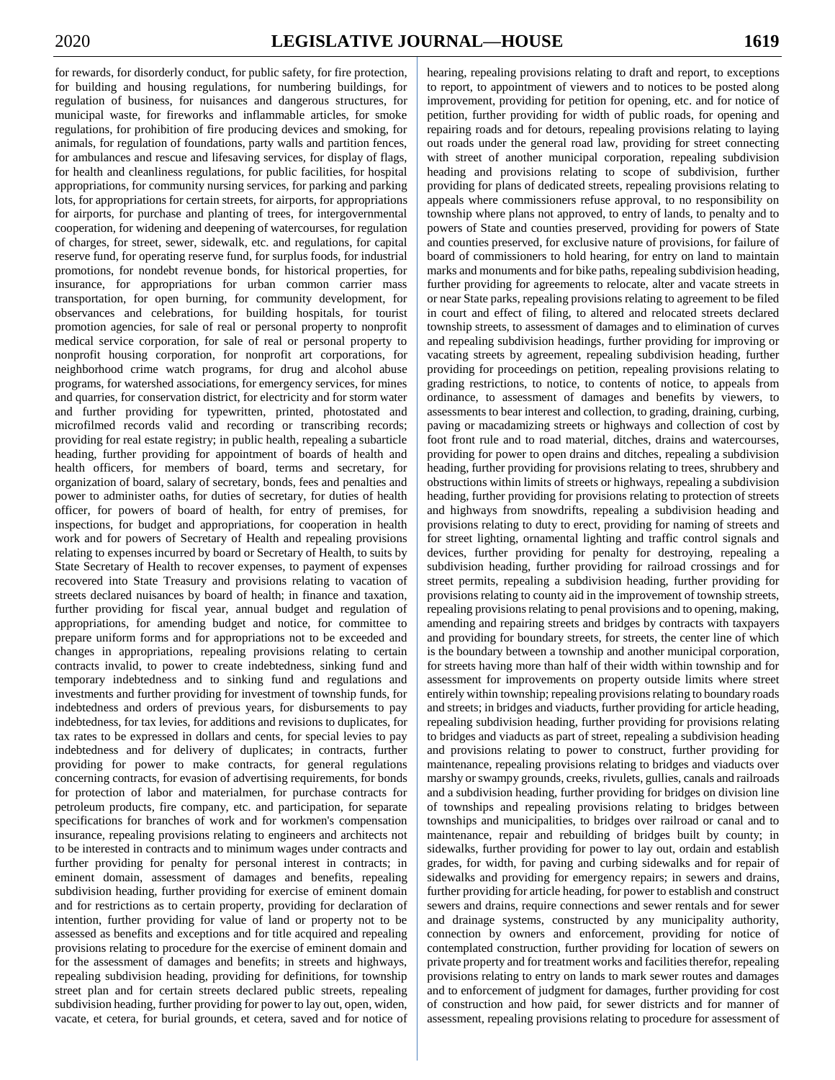for rewards, for disorderly conduct, for public safety, for fire protection, for building and housing regulations, for numbering buildings, for regulation of business, for nuisances and dangerous structures, for municipal waste, for fireworks and inflammable articles, for smoke regulations, for prohibition of fire producing devices and smoking, for animals, for regulation of foundations, party walls and partition fences, for ambulances and rescue and lifesaving services, for display of flags, for health and cleanliness regulations, for public facilities, for hospital appropriations, for community nursing services, for parking and parking lots, for appropriations for certain streets, for airports, for appropriations for airports, for purchase and planting of trees, for intergovernmental cooperation, for widening and deepening of watercourses, for regulation of charges, for street, sewer, sidewalk, etc. and regulations, for capital reserve fund, for operating reserve fund, for surplus foods, for industrial promotions, for nondebt revenue bonds, for historical properties, for insurance, for appropriations for urban common carrier mass transportation, for open burning, for community development, for observances and celebrations, for building hospitals, for tourist promotion agencies, for sale of real or personal property to nonprofit medical service corporation, for sale of real or personal property to nonprofit housing corporation, for nonprofit art corporations, for neighborhood crime watch programs, for drug and alcohol abuse programs, for watershed associations, for emergency services, for mines and quarries, for conservation district, for electricity and for storm water and further providing for typewritten, printed, photostated and microfilmed records valid and recording or transcribing records; providing for real estate registry; in public health, repealing a subarticle heading, further providing for appointment of boards of health and health officers, for members of board, terms and secretary, for organization of board, salary of secretary, bonds, fees and penalties and power to administer oaths, for duties of secretary, for duties of health officer, for powers of board of health, for entry of premises, for inspections, for budget and appropriations, for cooperation in health work and for powers of Secretary of Health and repealing provisions relating to expenses incurred by board or Secretary of Health, to suits by State Secretary of Health to recover expenses, to payment of expenses recovered into State Treasury and provisions relating to vacation of streets declared nuisances by board of health; in finance and taxation, further providing for fiscal year, annual budget and regulation of appropriations, for amending budget and notice, for committee to prepare uniform forms and for appropriations not to be exceeded and changes in appropriations, repealing provisions relating to certain contracts invalid, to power to create indebtedness, sinking fund and temporary indebtedness and to sinking fund and regulations and investments and further providing for investment of township funds, for indebtedness and orders of previous years, for disbursements to pay indebtedness, for tax levies, for additions and revisions to duplicates, for tax rates to be expressed in dollars and cents, for special levies to pay indebtedness and for delivery of duplicates; in contracts, further providing for power to make contracts, for general regulations concerning contracts, for evasion of advertising requirements, for bonds for protection of labor and materialmen, for purchase contracts for petroleum products, fire company, etc. and participation, for separate specifications for branches of work and for workmen's compensation insurance, repealing provisions relating to engineers and architects not to be interested in contracts and to minimum wages under contracts and further providing for penalty for personal interest in contracts; in eminent domain, assessment of damages and benefits, repealing subdivision heading, further providing for exercise of eminent domain and for restrictions as to certain property, providing for declaration of intention, further providing for value of land or property not to be assessed as benefits and exceptions and for title acquired and repealing provisions relating to procedure for the exercise of eminent domain and for the assessment of damages and benefits; in streets and highways, repealing subdivision heading, providing for definitions, for township street plan and for certain streets declared public streets, repealing subdivision heading, further providing for power to lay out, open, widen, vacate, et cetera, for burial grounds, et cetera, saved and for notice of hearing, repealing provisions relating to draft and report, to exceptions to report, to appointment of viewers and to notices to be posted along improvement, providing for petition for opening, etc. and for notice of petition, further providing for width of public roads, for opening and repairing roads and for detours, repealing provisions relating to laying out roads under the general road law, providing for street connecting with street of another municipal corporation, repealing subdivision heading and provisions relating to scope of subdivision, further providing for plans of dedicated streets, repealing provisions relating to appeals where commissioners refuse approval, to no responsibility on township where plans not approved, to entry of lands, to penalty and to powers of State and counties preserved, providing for powers of State and counties preserved, for exclusive nature of provisions, for failure of board of commissioners to hold hearing, for entry on land to maintain marks and monuments and for bike paths, repealing subdivision heading, further providing for agreements to relocate, alter and vacate streets in or near State parks, repealing provisions relating to agreement to be filed in court and effect of filing, to altered and relocated streets declared township streets, to assessment of damages and to elimination of curves and repealing subdivision headings, further providing for improving or vacating streets by agreement, repealing subdivision heading, further providing for proceedings on petition, repealing provisions relating to grading restrictions, to notice, to contents of notice, to appeals from ordinance, to assessment of damages and benefits by viewers, to assessments to bear interest and collection, to grading, draining, curbing, paving or macadamizing streets or highways and collection of cost by foot front rule and to road material, ditches, drains and watercourses, providing for power to open drains and ditches, repealing a subdivision heading, further providing for provisions relating to trees, shrubbery and obstructions within limits of streets or highways, repealing a subdivision heading, further providing for provisions relating to protection of streets and highways from snowdrifts, repealing a subdivision heading and provisions relating to duty to erect, providing for naming of streets and for street lighting, ornamental lighting and traffic control signals and devices, further providing for penalty for destroying, repealing a subdivision heading, further providing for railroad crossings and for street permits, repealing a subdivision heading, further providing for provisions relating to county aid in the improvement of township streets, repealing provisions relating to penal provisions and to opening, making, amending and repairing streets and bridges by contracts with taxpayers and providing for boundary streets, for streets, the center line of which is the boundary between a township and another municipal corporation, for streets having more than half of their width within township and for assessment for improvements on property outside limits where street entirely within township; repealing provisions relating to boundary roads and streets; in bridges and viaducts, further providing for article heading, repealing subdivision heading, further providing for provisions relating to bridges and viaducts as part of street, repealing a subdivision heading and provisions relating to power to construct, further providing for maintenance, repealing provisions relating to bridges and viaducts over marshy or swampy grounds, creeks, rivulets, gullies, canals and railroads and a subdivision heading, further providing for bridges on division line of townships and repealing provisions relating to bridges between townships and municipalities, to bridges over railroad or canal and to maintenance, repair and rebuilding of bridges built by county; in sidewalks, further providing for power to lay out, ordain and establish grades, for width, for paving and curbing sidewalks and for repair of sidewalks and providing for emergency repairs; in sewers and drains, further providing for article heading, for power to establish and construct sewers and drains, require connections and sewer rentals and for sewer and drainage systems, constructed by any municipality authority, connection by owners and enforcement, providing for notice of contemplated construction, further providing for location of sewers on private property and for treatment works and facilities therefor, repealing provisions relating to entry on lands to mark sewer routes and damages and to enforcement of judgment for damages, further providing for cost of construction and how paid, for sewer districts and for manner of assessment, repealing provisions relating to procedure for assessment of